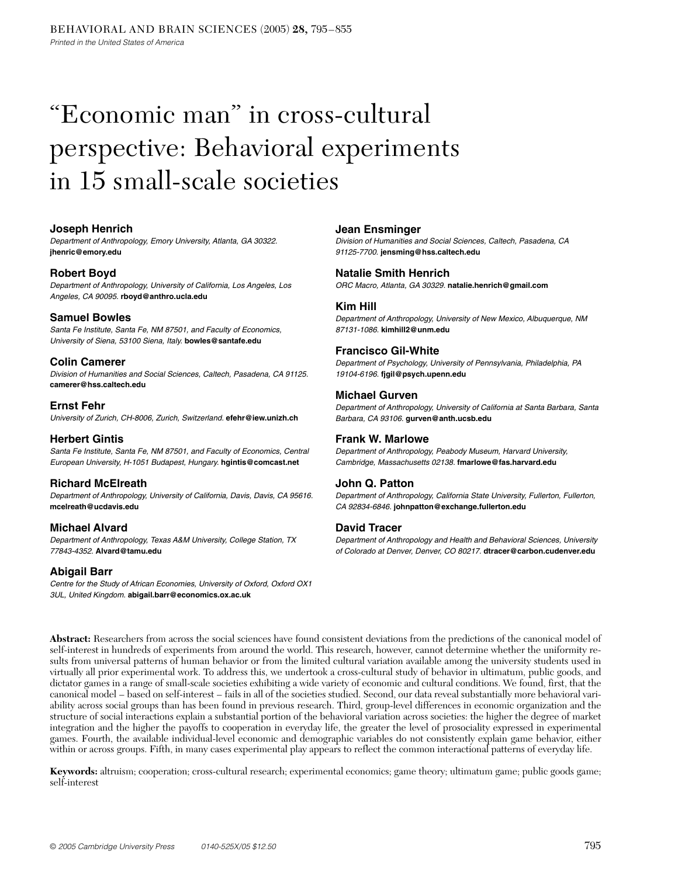# "Economic man" in cross-cultural perspective: Behavioral experiments in 15 small-scale societies

## **Joseph Henrich**

*Department of Anthropology, Emory University, Atlanta, GA 30322.* **jhenric@emory.edu**

## **Robert Boyd**

*Department of Anthropology, University of California, Los Angeles, Los Angeles, CA 90095.* **rboyd@anthro.ucla.edu**

## **Samuel Bowles**

*Santa Fe Institute, Santa Fe, NM 87501, and Faculty of Economics, University of Siena, 53100 Siena, Italy.* **bowles@santafe.edu**

## **Colin Camerer**

*Division of Humanities and Social Sciences, Caltech, Pasadena, CA 91125.* **camerer@hss.caltech.edu**

#### **Ernst Fehr**

*University of Zurich, CH-8006, Zurich, Switzerland.* **efehr@iew.unizh.ch**

## **Herbert Gintis**

*Santa Fe Institute, Santa Fe, NM 87501, and Faculty of Economics, Central European University, H-1051 Budapest, Hungary.* **hgintis@comcast.net**

## **Richard McElreath**

*Department of Anthropology, University of California, Davis, Davis, CA 95616.* **mcelreath@ucdavis.edu**

#### **Michael Alvard**

*Department of Anthropology, Texas A&M University, College Station, TX 77843-4352.* **Alvard@tamu.edu**

## **Abigail Barr**

*Centre for the Study of African Economies, University of Oxford, Oxford OX1 3UL, United Kingdom.* **abigail.barr@economics.ox.ac.uk**

#### **Jean Ensminger**

*Division of Humanities and Social Sciences, Caltech, Pasadena, CA 91125-7700.* **jensming@hss.caltech.edu**

#### **Natalie Smith Henrich**

*ORC Macro, Atlanta, GA 30329.* **natalie.henrich@gmail.com**

## **Kim Hill**

*Department of Anthropology, University of New Mexico, Albuquerque, NM 87131-1086.* **kimhill2@unm.edu**

## **Francisco Gil-White**

*Department of Psychology, University of Pennsylvania, Philadelphia, PA 19104-6196.* **fjgil@psych.upenn.edu**

## **Michael Gurven**

*Department of Anthropology, University of California at Santa Barbara, Santa Barbara, CA 93106.* **gurven@anth.ucsb.edu**

## **Frank W. Marlowe**

*Department of Anthropology, Peabody Museum, Harvard University, Cambridge, Massachusetts 02138.* **fmarlowe@fas.harvard.edu**

## **John Q. Patton**

*Department of Anthropology, California State University, Fullerton, Fullerton, CA 92834-6846.* **johnpatton@exchange.fullerton.edu**

#### **David Tracer**

*Department of Anthropology and Health and Behavioral Sciences, University of Colorado at Denver, Denver, CO 80217.* **dtracer@carbon.cudenver.edu**

**Abstract:** Researchers from across the social sciences have found consistent deviations from the predictions of the canonical model of self-interest in hundreds of experiments from around the world. This research, however, cannot determine whether the uniformity results from universal patterns of human behavior or from the limited cultural variation available among the university students used in virtually all prior experimental work. To address this, we undertook a cross-cultural study of behavior in ultimatum, public goods, and dictator games in a range of small-scale societies exhibiting a wide variety of economic and cultural conditions. We found, first, that the canonical model – based on self-interest – fails in all of the societies studied. Second, our data reveal substantially more behavioral variability across social groups than has been found in previous research. Third, group-level differences in economic organization and the structure of social interactions explain a substantial portion of the behavioral variation across societies: the higher the degree of market integration and the higher the payoffs to cooperation in everyday life, the greater the level of prosociality expressed in experimental games. Fourth, the available individual-level economic and demographic variables do not consistently explain game behavior, either within or across groups. Fifth, in many cases experimental play appears to reflect the common interactional patterns of everyday life.

**Keywords:** altruism; cooperation; cross-cultural research; experimental economics; game theory; ultimatum game; public goods game; self-interest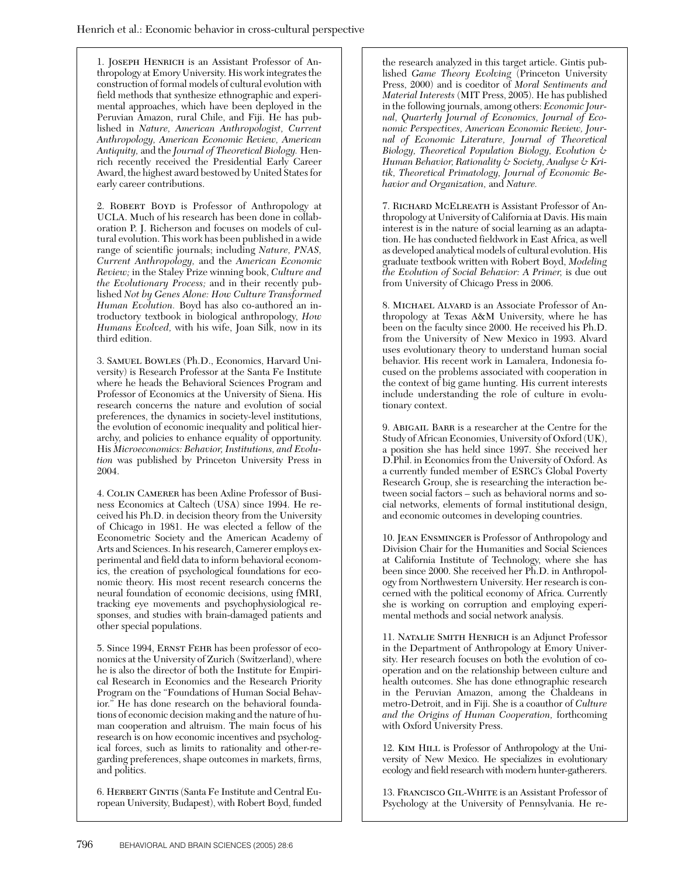1. Joseph Henrich is an Assistant Professor of Anthropology at Emory University. His work integrates the construction of formal models of cultural evolution with field methods that synthesize ethnographic and experimental approaches, which have been deployed in the Peruvian Amazon, rural Chile, and Fiji. He has published in *Nature, American Anthropologist, Current Anthropology, American Economic Review, American Antiquity,* and the *Journal of Theoretical Biology.* Henrich recently received the Presidential Early Career Award, the highest award bestowed by United States for early career contributions.

2. ROBERT BOYD is Professor of Anthropology at UCLA. Much of his research has been done in collaboration P. J. Richerson and focuses on models of cultural evolution. This work has been published in a wide range of scientific journals; including *Nature, PNAS, Current Anthropology,* and the *American Economic Review;* in the Staley Prize winning book, *Culture and the Evolutionary Process;* and in their recently published *Not by Genes Alone: How Culture Transformed Human Evolution.* Boyd has also co-authored an introductory textbook in biological anthropology, *How Humans Evolved,* with his wife, Joan Silk, now in its third edition.

3. Samuel Bowles (Ph.D., Economics, Harvard University) is Research Professor at the Santa Fe Institute where he heads the Behavioral Sciences Program and Professor of Economics at the University of Siena. His research concerns the nature and evolution of social preferences, the dynamics in society-level institutions, the evolution of economic inequality and political hierarchy, and policies to enhance equality of opportunity. His *Microeconomics: Behavior, Institutions, and Evolution* was published by Princeton University Press in 2004.

4. Colin Camerer has been Axline Professor of Business Economics at Caltech (USA) since 1994. He received his Ph.D. in decision theory from the University of Chicago in 1981. He was elected a fellow of the Econometric Society and the American Academy of Arts and Sciences. In his research, Camerer employs experimental and field data to inform behavioral economics, the creation of psychological foundations for economic theory. His most recent research concerns the neural foundation of economic decisions, using fMRI, tracking eye movements and psychophysiological responses, and studies with brain-damaged patients and other special populations.

5. Since 1994, Ernst Fehr has been professor of economics at the University of Zurich (Switzerland), where he is also the director of both the Institute for Empirical Research in Economics and the Research Priority Program on the "Foundations of Human Social Behavior." He has done research on the behavioral foundations of economic decision making and the nature of human cooperation and altruism. The main focus of his research is on how economic incentives and psychological forces, such as limits to rationality and other-regarding preferences, shape outcomes in markets, firms, and politics.

6. HERBERT GINTIS (Santa Fe Institute and Central European University, Budapest), with Robert Boyd, funded

the research analyzed in this target article. Gintis published *Game Theory Evolving* (Princeton University Press, 2000) and is coeditor of *Moral Sentiments and Material Interests* (MIT Press, 2005). He has published in the following journals, among others: *Economic Journal, Quarterly Journal of Economics, Journal of Economic Perspectives, American Economic Review, Journal of Economic Literature, Journal of Theoretical Biology, Theoretical Population Biology, Evolution & Human Behavior, Rationality & Society, Analyse & Kritik, Theoretical Primatology, Journal of Economic Behavior and Organization,* and *Nature.*

7. Richard McElreath is Assistant Professor of Anthropology at University of California at Davis. His main interest is in the nature of social learning as an adaptation. He has conducted fieldwork in East Africa, as well as developed analytical models of cultural evolution. His graduate textbook written with Robert Boyd, *Modeling the Evolution of Social Behavior: A Primer,* is due out from University of Chicago Press in 2006.

8. Michael Alvard is an Associate Professor of Anthropology at Texas A&M University, where he has been on the faculty since 2000. He received his Ph.D. from the University of New Mexico in 1993. Alvard uses evolutionary theory to understand human social behavior. His recent work in Lamalera, Indonesia focused on the problems associated with cooperation in the context of big game hunting. His current interests include understanding the role of culture in evolutionary context.

9. ABIGAIL BARR is a researcher at the Centre for the Study of African Economies, University of Oxford (UK), a position she has held since 1997. She received her D.Phil. in Economics from the University of Oxford. As a currently funded member of ESRC's Global Poverty Research Group, she is researching the interaction between social factors – such as behavioral norms and social networks, elements of formal institutional design, and economic outcomes in developing countries.

10. Jean Ensminger is Professor of Anthropology and Division Chair for the Humanities and Social Sciences at California Institute of Technology, where she has been since 2000. She received her Ph.D. in Anthropology from Northwestern University. Her research is concerned with the political economy of Africa. Currently she is working on corruption and employing experimental methods and social network analysis.

11. Natalie Smith Henrich is an Adjunct Professor in the Department of Anthropology at Emory University. Her research focuses on both the evolution of cooperation and on the relationship between culture and health outcomes. She has done ethnographic research in the Peruvian Amazon, among the Chaldeans in metro-Detroit, and in Fiji. She is a coauthor of *Culture and the Origins of Human Cooperation,* forthcoming with Oxford University Press.

12. Kim Hill is Professor of Anthropology at the University of New Mexico. He specializes in evolutionary ecology and field research with modern hunter-gatherers.

13. Francisco Gil-White is an Assistant Professor of Psychology at the University of Pennsylvania. He re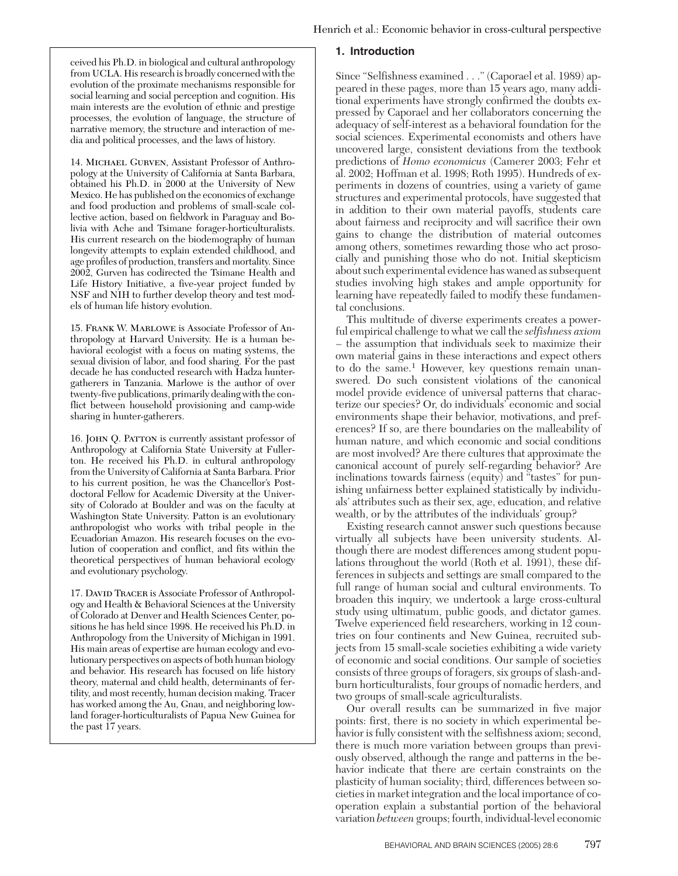ceived his Ph.D. in biological and cultural anthropology from UCLA. His research is broadly concerned with the evolution of the proximate mechanisms responsible for social learning and social perception and cognition. His main interests are the evolution of ethnic and prestige processes, the evolution of language, the structure of narrative memory, the structure and interaction of media and political processes, and the laws of history.

14. Michael Gurven, Assistant Professor of Anthropology at the University of California at Santa Barbara, obtained his Ph.D. in 2000 at the University of New Mexico. He has published on the economics of exchange and food production and problems of small-scale collective action, based on fieldwork in Paraguay and Bolivia with Ache and Tsimane forager-horticulturalists. His current research on the biodemography of human longevity attempts to explain extended childhood, and age profiles of production, transfers and mortality. Since 2002, Gurven has codirected the Tsimane Health and Life History Initiative, a five-year project funded by NSF and NIH to further develop theory and test models of human life history evolution.

15. Frank W. Marlowe is Associate Professor of Anthropology at Harvard University. He is a human behavioral ecologist with a focus on mating systems, the sexual division of labor, and food sharing. For the past decade he has conducted research with Hadza huntergatherers in Tanzania. Marlowe is the author of over twenty-five publications, primarily dealing with the conflict between household provisioning and camp-wide sharing in hunter-gatherers.

16. JOHN Q. PATTON is currently assistant professor of Anthropology at California State University at Fullerton. He received his Ph.D. in cultural anthropology from the University of California at Santa Barbara. Prior to his current position, he was the Chancellor's Postdoctoral Fellow for Academic Diversity at the University of Colorado at Boulder and was on the faculty at Washington State University. Patton is an evolutionary anthropologist who works with tribal people in the Ecuadorian Amazon. His research focuses on the evolution of cooperation and conflict, and fits within the theoretical perspectives of human behavioral ecology and evolutionary psychology.

17. David Tracer is Associate Professor of Anthropology and Health & Behavioral Sciences at the University of Colorado at Denver and Health Sciences Center, positions he has held since 1998. He received his Ph.D. in Anthropology from the University of Michigan in 1991. His main areas of expertise are human ecology and evolutionary perspectives on aspects of both human biology and behavior. His research has focused on life history theory, maternal and child health, determinants of fertility, and most recently, human decision making. Tracer has worked among the Au, Gnau, and neighboring lowland forager-horticulturalists of Papua New Guinea for the past 17 years.

## **1. Introduction**

Since "Selfishness examined . . ." (Caporael et al. 1989) appeared in these pages, more than 15 years ago, many additional experiments have strongly confirmed the doubts expressed by Caporael and her collaborators concerning the adequacy of self-interest as a behavioral foundation for the social sciences. Experimental economists and others have uncovered large, consistent deviations from the textbook predictions of *Homo economicus* (Camerer 2003; Fehr et al. 2002; Hoffman et al. 1998; Roth 1995). Hundreds of experiments in dozens of countries, using a variety of game structures and experimental protocols, have suggested that in addition to their own material payoffs, students care about fairness and reciprocity and will sacrifice their own gains to change the distribution of material outcomes among others, sometimes rewarding those who act prosocially and punishing those who do not. Initial skepticism about such experimental evidence has waned as subsequent studies involving high stakes and ample opportunity for learning have repeatedly failed to modify these fundamental conclusions.

This multitude of diverse experiments creates a powerful empirical challenge to what we call the *selfishness axiom* – the assumption that individuals seek to maximize their own material gains in these interactions and expect others to do the same.<sup>1</sup> However, key questions remain unanswered. Do such consistent violations of the canonical model provide evidence of universal patterns that characterize our species? Or, do individuals' economic and social environments shape their behavior, motivations, and preferences? If so, are there boundaries on the malleability of human nature, and which economic and social conditions are most involved? Are there cultures that approximate the canonical account of purely self-regarding behavior? Are inclinations towards fairness (equity) and "tastes" for punishing unfairness better explained statistically by individuals' attributes such as their sex, age, education, and relative wealth, or by the attributes of the individuals' group?

Existing research cannot answer such questions because virtually all subjects have been university students. Although there are modest differences among student populations throughout the world (Roth et al. 1991), these differences in subjects and settings are small compared to the full range of human social and cultural environments. To broaden this inquiry, we undertook a large cross-cultural study using ultimatum, public goods, and dictator games. Twelve experienced field researchers, working in 12 countries on four continents and New Guinea, recruited subjects from 15 small-scale societies exhibiting a wide variety of economic and social conditions. Our sample of societies consists of three groups of foragers, six groups of slash-andburn horticulturalists, four groups of nomadic herders, and two groups of small-scale agriculturalists.

Our overall results can be summarized in five major points: first, there is no society in which experimental behavior is fully consistent with the selfishness axiom; second, there is much more variation between groups than previously observed, although the range and patterns in the behavior indicate that there are certain constraints on the plasticity of human sociality; third, differences between societies in market integration and the local importance of cooperation explain a substantial portion of the behavioral variation *between* groups; fourth, individual-level economic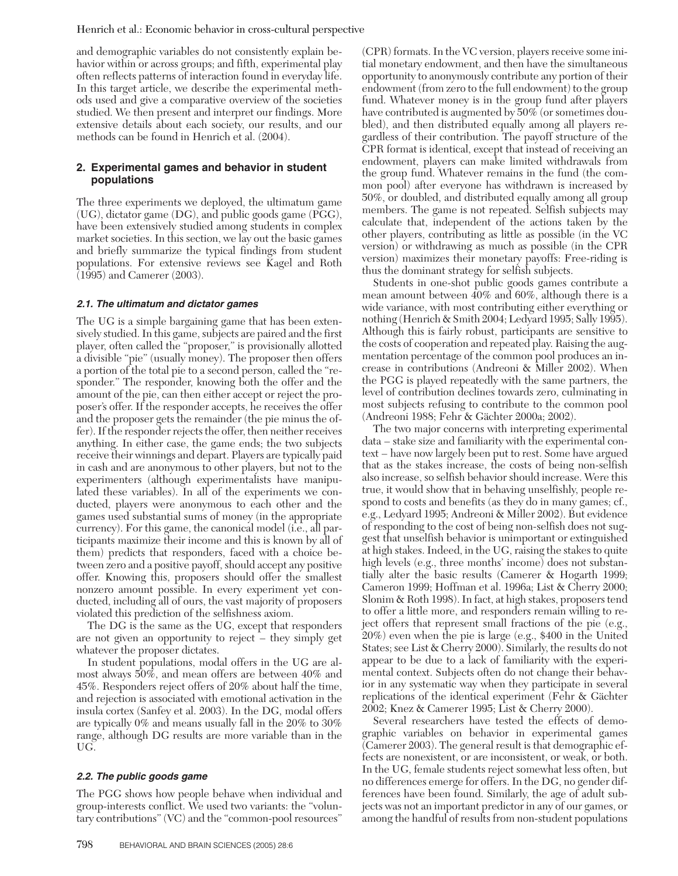and demographic variables do not consistently explain behavior within or across groups; and fifth, experimental play often reflects patterns of interaction found in everyday life. In this target article, we describe the experimental methods used and give a comparative overview of the societies studied. We then present and interpret our findings. More extensive details about each society, our results, and our methods can be found in Henrich et al. (2004).

## **2. Experimental games and behavior in student populations**

The three experiments we deployed, the ultimatum game (UG), dictator game (DG), and public goods game (PGG), have been extensively studied among students in complex market societies. In this section, we lay out the basic games and briefly summarize the typical findings from student populations. For extensive reviews see Kagel and Roth  $(1995)$  and Camerer (2003).

## *2.1. The ultimatum and dictator games*

The UG is a simple bargaining game that has been extensively studied. In this game, subjects are paired and the first player, often called the "proposer," is provisionally allotted a divisible "pie" (usually money). The proposer then offers a portion of the total pie to a second person, called the "responder." The responder, knowing both the offer and the amount of the pie, can then either accept or reject the proposer's offer. If the responder accepts, he receives the offer and the proposer gets the remainder (the pie minus the offer). If the responder rejects the offer, then neither receives anything. In either case, the game ends; the two subjects receive their winnings and depart. Players are typically paid in cash and are anonymous to other players, but not to the experimenters (although experimentalists have manipulated these variables). In all of the experiments we conducted, players were anonymous to each other and the games used substantial sums of money (in the appropriate currency). For this game, the canonical model (i.e., all participants maximize their income and this is known by all of them) predicts that responders, faced with a choice between zero and a positive payoff, should accept any positive offer. Knowing this, proposers should offer the smallest nonzero amount possible. In every experiment yet conducted, including all of ours, the vast majority of proposers violated this prediction of the selfishness axiom.

The DG is the same as the UG, except that responders are not given an opportunity to reject – they simply get whatever the proposer dictates.

In student populations, modal offers in the UG are almost always 50%, and mean offers are between 40% and 45%. Responders reject offers of 20% about half the time, and rejection is associated with emotional activation in the insula cortex (Sanfey et al. 2003). In the DG, modal offers are typically 0% and means usually fall in the 20% to 30% range, although DG results are more variable than in the UG.

#### *2.2. The public goods game*

The PGG shows how people behave when individual and group-interests conflict. We used two variants: the "voluntary contributions" (VC) and the "common-pool resources"

(CPR) formats. In the VC version, players receive some initial monetary endowment, and then have the simultaneous opportunity to anonymously contribute any portion of their endowment (from zero to the full endowment) to the group fund. Whatever money is in the group fund after players have contributed is augmented by 50% (or sometimes doubled), and then distributed equally among all players regardless of their contribution. The payoff structure of the CPR format is identical, except that instead of receiving an endowment, players can make limited withdrawals from the group fund. Whatever remains in the fund (the common pool) after everyone has withdrawn is increased by 50%, or doubled, and distributed equally among all group members. The game is not repeated. Selfish subjects may calculate that, independent of the actions taken by the other players, contributing as little as possible (in the VC version) or withdrawing as much as possible (in the CPR version) maximizes their monetary payoffs: Free-riding is thus the dominant strategy for selfish subjects.

Students in one-shot public goods games contribute a mean amount between 40% and 60%, although there is a wide variance, with most contributing either everything or nothing (Henrich & Smith 2004; Ledyard 1995; Sally 1995). Although this is fairly robust, participants are sensitive to the costs of cooperation and repeated play. Raising the augmentation percentage of the common pool produces an increase in contributions (Andreoni & Miller 2002). When the PGG is played repeatedly with the same partners, the level of contribution declines towards zero, culminating in most subjects refusing to contribute to the common pool (Andreoni 1988; Fehr & Gächter 2000a; 2002).

The two major concerns with interpreting experimental data – stake size and familiarity with the experimental context – have now largely been put to rest. Some have argued that as the stakes increase, the costs of being non-selfish also increase, so selfish behavior should increase. Were this true, it would show that in behaving unselfishly, people respond to costs and benefits (as they do in many games; cf., e.g., Ledyard 1995; Andreoni & Miller 2002). But evidence of responding to the cost of being non-selfish does not suggest that unselfish behavior is unimportant or extinguished at high stakes. Indeed, in the UG, raising the stakes to quite high levels (e.g., three months' income) does not substantially alter the basic results (Camerer & Hogarth 1999; Cameron 1999; Hoffman et al. 1996a; List & Cherry 2000; Slonim & Roth 1998). In fact, at high stakes, proposers tend to offer a little more, and responders remain willing to reject offers that represent small fractions of the pie (e.g., 20%) even when the pie is large (e.g., \$400 in the United States; see List & Cherry 2000). Similarly, the results do not appear to be due to a lack of familiarity with the experimental context. Subjects often do not change their behavior in any systematic way when they participate in several replications of the identical experiment (Fehr & Gächter 2002; Knez & Camerer 1995; List & Cherry 2000).

Several researchers have tested the effects of demographic variables on behavior in experimental games (Camerer 2003). The general result is that demographic effects are nonexistent, or are inconsistent, or weak, or both. In the UG, female students reject somewhat less often, but no differences emerge for offers. In the DG, no gender differences have been found. Similarly, the age of adult subjects was not an important predictor in any of our games, or among the handful of results from non-student populations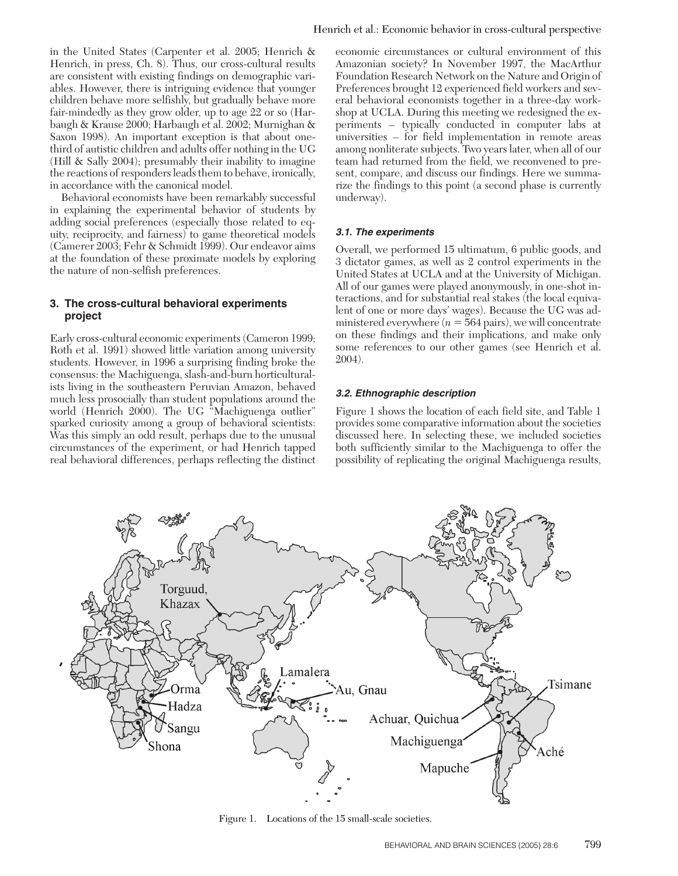in the United States (Carpenter et al. 2005; Henrich & Henrich, in press, Ch. 8). Thus, our cross-cultural results are consistent with existing findings on demographic variables. However, there is intriguing evidence that younger children behave more selfishly, but gradually behave more fair-mindedly as they grow older, up to age 22 or so (Harbaugh & Krause 2000; Harbaugh et al. 2002; Murnighan & Saxon 1998). An important exception is that about onethird of autistic children and adults offer nothing in the UG (Hill & Sally 2004); presumably their inability to imagine the reactions of responders leads them to behave, ironically, in accordance with the canonical model.

Behavioral economists have been remarkably successful in explaining the experimental behavior of students by adding social preferences (especially those related to equity, reciprocity, and fairness) to game theoretical models (Camerer 2003; Fehr & Schmidt 1999). Our endeavor aims at the foundation of these proximate models by exploring the nature of non-selfish preferences.

## **3. The cross-cultural behavioral experiments project**

Early cross-cultural economic experiments (Cameron 1999; Roth et al. 1991) showed little variation among university students. However, in 1996 a surprising finding broke the consensus: the Machiguenga, slash-and-burn horticulturalists living in the southeastern Peruvian Amazon, behaved much less prosocially than student populations around the world (Henrich 2000). The UG "Machiguenga outlier" sparked curiosity among a group of behavioral scientists: Was this simply an odd result, perhaps due to the unusual circumstances of the experiment, or had Henrich tapped real behavioral differences, perhaps reflecting the distinct

economic circumstances or cultural environment of this Amazonian society? In November 1997, the MacArthur Foundation Research Network on the Nature and Origin of Preferences brought 12 experienced field workers and several behavioral economists together in a three-day workshop at UCLA. During this meeting we redesigned the experiments – typically conducted in computer labs at universities – for field implementation in remote areas among nonliterate subjects. Two years later, when all of our team had returned from the field, we reconvened to present, compare, and discuss our findings. Here we summarize the findings to this point (a second phase is currently underway).

## *3.1. The experiments*

Overall, we performed 15 ultimatum, 6 public goods, and 3 dictator games, as well as 2 control experiments in the United States at UCLA and at the University of Michigan. All of our games were played anonymously, in one-shot interactions, and for substantial real stakes (the local equivalent of one or more days' wages). Because the UG was administered everywhere  $(n = 564 \text{ pairs})$ , we will concentrate on these findings and their implications, and make only some references to our other games (see Henrich et al. 2004).

## *3.2. Ethnographic description*

Figure 1 shows the location of each field site, and Table 1 provides some comparative information about the societies discussed here. In selecting these, we included societies both sufficiently similar to the Machiguenga to offer the possibility of replicating the original Machiguenga results,



Figure 1. Locations of the 15 small-scale societies.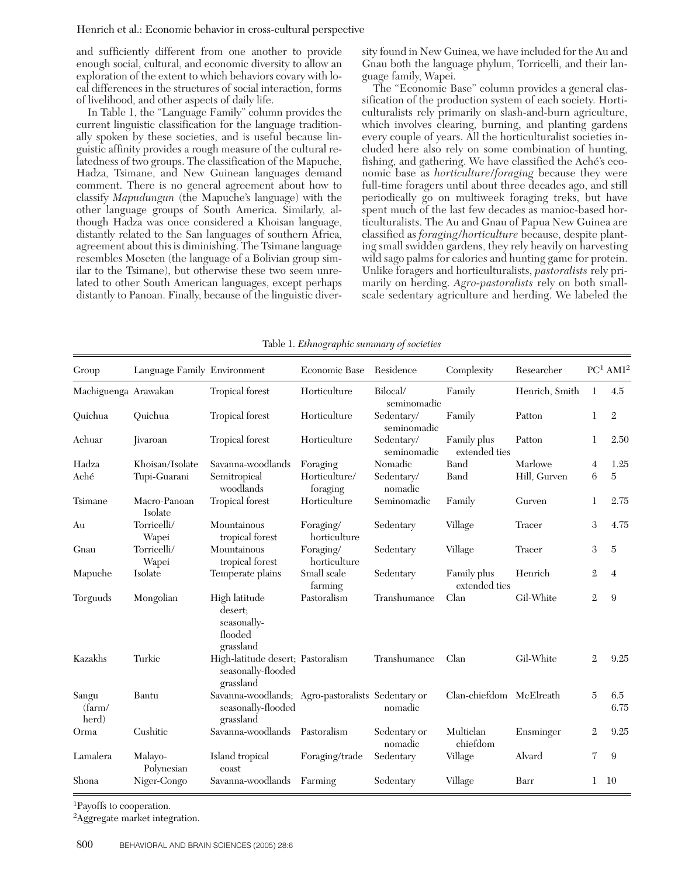and sufficiently different from one another to provide enough social, cultural, and economic diversity to allow an exploration of the extent to which behaviors covary with local differences in the structures of social interaction, forms of livelihood, and other aspects of daily life.

In Table 1, the "Language Family" column provides the current linguistic classification for the language traditionally spoken by these societies, and is useful because linguistic affinity provides a rough measure of the cultural relatedness of two groups. The classification of the Mapuche, Hadza, Tsimane, and New Guinean languages demand comment. There is no general agreement about how to classify *Mapudungun* (the Mapuche's language) with the other language groups of South America. Similarly, although Hadza was once considered a Khoisan language, distantly related to the San languages of southern Africa, agreement about this is diminishing. The Tsimane language resembles Moseten (the language of a Bolivian group similar to the Tsimane), but otherwise these two seem unrelated to other South American languages, except perhaps distantly to Panoan. Finally, because of the linguistic diversity found in New Guinea, we have included for the Au and Gnau both the language phylum, Torricelli, and their language family, Wapei.

The "Economic Base" column provides a general classification of the production system of each society. Horticulturalists rely primarily on slash-and-burn agriculture, which involves clearing, burning, and planting gardens every couple of years. All the horticulturalist societies included here also rely on some combination of hunting, fishing, and gathering. We have classified the Aché's economic base as *horticulture/foraging* because they were full-time foragers until about three decades ago, and still periodically go on multiweek foraging treks, but have spent much of the last few decades as manioc-based horticulturalists. The Au and Gnau of Papua New Guinea are classified as *foraging/horticulture* because, despite planting small swidden gardens, they rely heavily on harvesting wild sago palms for calories and hunting game for protein. Unlike foragers and horticulturalists, *pastoralists* rely primarily on herding. *Agro-pastoralists* rely on both smallscale sedentary agriculture and herding. We labeled the

|                          |                             |                                                                                      | $\circ$                   | JJ                        |                              |                |                |                                  |
|--------------------------|-----------------------------|--------------------------------------------------------------------------------------|---------------------------|---------------------------|------------------------------|----------------|----------------|----------------------------------|
| Group                    | Language Family Environment |                                                                                      | <b>Economic Base</b>      | Residence                 | Complexity                   | Researcher     |                | PC <sup>1</sup> AMI <sup>2</sup> |
| Machiguenga Arawakan     |                             | Tropical forest                                                                      | Horticulture              | Bilocal/<br>seminomadic   | Family                       | Henrich, Smith | 1              | 4.5                              |
| Quichua                  | Quichua                     | Tropical forest                                                                      | Horticulture              | Sedentary/<br>seminomadic | Family                       | Patton         | 1              | $\mathbf{2}$                     |
| Achuar                   | <i>livaroan</i>             | Tropical forest                                                                      | Horticulture              | Sedentary/<br>seminomadic | Family plus<br>extended ties | Patton         | 1              | 2.50                             |
| Hadza                    | Khoisan/Isolate             | Savanna-woodlands                                                                    | Foraging                  | Nomadic                   | <b>Band</b>                  | Marlowe        | 4              | 1.25                             |
| Aché                     | Tupi-Guarani                | Semitropical<br>woodlands                                                            | Horticulture/<br>foraging | Sedentary/<br>nomadic     | Band                         | Hill, Gurven   | 6              | $\mathbf 5$                      |
| <b>Tsimane</b>           | Macro-Panoan<br>Isolate     | Tropical forest                                                                      | Horticulture              | Seminomadic               | Family                       | Gurven         | 1              | 2.75                             |
| Au                       | Torricelli/<br>Wapei        | Mountainous<br>tropical forest                                                       | Foraging/<br>horticulture | Sedentary                 | Village                      | Tracer         | 3              | 4.75                             |
| Gnau                     | Torricelli/<br>Wapei        | Mountainous<br>tropical forest                                                       | Foraging/<br>horticulture | Sedentary                 | Village                      | Tracer         | 3              | $\overline{5}$                   |
| Mapuche                  | Isolate                     | Temperate plains                                                                     | Small scale<br>farming    | Sedentary                 | Family plus<br>extended ties | Henrich        | $\mathfrak{2}$ | $\overline{4}$                   |
| Torguuds                 | Mongolian                   | High latitude<br>desert;<br>seasonally-<br>flooded<br>grassland                      | Pastoralism               | Transhumance              | Clan                         | Gil-White      | $\mathfrak{2}$ | 9                                |
| Kazakhs                  | Turkic                      | High-latitude desert; Pastoralism<br>seasonally-flooded<br>grassland                 |                           | Transhumance              | Clan                         | Gil-White      | $\mathfrak{2}$ | 9.25                             |
| Sangu<br>(farm/<br>herd) | Bantu                       | Savanna-woodlands; Agro-pastoralists Sedentary or<br>seasonally-flooded<br>grassland |                           | nomadic                   | Clan-chiefdom McElreath      |                | 5              | 6.5<br>6.75                      |
| Orma                     | Cushitic                    | Savanna-woodlands                                                                    | Pastoralism               | Sedentary or<br>nomadic   | Multiclan<br>chiefdom        | Ensminger      | $\mathfrak{2}$ | 9.25                             |
| Lamalera                 | Malayo-<br>Polynesian       | Island tropical<br>coast                                                             | Foraging/trade            | Sedentary                 | Village                      | Alvard         | 7              | 9                                |
| Shona                    | Niger-Congo                 | Savanna-woodlands Farming                                                            |                           | Sedentary                 | Village                      | Barr           | 1              | 10                               |

Table 1. *Ethnographic summary of societies*

1 Payoffs to cooperation.

2 Aggregate market integration.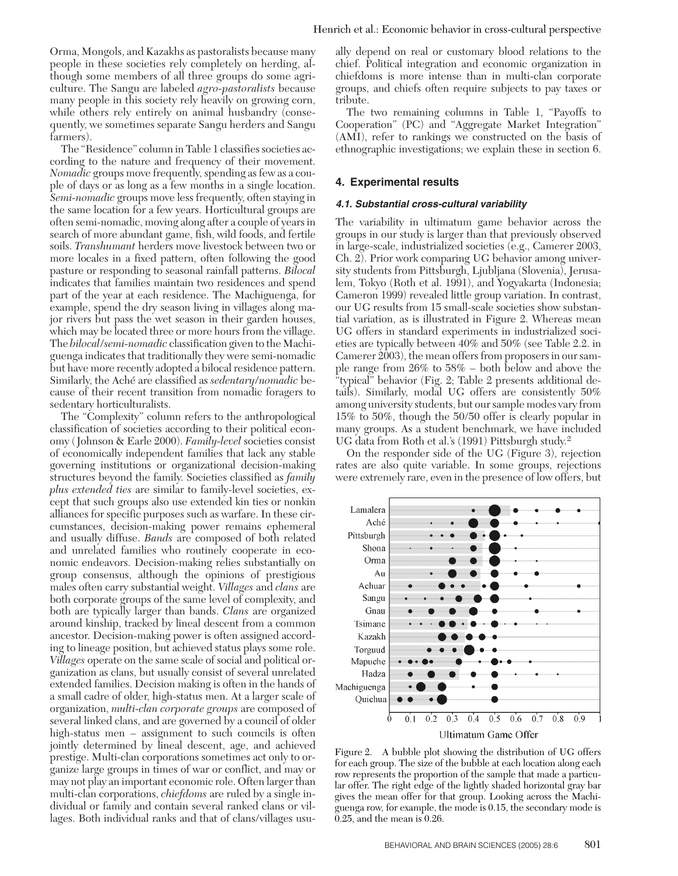Orma, Mongols, and Kazakhs as pastoralists because many people in these societies rely completely on herding, although some members of all three groups do some agriculture. The Sangu are labeled *agro-pastoralists* because many people in this society rely heavily on growing corn, while others rely entirely on animal husbandry (consequently, we sometimes separate Sangu herders and Sangu farmers).

The "Residence" column in Table 1 classifies societies according to the nature and frequency of their movement. *Nomadic* groups move frequently, spending as few as a couple of days or as long as a few months in a single location. *Semi-nomadic* groups move less frequently, often staying in the same location for a few years. Horticultural groups are often semi-nomadic, moving along after a couple of years in search of more abundant game, fish, wild foods, and fertile soils. *Transhumant* herders move livestock between two or more locales in a fixed pattern, often following the good pasture or responding to seasonal rainfall patterns. *Bilocal* indicates that families maintain two residences and spend part of the year at each residence. The Machiguenga, for example, spend the dry season living in villages along major rivers but pass the wet season in their garden houses, which may be located three or more hours from the village. The *bilocal/semi-nomadic* classification given to the Machiguenga indicates that traditionally they were semi-nomadic but have more recently adopted a bilocal residence pattern. Similarly, the Aché are classified as *sedentary/nomadic* because of their recent transition from nomadic foragers to sedentary horticulturalists.

The "Complexity" column refers to the anthropological classification of societies according to their political economy (Johnson & Earle 2000). *Family-level* societies consist of economically independent families that lack any stable governing institutions or organizational decision-making structures beyond the family. Societies classified as *family plus extended ties* are similar to family-level societies, except that such groups also use extended kin ties or nonkin alliances for specific purposes such as warfare. In these circumstances, decision-making power remains ephemeral and usually diffuse. *Bands* are composed of both related and unrelated families who routinely cooperate in economic endeavors. Decision-making relies substantially on group consensus, although the opinions of prestigious males often carry substantial weight. *Villages* and *clans* are both corporate groups of the same level of complexity, and both are typically larger than bands. *Clans* are organized around kinship, tracked by lineal descent from a common ancestor. Decision-making power is often assigned according to lineage position, but achieved status plays some role. *Villages* operate on the same scale of social and political organization as clans, but usually consist of several unrelated extended families. Decision making is often in the hands of a small cadre of older, high-status men. At a larger scale of organization, *multi-clan corporate groups* are composed of several linked clans, and are governed by a council of older high-status men – assignment to such councils is often jointly determined by lineal descent, age, and achieved prestige. Multi-clan corporations sometimes act only to organize large groups in times of war or conflict, and may or may not play an important economic role. Often larger than multi-clan corporations, *chiefdoms* are ruled by a single individual or family and contain several ranked clans or villages. Both individual ranks and that of clans/villages usu-

ally depend on real or customary blood relations to the chief. Political integration and economic organization in chiefdoms is more intense than in multi-clan corporate groups, and chiefs often require subjects to pay taxes or tribute.

The two remaining columns in Table 1, "Payoffs to Cooperation" (PC) and "Aggregate Market Integration" (AMI), refer to rankings we constructed on the basis of ethnographic investigations; we explain these in section 6.

## **4. Experimental results**

#### *4.1. Substantial cross-cultural variability*

The variability in ultimatum game behavior across the groups in our study is larger than that previously observed in large-scale, industrialized societies (e.g., Camerer 2003, Ch. 2). Prior work comparing UG behavior among university students from Pittsburgh, Ljubljana (Slovenia), Jerusalem, Tokyo (Roth et al. 1991), and Yogyakarta (Indonesia; Cameron 1999) revealed little group variation. In contrast, our UG results from 15 small-scale societies show substantial variation, as is illustrated in Figure 2. Whereas mean UG offers in standard experiments in industrialized societies are typically between 40% and 50% (see Table 2.2. in Camerer 2003), the mean offers from proposers in our sample range from  $26\%$  to  $58\%$  – both below and above the "typical" behavior (Fig. 2; Table 2 presents additional details). Similarly, modal UG offers are consistently 50% among university students, but our sample modes vary from 15% to 50%, though the 50/50 offer is clearly popular in many groups. As a student benchmark, we have included UG data from Roth et al.'s (1991) Pittsburgh study.<sup>2</sup>

On the responder side of the UG (Figure 3), rejection rates are also quite variable. In some groups, rejections were extremely rare, even in the presence of low offers, but



Figure 2. A bubble plot showing the distribution of UG offers for each group. The size of the bubble at each location along each row represents the proportion of the sample that made a particular offer. The right edge of the lightly shaded horizontal gray bar gives the mean offer for that group. Looking across the Machiguenga row, for example, the mode is 0.15, the secondary mode is 0.25, and the mean is 0.26.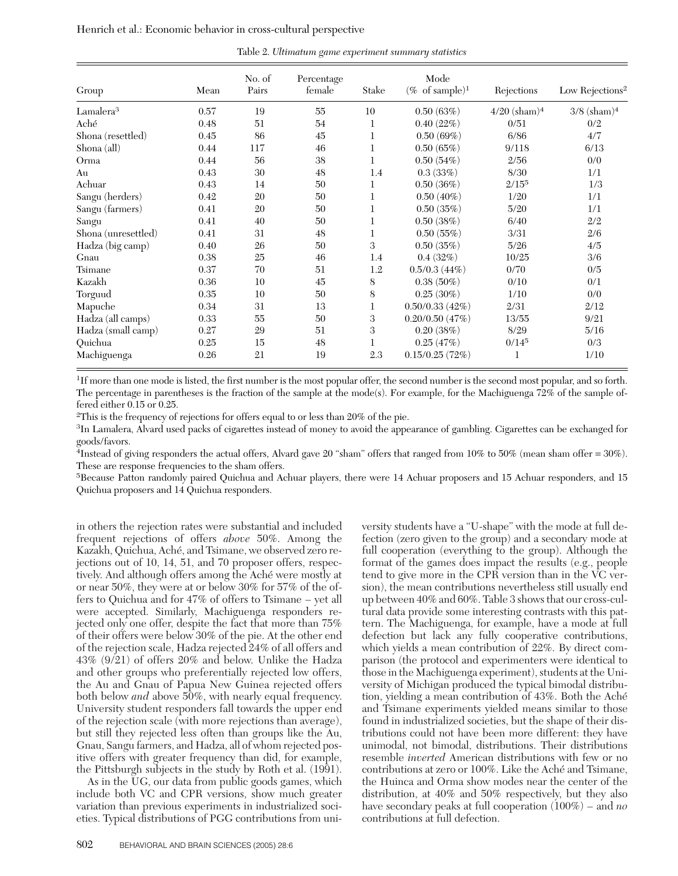Table 2. *Ultimatum game experiment summary statistics*

| Group                 | Mean | No. of<br>Pairs | Percentage<br>female | Stake       | Mode<br>(% of sample) <sup>1</sup> | Rejections                 | Low Rejections <sup>2</sup> |
|-----------------------|------|-----------------|----------------------|-------------|------------------------------------|----------------------------|-----------------------------|
| Lamalera <sup>3</sup> | 0.57 | 19              | 55                   | 10          | 0.50(63%)                          | $4/20$ (sham) <sup>4</sup> | $3/8$ (sham) <sup>4</sup>   |
| Aché                  | 0.48 | 51              | 54                   | 1           | 0.40(22%)                          | 0/51                       | 0/2                         |
| Shona (resettled)     | 0.45 | 86              | 45                   | 1           | 0.50(69%)                          | 6/86                       | 4/7                         |
| Shona (all)           | 0.44 | 117             | 46                   | 1           | 0.50(65%)                          | 9/118                      | 6/13                        |
| Orma                  | 0.44 | 56              | 38                   | 1           | 0.50(54%)                          | 2/56                       | 0/0                         |
| Au                    | 0.43 | 30              | 48                   | 1.4         | 0.3(33%)                           | 8/30                       | 1/1                         |
| Achuar                | 0.43 | 14              | 50                   | 1           | 0.50(36%)                          | $2/15^5$                   | 1/3                         |
| Sangu (herders)       | 0.42 | 20              | 50                   | 1           | $0.50(40\%)$                       | 1/20                       | 1/1                         |
| Sangu (farmers)       | 0.41 | 20              | 50                   | 1           | 0.50(35%)                          | 5/20                       | 1/1                         |
| Sangu                 | 0.41 | 40              | 50                   | 1           | 0.50(38%)                          | 6/40                       | 2/2                         |
| Shona (unresettled)   | 0.41 | 31              | 48                   | $\mathbf 1$ | 0.50(55%)                          | 3/31                       | 2/6                         |
| Hadza (big camp)      | 0.40 | 26              | 50                   | 3           | 0.50(35%)                          | 5/26                       | 4/5                         |
| Gnau                  | 0.38 | 25              | 46                   | $1.4\,$     | 0.4(32%)                           | 10/25                      | 3/6                         |
| Tsimane               | 0.37 | 70              | 51                   | 1.2         | 0.5/0.3(44%)                       | 0/70                       | 0/5                         |
| Kazakh                | 0.36 | 10              | 45                   | 8           | $0.38(50\%)$                       | 0/10                       | 0/1                         |
| Torguud               | 0.35 | 10              | 50                   | 8           | $0.25(30\%)$                       | 1/10                       | 0/0                         |
| Mapuche               | 0.34 | 31              | 13                   | 1           | 0.50/0.33(42%)                     | 2/31                       | 2/12                        |
| Hadza (all camps)     | 0.33 | 55              | 50                   | 3           | 0.20/0.50(47%)                     | 13/55                      | 9/21                        |
| Hadza (small camp)    | 0.27 | 29              | 51                   | 3           | 0.20(38%)                          | 8/29                       | 5/16                        |
| Ouichua               | 0.25 | 15              | 48                   | 1           | 0.25(47%)                          | $0/14^5$                   | 0/3                         |
| Machiguenga           | 0.26 | 21              | 19                   | 2.3         | 0.15/0.25(72%)                     | 1                          | 1/10                        |

<sup>1</sup>If more than one mode is listed, the first number is the most popular offer, the second number is the second most popular, and so forth. The percentage in parentheses is the fraction of the sample at the mode(s). For example, for the Machiguenga 72% of the sample offered either 0.15 or 0.25.

<sup>2</sup>This is the frequency of rejections for offers equal to or less than 20% of the pie.

<sup>3</sup>In Lamalera, Alvard used packs of cigarettes instead of money to avoid the appearance of gambling. Cigarettes can be exchanged for goods/favors.

4Instead of giving responders the actual offers, Alvard gave 20 "sham" offers that ranged from 10% to 50% (mean sham offer = 30%). These are response frequencies to the sham offers.

5 Because Patton randomly paired Quichua and Achuar players, there were 14 Achuar proposers and 15 Achuar responders, and 15 Quichua proposers and 14 Quichua responders.

in others the rejection rates were substantial and included frequent rejections of offers *above* 50%. Among the Kazakh, Quichua, Aché, and Tsimane, we observed zero rejections out of 10, 14, 51, and 70 proposer offers, respectively. And although offers among the Aché were mostly at or near 50%, they were at or below 30% for 57% of the offers to Quichua and for 47% of offers to Tsimane – yet all were accepted. Similarly, Machiguenga responders rejected only one offer, despite the fact that more than 75% of their offers were below 30% of the pie. At the other end of the rejection scale, Hadza rejected 24% of all offers and 43% (9/21) of offers 20% and below. Unlike the Hadza and other groups who preferentially rejected low offers, the Au and Gnau of Papua New Guinea rejected offers both below *and* above 50%, with nearly equal frequency. University student responders fall towards the upper end of the rejection scale (with more rejections than average), but still they rejected less often than groups like the Au, Gnau, Sangu farmers, and Hadza, all of whom rejected positive offers with greater frequency than did, for example, the Pittsburgh subjects in the study by Roth et al. (1991).

As in the UG, our data from public goods games, which include both VC and CPR versions, show much greater variation than previous experiments in industrialized societies. Typical distributions of PGG contributions from university students have a "U-shape" with the mode at full defection (zero given to the group) and a secondary mode at full cooperation (everything to the group). Although the format of the games does impact the results (e.g., people tend to give more in the CPR version than in the VC version), the mean contributions nevertheless still usually end up between 40% and 60%. Table 3 shows that our cross-cultural data provide some interesting contrasts with this pattern. The Machiguenga, for example, have a mode at full defection but lack any fully cooperative contributions, which yields a mean contribution of 22%. By direct comparison (the protocol and experimenters were identical to those in the Machiguenga experiment), students at the University of Michigan produced the typical bimodal distribution, yielding a mean contribution of 43%. Both the Aché and Tsimane experiments yielded means similar to those found in industrialized societies, but the shape of their distributions could not have been more different: they have unimodal, not bimodal, distributions. Their distributions resemble *inverted* American distributions with few or no contributions at zero or 100%. Like the Aché and Tsimane, the Huinca and Orma show modes near the center of the distribution, at 40% and 50% respectively, but they also have secondary peaks at full cooperation (100%) – and *no* contributions at full defection.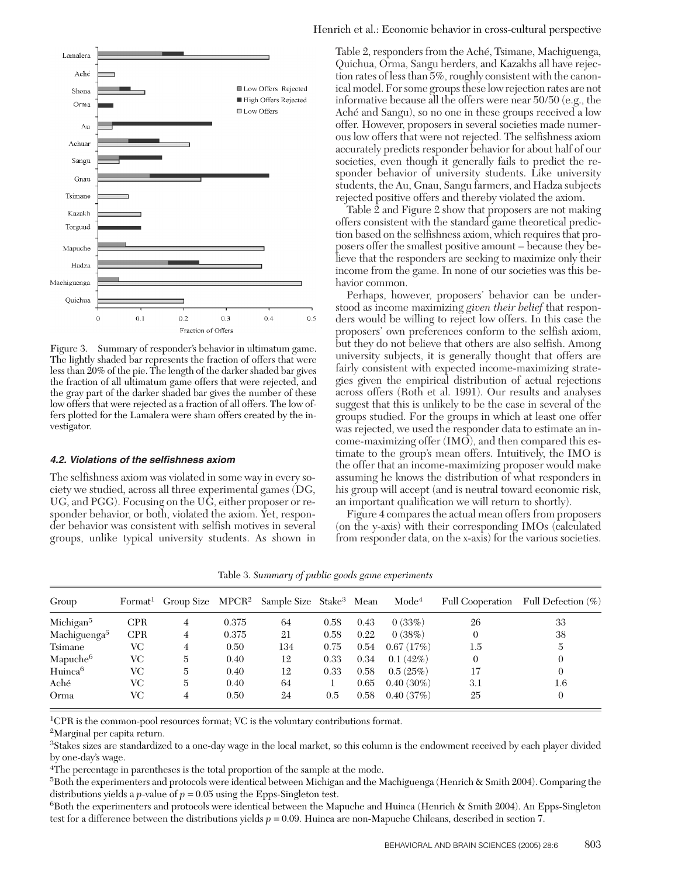

Figure 3. Summary of responder's behavior in ultimatum game. The lightly shaded bar represents the fraction of offers that were less than 20% of the pie. The length of the darker shaded bar gives the fraction of all ultimatum game offers that were rejected, and the gray part of the darker shaded bar gives the number of these low offers that were rejected as a fraction of all offers. The low offers plotted for the Lamalera were sham offers created by the investigator.

#### *4.2. Violations of the selfishness axiom*

The selfishness axiom was violated in some way in every society we studied, across all three experimental games (DG, UG, and PGG). Focusing on the UG, either proposer or responder behavior, or both, violated the axiom. Yet, responder behavior was consistent with selfish motives in several groups, unlike typical university students. As shown in

## Henrich et al.: Economic behavior in cross-cultural perspective

Table 2, responders from the Aché, Tsimane, Machiguenga, Quichua, Orma, Sangu herders, and Kazakhs all have rejection rates of less than 5%, roughly consistent with the canonical model. For some groups these low rejection rates are not informative because all the offers were near 50/50 (e.g., the Aché and Sangu), so no one in these groups received a low offer. However, proposers in several societies made numerous low offers that were not rejected. The selfishness axiom accurately predicts responder behavior for about half of our societies, even though it generally fails to predict the responder behavior of university students. Like university students, the Au, Gnau, Sangu farmers, and Hadza subjects rejected positive offers and thereby violated the axiom.

Table 2 and Figure 2 show that proposers are not making offers consistent with the standard game theoretical prediction based on the selfishness axiom, which requires that proposers offer the smallest positive amount – because they believe that the responders are seeking to maximize only their income from the game. In none of our societies was this behavior common.

Perhaps, however, proposers' behavior can be understood as income maximizing *given their belief* that responders would be willing to reject low offers. In this case the proposers' own preferences conform to the selfish axiom, but they do not believe that others are also selfish. Among university subjects, it is generally thought that offers are fairly consistent with expected income-maximizing strategies given the empirical distribution of actual rejections across offers (Roth et al. 1991). Our results and analyses suggest that this is unlikely to be the case in several of the groups studied. For the groups in which at least one offer was rejected, we used the responder data to estimate an income-maximizing offer (IMO), and then compared this estimate to the group's mean offers. Intuitively, the IMO is the offer that an income-maximizing proposer would make assuming he knows the distribution of what responders in his group will accept (and is neutral toward economic risk, an important qualification we will return to shortly).

Figure 4 compares the actual mean offers from proposers (on the y-axis) with their corresponding IMOs (calculated from responder data, on the x-axis) for the various societies.

Table 3. *Summary of public goods game experiments*

| Group                    |            |   |       | Format <sup>1</sup> Group Size MPCR <sup>2</sup> Sample Size Stake <sup>3</sup> Mean |      |      | $\rm Mode^4$ | Full Cooperation | Full Defection (%) |
|--------------------------|------------|---|-------|--------------------------------------------------------------------------------------|------|------|--------------|------------------|--------------------|
| Michigan <sup>5</sup>    | CPR        | 4 | 0.375 | 64                                                                                   | 0.58 | 0.43 | 0(33%)       | 26               | 33                 |
| Machiguenga <sup>5</sup> | <b>CPR</b> | 4 | 0.375 | 21                                                                                   | 0.58 | 0.22 | 0(38%)       | $\Omega$         | 38                 |
| Tsimane                  | VС         | 4 | 0.50  | 134                                                                                  | 0.75 | 0.54 | 0.67(17%)    | 1.5              | 5                  |
| Mapuche <sup>6</sup>     | VС         | 5 | 0.40  | 12                                                                                   | 0.33 | 0.34 | $0.1(42\%)$  | $\left($         | $\theta$           |
| Huinca <sup>6</sup>      | VС         | 5 | 0.40  | 12                                                                                   | 0.33 | 0.58 | 0.5(25%)     | 17               | $\theta$           |
| Aché                     | VС         | 5 | 0.40  | 64                                                                                   |      | 0.65 | $0.40(30\%)$ | 3.1              | 1.6                |
| Orma                     | VС         | 4 | 0.50  | 24                                                                                   | 0.5  | 0.58 | 0.40(37%)    | 25               | $\theta$           |

1CPR is the common-pool resources format; VC is the voluntary contributions format.

2Marginal per capita return.

3 Stakes sizes are standardized to a one-day wage in the local market, so this column is the endowment received by each player divided by one-day's wage.

4The percentage in parentheses is the total proportion of the sample at the mode.

5 Both the experimenters and protocols were identical between Michigan and the Machiguenga (Henrich & Smith 2004). Comparing the distributions yields a *p*-value of *p* = 0.05 using the Epps-Singleton test.

6Both the experimenters and protocols were identical between the Mapuche and Huinca (Henrich & Smith 2004). An Epps-Singleton test for a difference between the distributions yields *p* = 0.09. Huinca are non-Mapuche Chileans, described in section 7.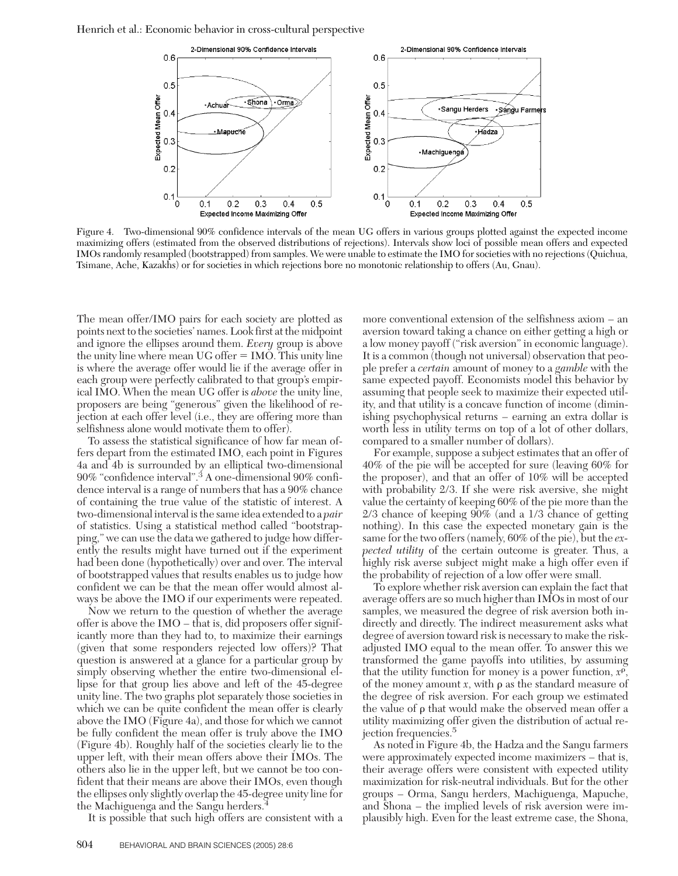

Figure 4. Two-dimensional 90% confidence intervals of the mean UG offers in various groups plotted against the expected income maximizing offers (estimated from the observed distributions of rejections). Intervals show loci of possible mean offers and expected IMOs randomly resampled (bootstrapped) from samples. We were unable to estimate the IMO for societies with no rejections (Quichua, Tsimane, Ache, Kazakhs) or for societies in which rejections bore no monotonic relationship to offers (Au, Gnau).

The mean offer/IMO pairs for each society are plotted as points next to the societies' names. Look first at the midpoint and ignore the ellipses around them. *Every* group is above the unity line where mean  $UG$  offer  $=$  IMO. This unity line is where the average offer would lie if the average offer in each group were perfectly calibrated to that group's empirical IMO. When the mean UG offer is *above* the unity line, proposers are being "generous" given the likelihood of rejection at each offer level (i.e., they are offering more than selfishness alone would motivate them to offer).

To assess the statistical significance of how far mean offers depart from the estimated IMO, each point in Figures 4a and 4b is surrounded by an elliptical two-dimensional 90% "confidence interval".3 A one-dimensional 90% confidence interval is a range of numbers that has a 90% chance of containing the true value of the statistic of interest. A two-dimensional interval is the same idea extended to a *pair* of statistics. Using a statistical method called "bootstrapping," we can use the data we gathered to judge how differently the results might have turned out if the experiment had been done (hypothetically) over and over. The interval of bootstrapped values that results enables us to judge how confident we can be that the mean offer would almost always be above the IMO if our experiments were repeated.

Now we return to the question of whether the average offer is above the IMO – that is, did proposers offer significantly more than they had to, to maximize their earnings (given that some responders rejected low offers)? That question is answered at a glance for a particular group by simply observing whether the entire two-dimensional ellipse for that group lies above and left of the 45-degree unity line. The two graphs plot separately those societies in which we can be quite confident the mean offer is clearly above the IMO (Figure 4a), and those for which we cannot be fully confident the mean offer is truly above the IMO (Figure 4b). Roughly half of the societies clearly lie to the upper left, with their mean offers above their IMOs. The others also lie in the upper left, but we cannot be too confident that their means are above their IMOs, even though the ellipses only slightly overlap the 45-degree unity line for the Machiguenga and the Sangu herders.4

It is possible that such high offers are consistent with a

more conventional extension of the selfishness axiom – an aversion toward taking a chance on either getting a high or a low money payoff ("risk aversion" in economic language). It is a common (though not universal) observation that people prefer a *certain* amount of money to a *gamble* with the same expected payoff. Economists model this behavior by assuming that people seek to maximize their expected utility, and that utility is a concave function of income (diminishing psychophysical returns – earning an extra dollar is worth less in utility terms on top of a lot of other dollars, compared to a smaller number of dollars).

For example, suppose a subject estimates that an offer of 40% of the pie will be accepted for sure (leaving 60% for the proposer), and that an offer of 10% will be accepted with probability 2/3. If she were risk aversive, she might value the certainty of keeping 60% of the pie more than the 2/3 chance of keeping 90% (and a 1/3 chance of getting nothing). In this case the expected monetary gain is the same for the two offers (namely, 60% of the pie), but the *expected utility* of the certain outcome is greater. Thus, a highly risk averse subject might make a high offer even if the probability of rejection of a low offer were small.

To explore whether risk aversion can explain the fact that average offers are so much higher than IMOs in most of our samples, we measured the degree of risk aversion both indirectly and directly. The indirect measurement asks what degree of aversion toward risk is necessary to make the riskadjusted IMO equal to the mean offer. To answer this we transformed the game payoffs into utilities, by assuming that the utility function for money is a power function,  $x^{\rho}$ , of the money amount  $x$ , with  $\rho$  as the standard measure of the degree of risk aversion. For each group we estimated the value of  $\rho$  that would make the observed mean offer a utility maximizing offer given the distribution of actual rejection frequencies.5

As noted in Figure 4b, the Hadza and the Sangu farmers were approximately expected income maximizers – that is, their average offers were consistent with expected utility maximization for risk-neutral individuals. But for the other groups – Orma, Sangu herders, Machiguenga, Mapuche, and Shona – the implied levels of risk aversion were implausibly high. Even for the least extreme case, the Shona,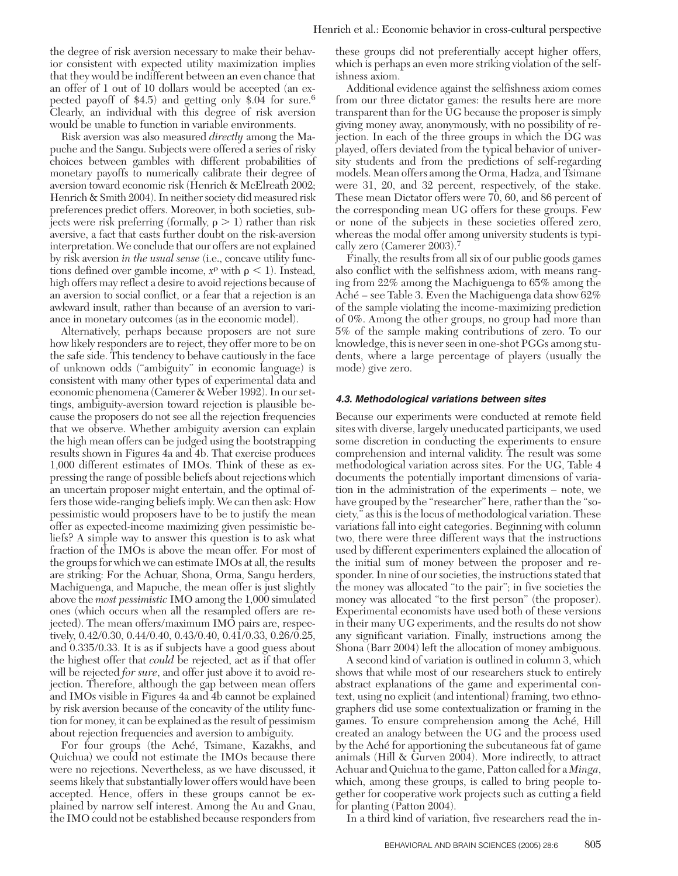the degree of risk aversion necessary to make their behavior consistent with expected utility maximization implies that they would be indifferent between an even chance that an offer of 1 out of 10 dollars would be accepted (an expected payoff of \$4.5) and getting only \$.04 for sure.<sup>6</sup> Clearly, an individual with this degree of risk aversion would be unable to function in variable environments.

Risk aversion was also measured *directly* among the Mapuche and the Sangu. Subjects were offered a series of risky choices between gambles with different probabilities of monetary payoffs to numerically calibrate their degree of aversion toward economic risk (Henrich & McElreath 2002; Henrich & Smith 2004). In neither society did measured risk preferences predict offers. Moreover, in both societies, subjects were risk preferring (formally,  $\rho > 1$ ) rather than risk aversive, a fact that casts further doubt on the risk-aversion interpretation. We conclude that our offers are not explained by risk aversion *in the usual sense* (i.e., concave utility functions defined over gamble income,  $x^{\rho}$  with  $\rho < 1$ ). Instead, high offers may reflect a desire to avoid rejections because of an aversion to social conflict, or a fear that a rejection is an awkward insult, rather than because of an aversion to variance in monetary outcomes (as in the economic model).

Alternatively, perhaps because proposers are not sure how likely responders are to reject, they offer more to be on the safe side. This tendency to behave cautiously in the face of unknown odds ("ambiguity" in economic language) is consistent with many other types of experimental data and economic phenomena (Camerer & Weber 1992). In our settings, ambiguity-aversion toward rejection is plausible because the proposers do not see all the rejection frequencies that we observe. Whether ambiguity aversion can explain the high mean offers can be judged using the bootstrapping results shown in Figures 4a and 4b. That exercise produces 1,000 different estimates of IMOs. Think of these as expressing the range of possible beliefs about rejections which an uncertain proposer might entertain, and the optimal offers those wide-ranging beliefs imply. We can then ask: How pessimistic would proposers have to be to justify the mean offer as expected-income maximizing given pessimistic beliefs? A simple way to answer this question is to ask what fraction of the IMOs is above the mean offer. For most of the groups for which we can estimate IMOs at all, the results are striking: For the Achuar, Shona, Orma, Sangu herders, Machiguenga, and Mapuche, the mean offer is just slightly above the *most pessimistic* IMO among the 1,000 simulated ones (which occurs when all the resampled offers are rejected). The mean offers/maximum IMO pairs are, respectively, 0.42/0.30, 0.44/0.40, 0.43/0.40, 0.41/0.33, 0.26/0.25, and 0.335/0.33. It is as if subjects have a good guess about the highest offer that *could* be rejected, act as if that offer will be rejected *for sure*, and offer just above it to avoid rejection. Therefore, although the gap between mean offers and IMOs visible in Figures 4a and 4b cannot be explained by risk aversion because of the concavity of the utility function for money, it can be explained as the result of pessimism about rejection frequencies and aversion to ambiguity.

For four groups (the Aché, Tsimane, Kazakhs, and Quichua) we could not estimate the IMOs because there were no rejections. Nevertheless, as we have discussed, it seems likely that substantially lower offers would have been accepted. Hence, offers in these groups cannot be explained by narrow self interest. Among the Au and Gnau, the IMO could not be established because responders from

these groups did not preferentially accept higher offers, which is perhaps an even more striking violation of the selfishness axiom.

Additional evidence against the selfishness axiom comes from our three dictator games: the results here are more transparent than for the UG because the proposer is simply giving money away, anonymously, with no possibility of rejection. In each of the three groups in which the DG was played, offers deviated from the typical behavior of university students and from the predictions of self-regarding models. Mean offers among the Orma, Hadza, and Tsimane were 31, 20, and 32 percent, respectively, of the stake. These mean Dictator offers were 70, 60, and 86 percent of the corresponding mean UG offers for these groups. Few or none of the subjects in these societies offered zero, whereas the modal offer among university students is typically zero (Camerer 2003).7

Finally, the results from all six of our public goods games also conflict with the selfishness axiom, with means ranging from 22% among the Machiguenga to 65% among the Aché – see Table 3. Even the Machiguenga data show 62% of the sample violating the income-maximizing prediction of 0%. Among the other groups, no group had more than 5% of the sample making contributions of zero. To our knowledge, this is never seen in one-shot PGGs among students, where a large percentage of players (usually the mode) give zero.

#### *4.3. Methodological variations between sites*

Because our experiments were conducted at remote field sites with diverse, largely uneducated participants, we used some discretion in conducting the experiments to ensure comprehension and internal validity. The result was some methodological variation across sites. For the UG, Table 4 documents the potentially important dimensions of variation in the administration of the experiments – note, we have grouped by the "researcher" here, rather than the "society," as this is the locus of methodological variation. These variations fall into eight categories. Beginning with column two, there were three different ways that the instructions used by different experimenters explained the allocation of the initial sum of money between the proposer and responder. In nine of our societies, the instructions stated that the money was allocated "to the pair"; in five societies the money was allocated "to the first person" (the proposer). Experimental economists have used both of these versions in their many UG experiments, and the results do not show any significant variation. Finally, instructions among the Shona (Barr 2004) left the allocation of money ambiguous.

A second kind of variation is outlined in column 3, which shows that while most of our researchers stuck to entirely abstract explanations of the game and experimental context, using no explicit (and intentional) framing, two ethnographers did use some contextualization or framing in the games. To ensure comprehension among the Aché, Hill created an analogy between the UG and the process used by the Aché for apportioning the subcutaneous fat of game animals (Hill & Gurven 2004). More indirectly, to attract Achuar and Quichua to the game, Patton called for a *Minga*, which, among these groups, is called to bring people together for cooperative work projects such as cutting a field for planting (Patton 2004).

In a third kind of variation, five researchers read the in-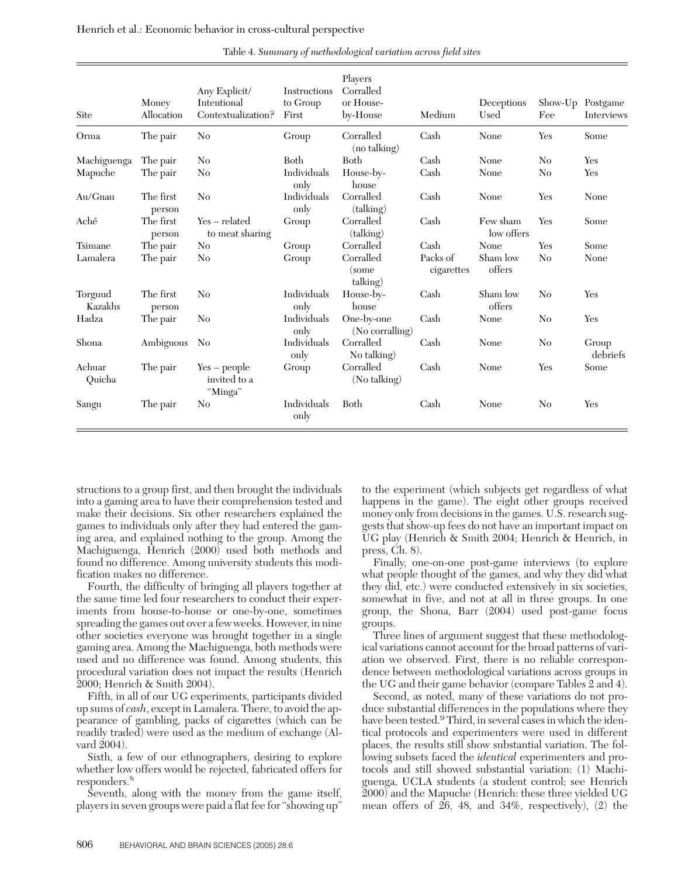| Table 4. Summary of methodological variation across field sites |  |  |
|-----------------------------------------------------------------|--|--|
|                                                                 |  |  |
|                                                                 |  |  |

| Site               | Money<br>Allocation | Any Explicit/<br>Intentional<br>Contextualization? | Instructions<br>to Group<br>First | Players<br>Corralled<br>or House-<br>by-House | Medium                 | Deceptions<br>Used     | Fee            | Show-Up Postgame<br>Interviews |
|--------------------|---------------------|----------------------------------------------------|-----------------------------------|-----------------------------------------------|------------------------|------------------------|----------------|--------------------------------|
| Orma               | The pair            | No                                                 | Group                             | Corralled<br>(no talking)                     | Cash                   | None                   | Yes            | Some                           |
| Machiguenga        | The pair            | N <sub>0</sub>                                     | <b>Both</b>                       | <b>Both</b>                                   | Cash                   | None                   | N <sub>0</sub> | Yes                            |
| Mapuche            | The pair            | N <sub>o</sub>                                     | Individuals<br>only               | House-by-<br>house                            | Cash                   | None                   | No             | Yes                            |
| Au/Gnau            | The first<br>person | No                                                 | Individuals<br>only               | Corralled<br>(talking)                        | Cash                   | None                   | Yes            | None                           |
| Aché               | The first<br>person | $Yes - related$<br>to meat sharing                 | Group                             | Corralled<br>(talking)                        | Cash                   | Few sham<br>low offers | Yes            | Some                           |
| <b>Tsimane</b>     | The pair            | N <sub>o</sub>                                     | Group                             | Corralled                                     | Cash                   | None                   | Yes            | Some                           |
| Lamalera           | The pair            | N <sub>o</sub>                                     | Group                             | Corralled<br>(some<br>talking)                | Packs of<br>cigarettes | Sham low<br>offers     | N <sub>0</sub> | None                           |
| Torguud<br>Kazakhs | The first<br>person | $\rm No$                                           | Individuals<br>only               | House-by-<br>house                            | $\operatorname{Cash}$  | Sham low<br>offers     | N <sub>0</sub> | Yes                            |
| Hadza              | The pair            | N <sub>0</sub>                                     | Individuals<br>only               | One-by-one<br>(No corralling)                 | Cash                   | None                   | No             | Yes                            |
| Shona              | Ambiguous           | N <sub>0</sub>                                     | Individuals<br>only               | Corralled<br>No talking)                      | $\operatorname{Cash}$  | None                   | N <sub>0</sub> | Group<br>debriefs              |
| Achuar<br>Ouicha   | The pair            | $Yes - people$<br>invited to a<br>"Minga"          | Group                             | Corralled<br>(No talking)                     | Cash                   | None                   | Yes            | Some                           |
| Sangu              | The pair            | N <sub>0</sub>                                     | Individuals<br>only               | <b>Both</b>                                   | $\operatorname{Cash}$  | None                   | N <sub>0</sub> | Yes                            |

structions to a group first, and then brought the individuals into a gaming area to have their comprehension tested and make their decisions. Six other researchers explained the games to individuals only after they had entered the gaming area, and explained nothing to the group. Among the Machiguenga, Henrich (2000) used both methods and found no difference. Among university students this modification makes no difference.

Fourth, the difficulty of bringing all players together at the same time led four researchers to conduct their experiments from house-to-house or one-by-one, sometimes spreading the games out over a few weeks. However, in nine other societies everyone was brought together in a single gaming area. Among the Machiguenga, both methods were used and no difference was found. Among students, this procedural variation does not impact the results (Henrich 2000; Henrich & Smith 2004).

Fifth, in all of our UG experiments, participants divided up sums of *cash*, except in Lamalera. There, to avoid the appearance of gambling, packs of cigarettes (which can be readily traded) were used as the medium of exchange (Alvard 2004).

Sixth, a few of our ethnographers, desiring to explore whether low offers would be rejected, fabricated offers for responders.8

Seventh, along with the money from the game itself, players in seven groups were paid a flat fee for "showing up" to the experiment (which subjects get regardless of what happens in the game). The eight other groups received money only from decisions in the games. U.S. research suggests that show-up fees do not have an important impact on UG play (Henrich & Smith 2004; Henrich & Henrich, in press, Ch. 8).

Finally, one-on-one post-game interviews (to explore what people thought of the games, and why they did what they did, etc.) were conducted extensively in six societies, somewhat in five, and not at all in three groups. In one group, the Shona, Barr (2004) used post-game focus groups.

Three lines of argument suggest that these methodological variations cannot account for the broad patterns of variation we observed. First, there is no reliable correspondence between methodological variations across groups in the UG and their game behavior (compare Tables 2 and 4).

Second, as noted, many of these variations do not produce substantial differences in the populations where they have been tested.<sup>9</sup> Third, in several cases in which the identical protocols and experimenters were used in different places, the results still show substantial variation. The following subsets faced the *identical* experimenters and protocols and still showed substantial variation: (1) Machiguenga, UCLA students (a student control; see Henrich 2000) and the Mapuche (Henrich: these three yielded UG mean offers of 26, 48, and 34%, respectively), (2) the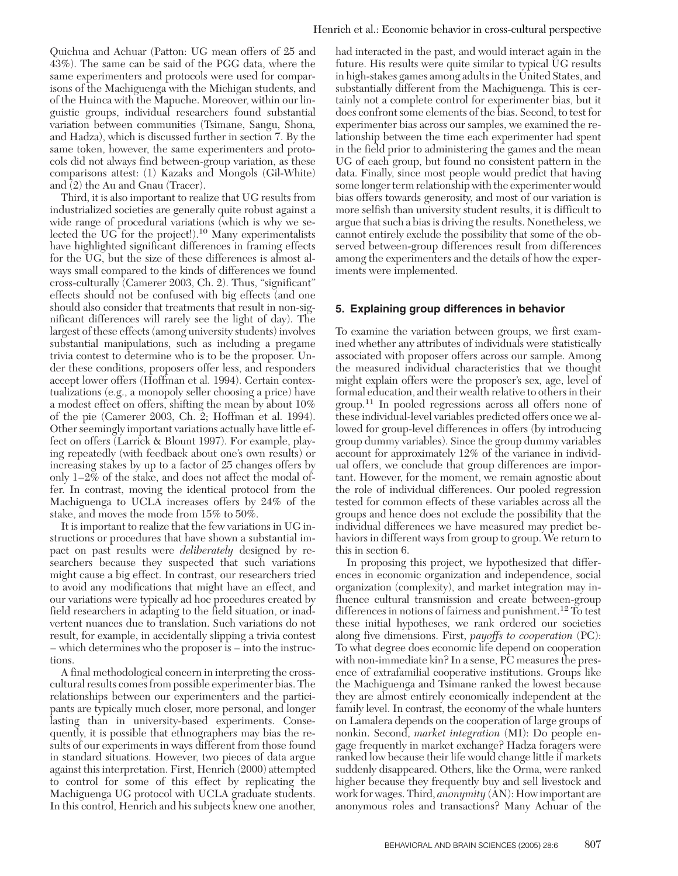Quichua and Achuar (Patton: UG mean offers of 25 and 43%). The same can be said of the PGG data, where the same experimenters and protocols were used for comparisons of the Machiguenga with the Michigan students, and of the Huinca with the Mapuche. Moreover, within our linguistic groups, individual researchers found substantial variation between communities (Tsimane, Sangu, Shona, and Hadza), which is discussed further in section 7. By the same token, however, the same experimenters and protocols did not always find between-group variation, as these comparisons attest: (1) Kazaks and Mongols (Gil-White) and (2) the Au and Gnau (Tracer).

Third, it is also important to realize that UG results from industrialized societies are generally quite robust against a wide range of procedural variations (which is why we selected the UG for the project!).<sup>10</sup> Many experimentalists have highlighted significant differences in framing effects for the UG, but the size of these differences is almost always small compared to the kinds of differences we found cross-culturally (Camerer 2003, Ch. 2). Thus, "significant" effects should not be confused with big effects (and one should also consider that treatments that result in non-significant differences will rarely see the light of day). The largest of these effects (among university students) involves substantial manipulations, such as including a pregame trivia contest to determine who is to be the proposer. Under these conditions, proposers offer less, and responders accept lower offers (Hoffman et al. 1994). Certain contextualizations (e.g., a monopoly seller choosing a price) have a modest effect on offers, shifting the mean by about 10% of the pie (Camerer 2003, Ch. 2; Hoffman et al. 1994). Other seemingly important variations actually have little effect on offers (Larrick & Blount 1997). For example, playing repeatedly (with feedback about one's own results) or increasing stakes by up to a factor of 25 changes offers by only 1–2% of the stake, and does not affect the modal offer. In contrast, moving the identical protocol from the Machiguenga to UCLA increases offers by 24% of the stake, and moves the mode from 15% to 50%.

It is important to realize that the few variations in UG instructions or procedures that have shown a substantial impact on past results were *deliberately* designed by researchers because they suspected that such variations might cause a big effect. In contrast, our researchers tried to avoid any modifications that might have an effect, and our variations were typically ad hoc procedures created by field researchers in adapting to the field situation, or inadvertent nuances due to translation. Such variations do not result, for example, in accidentally slipping a trivia contest – which determines who the proposer is – into the instructions.

A final methodological concern in interpreting the crosscultural results comes from possible experimenter bias. The relationships between our experimenters and the participants are typically much closer, more personal, and longer lasting than in university-based experiments. Consequently, it is possible that ethnographers may bias the results of our experiments in ways different from those found in standard situations. However, two pieces of data argue against this interpretation. First, Henrich (2000) attempted to control for some of this effect by replicating the Machiguenga UG protocol with UCLA graduate students. In this control, Henrich and his subjects knew one another,

had interacted in the past, and would interact again in the future. His results were quite similar to typical UG results in high-stakes games among adults in the United States, and substantially different from the Machiguenga. This is certainly not a complete control for experimenter bias, but it does confront some elements of the bias. Second, to test for experimenter bias across our samples, we examined the relationship between the time each experimenter had spent in the field prior to administering the games and the mean UG of each group, but found no consistent pattern in the data. Finally, since most people would predict that having some longer term relationship with the experimenter would bias offers towards generosity, and most of our variation is more selfish than university student results, it is difficult to argue that such a bias is driving the results. Nonetheless, we cannot entirely exclude the possibility that some of the observed between-group differences result from differences among the experimenters and the details of how the experiments were implemented.

## **5. Explaining group differences in behavior**

To examine the variation between groups, we first examined whether any attributes of individuals were statistically associated with proposer offers across our sample. Among the measured individual characteristics that we thought might explain offers were the proposer's sex, age, level of formal education, and their wealth relative to others in their group.<sup>11</sup> In pooled regressions across all offers none of these individual-level variables predicted offers once we allowed for group-level differences in offers (by introducing group dummy variables). Since the group dummy variables account for approximately 12% of the variance in individual offers, we conclude that group differences are important. However, for the moment, we remain agnostic about the role of individual differences. Our pooled regression tested for common effects of these variables across all the groups and hence does not exclude the possibility that the individual differences we have measured may predict behaviors in different ways from group to group. We return to this in section 6.

In proposing this project, we hypothesized that differences in economic organization and independence, social organization (complexity), and market integration may influence cultural transmission and create between-group differences in notions of fairness and punishment.<sup>12</sup> To test these initial hypotheses, we rank ordered our societies along five dimensions. First, *payoffs to cooperation* (PC): To what degree does economic life depend on cooperation with non-immediate kin? In a sense, PC measures the presence of extrafamilial cooperative institutions. Groups like the Machiguenga and Tsimane ranked the lowest because they are almost entirely economically independent at the family level. In contrast, the economy of the whale hunters on Lamalera depends on the cooperation of large groups of nonkin. Second, *market integration* (MI): Do people engage frequently in market exchange? Hadza foragers were ranked low because their life would change little if markets suddenly disappeared. Others, like the Orma, were ranked higher because they frequently buy and sell livestock and work for wages. Third, *anonymity* (AN): How important are anonymous roles and transactions? Many Achuar of the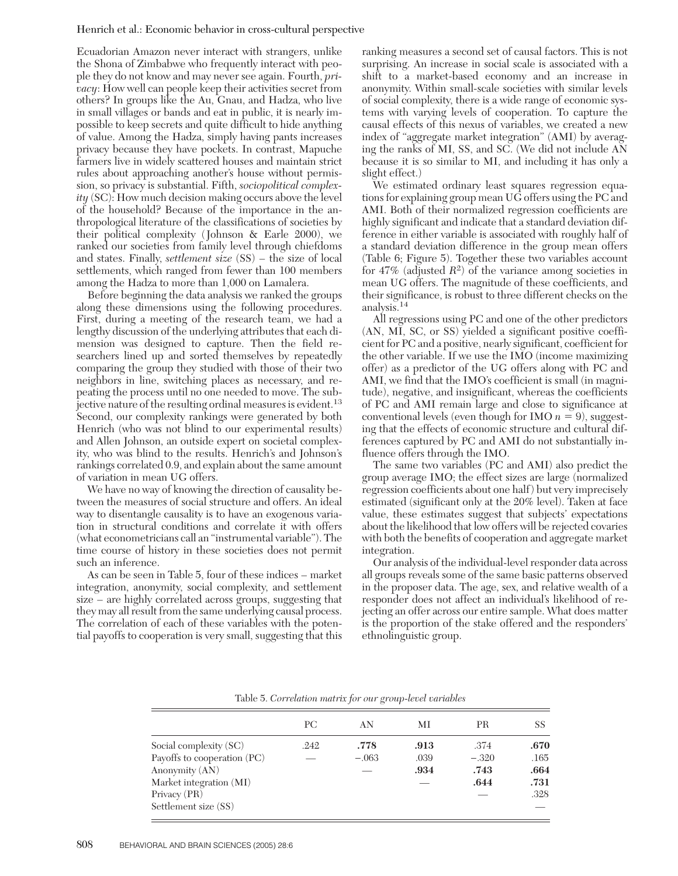Ecuadorian Amazon never interact with strangers, unlike the Shona of Zimbabwe who frequently interact with people they do not know and may never see again. Fourth, *privacy*: How well can people keep their activities secret from others? In groups like the Au, Gnau, and Hadza, who live in small villages or bands and eat in public, it is nearly impossible to keep secrets and quite difficult to hide anything of value. Among the Hadza, simply having pants increases privacy because they have pockets. In contrast, Mapuche farmers live in widely scattered houses and maintain strict rules about approaching another's house without permission, so privacy is substantial. Fifth, *sociopolitical complexity* (SC): How much decision making occurs above the level of the household? Because of the importance in the anthropological literature of the classifications of societies by their political complexity (Johnson & Earle 2000), we ranked our societies from family level through chiefdoms and states. Finally, *settlement size* (SS) – the size of local settlements, which ranged from fewer than 100 members among the Hadza to more than 1,000 on Lamalera.

Before beginning the data analysis we ranked the groups along these dimensions using the following procedures. First, during a meeting of the research team, we had a lengthy discussion of the underlying attributes that each dimension was designed to capture. Then the field researchers lined up and sorted themselves by repeatedly comparing the group they studied with those of their two neighbors in line, switching places as necessary, and repeating the process until no one needed to move. The subjective nature of the resulting ordinal measures is evident.<sup>13</sup> Second, our complexity rankings were generated by both Henrich (who was not blind to our experimental results) and Allen Johnson, an outside expert on societal complexity, who was blind to the results. Henrich's and Johnson's rankings correlated 0.9, and explain about the same amount of variation in mean UG offers.

We have no way of knowing the direction of causality between the measures of social structure and offers. An ideal way to disentangle causality is to have an exogenous variation in structural conditions and correlate it with offers (what econometricians call an "instrumental variable"). The time course of history in these societies does not permit such an inference.

As can be seen in Table 5, four of these indices – market integration, anonymity, social complexity, and settlement size – are highly correlated across groups, suggesting that they may all result from the same underlying causal process. The correlation of each of these variables with the potential payoffs to cooperation is very small, suggesting that this

ranking measures a second set of causal factors. This is not surprising. An increase in social scale is associated with a shift to a market-based economy and an increase in anonymity. Within small-scale societies with similar levels of social complexity, there is a wide range of economic systems with varying levels of cooperation. To capture the causal effects of this nexus of variables, we created a new index of "aggregate market integration" (AMI) by averaging the ranks of MI, SS, and SC. (We did not include AN because it is so similar to MI, and including it has only a slight effect.)

We estimated ordinary least squares regression equations for explaining group mean UG offers using the PC and AMI. Both of their normalized regression coefficients are highly significant and indicate that a standard deviation difference in either variable is associated with roughly half of a standard deviation difference in the group mean offers (Table 6; Figure 5). Together these two variables account for  $47\%$  (adjusted  $R^2$ ) of the variance among societies in mean UG offers. The magnitude of these coefficients, and their significance, is robust to three different checks on the analysis.<sup>14</sup>

All regressions using PC and one of the other predictors (AN, MI, SC, or SS) yielded a significant positive coefficient for PC and a positive, nearly significant, coefficient for the other variable. If we use the IMO (income maximizing offer) as a predictor of the UG offers along with PC and AMI, we find that the IMO's coefficient is small (in magnitude), negative, and insignificant, whereas the coefficients of PC and AMI remain large and close to significance at conventional levels (even though for IMO  $n = 9$ ), suggesting that the effects of economic structure and cultural differences captured by PC and AMI do not substantially influence offers through the IMO.

The same two variables (PC and AMI) also predict the group average IMO; the effect sizes are large (normalized regression coefficients about one half) but very imprecisely estimated (significant only at the 20% level). Taken at face value, these estimates suggest that subjects' expectations about the likelihood that low offers will be rejected covaries with both the benefits of cooperation and aggregate market integration.

Our analysis of the individual-level responder data across all groups reveals some of the same basic patterns observed in the proposer data. The age, sex, and relative wealth of a responder does not affect an individual's likelihood of rejecting an offer across our entire sample. What does matter is the proportion of the stake offered and the responders' ethnolinguistic group.

|                             | PC.  | AN      | МI   | <b>PR</b> | SS   |
|-----------------------------|------|---------|------|-----------|------|
| Social complexity (SC)      | .242 | .778    | .913 | .374      | .670 |
| Payoffs to cooperation (PC) |      | $-.063$ | .039 | $-.320$   | .165 |
| Anonymity (AN)              |      |         | .934 | .743      | .664 |
| Market integration (MI)     |      |         |      | .644      | .731 |
| Privacy (PR)                |      |         |      |           | .328 |
| Settlement size (SS)        |      |         |      |           |      |
|                             |      |         |      |           |      |

Table 5. *Correlation matrix for our group-level variables*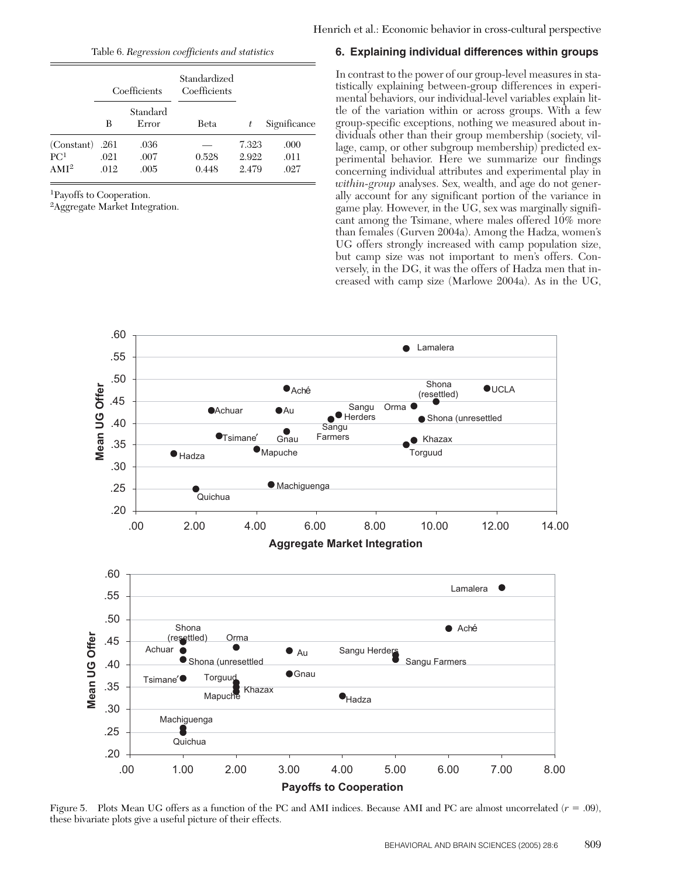Table 6. *Regression coefficients and statistics*

|                                                   | Coefficients         |                      | Standardized<br>Coefficients |                         |                      |
|---------------------------------------------------|----------------------|----------------------|------------------------------|-------------------------|----------------------|
|                                                   | В                    | Standard<br>Error    | Beta                         | ŧ                       | Significance         |
| (Constant)<br>PC <sup>1</sup><br>AMI <sup>2</sup> | .261<br>.021<br>.012 | .036<br>.007<br>.005 | 0.528<br>0.448               | 7.323<br>2.922<br>2.479 | .000<br>.011<br>.027 |

1 Payoffs to Cooperation.

<sup>2</sup>Aggregate Market Integration.

## **6. Explaining individual differences within groups**

In contrast to the power of our group-level measures in statistically explaining between-group differences in experimental behaviors, our individual-level variables explain little of the variation within or across groups. With a few group-specific exceptions, nothing we measured about individuals other than their group membership (society, village, camp, or other subgroup membership) predicted experimental behavior. Here we summarize our findings concerning individual attributes and experimental play in *within-group* analyses. Sex, wealth, and age do not generally account for any significant portion of the variance in game play. However, in the UG, sex was marginally significant among the Tsimane, where males offered 10% more than females (Gurven 2004a). Among the Hadza, women's UG offers strongly increased with camp population size, but camp size was not important to men's offers. Conversely, in the DG, it was the offers of Hadza men that increased with camp size (Marlowe 2004a). As in the UG,



Figure 5. Plots Mean UG offers as a function of the PC and AMI indices. Because AMI and PC are almost uncorrelated (*r* - .09), these bivariate plots give a useful picture of their effects.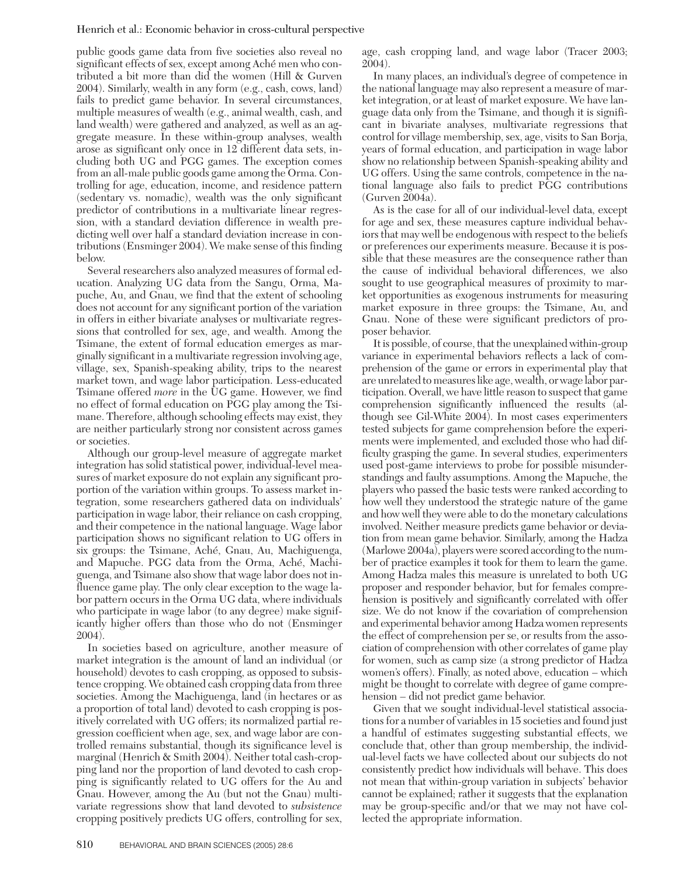public goods game data from five societies also reveal no significant effects of sex, except among Aché men who contributed a bit more than did the women (Hill & Gurven 2004). Similarly, wealth in any form (e.g., cash, cows, land) fails to predict game behavior. In several circumstances, multiple measures of wealth (e.g., animal wealth, cash, and land wealth) were gathered and analyzed, as well as an aggregate measure. In these within-group analyses, wealth arose as significant only once in 12 different data sets, including both UG and PGG games. The exception comes from an all-male public goods game among the Orma. Controlling for age, education, income, and residence pattern (sedentary vs. nomadic), wealth was the only significant predictor of contributions in a multivariate linear regression, with a standard deviation difference in wealth predicting well over half a standard deviation increase in contributions (Ensminger 2004). We make sense of this finding below.

Several researchers also analyzed measures of formal education. Analyzing UG data from the Sangu, Orma, Mapuche, Au, and Gnau, we find that the extent of schooling does not account for any significant portion of the variation in offers in either bivariate analyses or multivariate regressions that controlled for sex, age, and wealth. Among the Tsimane, the extent of formal education emerges as marginally significant in a multivariate regression involving age, village, sex, Spanish-speaking ability, trips to the nearest market town, and wage labor participation. Less-educated Tsimane offered *more* in the UG game. However, we find no effect of formal education on PGG play among the Tsimane. Therefore, although schooling effects may exist, they are neither particularly strong nor consistent across games or societies.

Although our group-level measure of aggregate market integration has solid statistical power, individual-level measures of market exposure do not explain any significant proportion of the variation within groups. To assess market integration, some researchers gathered data on individuals' participation in wage labor, their reliance on cash cropping, and their competence in the national language. Wage labor participation shows no significant relation to UG offers in six groups: the Tsimane, Aché, Gnau, Au, Machiguenga, and Mapuche. PGG data from the Orma, Aché, Machiguenga, and Tsimane also show that wage labor does not influence game play. The only clear exception to the wage labor pattern occurs in the Orma UG data, where individuals who participate in wage labor (to any degree) make significantly higher offers than those who do not (Ensminger 2004).

In societies based on agriculture, another measure of market integration is the amount of land an individual (or household) devotes to cash cropping, as opposed to subsistence cropping. We obtained cash cropping data from three societies. Among the Machiguenga, land (in hectares or as a proportion of total land) devoted to cash cropping is positively correlated with UG offers; its normalized partial regression coefficient when age, sex, and wage labor are controlled remains substantial, though its significance level is marginal (Henrich & Smith 2004). Neither total cash-cropping land nor the proportion of land devoted to cash cropping is significantly related to UG offers for the Au and Gnau. However, among the Au (but not the Gnau) multivariate regressions show that land devoted to *subsistence* cropping positively predicts UG offers, controlling for sex,

age, cash cropping land, and wage labor (Tracer 2003; 2004).

In many places, an individual's degree of competence in the national language may also represent a measure of market integration, or at least of market exposure. We have language data only from the Tsimane, and though it is significant in bivariate analyses, multivariate regressions that control for village membership, sex, age, visits to San Borja, years of formal education, and participation in wage labor show no relationship between Spanish-speaking ability and UG offers. Using the same controls, competence in the national language also fails to predict PGG contributions (Gurven 2004a).

As is the case for all of our individual-level data, except for age and sex, these measures capture individual behaviors that may well be endogenous with respect to the beliefs or preferences our experiments measure. Because it is possible that these measures are the consequence rather than the cause of individual behavioral differences, we also sought to use geographical measures of proximity to market opportunities as exogenous instruments for measuring market exposure in three groups: the Tsimane, Au, and Gnau. None of these were significant predictors of proposer behavior.

It is possible, of course, that the unexplained within-group variance in experimental behaviors reflects a lack of comprehension of the game or errors in experimental play that are unrelated to measures like age, wealth, or wage labor participation. Overall, we have little reason to suspect that game comprehension significantly influenced the results (although see Gil-White 2004). In most cases experimenters tested subjects for game comprehension before the experiments were implemented, and excluded those who had difficulty grasping the game. In several studies, experimenters used post-game interviews to probe for possible misunderstandings and faulty assumptions. Among the Mapuche, the players who passed the basic tests were ranked according to how well they understood the strategic nature of the game and how well they were able to do the monetary calculations involved. Neither measure predicts game behavior or deviation from mean game behavior. Similarly, among the Hadza (Marlowe 2004a), players were scored according to the number of practice examples it took for them to learn the game. Among Hadza males this measure is unrelated to both UG proposer and responder behavior, but for females comprehension is positively and significantly correlated with offer size. We do not know if the covariation of comprehension and experimental behavior among Hadza women represents the effect of comprehension per se, or results from the association of comprehension with other correlates of game play for women, such as camp size (a strong predictor of Hadza women's offers). Finally, as noted above, education – which might be thought to correlate with degree of game comprehension – did not predict game behavior.

Given that we sought individual-level statistical associations for a number of variables in 15 societies and found just a handful of estimates suggesting substantial effects, we conclude that, other than group membership, the individual-level facts we have collected about our subjects do not consistently predict how individuals will behave. This does not mean that within-group variation in subjects' behavior cannot be explained; rather it suggests that the explanation may be group-specific and/or that we may not have collected the appropriate information.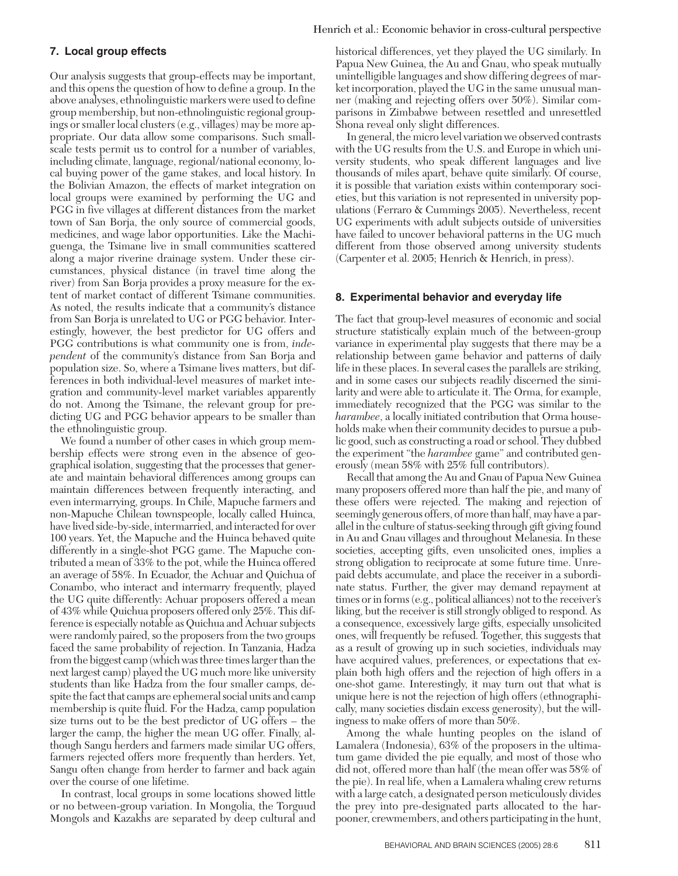## **7. Local group effects**

Our analysis suggests that group-effects may be important, and this opens the question of how to define a group. In the above analyses, ethnolinguistic markers were used to define group membership, but non-ethnolinguistic regional groupings or smaller local clusters (e.g., villages) may be more appropriate. Our data allow some comparisons. Such smallscale tests permit us to control for a number of variables, including climate, language, regional/national economy, local buying power of the game stakes, and local history. In the Bolivian Amazon, the effects of market integration on local groups were examined by performing the UG and PGG in five villages at different distances from the market town of San Borja, the only source of commercial goods, medicines, and wage labor opportunities. Like the Machiguenga, the Tsimane live in small communities scattered along a major riverine drainage system. Under these circumstances, physical distance (in travel time along the river) from San Borja provides a proxy measure for the extent of market contact of different Tsimane communities. As noted, the results indicate that a community's distance from San Borja is unrelated to UG or PGG behavior. Interestingly, however, the best predictor for UG offers and PGG contributions is what community one is from, *independent* of the community's distance from San Borja and population size. So, where a Tsimane lives matters, but differences in both individual-level measures of market integration and community-level market variables apparently do not. Among the Tsimane, the relevant group for predicting UG and PGG behavior appears to be smaller than the ethnolinguistic group.

We found a number of other cases in which group membership effects were strong even in the absence of geographical isolation, suggesting that the processes that generate and maintain behavioral differences among groups can maintain differences between frequently interacting, and even intermarrying, groups. In Chile, Mapuche farmers and non-Mapuche Chilean townspeople, locally called Huinca, have lived side-by-side, intermarried, and interacted for over 100 years. Yet, the Mapuche and the Huinca behaved quite differently in a single-shot PGG game. The Mapuche contributed a mean of 33% to the pot, while the Huinca offered an average of 58%. In Ecuador, the Achuar and Quichua of Conambo, who interact and intermarry frequently, played the UG quite differently: Achuar proposers offered a mean of 43% while Quichua proposers offered only 25%. This difference is especially notable as Quichua and Achuar subjects were randomly paired, so the proposers from the two groups faced the same probability of rejection. In Tanzania, Hadza from the biggest camp (which was three times larger than the next largest camp) played the UG much more like university students than like Hadza from the four smaller camps, despite the fact that camps are ephemeral social units and camp membership is quite fluid. For the Hadza, camp population size turns out to be the best predictor of UG offers – the larger the camp, the higher the mean UG offer. Finally, although Sangu herders and farmers made similar UG offers, farmers rejected offers more frequently than herders. Yet, Sangu often change from herder to farmer and back again over the course of one lifetime.

In contrast, local groups in some locations showed little or no between-group variation. In Mongolia, the Torguud Mongols and Kazakhs are separated by deep cultural and

historical differences, yet they played the UG similarly. In Papua New Guinea, the Au and Gnau, who speak mutually unintelligible languages and show differing degrees of market incorporation, played the UG in the same unusual manner (making and rejecting offers over 50%). Similar comparisons in Zimbabwe between resettled and unresettled Shona reveal only slight differences.

In general, the micro level variation we observed contrasts with the UG results from the U.S. and Europe in which university students, who speak different languages and live thousands of miles apart, behave quite similarly. Of course, it is possible that variation exists within contemporary societies, but this variation is not represented in university populations (Ferraro & Cummings 2005). Nevertheless, recent UG experiments with adult subjects outside of universities have failed to uncover behavioral patterns in the UG much different from those observed among university students (Carpenter et al. 2005; Henrich & Henrich, in press).

## **8. Experimental behavior and everyday life**

The fact that group-level measures of economic and social structure statistically explain much of the between-group variance in experimental play suggests that there may be a relationship between game behavior and patterns of daily life in these places. In several cases the parallels are striking, and in some cases our subjects readily discerned the similarity and were able to articulate it. The Orma, for example, immediately recognized that the PGG was similar to the *harambee*, a locally initiated contribution that Orma households make when their community decides to pursue a public good, such as constructing a road or school. They dubbed the experiment "the *harambee* game" and contributed generously (mean 58% with 25% full contributors).

Recall that among the Au and Gnau of Papua New Guinea many proposers offered more than half the pie, and many of these offers were rejected. The making and rejection of seemingly generous offers, of more than half, may have a parallel in the culture of status-seeking through gift giving found in Au and Gnau villages and throughout Melanesia. In these societies, accepting gifts, even unsolicited ones, implies a strong obligation to reciprocate at some future time. Unrepaid debts accumulate, and place the receiver in a subordinate status. Further, the giver may demand repayment at times or in forms (e.g., political alliances) not to the receiver's liking, but the receiver is still strongly obliged to respond. As a consequence, excessively large gifts, especially unsolicited ones, will frequently be refused. Together, this suggests that as a result of growing up in such societies, individuals may have acquired values, preferences, or expectations that explain both high offers and the rejection of high offers in a one-shot game. Interestingly, it may turn out that what is unique here is not the rejection of high offers (ethnographically, many societies disdain excess generosity), but the willingness to make offers of more than 50%.

Among the whale hunting peoples on the island of Lamalera (Indonesia), 63% of the proposers in the ultimatum game divided the pie equally, and most of those who did not, offered more than half (the mean offer was 58% of the pie). In real life, when a Lamalera whaling crew returns with a large catch, a designated person meticulously divides the prey into pre-designated parts allocated to the harpooner, crewmembers, and others participating in the hunt,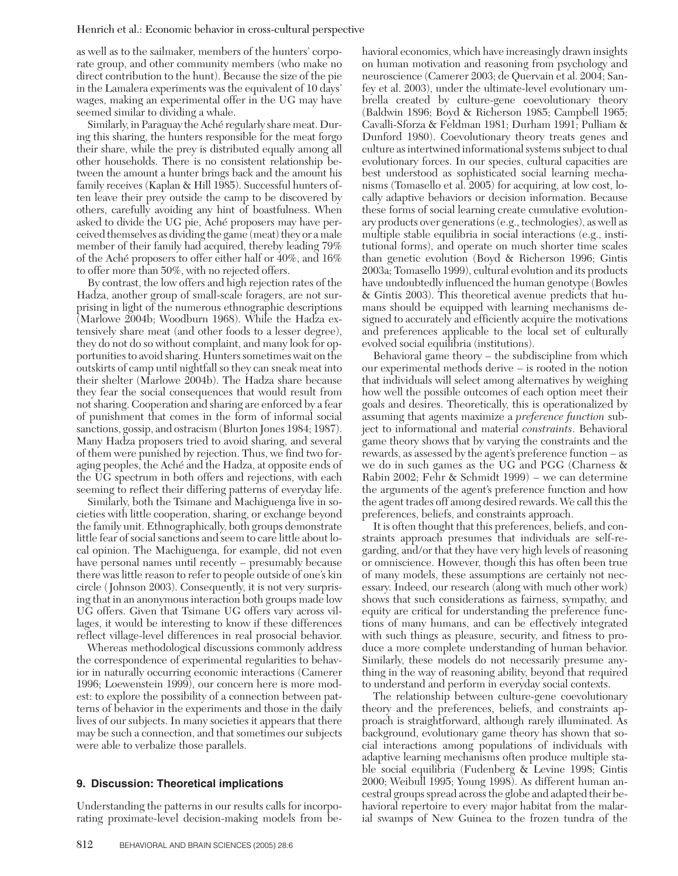as well as to the sailmaker, members of the hunters' corporate group, and other community members (who make no direct contribution to the hunt). Because the size of the pie in the Lamalera experiments was the equivalent of 10 days' wages, making an experimental offer in the UG may have seemed similar to dividing a whale.

Similarly, in Paraguay the Aché regularly share meat. During this sharing, the hunters responsible for the meat forgo their share, while the prey is distributed equally among all other households. There is no consistent relationship between the amount a hunter brings back and the amount his family receives (Kaplan & Hill 1985). Successful hunters often leave their prey outside the camp to be discovered by others, carefully avoiding any hint of boastfulness. When asked to divide the UG pie, Aché proposers may have perceived themselves as dividing the game (meat) they or a male member of their family had acquired, thereby leading 79% of the Aché proposers to offer either half or 40%, and 16% to offer more than 50%, with no rejected offers.

By contrast, the low offers and high rejection rates of the Hadza, another group of small-scale foragers, are not surprising in light of the numerous ethnographic descriptions (Marlowe 2004b; Woodburn 1968). While the Hadza extensively share meat (and other foods to a lesser degree), they do not do so without complaint, and many look for opportunities to avoid sharing. Hunters sometimes wait on the outskirts of camp until nightfall so they can sneak meat into their shelter (Marlowe 2004b). The Hadza share because they fear the social consequences that would result from not sharing. Cooperation and sharing are enforced by a fear of punishment that comes in the form of informal social sanctions, gossip, and ostracism (Blurton Jones 1984; 1987). Many Hadza proposers tried to avoid sharing, and several of them were punished by rejection. Thus, we find two foraging peoples, the Aché and the Hadza, at opposite ends of the UG spectrum in both offers and rejections, with each seeming to reflect their differing patterns of everyday life.

Similarly, both the Tsimane and Machiguenga live in societies with little cooperation, sharing, or exchange beyond the family unit. Ethnographically, both groups demonstrate little fear of social sanctions and seem to care little about local opinion. The Machiguenga, for example, did not even have personal names until recently – presumably because there was little reason to refer to people outside of one's kin circle (Johnson 2003). Consequently, it is not very surprising that in an anonymous interaction both groups made low UG offers. Given that Tsimane UG offers vary across villages, it would be interesting to know if these differences reflect village-level differences in real prosocial behavior.

Whereas methodological discussions commonly address the correspondence of experimental regularities to behavior in naturally occurring economic interactions (Camerer 1996; Loewenstein 1999), our concern here is more modest: to explore the possibility of a connection between patterns of behavior in the experiments and those in the daily lives of our subjects. In many societies it appears that there may be such a connection, and that sometimes our subjects were able to verbalize those parallels.

## **9. Discussion: Theoretical implications**

Understanding the patterns in our results calls for incorporating proximate-level decision-making models from behavioral economics, which have increasingly drawn insights on human motivation and reasoning from psychology and neuroscience (Camerer 2003; de Quervain et al. 2004; Sanfey et al. 2003), under the ultimate-level evolutionary umbrella created by culture-gene coevolutionary theory (Baldwin 1896; Boyd & Richerson 1985; Campbell 1965; Cavalli-Sforza & Feldman 1981; Durham 1991; Pulliam & Dunford 1980). Coevolutionary theory treats genes and culture as intertwined informational systems subject to dual evolutionary forces. In our species, cultural capacities are best understood as sophisticated social learning mechanisms (Tomasello et al. 2005) for acquiring, at low cost, locally adaptive behaviors or decision information. Because these forms of social learning create cumulative evolutionary products over generations (e.g., technologies), as well as multiple stable equilibria in social interactions (e.g., institutional forms), and operate on much shorter time scales than genetic evolution (Boyd & Richerson 1996; Gintis 2003a; Tomasello 1999), cultural evolution and its products have undoubtedly influenced the human genotype (Bowles & Gintis 2003). This theoretical avenue predicts that humans should be equipped with learning mechanisms designed to accurately and efficiently acquire the motivations and preferences applicable to the local set of culturally evolved social equilibria (institutions).

Behavioral game theory – the subdiscipline from which our experimental methods derive – is rooted in the notion that individuals will select among alternatives by weighing how well the possible outcomes of each option meet their goals and desires. Theoretically, this is operationalized by assuming that agents maximize a *preference function* subject to informational and material *constraints*. Behavioral game theory shows that by varying the constraints and the rewards, as assessed by the agent's preference function – as we do in such games as the UG and PGG (Charness & Rabin 2002; Fehr & Schmidt 1999) – we can determine the arguments of the agent's preference function and how the agent trades off among desired rewards. We call this the preferences, beliefs, and constraints approach.

It is often thought that this preferences, beliefs, and constraints approach presumes that individuals are self-regarding, and/or that they have very high levels of reasoning or omniscience. However, though this has often been true of many models, these assumptions are certainly not necessary. Indeed, our research (along with much other work) shows that such considerations as fairness, sympathy, and equity are critical for understanding the preference functions of many humans, and can be effectively integrated with such things as pleasure, security, and fitness to produce a more complete understanding of human behavior. Similarly, these models do not necessarily presume anything in the way of reasoning ability, beyond that required to understand and perform in everyday social contexts.

The relationship between culture-gene coevolutionary theory and the preferences, beliefs, and constraints approach is straightforward, although rarely illuminated. As background, evolutionary game theory has shown that social interactions among populations of individuals with adaptive learning mechanisms often produce multiple stable social equilibria (Fudenberg & Levine 1998; Gintis 2000; Weibull 1995; Young 1998). As different human ancestral groups spread across the globe and adapted their behavioral repertoire to every major habitat from the malarial swamps of New Guinea to the frozen tundra of the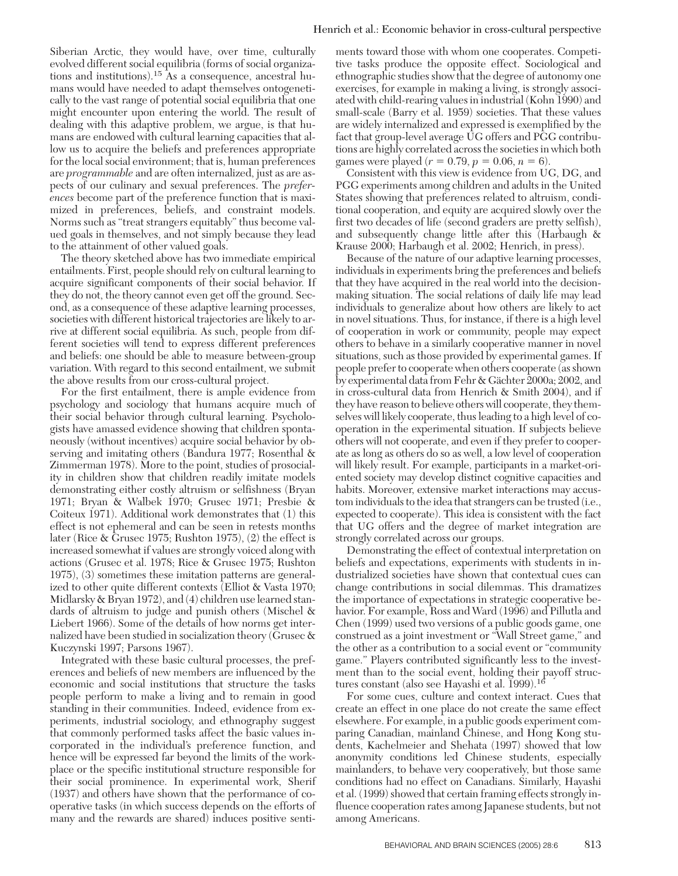Siberian Arctic, they would have, over time, culturally evolved different social equilibria (forms of social organizations and institutions).<sup>15</sup> As a consequence, ancestral humans would have needed to adapt themselves ontogenetically to the vast range of potential social equilibria that one might encounter upon entering the world. The result of dealing with this adaptive problem, we argue, is that humans are endowed with cultural learning capacities that allow us to acquire the beliefs and preferences appropriate for the local social environment; that is, human preferences are *programmable* and are often internalized, just as are aspects of our culinary and sexual preferences. The *preferences* become part of the preference function that is maximized in preferences, beliefs, and constraint models. Norms such as "treat strangers equitably" thus become valued goals in themselves, and not simply because they lead to the attainment of other valued goals.

The theory sketched above has two immediate empirical entailments. First, people should rely on cultural learning to acquire significant components of their social behavior. If they do not, the theory cannot even get off the ground. Second, as a consequence of these adaptive learning processes, societies with different historical trajectories are likely to arrive at different social equilibria. As such, people from different societies will tend to express different preferences and beliefs: one should be able to measure between-group variation. With regard to this second entailment, we submit the above results from our cross-cultural project.

For the first entailment, there is ample evidence from psychology and sociology that humans acquire much of their social behavior through cultural learning. Psychologists have amassed evidence showing that children spontaneously (without incentives) acquire social behavior by observing and imitating others (Bandura 1977; Rosenthal & Zimmerman 1978). More to the point, studies of prosociality in children show that children readily imitate models demonstrating either costly altruism or selfishness (Bryan 1971; Bryan & Walbek 1970; Grusec 1971; Presbie & Coiteux 1971). Additional work demonstrates that (1) this effect is not ephemeral and can be seen in retests months later (Rice & Grusec 1975; Rushton 1975), (2) the effect is increased somewhat if values are strongly voiced along with actions (Grusec et al. 1978; Rice & Grusec 1975; Rushton 1975), (3) sometimes these imitation patterns are generalized to other quite different contexts (Elliot & Vasta 1970; Midlarsky & Bryan 1972), and (4) children use learned standards of altruism to judge and punish others (Mischel & Liebert 1966). Some of the details of how norms get internalized have been studied in socialization theory (Grusec & Kuczynski 1997; Parsons 1967).

Integrated with these basic cultural processes, the preferences and beliefs of new members are influenced by the economic and social institutions that structure the tasks people perform to make a living and to remain in good standing in their communities. Indeed, evidence from experiments, industrial sociology, and ethnography suggest that commonly performed tasks affect the basic values incorporated in the individual's preference function, and hence will be expressed far beyond the limits of the workplace or the specific institutional structure responsible for their social prominence. In experimental work, Sherif (1937) and others have shown that the performance of cooperative tasks (in which success depends on the efforts of many and the rewards are shared) induces positive senti-

ments toward those with whom one cooperates. Competitive tasks produce the opposite effect. Sociological and ethnographic studies show that the degree of autonomy one exercises, for example in making a living, is strongly associated with child-rearing values in industrial (Kohn 1990) and small-scale (Barry et al. 1959) societies. That these values are widely internalized and expressed is exemplified by the fact that group-level average UG offers and PGG contributions are highly correlated across the societies in which both games were played ( $r = 0.79$ ,  $p = 0.06$ ,  $n = 6$ ).

Consistent with this view is evidence from UG, DG, and PGG experiments among children and adults in the United States showing that preferences related to altruism, conditional cooperation, and equity are acquired slowly over the first two decades of life (second graders are pretty selfish), and subsequently change little after this (Harbaugh & Krause 2000; Harbaugh et al. 2002; Henrich, in press).

Because of the nature of our adaptive learning processes, individuals in experiments bring the preferences and beliefs that they have acquired in the real world into the decisionmaking situation. The social relations of daily life may lead individuals to generalize about how others are likely to act in novel situations. Thus, for instance, if there is a high level of cooperation in work or community, people may expect others to behave in a similarly cooperative manner in novel situations, such as those provided by experimental games. If people prefer to cooperate when others cooperate (as shown by experimental data from Fehr & Gächter 2000a; 2002, and in cross-cultural data from Henrich & Smith 2004), and if they have reason to believe others will cooperate, they themselves will likely cooperate, thus leading to a high level of cooperation in the experimental situation. If subjects believe others will not cooperate, and even if they prefer to cooperate as long as others do so as well, a low level of cooperation will likely result. For example, participants in a market-oriented society may develop distinct cognitive capacities and habits. Moreover, extensive market interactions may accustom individuals to the idea that strangers can be trusted (i.e., expected to cooperate). This idea is consistent with the fact that UG offers and the degree of market integration are strongly correlated across our groups.

Demonstrating the effect of contextual interpretation on beliefs and expectations, experiments with students in industrialized societies have shown that contextual cues can change contributions in social dilemmas. This dramatizes the importance of expectations in strategic cooperative behavior. For example, Ross and Ward (1996) and Pillutla and Chen (1999) used two versions of a public goods game, one construed as a joint investment or "Wall Street game," and the other as a contribution to a social event or "community game." Players contributed significantly less to the investment than to the social event, holding their payoff structures constant (also see Hayashi et al. 1999).<sup>16</sup>

For some cues, culture and context interact. Cues that create an effect in one place do not create the same effect elsewhere. For example, in a public goods experiment comparing Canadian, mainland Chinese, and Hong Kong students, Kachelmeier and Shehata (1997) showed that low anonymity conditions led Chinese students, especially mainlanders, to behave very cooperatively, but those same conditions had no effect on Canadians. Similarly, Hayashi et al. (1999) showed that certain framing effects strongly influence cooperation rates among Japanese students, but not among Americans.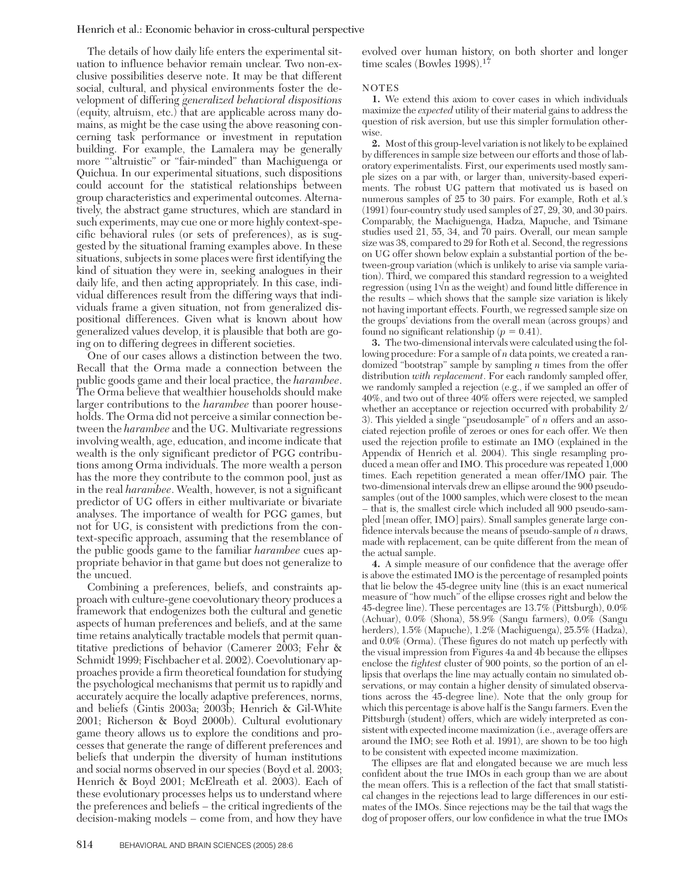The details of how daily life enters the experimental situation to influence behavior remain unclear. Two non-exclusive possibilities deserve note. It may be that different social, cultural, and physical environments foster the development of differing *generalized behavioral dispositions* (equity, altruism, etc.) that are applicable across many domains, as might be the case using the above reasoning concerning task performance or investment in reputation building. For example, the Lamalera may be generally more "'altruistic" or "fair-minded" than Machiguenga or Quichua. In our experimental situations, such dispositions could account for the statistical relationships between group characteristics and experimental outcomes. Alternatively, the abstract game structures, which are standard in such experiments, may cue one or more highly context-specific behavioral rules (or sets of preferences), as is suggested by the situational framing examples above. In these situations, subjects in some places were first identifying the kind of situation they were in, seeking analogues in their daily life, and then acting appropriately. In this case, individual differences result from the differing ways that individuals frame a given situation, not from generalized dispositional differences. Given what is known about how generalized values develop, it is plausible that both are going on to differing degrees in different societies.

One of our cases allows a distinction between the two. Recall that the Orma made a connection between the public goods game and their local practice, the *harambee*. The Orma believe that wealthier households should make larger contributions to the *harambee* than poorer households. The Orma did not perceive a similar connection between the *harambee* and the UG. Multivariate regressions involving wealth, age, education, and income indicate that wealth is the only significant predictor of PGG contributions among Orma individuals. The more wealth a person has the more they contribute to the common pool, just as in the real *harambee*. Wealth, however, is not a significant predictor of UG offers in either multivariate or bivariate analyses. The importance of wealth for PGG games, but not for UG, is consistent with predictions from the context-specific approach, assuming that the resemblance of the public goods game to the familiar *harambee* cues appropriate behavior in that game but does not generalize to the uncued.

Combining a preferences, beliefs, and constraints approach with culture-gene coevolutionary theory produces a framework that endogenizes both the cultural and genetic aspects of human preferences and beliefs, and at the same time retains analytically tractable models that permit quantitative predictions of behavior (Camerer 2003; Fehr & Schmidt 1999; Fischbacher et al. 2002). Coevolutionary approaches provide a firm theoretical foundation for studying the psychological mechanisms that permit us to rapidly and accurately acquire the locally adaptive preferences, norms, and beliefs (Gintis 2003a; 2003b; Henrich & Gil-White 2001; Richerson & Boyd 2000b). Cultural evolutionary game theory allows us to explore the conditions and processes that generate the range of different preferences and beliefs that underpin the diversity of human institutions and social norms observed in our species (Boyd et al. 2003; Henrich & Boyd 2001; McElreath et al. 2003). Each of these evolutionary processes helps us to understand where the preferences and beliefs – the critical ingredients of the decision-making models – come from, and how they have

evolved over human history, on both shorter and longer time scales (Bowles 1998).<sup>17</sup>

#### **NOTES**

**1.** We extend this axiom to cover cases in which individuals maximize the *expected* utility of their material gains to address the question of risk aversion, but use this simpler formulation otherwise.

**2.** Most of this group-level variation is not likely to be explained by differences in sample size between our efforts and those of laboratory experimentalists. First, our experiments used mostly sample sizes on a par with, or larger than, university-based experiments. The robust UG pattern that motivated us is based on numerous samples of 25 to 30 pairs. For example, Roth et al.'s (1991) four-country study used samples of 27, 29, 30, and 30 pairs. Comparably, the Machiguenga, Hadza, Mapuche, and Tsimane studies used 21, 55, 34, and 70 pairs. Overall, our mean sample size was 38, compared to 29 for Roth et al. Second, the regressions on UG offer shown below explain a substantial portion of the between-group variation (which is unlikely to arise via sample variation). Third, we compared this standard regression to a weighted regression (using 1√n as the weight) and found little difference in the results – which shows that the sample size variation is likely not having important effects. Fourth, we regressed sample size on the groups' deviations from the overall mean (across groups) and found no significant relationship ( $p = 0.41$ ).

**3.** The two-dimensional intervals were calculated using the following procedure: For a sample of *n* data points, we created a randomized "bootstrap" sample by sampling *n* times from the offer distribution *with replacement*. For each randomly sampled offer, we randomly sampled a rejection (e.g., if we sampled an offer of 40%, and two out of three 40% offers were rejected, we sampled whether an acceptance or rejection occurred with probability 2/ 3). This yielded a single "pseudosample" of *n* offers and an associated rejection profile of zeroes or ones for each offer. We then used the rejection profile to estimate an IMO (explained in the Appendix of Henrich et al. 2004). This single resampling produced a mean offer and IMO. This procedure was repeated 1,000 times. Each repetition generated a mean offer/IMO pair. The two-dimensional intervals drew an ellipse around the 900 pseudosamples (out of the 1000 samples, which were closest to the mean – that is, the smallest circle which included all 900 pseudo-sampled [mean offer, IMO] pairs). Small samples generate large confidence intervals because the means of pseudo-sample of *n* draws, made with replacement, can be quite different from the mean of the actual sample.

**4.** A simple measure of our confidence that the average offer is above the estimated IMO is the percentage of resampled points that lie below the 45-degree unity line (this is an exact numerical measure of "how much" of the ellipse crosses right and below the 45-degree line). These percentages are 13.7% (Pittsburgh), 0.0% (Achuar), 0.0% (Shona), 58.9% (Sangu farmers), 0.0% (Sangu herders), 1.5% (Mapuche), 1.2% (Machiguenga), 25.5% (Hadza), and 0.0% (Orma). (These figures do not match up perfectly with the visual impression from Figures 4a and 4b because the ellipses enclose the *tightest* cluster of 900 points, so the portion of an ellipsis that overlaps the line may actually contain no simulated observations, or may contain a higher density of simulated observations across the 45-degree line). Note that the only group for which this percentage is above half is the Sangu farmers. Even the Pittsburgh (student) offers, which are widely interpreted as consistent with expected income maximization (i.e., average offers are around the IMO; see Roth et al. 1991), are shown to be too high to be consistent with expected income maximization.

The ellipses are flat and elongated because we are much less confident about the true IMOs in each group than we are about the mean offers. This is a reflection of the fact that small statistical changes in the rejections lead to large differences in our estimates of the IMOs. Since rejections may be the tail that wags the dog of proposer offers, our low confidence in what the true IMOs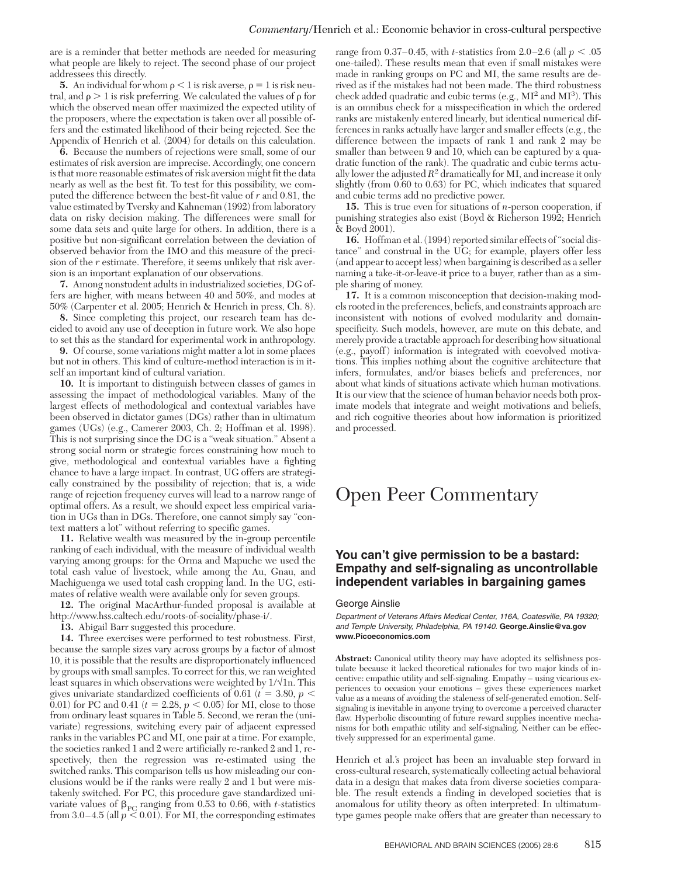are is a reminder that better methods are needed for measuring what people are likely to reject. The second phase of our project addressees this directly.

**5.** An individual for whom  $\rho < 1$  is risk averse,  $\rho = 1$  is risk neutral, and  $\rho > 1$  is risk preferring. We calculated the values of  $\rho$  for which the observed mean offer maximized the expected utility of the proposers, where the expectation is taken over all possible offers and the estimated likelihood of their being rejected. See the Appendix of Henrich et al. (2004) for details on this calculation.

**6.** Because the numbers of rejections were small, some of our estimates of risk aversion are imprecise. Accordingly, one concern is that more reasonable estimates of risk aversion might fit the data nearly as well as the best fit. To test for this possibility, we computed the difference between the best-fit value of *r* and 0.81, the value estimated by Tversky and Kahneman (1992) from laboratory data on risky decision making. The differences were small for some data sets and quite large for others. In addition, there is a positive but non-significant correlation between the deviation of observed behavior from the IMO and this measure of the precision of the *r* estimate. Therefore, it seems unlikely that risk aversion is an important explanation of our observations.

**7.** Among nonstudent adults in industrialized societies, DG offers are higher, with means between 40 and 50%, and modes at 50% (Carpenter et al. 2005; Henrich & Henrich in press, Ch. 8).

**8.** Since completing this project, our research team has decided to avoid any use of deception in future work. We also hope to set this as the standard for experimental work in anthropology.

**9.** Of course, some variations might matter a lot in some places but not in others. This kind of culture-method interaction is in itself an important kind of cultural variation.

**10.** It is important to distinguish between classes of games in assessing the impact of methodological variables. Many of the largest effects of methodological and contextual variables have been observed in dictator games (DGs) rather than in ultimatum games (UGs) (e.g., Camerer 2003, Ch. 2; Hoffman et al. 1998). This is not surprising since the DG is a "weak situation." Absent a strong social norm or strategic forces constraining how much to give, methodological and contextual variables have a fighting chance to have a large impact. In contrast, UG offers are strategically constrained by the possibility of rejection; that is, a wide range of rejection frequency curves will lead to a narrow range of optimal offers. As a result, we should expect less empirical variation in UGs than in DGs. Therefore, one cannot simply say "context matters a lot" without referring to specific games.

**11.** Relative wealth was measured by the in-group percentile ranking of each individual, with the measure of individual wealth varying among groups: for the Orma and Mapuche we used the total cash value of livestock, while among the Au, Gnau, and Machiguenga we used total cash cropping land. In the UG, estimates of relative wealth were available only for seven groups.

**12.** The original MacArthur-funded proposal is available at http://www.hss.caltech.edu/roots-of-sociality/phase-i/.

**13.** Abigail Barr suggested this procedure.

**14.** Three exercises were performed to test robustness. First, because the sample sizes vary across groups by a factor of almost 10, it is possible that the results are disproportionately influenced by groups with small samples. To correct for this, we ran weighted least squares in which observations were weighted by 1/√1n. This gives univariate standardized coefficients of 0.61 ( $t = 3.80, p <$ 0.01) for PC and 0.41  $(t = 2.28, p < 0.05)$  for MI, close to those from ordinary least squares in Table 5. Second, we reran the (univariate) regressions, switching every pair of adjacent expressed ranks in the variables PC and MI, one pair at a time. For example, the societies ranked 1 and 2 were artificially re-ranked 2 and 1, respectively, then the regression was re-estimated using the switched ranks. This comparison tells us how misleading our conclusions would be if the ranks were really 2 and 1 but were mistakenly switched. For PC, this procedure gave standardized univariate values of  $\beta_{PC}$  ranging from 0.53 to 0.66, with *t*-statistics from 3.0–4.5 (all  $p \le 0.01$ ). For MI, the corresponding estimates

range from 0.37–0.45, with *t*-statistics from 2.0–2.6 (all  $p < .05$ ) one-tailed). These results mean that even if small mistakes were made in ranking groups on PC and MI, the same results are derived as if the mistakes had not been made. The third robustness check added quadratic and cubic terms (e.g., MI<sup>2</sup> and MI<sup>3</sup>). This is an omnibus check for a misspecification in which the ordered ranks are mistakenly entered linearly, but identical numerical differences in ranks actually have larger and smaller effects (e.g., the difference between the impacts of rank 1 and rank 2 may be smaller than between 9 and 10, which can be captured by a quadratic function of the rank). The quadratic and cubic terms actually lower the adjusted  $R^2$  dramatically for MI, and increase it only slightly (from 0.60 to 0.63) for PC, which indicates that squared and cubic terms add no predictive power.

**15.** This is true even for situations of *n*-person cooperation, if punishing strategies also exist (Boyd & Richerson 1992; Henrich & Boyd 2001).

**16.** Hoffman et al. (1994) reported similar effects of "social distance" and construal in the UG; for example, players offer less (and appear to accept less) when bargaining is described as a seller naming a take-it-or-leave-it price to a buyer, rather than as a simple sharing of money.

**17.** It is a common misconception that decision-making models rooted in the preferences, beliefs, and constraints approach are inconsistent with notions of evolved modularity and domainspecificity. Such models, however, are mute on this debate, and merely provide a tractable approach for describing how situational (e.g., payoff) information is integrated with coevolved motivations. This implies nothing about the cognitive architecture that infers, formulates, and/or biases beliefs and preferences, nor about what kinds of situations activate which human motivations. It is our view that the science of human behavior needs both proximate models that integrate and weight motivations and beliefs, and rich cognitive theories about how information is prioritized and processed.

## Open Peer Commentary

## **You can't give permission to be a bastard: Empathy and self-signaling as uncontrollable independent variables in bargaining games**

#### George Ainslie

*Department of Veterans Affairs Medical Center, 116A, Coatesville, PA 19320; and Temple University, Philadelphia, PA 19140.* **George.Ainslie@va.gov www.Picoeconomics.com**

**Abstract:** Canonical utility theory may have adopted its selfishness postulate because it lacked theoretical rationales for two major kinds of incentive: empathic utility and self-signaling. Empathy – using vicarious experiences to occasion your emotions – gives these experiences market value as a means of avoiding the staleness of self-generated emotion. Selfsignaling is inevitable in anyone trying to overcome a perceived character flaw. Hyperbolic discounting of future reward supplies incentive mechanisms for both empathic utility and self-signaling. Neither can be effectively suppressed for an experimental game.

Henrich et al.'s project has been an invaluable step forward in cross-cultural research, systematically collecting actual behavioral data in a design that makes data from diverse societies comparable. The result extends a finding in developed societies that is anomalous for utility theory as often interpreted: In ultimatumtype games people make offers that are greater than necessary to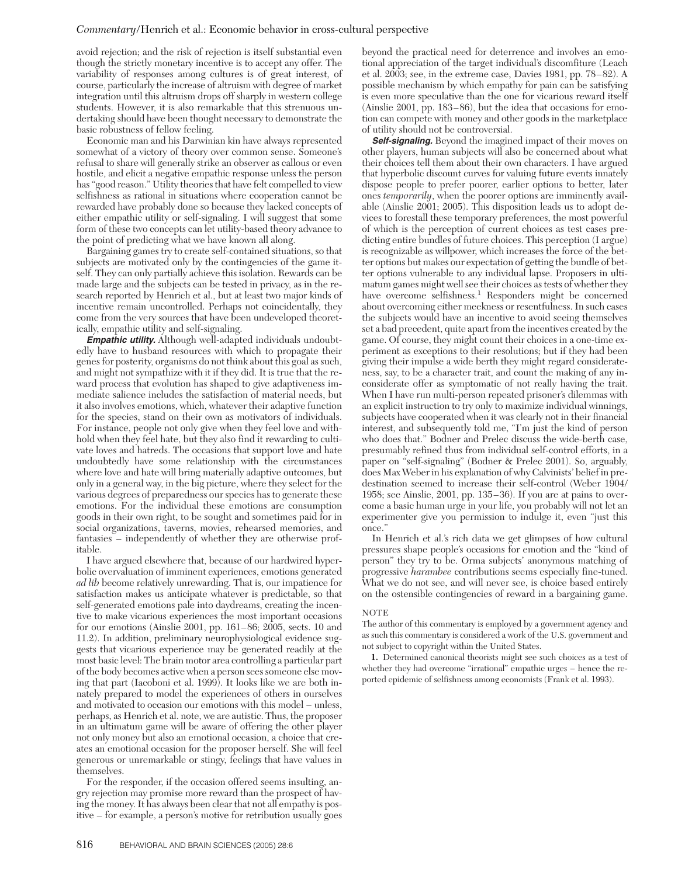## *Commentary*/Henrich et al.: Economic behavior in cross-cultural perspective

avoid rejection; and the risk of rejection is itself substantial even though the strictly monetary incentive is to accept any offer. The variability of responses among cultures is of great interest, of course, particularly the increase of altruism with degree of market integration until this altruism drops off sharply in western college students. However, it is also remarkable that this strenuous undertaking should have been thought necessary to demonstrate the basic robustness of fellow feeling.

Economic man and his Darwinian kin have always represented somewhat of a victory of theory over common sense. Someone's refusal to share will generally strike an observer as callous or even hostile, and elicit a negative empathic response unless the person has "good reason." Utility theories that have felt compelled to view selfishness as rational in situations where cooperation cannot be rewarded have probably done so because they lacked concepts of either empathic utility or self-signaling. I will suggest that some form of these two concepts can let utility-based theory advance to the point of predicting what we have known all along.

Bargaining games try to create self-contained situations, so that subjects are motivated only by the contingencies of the game itself. They can only partially achieve this isolation. Rewards can be made large and the subjects can be tested in privacy, as in the research reported by Henrich et al., but at least two major kinds of incentive remain uncontrolled. Perhaps not coincidentally, they come from the very sources that have been undeveloped theoretically, empathic utility and self-signaling.

*Empathic utility.* Although well-adapted individuals undoubtedly have to husband resources with which to propagate their genes for posterity, organisms do not think about this goal as such, and might not sympathize with it if they did. It is true that the reward process that evolution has shaped to give adaptiveness immediate salience includes the satisfaction of material needs, but it also involves emotions, which, whatever their adaptive function for the species, stand on their own as motivators of individuals. For instance, people not only give when they feel love and withhold when they feel hate, but they also find it rewarding to cultivate loves and hatreds. The occasions that support love and hate undoubtedly have some relationship with the circumstances where love and hate will bring materially adaptive outcomes, but only in a general way, in the big picture, where they select for the various degrees of preparedness our species has to generate these emotions. For the individual these emotions are consumption goods in their own right, to be sought and sometimes paid for in social organizations, taverns, movies, rehearsed memories, and fantasies – independently of whether they are otherwise profitable.

I have argued elsewhere that, because of our hardwired hyperbolic overvaluation of imminent experiences, emotions generated *ad lib* become relatively unrewarding. That is, our impatience for satisfaction makes us anticipate whatever is predictable, so that self-generated emotions pale into daydreams, creating the incentive to make vicarious experiences the most important occasions for our emotions (Ainslie 2001, pp. 161–86; 2005, sects. 10 and 11.2). In addition, preliminary neurophysiological evidence suggests that vicarious experience may be generated readily at the most basic level: The brain motor area controlling a particular part of the body becomes active when a person sees someone else moving that part (Iacoboni et al. 1999). It looks like we are both innately prepared to model the experiences of others in ourselves and motivated to occasion our emotions with this model – unless, perhaps, as Henrich et al. note, we are autistic. Thus, the proposer in an ultimatum game will be aware of offering the other player not only money but also an emotional occasion, a choice that creates an emotional occasion for the proposer herself. She will feel generous or unremarkable or stingy, feelings that have values in themselves.

For the responder, if the occasion offered seems insulting, angry rejection may promise more reward than the prospect of having the money. It has always been clear that not all empathy is positive – for example, a person's motive for retribution usually goes beyond the practical need for deterrence and involves an emotional appreciation of the target individual's discomfiture (Leach et al. 2003; see, in the extreme case, Davies 1981, pp. 78–82). A possible mechanism by which empathy for pain can be satisfying is even more speculative than the one for vicarious reward itself (Ainslie 2001, pp. 183–86), but the idea that occasions for emotion can compete with money and other goods in the marketplace of utility should not be controversial.

**Self-signaling.** Beyond the imagined impact of their moves on other players, human subjects will also be concerned about what their choices tell them about their own characters. I have argued that hyperbolic discount curves for valuing future events innately dispose people to prefer poorer, earlier options to better, later ones *temporarily*, when the poorer options are imminently available (Ainslie 2001; 2005). This disposition leads us to adopt devices to forestall these temporary preferences, the most powerful of which is the perception of current choices as test cases predicting entire bundles of future choices. This perception (I argue) is recognizable as willpower, which increases the force of the better options but makes our expectation of getting the bundle of better options vulnerable to any individual lapse. Proposers in ultimatum games might well see their choices as tests of whether they have overcome selfishness.<sup>1</sup> Responders might be concerned about overcoming either meekness or resentfulness. In such cases the subjects would have an incentive to avoid seeing themselves set a bad precedent, quite apart from the incentives created by the game. Of course, they might count their choices in a one-time experiment as exceptions to their resolutions; but if they had been giving their impulse a wide berth they might regard considerateness, say, to be a character trait, and count the making of any inconsiderate offer as symptomatic of not really having the trait. When I have run multi-person repeated prisoner's dilemmas with an explicit instruction to try only to maximize individual winnings, subjects have cooperated when it was clearly not in their financial interest, and subsequently told me, "I'm just the kind of person who does that." Bodner and Prelec discuss the wide-berth case, presumably refined thus from individual self-control efforts, in a paper on "self-signaling" (Bodner & Prelec 2001). So, arguably, does Max Weber in his explanation of why Calvinists' belief in predestination seemed to increase their self-control (Weber 1904/ 1958; see Ainslie, 2001, pp. 135–36). If you are at pains to overcome a basic human urge in your life, you probably will not let an experimenter give you permission to indulge it, even "just this once."

In Henrich et al.'s rich data we get glimpses of how cultural pressures shape people's occasions for emotion and the "kind of person" they try to be. Orma subjects' anonymous matching of progressive *harambee* contributions seems especially fine-tuned. What we do not see, and will never see, is choice based entirely on the ostensible contingencies of reward in a bargaining game.

#### NOTE

The author of this commentary is employed by a government agency and as such this commentary is considered a work of the U.S. government and not subject to copyright within the United States.

**1.** Determined canonical theorists might see such choices as a test of whether they had overcome "irrational" empathic urges – hence the reported epidemic of selfishness among economists (Frank et al. 1993).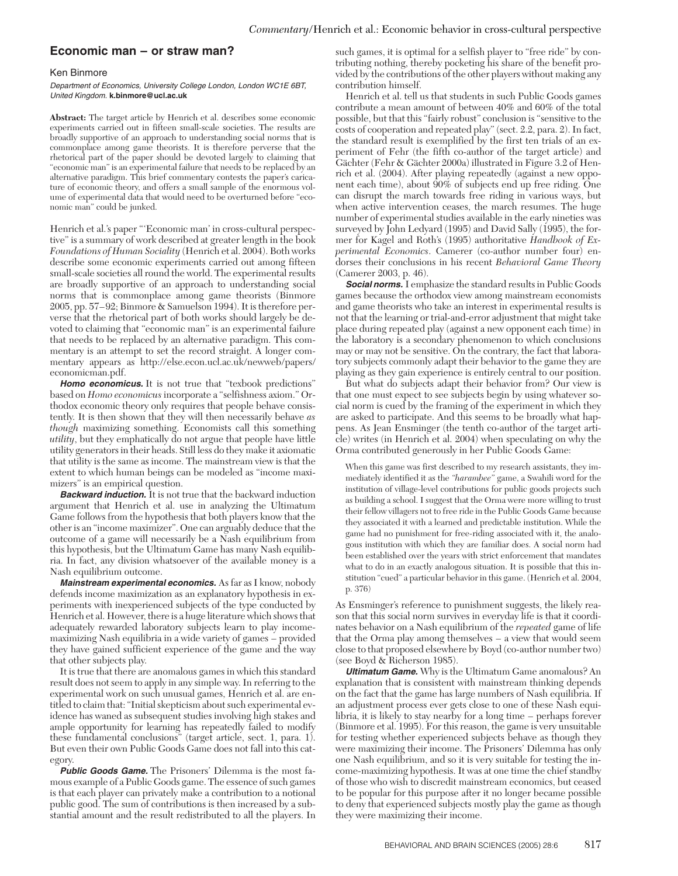## **Economic man – or straw man?**

#### Ken Binmore

*Department of Economics, University College London, London WC1E 6BT, United Kingdom.* **k.binmore@ucl.ac.uk**

**Abstract:** The target article by Henrich et al. describes some economic experiments carried out in fifteen small-scale societies. The results are broadly supportive of an approach to understanding social norms that is commonplace among game theorists. It is therefore perverse that the rhetorical part of the paper should be devoted largely to claiming that "economic man" is an experimental failure that needs to be replaced by an alternative paradigm. This brief commentary contests the paper's caricature of economic theory, and offers a small sample of the enormous volume of experimental data that would need to be overturned before "economic man" could be junked.

Henrich et al.'s paper "'Economic man' in cross-cultural perspective" is a summary of work described at greater length in the book *Foundations of Human Sociality* (Henrich et al. 2004). Both works describe some economic experiments carried out among fifteen small-scale societies all round the world. The experimental results are broadly supportive of an approach to understanding social norms that is commonplace among game theorists (Binmore 2005, pp. 57–92; Binmore & Samuelson 1994). It is therefore perverse that the rhetorical part of both works should largely be devoted to claiming that "economic man" is an experimental failure that needs to be replaced by an alternative paradigm. This commentary is an attempt to set the record straight. A longer commentary appears as http://else.econ.ucl.ac.uk/newweb/papers/ economicman.pdf.

**Homo economicus.** It is not true that "texbook predictions" based on *Homo economicus* incorporate a "selfishness axiom." Orthodox economic theory only requires that people behave consistently. It is then shown that they will then necessarily behave *as though* maximizing something. Economists call this something *utility*, but they emphatically do not argue that people have little utility generators in their heads. Still less do they make it axiomatic that utility is the same as income. The mainstream view is that the extent to which human beings can be modeled as "income maximizers" is an empirical question.

*Backward induction.* It is not true that the backward induction argument that Henrich et al. use in analyzing the Ultimatum Game follows from the hypothesis that both players know that the other is an "income maximizer". One can arguably deduce that the outcome of a game will necessarily be a Nash equilibrium from this hypothesis, but the Ultimatum Game has many Nash equilibria. In fact, any division whatsoever of the available money is a Nash equilibrium outcome.

*Mainstream experimental economics.* As far as I know, nobody defends income maximization as an explanatory hypothesis in experiments with inexperienced subjects of the type conducted by Henrich et al. However, there is a huge literature which shows that adequately rewarded laboratory subjects learn to play incomemaximizing Nash equilibria in a wide variety of games – provided they have gained sufficient experience of the game and the way that other subjects play.

It is true that there are anomalous games in which this standard result does not seem to apply in any simple way. In referring to the experimental work on such unusual games, Henrich et al. are entitled to claim that: "Initial skepticism about such experimental evidence has waned as subsequent studies involving high stakes and ample opportunity for learning has repeatedly failed to modify these fundamental conclusions" (target article, sect. 1, para. 1). But even their own Public Goods Game does not fall into this category.

*Public Goods Game.* The Prisoners' Dilemma is the most famous example of a Public Goods game. The essence of such games is that each player can privately make a contribution to a notional public good. The sum of contributions is then increased by a substantial amount and the result redistributed to all the players. In

such games, it is optimal for a selfish player to "free ride" by contributing nothing, thereby pocketing his share of the benefit provided by the contributions of the other players without making any contribution himself.

Henrich et al. tell us that students in such Public Goods games contribute a mean amount of between 40% and 60% of the total possible, but that this "fairly robust" conclusion is "sensitive to the costs of cooperation and repeated play" (sect. 2.2, para. 2). In fact, the standard result is exemplified by the first ten trials of an experiment of Fehr (the fifth co-author of the target article) and Gächter (Fehr & Gächter 2000a) illustrated in Figure 3.2 of Henrich et al. (2004). After playing repeatedly (against a new opponent each time), about 90% of subjects end up free riding. One can disrupt the march towards free riding in various ways, but when active intervention ceases, the march resumes. The huge number of experimental studies available in the early nineties was surveyed by John Ledyard (1995) and David Sally (1995), the former for Kagel and Roth's (1995) authoritative *Handbook of Experimental Economics*. Camerer (co-author number four) endorses their conclusions in his recent *Behavioral Game Theory* (Camerer 2003, p. 46).

*Social norms.* I emphasize the standard results in Public Goods games because the orthodox view among mainstream economists and game theorists who take an interest in experimental results is not that the learning or trial-and-error adjustment that might take place during repeated play (against a new opponent each time) in the laboratory is a secondary phenomenon to which conclusions may or may not be sensitive. On the contrary, the fact that laboratory subjects commonly adapt their behavior to the game they are playing as they gain experience is entirely central to our position.

But what do subjects adapt their behavior from? Our view is that one must expect to see subjects begin by using whatever social norm is cued by the framing of the experiment in which they are asked to participate. And this seems to be broadly what happens. As Jean Ensminger (the tenth co-author of the target article) writes (in Henrich et al. 2004) when speculating on why the Orma contributed generously in her Public Goods Game:

When this game was first described to my research assistants, they immediately identified it as the *"harambee"* game, a Swahili word for the institution of village-level contributions for public goods projects such as building a school. I suggest that the Orma were more willing to trust their fellow villagers not to free ride in the Public Goods Game because they associated it with a learned and predictable institution. While the game had no punishment for free-riding associated with it, the analogous institution with which they are familiar does. A social norm had been established over the years with strict enforcement that mandates what to do in an exactly analogous situation. It is possible that this institution "cued" a particular behavior in this game. (Henrich et al. 2004, p. 376)

As Ensminger's reference to punishment suggests, the likely reason that this social norm survives in everyday life is that it coordinates behavior on a Nash equilibrium of the *repeated* game of life that the Orma play among themselves – a view that would seem close to that proposed elsewhere by Boyd (co-author number two) (see Boyd & Richerson 1985).

*Ultimatum Game.* Why is the Ultimatum Game anomalous? An explanation that is consistent with mainstream thinking depends on the fact that the game has large numbers of Nash equilibria. If an adjustment process ever gets close to one of these Nash equilibria, it is likely to stay nearby for a long time – perhaps forever (Binmore et al. 1995). For this reason, the game is very unsuitable for testing whether experienced subjects behave as though they were maximizing their income. The Prisoners' Dilemma has only one Nash equilibrium, and so it is very suitable for testing the income-maximizing hypothesis. It was at one time the chief standby of those who wish to discredit mainstream economics, but ceased to be popular for this purpose after it no longer became possible to deny that experienced subjects mostly play the game as though they were maximizing their income.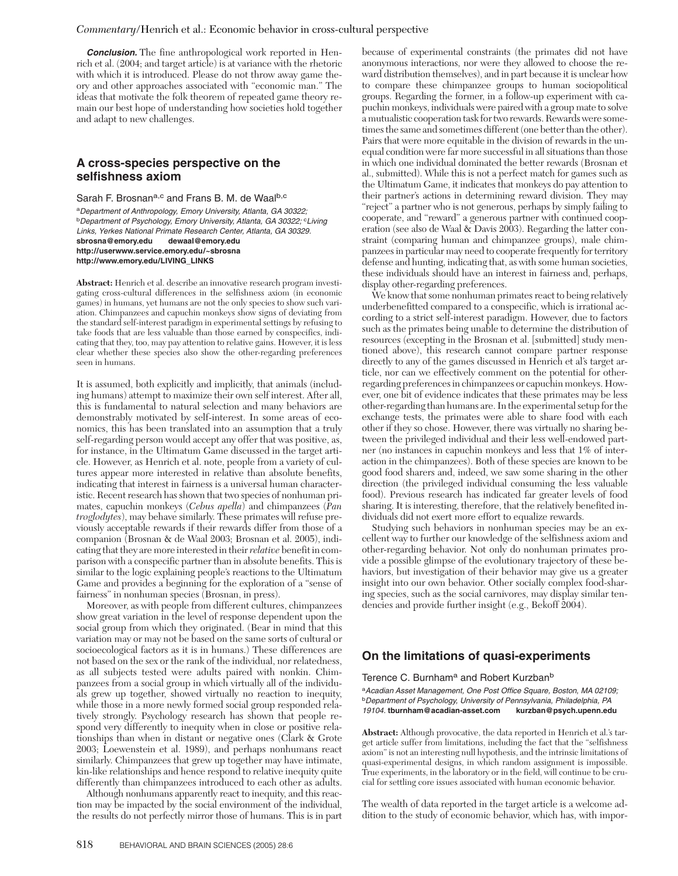## *Commentary*/Henrich et al.: Economic behavior in cross-cultural perspective

*Conclusion.* The fine anthropological work reported in Henrich et al. (2004; and target article) is at variance with the rhetoric with which it is introduced. Please do not throw away game theory and other approaches associated with "economic man." The ideas that motivate the folk theorem of repeated game theory remain our best hope of understanding how societies hold together and adapt to new challenges.

## **A cross-species perspective on the selfishness axiom**

#### Sarah F. Brosnan<sup>a,c</sup> and Frans B. M. de Waal<sup>b,c</sup>

<sup>a</sup>*Department of Anthropology, Emory University, Atlanta, GA 30322;* <sup>b</sup>*Department of Psychology, Emory University, Atlanta, GA 30322;* <sup>c</sup> *Living Links, Yerkes National Primate Research Center, Atlanta, GA 30329.* **sbrosna@emory.edu dewaal@emory.edu http://userwww.service.emory.edu/~sbrosna http://www.emory.edu/LIVING\_LINKS**

**Abstract:** Henrich et al. describe an innovative research program investigating cross-cultural differences in the selfishness axiom (in economic games) in humans, yet humans are not the only species to show such variation. Chimpanzees and capuchin monkeys show signs of deviating from the standard self-interest paradigm in experimental settings by refusing to take foods that are less valuable than those earned by conspecifics, indicating that they, too, may pay attention to relative gains. However, it is less clear whether these species also show the other-regarding preferences seen in humans.

It is assumed, both explicitly and implicitly, that animals (including humans) attempt to maximize their own self interest. After all, this is fundamental to natural selection and many behaviors are demonstrably motivated by self-interest. In some areas of economics, this has been translated into an assumption that a truly self-regarding person would accept any offer that was positive, as, for instance, in the Ultimatum Game discussed in the target article. However, as Henrich et al. note, people from a variety of cultures appear more interested in relative than absolute benefits, indicating that interest in fairness is a universal human characteristic. Recent research has shown that two species of nonhuman primates, capuchin monkeys (*Cebus apella*) and chimpanzees (*Pan troglodytes*), may behave similarly. These primates will refuse previously acceptable rewards if their rewards differ from those of a companion (Brosnan & de Waal 2003; Brosnan et al. 2005), indicating that they are more interested in their *relative* benefit in comparison with a conspecific partner than in absolute benefits. This is similar to the logic explaining people's reactions to the Ultimatum Game and provides a beginning for the exploration of a "sense of fairness" in nonhuman species (Brosnan, in press).

Moreover, as with people from different cultures, chimpanzees show great variation in the level of response dependent upon the social group from which they originated. (Bear in mind that this variation may or may not be based on the same sorts of cultural or socioecological factors as it is in humans.) These differences are not based on the sex or the rank of the individual, nor relatedness, as all subjects tested were adults paired with nonkin. Chimpanzees from a social group in which virtually all of the individuals grew up together, showed virtually no reaction to inequity, while those in a more newly formed social group responded relatively strongly. Psychology research has shown that people respond very differently to inequity when in close or positive relationships than when in distant or negative ones (Clark & Grote 2003; Loewenstein et al. 1989), and perhaps nonhumans react similarly. Chimpanzees that grew up together may have intimate, kin-like relationships and hence respond to relative inequity quite differently than chimpanzees introduced to each other as adults.

Although nonhumans apparently react to inequity, and this reaction may be impacted by the social environment of the individual, the results do not perfectly mirror those of humans. This is in part because of experimental constraints (the primates did not have anonymous interactions, nor were they allowed to choose the reward distribution themselves), and in part because it is unclear how to compare these chimpanzee groups to human sociopolitical groups. Regarding the former, in a follow-up experiment with capuchin monkeys, individuals were paired with a group mate to solve a mutualistic cooperation task for two rewards. Rewards were sometimes the same and sometimes different (one better than the other). Pairs that were more equitable in the division of rewards in the unequal condition were far more successful in all situations than those in which one individual dominated the better rewards (Brosnan et al., submitted). While this is not a perfect match for games such as the Ultimatum Game, it indicates that monkeys do pay attention to their partner's actions in determining reward division. They may "reject" a partner who is not generous, perhaps by simply failing to cooperate, and "reward" a generous partner with continued cooperation (see also de Waal & Davis 2003). Regarding the latter constraint (comparing human and chimpanzee groups), male chimpanzees in particular may need to cooperate frequently for territory defense and hunting, indicating that, as with some human societies, these individuals should have an interest in fairness and, perhaps, display other-regarding preferences.

We know that some nonhuman primates react to being relatively underbenefitted compared to a conspecific, which is irrational according to a strict self-interest paradigm. However, due to factors such as the primates being unable to determine the distribution of resources (excepting in the Brosnan et al. [submitted] study mentioned above), this research cannot compare partner response directly to any of the games discussed in Henrich et al's target article, nor can we effectively comment on the potential for otherregarding preferences in chimpanzees or capuchin monkeys. However, one bit of evidence indicates that these primates may be less other-regarding than humans are. In the experimental setup for the exchange tests, the primates were able to share food with each other if they so chose. However, there was virtually no sharing between the privileged individual and their less well-endowed partner (no instances in capuchin monkeys and less that 1% of interaction in the chimpanzees). Both of these species are known to be good food sharers and, indeed, we saw some sharing in the other direction (the privileged individual consuming the less valuable food). Previous research has indicated far greater levels of food sharing. It is interesting, therefore, that the relatively benefited individuals did not exert more effort to equalize rewards.

Studying such behaviors in nonhuman species may be an excellent way to further our knowledge of the selfishness axiom and other-regarding behavior. Not only do nonhuman primates provide a possible glimpse of the evolutionary trajectory of these behaviors, but investigation of their behavior may give us a greater insight into our own behavior. Other socially complex food-sharing species, such as the social carnivores, may display similar tendencies and provide further insight (e.g., Bekoff 2004).

## **On the limitations of quasi-experiments**

#### Terence C. Burnham<sup>a</sup> and Robert Kurzban<sup>b</sup>

<sup>a</sup>*Acadian Asset Management, One Post Office Square, Boston, MA 02109;* <sup>b</sup>*Department of Psychology, University of Pennsylvania, Philadelphia, PA 19104.* **tburnham@acadian-asset.com kurzban@psych.upenn.edu**

Abstract: Although provocative, the data reported in Henrich et al.'s target article suffer from limitations, including the fact that the "selfishness axiom" is not an interesting null hypothesis, and the intrinsic limitations of quasi-experimental designs, in which random assignment is impossible. True experiments, in the laboratory or in the field, will continue to be crucial for settling core issues associated with human economic behavior.

The wealth of data reported in the target article is a welcome addition to the study of economic behavior, which has, with impor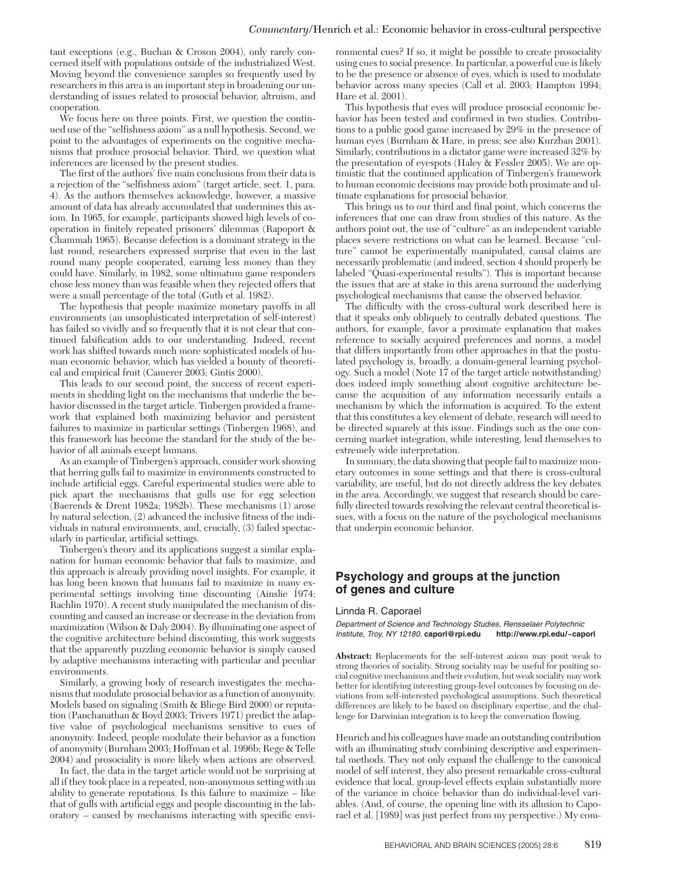tant exceptions (e.g., Buchan & Croson 2004), only rarely concerned itself with populations outside of the industrialized West. Moving beyond the convenience samples so frequently used by researchers in this area is an important step in broadening our understanding of issues related to prosocial behavior, altruism, and cooperation.

We focus here on three points. First, we question the continued use of the "selfishness axiom" as a null hypothesis. Second, we point to the advantages of experiments on the cognitive mechanisms that produce prosocial behavior. Third, we question what inferences are licensed by the present studies.

The first of the authors' five main conclusions from their data is a rejection of the "selfishness axiom" (target article, sect. 1, para. 4). As the authors themselves acknowledge, however, a massive amount of data has already accumulated that undermines this axiom. In 1965, for example, participants showed high levels of cooperation in finitely repeated prisoners' dilemmas (Rapoport & Chammah 1965). Because defection is a dominant strategy in the last round, researchers expressed surprise that even in the last round many people cooperated, earning less money than they could have. Similarly, in 1982, some ultimatum game responders chose less money than was feasible when they rejected offers that were a small percentage of the total (Guth et al. 1982).

The hypothesis that people maximize monetary payoffs in all environments (an unsophisticated interpretation of self-interest) has failed so vividly and so frequently that it is not clear that continued falsification adds to our understanding. Indeed, recent work has shifted towards much more sophisticated models of human economic behavior, which has yielded a bounty of theoretical and empirical fruit (Camerer 2003; Gintis 2000).

This leads to our second point, the success of recent experiments in shedding light on the mechanisms that underlie the behavior discussed in the target article. Tinbergen provided a framework that explained both maximizing behavior and persistent failures to maximize in particular settings (Tinbergen 1968), and this framework has become the standard for the study of the behavior of all animals except humans.

As an example of Tinbergen's approach, consider work showing that herring gulls fail to maximize in environments constructed to include artificial eggs. Careful experimental studies were able to pick apart the mechanisms that gulls use for egg selection (Baerends & Drent 1982a; 1982b). These mechanisms (1) arose by natural selection, (2) advanced the inclusive fitness of the individuals in natural environments, and, crucially, (3) failed spectacularly in particular, artificial settings.

Tinbergen's theory and its applications suggest a similar explanation for human economic behavior that fails to maximize, and this approach is already providing novel insights. For example, it has long been known that humans fail to maximize in many experimental settings involving time discounting (Ainslie 1974; Rachlin 1970). A recent study manipulated the mechanism of discounting and caused an increase or decrease in the deviation from maximization (Wilson & Daly 2004). By illuminating one aspect of the cognitive architecture behind discounting, this work suggests that the apparently puzzling economic behavior is simply caused by adaptive mechanisms interacting with particular and peculiar environments.

Similarly, a growing body of research investigates the mechanisms that modulate prosocial behavior as a function of anonymity. Models based on signaling (Smith & Bliege Bird 2000) or reputation (Panchanathan & Boyd 2003; Trivers 1971) predict the adaptive value of psychological mechanisms sensitive to cues of anonymity. Indeed, people modulate their behavior as a function of anonymity (Burnham 2003; Hoffman et al. 1996b; Rege & Telle 2004) and prosociality is more likely when actions are observed.

In fact, the data in the target article would not be surprising at all if they took place in a repeated, non-anonymous setting with an ability to generate reputations. Is this failure to maximize – like that of gulls with artificial eggs and people discounting in the laboratory – caused by mechanisms interacting with specific environmental cues? If so, it might be possible to create prosociality using cues to social presence. In particular, a powerful cue is likely to be the presence or absence of eyes, which is used to modulate behavior across many species (Call et al. 2003; Hampton 1994; Hare et al. 2001).

This hypothesis that eyes will produce prosocial economic behavior has been tested and confirmed in two studies. Contributions to a public good game increased by 29% in the presence of human eyes (Burnham & Hare, in press; see also Kurzban 2001). Similarly, contributions in a dictator game were increased 32% by the presentation of eyespots (Haley & Fessler 2005). We are optimistic that the continued application of Tinbergen's framework to human economic decisions may provide both proximate and ultimate explanations for prosocial behavior.

This brings us to our third and final point, which concerns the inferences that one can draw from studies of this nature. As the authors point out, the use of "culture" as an independent variable places severe restrictions on what can be learned. Because "culture" cannot be experimentally manipulated, causal claims are necessarily problematic (and indeed, section 4 should properly be labeled "Quasi-experimental results"). This is important because the issues that are at stake in this arena surround the underlying psychological mechanisms that cause the observed behavior.

The difficulty with the cross-cultural work described here is that it speaks only obliquely to centrally debated questions. The authors, for example, favor a proximate explanation that makes reference to socially acquired preferences and norms, a model that differs importantly from other approaches in that the postulated psychology is, broadly, a domain-general learning psychology. Such a model (Note 17 of the target article notwithstanding) does indeed imply something about cognitive architecture because the acquisition of any information necessarily entails a mechanism by which the information is acquired. To the extent that this constitutes a key element of debate, research will need to be directed squarely at this issue. Findings such as the one concerning market integration, while interesting, lend themselves to extremely wide interpretation.

In summary, the data showing that people fail to maximize monetary outcomes in some settings and that there is cross-cultural variability, are useful, but do not directly address the key debates in the area. Accordingly, we suggest that research should be carefully directed towards resolving the relevant central theoretical issues, with a focus on the nature of the psychological mechanisms that underpin economic behavior.

## **Psychology and groups at the junction of genes and culture**

#### Linnda R. Caporael

*Department of Science and Technology Studies, Rensselaer Polytechnic Institute, Troy, NY 12180.* **caporl@rpi.edu http://www.rpi.edu/~caporl**

**Abstract:** Replacements for the self-interest axiom may posit weak to strong theories of sociality. Strong sociality may be useful for positing social cognitive mechanisms and their evolution, but weak sociality may work better for identifying interesting group-level outcomes by focusing on deviations from self-interested psychological assumptions. Such theoretical differences are likely to be based on disciplinary expertise, and the challenge for Darwinian integration is to keep the conversation flowing.

Henrich and his colleagues have made an outstanding contribution with an illuminating study combining descriptive and experimental methods. They not only expand the challenge to the canonical model of self interest, they also present remarkable cross-cultural evidence that local, group-level effects explain substantially more of the variance in choice behavior than do individual-level variables. (And, of course, the opening line with its allusion to Caporael et al. [1989] was just perfect from my perspective.) My com-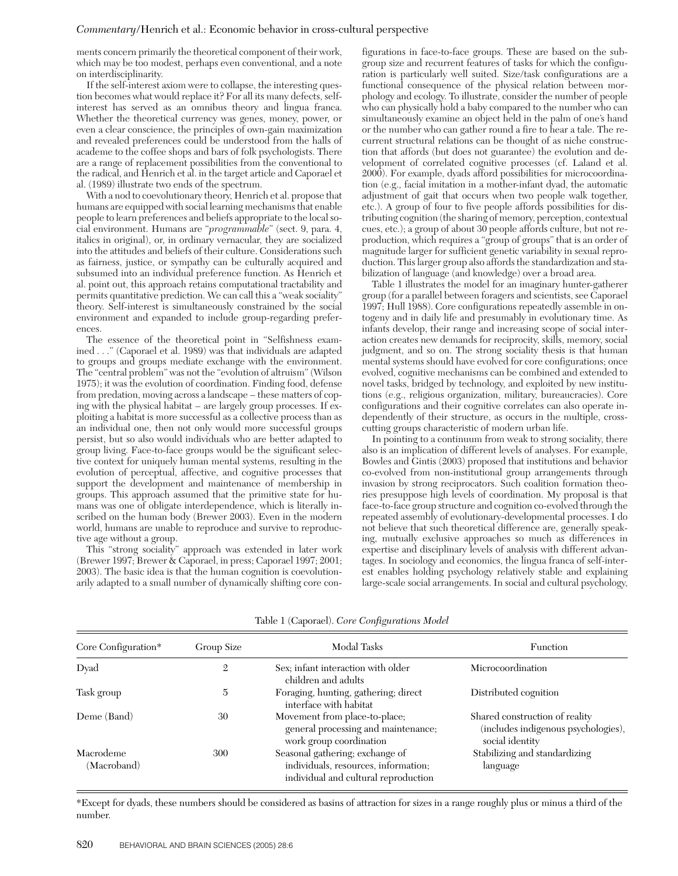#### *Commentary*/Henrich et al.: Economic behavior in cross-cultural perspective

ments concern primarily the theoretical component of their work, which may be too modest, perhaps even conventional, and a note on interdisciplinarity.

If the self-interest axiom were to collapse, the interesting question becomes what would replace it? For all its many defects, selfinterest has served as an omnibus theory and lingua franca. Whether the theoretical currency was genes, money, power, or even a clear conscience, the principles of own-gain maximization and revealed preferences could be understood from the halls of academe to the coffee shops and bars of folk psychologists. There are a range of replacement possibilities from the conventional to the radical, and Henrich et al. in the target article and Caporael et al. (1989) illustrate two ends of the spectrum.

With a nod to coevolutionary theory, Henrich et al. propose that humans are equipped with social learning mechanisms that enable people to learn preferences and beliefs appropriate to the local social environment. Humans are "*programmable*" (sect. 9, para. 4, italics in original), or, in ordinary vernacular, they are socialized into the attitudes and beliefs of their culture. Considerations such as fairness, justice, or sympathy can be culturally acquired and subsumed into an individual preference function. As Henrich et al. point out, this approach retains computational tractability and permits quantitative prediction. We can call this a "weak sociality" theory. Self-interest is simultaneously constrained by the social environment and expanded to include group-regarding preferences.

The essence of the theoretical point in "Selfishness examined . . ." (Caporael et al. 1989) was that individuals are adapted to groups and groups mediate exchange with the environment. The "central problem" was not the "evolution of altruism" (Wilson 1975); it was the evolution of coordination. Finding food, defense from predation, moving across a landscape – these matters of coping with the physical habitat – are largely group processes. If exploiting a habitat is more successful as a collective process than as an individual one, then not only would more successful groups persist, but so also would individuals who are better adapted to group living. Face-to-face groups would be the significant selective context for uniquely human mental systems, resulting in the evolution of perceptual, affective, and cognitive processes that support the development and maintenance of membership in groups. This approach assumed that the primitive state for humans was one of obligate interdependence, which is literally inscribed on the human body (Brewer 2003). Even in the modern world, humans are unable to reproduce and survive to reproductive age without a group.

This "strong sociality" approach was extended in later work (Brewer 1997; Brewer & Caporael, in press; Caporael 1997; 2001; 2003). The basic idea is that the human cognition is coevolutionarily adapted to a small number of dynamically shifting core con-

figurations in face-to-face groups. These are based on the subgroup size and recurrent features of tasks for which the configuration is particularly well suited. Size/task configurations are a functional consequence of the physical relation between morphology and ecology. To illustrate, consider the number of people who can physically hold a baby compared to the number who can simultaneously examine an object held in the palm of one's hand or the number who can gather round a fire to hear a tale. The recurrent structural relations can be thought of as niche construction that affords (but does not guarantee) the evolution and development of correlated cognitive processes (cf. Laland et al. 2000). For example, dyads afford possibilities for microcoordination (e.g., facial imitation in a mother-infant dyad, the automatic adjustment of gait that occurs when two people walk together, etc.). A group of four to five people affords possibilities for distributing cognition (the sharing of memory, perception, contextual cues, etc.); a group of about 30 people affords culture, but not reproduction, which requires a "group of groups" that is an order of magnitude larger for sufficient genetic variability in sexual reproduction. This larger group also affords the standardization and stabilization of language (and knowledge) over a broad area.

Table 1 illustrates the model for an imaginary hunter-gatherer group (for a parallel between foragers and scientists, see Caporael 1997; Hull 1988). Core configurations repeatedly assemble in ontogeny and in daily life and presumably in evolutionary time. As infants develop, their range and increasing scope of social interaction creates new demands for reciprocity, skills, memory, social judgment, and so on. The strong sociality thesis is that human mental systems should have evolved for core configurations; once evolved, cognitive mechanisms can be combined and extended to novel tasks, bridged by technology, and exploited by new institutions (e.g., religious organization, military, bureaucracies). Core configurations and their cognitive correlates can also operate independently of their structure, as occurs in the multiple, crosscutting groups characteristic of modern urban life.

In pointing to a continuum from weak to strong sociality, there also is an implication of different levels of analyses. For example, Bowles and Gintis (2003) proposed that institutions and behavior co-evolved from non-institutional group arrangements through invasion by strong reciprocators. Such coalition formation theories presuppose high levels of coordination. My proposal is that face-to-face group structure and cognition co-evolved through the repeated assembly of evolutionary-developmental processes. I do not believe that such theoretical difference are, generally speaking, mutually exclusive approaches so much as differences in expertise and disciplinary levels of analysis with different advantages. In sociology and economics, the lingua franca of self-interest enables holding psychology relatively stable and explaining large-scale social arrangements. In social and cultural psychology,

| Core Configuration*      | Group Size | Modal Tasks                                                                                                     | Function                                                                                 |
|--------------------------|------------|-----------------------------------------------------------------------------------------------------------------|------------------------------------------------------------------------------------------|
| Dyad                     | 2          | Sex; infant interaction with older<br>children and adults                                                       | Microcoordination                                                                        |
| Task group               | 5          | Foraging, hunting, gathering; direct<br>interface with habitat                                                  | Distributed cognition                                                                    |
| Deme (Band)              | 30         | Movement from place-to-place;<br>general processing and maintenance;<br>work group coordination                 | Shared construction of reality<br>(includes indigenous psychologies),<br>social identity |
| Macrodeme<br>(Macroband) | 300        | Seasonal gathering; exchange of<br>individuals, resources, information;<br>individual and cultural reproduction | Stabilizing and standardizing<br>language                                                |

Table 1 (Caporael). *Core Configurations Model*

\*Except for dyads, these numbers should be considered as basins of attraction for sizes in a range roughly plus or minus a third of the number.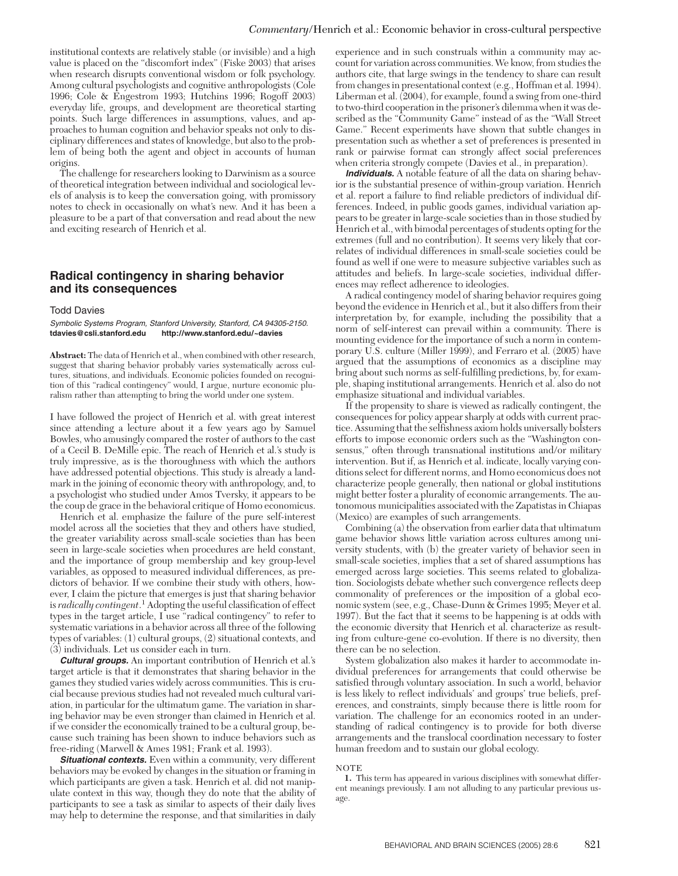institutional contexts are relatively stable (or invisible) and a high value is placed on the "discomfort index" (Fiske 2003) that arises when research disrupts conventional wisdom or folk psychology. Among cultural psychologists and cognitive anthropologists (Cole 1996; Cole & Engestrom 1993; Hutchins 1996; Rogoff 2003) everyday life, groups, and development are theoretical starting points. Such large differences in assumptions, values, and approaches to human cognition and behavior speaks not only to disciplinary differences and states of knowledge, but also to the problem of being both the agent and object in accounts of human origins.

The challenge for researchers looking to Darwinism as a source of theoretical integration between individual and sociological levels of analysis is to keep the conversation going, with promissory notes to check in occasionally on what's new. And it has been a pleasure to be a part of that conversation and read about the new and exciting research of Henrich et al.

## **Radical contingency in sharing behavior and its consequences**

Todd Davies

*Symbolic Systems Program, Stanford University, Stanford, CA 94305-2150.* **tdavies@csli.stanford.edu http://www.stanford.edu/~davies**

**Abstract:** The data of Henrich et al., when combined with other research, suggest that sharing behavior probably varies systematically across cultures, situations, and individuals. Economic policies founded on recognition of this "radical contingency" would, I argue, nurture economic pluralism rather than attempting to bring the world under one system.

I have followed the project of Henrich et al. with great interest since attending a lecture about it a few years ago by Samuel Bowles, who amusingly compared the roster of authors to the cast of a Cecil B. DeMille epic. The reach of Henrich et al.'s study is truly impressive, as is the thoroughness with which the authors have addressed potential objections. This study is already a landmark in the joining of economic theory with anthropology, and, to a psychologist who studied under Amos Tversky, it appears to be the coup de grace in the behavioral critique of Homo economicus.

Henrich et al. emphasize the failure of the pure self-interest model across all the societies that they and others have studied, the greater variability across small-scale societies than has been seen in large-scale societies when procedures are held constant, and the importance of group membership and key group-level variables, as opposed to measured individual differences, as predictors of behavior. If we combine their study with others, however, I claim the picture that emerges is just that sharing behavior is *radically contingent*. 1Adopting the useful classification of effect types in the target article, I use "radical contingency" to refer to systematic variations in a behavior across all three of the following types of variables: (1) cultural groups, (2) situational contexts, and (3) individuals. Let us consider each in turn.

*Cultural groups.* An important contribution of Henrich et al.'s target article is that it demonstrates that sharing behavior in the games they studied varies widely across communities. This is crucial because previous studies had not revealed much cultural variation, in particular for the ultimatum game. The variation in sharing behavior may be even stronger than claimed in Henrich et al. if we consider the economically trained to be a cultural group, because such training has been shown to induce behaviors such as free-riding (Marwell & Ames 1981; Frank et al. 1993).

*Situational contexts.* Even within a community, very different behaviors may be evoked by changes in the situation or framing in which participants are given a task. Henrich et al. did not manipulate context in this way, though they do note that the ability of participants to see a task as similar to aspects of their daily lives may help to determine the response, and that similarities in daily

experience and in such construals within a community may account for variation across communities. We know, from studies the authors cite, that large swings in the tendency to share can result from changes in presentational context (e.g., Hoffman et al. 1994). Liberman et al. (2004), for example, found a swing from one-third to two-third cooperation in the prisoner's dilemma when it was described as the "Community Game" instead of as the "Wall Street Game." Recent experiments have shown that subtle changes in presentation such as whether a set of preferences is presented in rank or pairwise format can strongly affect social preferences when criteria strongly compete (Davies et al., in preparation).

*Individuals.* A notable feature of all the data on sharing behavior is the substantial presence of within-group variation. Henrich et al. report a failure to find reliable predictors of individual differences. Indeed, in public goods games, individual variation appears to be greater in large-scale societies than in those studied by Henrich et al., with bimodal percentages of students opting for the extremes (full and no contribution). It seems very likely that correlates of individual differences in small-scale societies could be found as well if one were to measure subjective variables such as attitudes and beliefs. In large-scale societies, individual differences may reflect adherence to ideologies.

A radical contingency model of sharing behavior requires going beyond the evidence in Henrich et al., but it also differs from their interpretation by, for example, including the possibility that a norm of self-interest can prevail within a community. There is mounting evidence for the importance of such a norm in contemporary U.S. culture (Miller 1999), and Ferraro et al. (2005) have argued that the assumptions of economics as a discipline may bring about such norms as self-fulfilling predictions, by, for example, shaping institutional arrangements. Henrich et al. also do not emphasize situational and individual variables.

If the propensity to share is viewed as radically contingent, the consequences for policy appear sharply at odds with current practice. Assuming that the selfishness axiom holds universally bolsters efforts to impose economic orders such as the "Washington consensus," often through transnational institutions and/or military intervention. But if, as Henrich et al. indicate, locally varying conditions select for different norms, and Homo economicus does not characterize people generally, then national or global institutions might better foster a plurality of economic arrangements. The autonomous municipalities associated with the Zapatistas in Chiapas (Mexico) are examples of such arrangements.

Combining (a) the observation from earlier data that ultimatum game behavior shows little variation across cultures among university students, with (b) the greater variety of behavior seen in small-scale societies, implies that a set of shared assumptions has emerged across large societies. This seems related to globalization. Sociologists debate whether such convergence reflects deep commonality of preferences or the imposition of a global economic system (see, e.g., Chase-Dunn & Grimes 1995; Meyer et al. 1997). But the fact that it seems to be happening is at odds with the economic diversity that Henrich et al. characterize as resulting from culture-gene co-evolution. If there is no diversity, then there can be no selection.

System globalization also makes it harder to accommodate individual preferences for arrangements that could otherwise be satisfied through voluntary association. In such a world, behavior is less likely to reflect individuals' and groups' true beliefs, preferences, and constraints, simply because there is little room for variation. The challenge for an economics rooted in an understanding of radical contingency is to provide for both diverse arrangements and the translocal coordination necessary to foster human freedom and to sustain our global ecology.

#### NOTE

**1.** This term has appeared in various disciplines with somewhat different meanings previously. I am not alluding to any particular previous usage.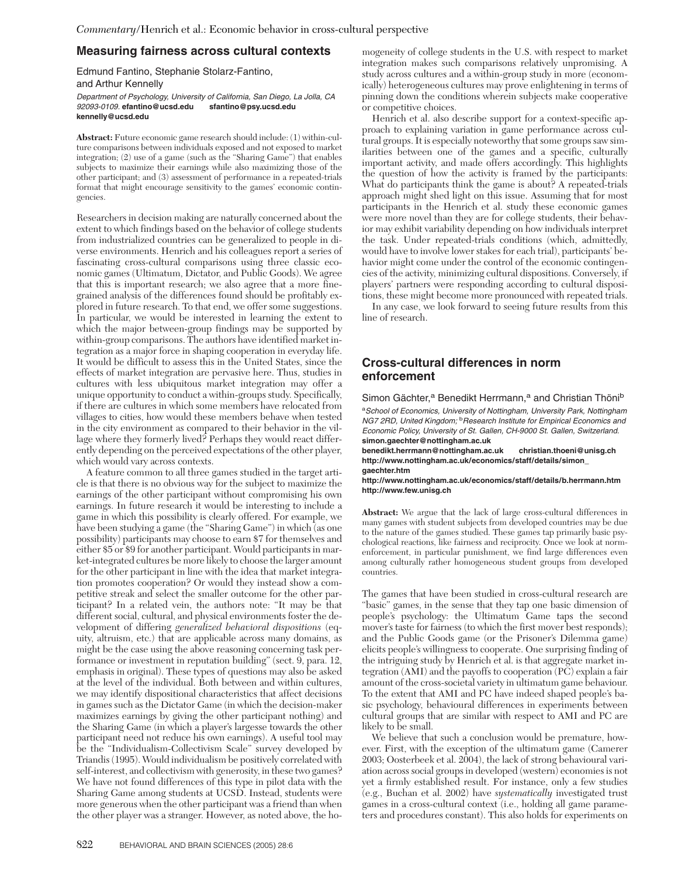## **Measuring fairness across cultural contexts**

Edmund Fantino, Stephanie Stolarz-Fantino, and Arthur Kennelly *Department of Psychology, University of California, San Diego, La Jolla, CA*

*92093-0109.* **efantino@ucsd.edu sfantino@psy.ucsd.edu kennelly@ucsd.edu**

**Abstract:** Future economic game research should include: (1) within-culture comparisons between individuals exposed and not exposed to market integration; (2) use of a game (such as the "Sharing Game") that enables subjects to maximize their earnings while also maximizing those of the other participant; and (3) assessment of performance in a repeated-trials format that might encourage sensitivity to the games' economic contingencies.

Researchers in decision making are naturally concerned about the extent to which findings based on the behavior of college students from industrialized countries can be generalized to people in diverse environments. Henrich and his colleagues report a series of fascinating cross-cultural comparisons using three classic economic games (Ultimatum, Dictator, and Public Goods). We agree that this is important research; we also agree that a more finegrained analysis of the differences found should be profitably explored in future research. To that end, we offer some suggestions. In particular, we would be interested in learning the extent to which the major between-group findings may be supported by within-group comparisons. The authors have identified market integration as a major force in shaping cooperation in everyday life. It would be difficult to assess this in the United States, since the effects of market integration are pervasive here. Thus, studies in cultures with less ubiquitous market integration may offer a unique opportunity to conduct a within-groups study. Specifically, if there are cultures in which some members have relocated from villages to cities, how would these members behave when tested in the city environment as compared to their behavior in the village where they formerly lived? Perhaps they would react differently depending on the perceived expectations of the other player, which would vary across contexts.

A feature common to all three games studied in the target article is that there is no obvious way for the subject to maximize the earnings of the other participant without compromising his own earnings. In future research it would be interesting to include a game in which this possibility is clearly offered. For example, we have been studying a game (the "Sharing Game") in which (as one possibility) participants may choose to earn \$7 for themselves and either \$5 or \$9 for another participant. Would participants in market-integrated cultures be more likely to choose the larger amount for the other participant in line with the idea that market integration promotes cooperation? Or would they instead show a competitive streak and select the smaller outcome for the other participant? In a related vein, the authors note: "It may be that different social, cultural, and physical environments foster the development of differing *generalized behavioral dispositions* (equity, altruism, etc.) that are applicable across many domains, as might be the case using the above reasoning concerning task performance or investment in reputation building" (sect. 9, para. 12, emphasis in original). These types of questions may also be asked at the level of the individual. Both between and within cultures, we may identify dispositional characteristics that affect decisions in games such as the Dictator Game (in which the decision-maker maximizes earnings by giving the other participant nothing) and the Sharing Game (in which a player's largesse towards the other participant need not reduce his own earnings). A useful tool may be the "Individualism-Collectivism Scale" survey developed by Triandis (1995). Would individualism be positively correlated with self-interest, and collectivism with generosity, in these two games? We have not found differences of this type in pilot data with the Sharing Game among students at UCSD. Instead, students were more generous when the other participant was a friend than when the other player was a stranger. However, as noted above, the ho-

822 BEHAVIORAL AND BRAIN SCIENCES (2005) 28:6

mogeneity of college students in the U.S. with respect to market integration makes such comparisons relatively unpromising. A study across cultures and a within-group study in more (economically) heterogeneous cultures may prove enlightening in terms of pinning down the conditions wherein subjects make cooperative or competitive choices.

Henrich et al. also describe support for a context-specific approach to explaining variation in game performance across cultural groups. It is especially noteworthy that some groups saw similarities between one of the games and a specific, culturally important activity, and made offers accordingly. This highlights the question of how the activity is framed by the participants: What do participants think the game is about? A repeated-trials approach might shed light on this issue. Assuming that for most participants in the Henrich et al. study these economic games were more novel than they are for college students, their behavior may exhibit variability depending on how individuals interpret the task. Under repeated-trials conditions (which, admittedly, would have to involve lower stakes for each trial), participants' behavior might come under the control of the economic contingencies of the activity, minimizing cultural dispositions. Conversely, if players' partners were responding according to cultural dispositions, these might become more pronounced with repeated trials.

In any case, we look forward to seeing future results from this line of research.

## **Cross-cultural differences in norm enforcement**

Simon Gächter,<sup>a</sup> Benedikt Herrmann,<sup>a</sup> and Christian Thöni<sup>b</sup>

<sup>a</sup>*School of Economics, University of Nottingham, University Park, Nottingham NG7 2RD, United Kingdom;* b*Research Institute for Empirical Economics and Economic Policy, University of St. Gallen, CH-9000 St. Gallen, Switzerland.* **simon.gaechter@nottingham.ac.uk**

**benedikt.herrmann@nottingham.ac.uk christian.thoeni@unisg.ch http://www.nottingham.ac.uk/economics/staff/details/simon\_ gaechter.htm**

**http://www.nottingham.ac.uk/economics/staff/details/b.herrmann.htm http://www.few.unisg.ch**

**Abstract:** We argue that the lack of large cross-cultural differences in many games with student subjects from developed countries may be due to the nature of the games studied. These games tap primarily basic psychological reactions, like fairness and reciprocity. Once we look at normenforcement, in particular punishment, we find large differences even among culturally rather homogeneous student groups from developed countries.

The games that have been studied in cross-cultural research are "basic" games, in the sense that they tap one basic dimension of people's psychology: the Ultimatum Game taps the second mover's taste for fairness (to which the first mover best responds); and the Public Goods game (or the Prisoner's Dilemma game) elicits people's willingness to cooperate. One surprising finding of the intriguing study by Henrich et al. is that aggregate market integration (AMI) and the payoffs to cooperation (PC) explain a fair amount of the cross-societal variety in ultimatum game behaviour. To the extent that AMI and PC have indeed shaped people's basic psychology, behavioural differences in experiments between cultural groups that are similar with respect to AMI and PC are likely to be small.

We believe that such a conclusion would be premature, however. First, with the exception of the ultimatum game (Camerer 2003; Oosterbeek et al. 2004), the lack of strong behavioural variation across social groups in developed (western) economies is not yet a firmly established result. For instance, only a few studies (e.g., Buchan et al. 2002) have *systematically* investigated trust games in a cross-cultural context (i.e., holding all game parameters and procedures constant). This also holds for experiments on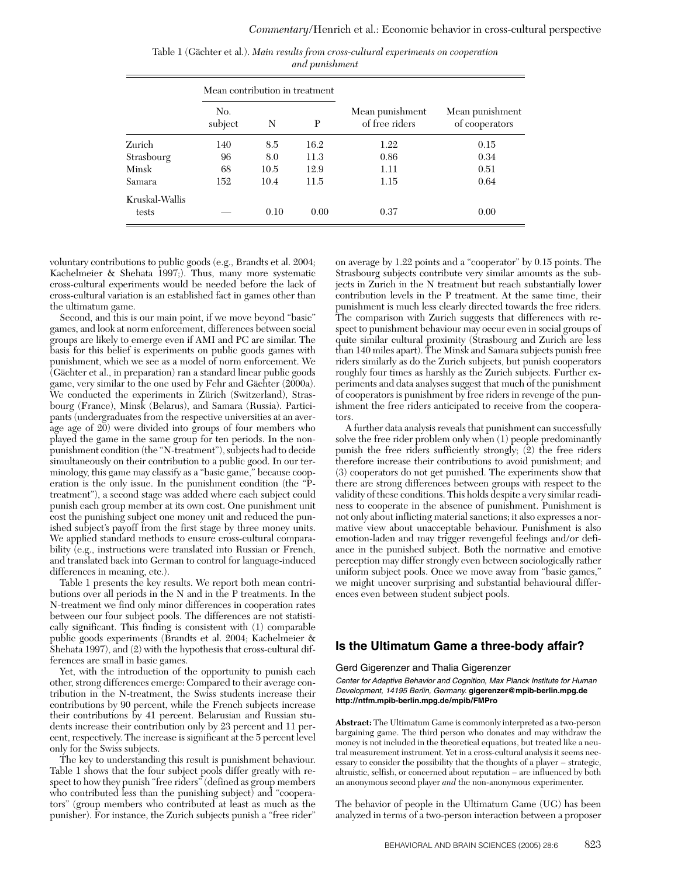## *Commentary*/Henrich et al.: Economic behavior in cross-cultural perspective

| Table 1 (Gächter et al.). Main results from cross-cultural experiments on cooperation |                |  |  |
|---------------------------------------------------------------------------------------|----------------|--|--|
|                                                                                       | and punishment |  |  |

|                         | Mean contribution in treatment |      |      |                                   |                                   |  |  |
|-------------------------|--------------------------------|------|------|-----------------------------------|-----------------------------------|--|--|
|                         | No.<br>subject                 | N    | P    | Mean punishment<br>of free riders | Mean punishment<br>of cooperators |  |  |
| Zurich                  | 140                            | 8.5  | 16.2 | 1.22                              | 0.15                              |  |  |
| Strasbourg              | 96                             | 8.0  | 11.3 | 0.86                              | 0.34                              |  |  |
| Minsk                   | 68                             | 10.5 | 12.9 | 1.11                              | 0.51                              |  |  |
| Samara                  | 152                            | 10.4 | 11.5 | 1.15                              | 0.64                              |  |  |
| Kruskal-Wallis<br>tests |                                | 0.10 | 0.00 | 0.37                              | 0.00                              |  |  |

voluntary contributions to public goods (e.g., Brandts et al. 2004; Kachelmeier & Shehata 1997;). Thus, many more systematic cross-cultural experiments would be needed before the lack of cross-cultural variation is an established fact in games other than the ultimatum game.

Second, and this is our main point, if we move beyond "basic" games, and look at norm enforcement, differences between social groups are likely to emerge even if AMI and PC are similar. The basis for this belief is experiments on public goods games with punishment, which we see as a model of norm enforcement. We (Gächter et al., in preparation) ran a standard linear public goods game, very similar to the one used by Fehr and Gächter (2000a). We conducted the experiments in Zürich (Switzerland), Strasbourg (France), Minsk (Belarus), and Samara (Russia). Participants (undergraduates from the respective universities at an average age of 20) were divided into groups of four members who played the game in the same group for ten periods. In the nonpunishment condition (the "N-treatment"), subjects had to decide simultaneously on their contribution to a public good. In our terminology, this game may classify as a "basic game," because cooperation is the only issue. In the punishment condition (the "Ptreatment"), a second stage was added where each subject could punish each group member at its own cost. One punishment unit cost the punishing subject one money unit and reduced the punished subject's payoff from the first stage by three money units. We applied standard methods to ensure cross-cultural comparability (e.g., instructions were translated into Russian or French, and translated back into German to control for language-induced differences in meaning, etc.).

Table 1 presents the key results. We report both mean contributions over all periods in the N and in the P treatments. In the N-treatment we find only minor differences in cooperation rates between our four subject pools. The differences are not statistically significant. This finding is consistent with (1) comparable public goods experiments (Brandts et al. 2004; Kachelmeier & Shehata 1997), and (2) with the hypothesis that cross-cultural differences are small in basic games.

Yet, with the introduction of the opportunity to punish each other, strong differences emerge: Compared to their average contribution in the N-treatment, the Swiss students increase their contributions by 90 percent, while the French subjects increase their contributions by 41 percent. Belarusian and Russian students increase their contribution only by 23 percent and 11 percent, respectively. The increase is significant at the 5 percent level only for the Swiss subjects.

The key to understanding this result is punishment behaviour. Table 1 shows that the four subject pools differ greatly with respect to how they punish "free riders" (defined as group members who contributed less than the punishing subject) and "cooperators" (group members who contributed at least as much as the punisher). For instance, the Zurich subjects punish a "free rider"

on average by 1.22 points and a "cooperator" by 0.15 points. The Strasbourg subjects contribute very similar amounts as the subjects in Zurich in the N treatment but reach substantially lower contribution levels in the P treatment. At the same time, their punishment is much less clearly directed towards the free riders. The comparison with Zurich suggests that differences with respect to punishment behaviour may occur even in social groups of quite similar cultural proximity (Strasbourg and Zurich are less than 140 miles apart). The Minsk and Samara subjects punish free riders similarly as do the Zurich subjects, but punish cooperators roughly four times as harshly as the Zurich subjects. Further experiments and data analyses suggest that much of the punishment of cooperators is punishment by free riders in revenge of the punishment the free riders anticipated to receive from the cooperators.

A further data analysis reveals that punishment can successfully solve the free rider problem only when (1) people predominantly punish the free riders sufficiently strongly; (2) the free riders therefore increase their contributions to avoid punishment; and (3) cooperators do not get punished. The experiments show that there are strong differences between groups with respect to the validity of these conditions. This holds despite a very similar readiness to cooperate in the absence of punishment. Punishment is not only about inflicting material sanctions; it also expresses a normative view about unacceptable behaviour. Punishment is also emotion-laden and may trigger revengeful feelings and/or defiance in the punished subject. Both the normative and emotive perception may differ strongly even between sociologically rather uniform subject pools. Once we move away from "basic games," we might uncover surprising and substantial behavioural differences even between student subject pools.

## **Is the Ultimatum Game a three-body affair?**

#### Gerd Gigerenzer and Thalia Gigerenzer

*Center for Adaptive Behavior and Cognition, Max Planck Institute for Human Development, 14195 Berlin, Germany.* **gigerenzer@mpib-berlin.mpg.de http://ntfm.mpib-berlin.mpg.de/mpib/FMPro**

**Abstract:** The Ultimatum Game is commonly interpreted as a two-person bargaining game. The third person who donates and may withdraw the money is not included in the theoretical equations, but treated like a neutral measurement instrument. Yet in a cross-cultural analysis it seems necessary to consider the possibility that the thoughts of a player – strategic, altruistic, selfish, or concerned about reputation – are influenced by both an anonymous second player *and* the non-anonymous experimenter.

The behavior of people in the Ultimatum Game (UG) has been analyzed in terms of a two-person interaction between a proposer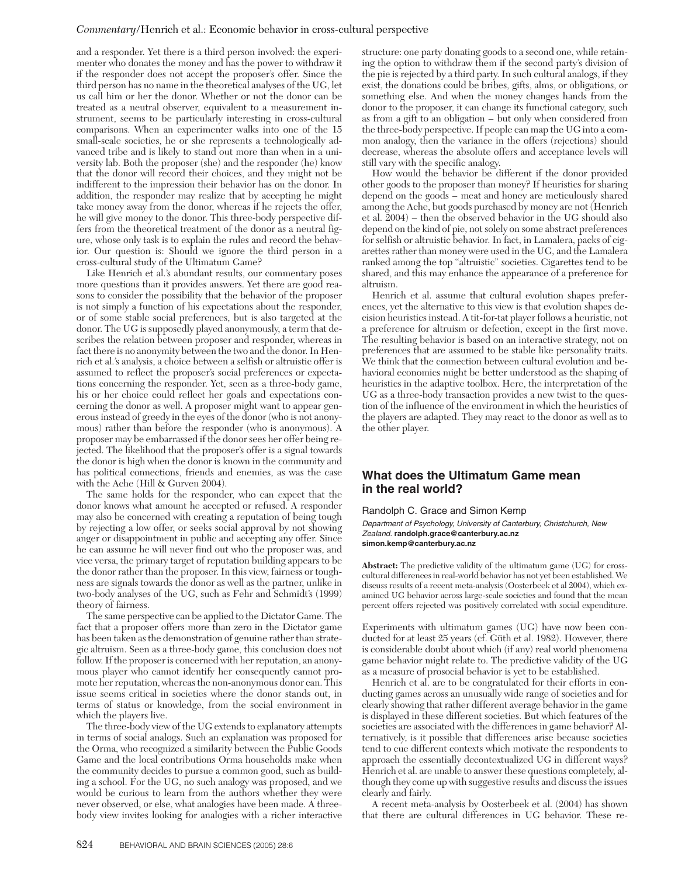#### *Commentary*/Henrich et al.: Economic behavior in cross-cultural perspective

and a responder. Yet there is a third person involved: the experimenter who donates the money and has the power to withdraw it if the responder does not accept the proposer's offer. Since the third person has no name in the theoretical analyses of the UG, let us call him or her the donor. Whether or not the donor can be treated as a neutral observer, equivalent to a measurement instrument, seems to be particularly interesting in cross-cultural comparisons. When an experimenter walks into one of the 15 small-scale societies, he or she represents a technologically advanced tribe and is likely to stand out more than when in a university lab. Both the proposer (she) and the responder (he) know that the donor will record their choices, and they might not be indifferent to the impression their behavior has on the donor. In addition, the responder may realize that by accepting he might take money away from the donor, whereas if he rejects the offer, he will give money to the donor. This three-body perspective differs from the theoretical treatment of the donor as a neutral figure, whose only task is to explain the rules and record the behavior. Our question is: Should we ignore the third person in a cross-cultural study of the Ultimatum Game?

Like Henrich et al.'s abundant results, our commentary poses more questions than it provides answers. Yet there are good reasons to consider the possibility that the behavior of the proposer is not simply a function of his expectations about the responder, or of some stable social preferences, but is also targeted at the donor. The UG is supposedly played anonymously, a term that describes the relation between proposer and responder, whereas in fact there is no anonymity between the two and the donor. In Henrich et al.'s analysis, a choice between a selfish or altruistic offer is assumed to reflect the proposer's social preferences or expectations concerning the responder. Yet, seen as a three-body game, his or her choice could reflect her goals and expectations concerning the donor as well. A proposer might want to appear generous instead of greedy in the eyes of the donor (who is not anonymous) rather than before the responder (who is anonymous). A proposer may be embarrassed if the donor sees her offer being rejected. The likelihood that the proposer's offer is a signal towards the donor is high when the donor is known in the community and has political connections, friends and enemies, as was the case with the Ache (Hill & Gurven 2004).

The same holds for the responder, who can expect that the donor knows what amount he accepted or refused. A responder may also be concerned with creating a reputation of being tough by rejecting a low offer, or seeks social approval by not showing anger or disappointment in public and accepting any offer. Since he can assume he will never find out who the proposer was, and vice versa, the primary target of reputation building appears to be the donor rather than the proposer. In this view, fairness or toughness are signals towards the donor as well as the partner, unlike in two-body analyses of the UG, such as Fehr and Schmidt's (1999) theory of fairness.

The same perspective can be applied to the Dictator Game. The fact that a proposer offers more than zero in the Dictator game has been taken as the demonstration of genuine rather than strategic altruism. Seen as a three-body game, this conclusion does not follow. If the proposer is concerned with her reputation, an anonymous player who cannot identify her consequently cannot promote her reputation, whereas the non-anonymous donor can. This issue seems critical in societies where the donor stands out, in terms of status or knowledge, from the social environment in which the players live.

The three-body view of the UG extends to explanatory attempts in terms of social analogs. Such an explanation was proposed for the Orma, who recognized a similarity between the Public Goods Game and the local contributions Orma households make when the community decides to pursue a common good, such as building a school. For the UG, no such analogy was proposed, and we would be curious to learn from the authors whether they were never observed, or else, what analogies have been made. A threebody view invites looking for analogies with a richer interactive structure: one party donating goods to a second one, while retaining the option to withdraw them if the second party's division of the pie is rejected by a third party. In such cultural analogs, if they exist, the donations could be bribes, gifts, alms, or obligations, or something else. And when the money changes hands from the donor to the proposer, it can change its functional category, such as from a gift to an obligation – but only when considered from the three-body perspective. If people can map the UG into a common analogy, then the variance in the offers (rejections) should decrease, whereas the absolute offers and acceptance levels will still vary with the specific analogy.

How would the behavior be different if the donor provided other goods to the proposer than money? If heuristics for sharing depend on the goods – meat and honey are meticulously shared among the Ache, but goods purchased by money are not (Henrich et al. 2004) – then the observed behavior in the UG should also depend on the kind of pie, not solely on some abstract preferences for selfish or altruistic behavior. In fact, in Lamalera, packs of cigarettes rather than money were used in the UG, and the Lamalera ranked among the top "altruistic" societies. Cigarettes tend to be shared, and this may enhance the appearance of a preference for altruism.

Henrich et al. assume that cultural evolution shapes preferences, yet the alternative to this view is that evolution shapes decision heuristics instead. A tit-for-tat player follows a heuristic, not a preference for altruism or defection, except in the first move. The resulting behavior is based on an interactive strategy, not on preferences that are assumed to be stable like personality traits. We think that the connection between cultural evolution and behavioral economics might be better understood as the shaping of heuristics in the adaptive toolbox. Here, the interpretation of the UG as a three-body transaction provides a new twist to the question of the influence of the environment in which the heuristics of the players are adapted. They may react to the donor as well as to the other player.

## **What does the Ultimatum Game mean in the real world?**

#### Randolph C. Grace and Simon Kemp

*Department of Psychology, University of Canterbury, Christchurch, New Zealand.* **randolph.grace@canterbury.ac.nz simon.kemp@canterbury.ac.nz**

**Abstract:** The predictive validity of the ultimatum game (UG) for crosscultural differences in real-world behavior has not yet been established. We discuss results of a recent meta-analysis (Oosterbeek et al 2004), which examined UG behavior across large-scale societies and found that the mean percent offers rejected was positively correlated with social expenditure.

Experiments with ultimatum games (UG) have now been conducted for at least 25 years (cf. Güth et al. 1982). However, there is considerable doubt about which (if any) real world phenomena game behavior might relate to. The predictive validity of the UG as a measure of prosocial behavior is yet to be established.

Henrich et al. are to be congratulated for their efforts in conducting games across an unusually wide range of societies and for clearly showing that rather different average behavior in the game is displayed in these different societies. But which features of the societies are associated with the differences in game behavior? Alternatively, is it possible that differences arise because societies tend to cue different contexts which motivate the respondents to approach the essentially decontextualized UG in different ways? Henrich et al. are unable to answer these questions completely, although they come up with suggestive results and discuss the issues clearly and fairly.

A recent meta-analysis by Oosterbeek et al. (2004) has shown that there are cultural differences in UG behavior. These re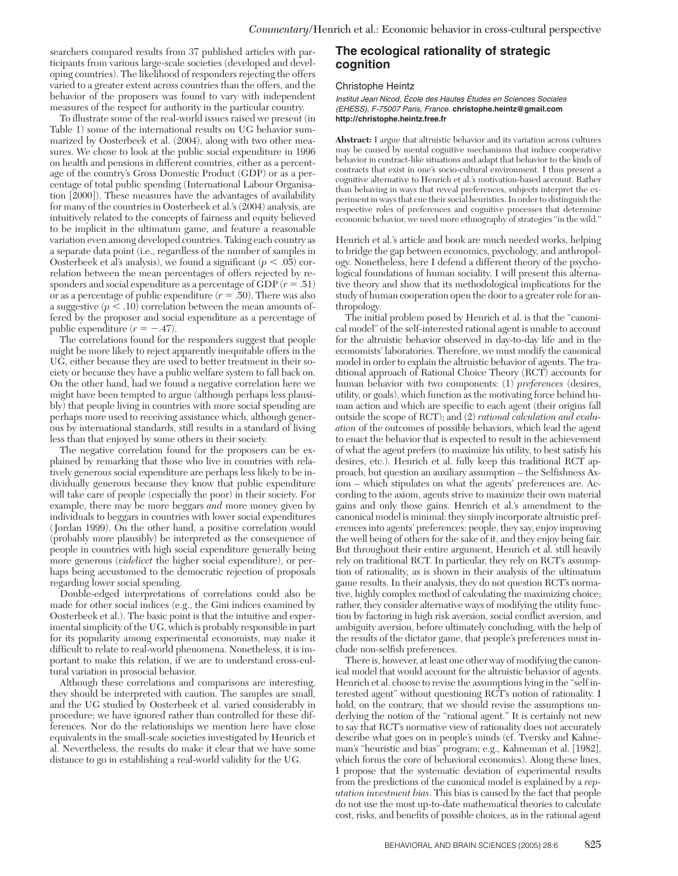searchers compared results from 37 published articles with participants from various large-scale societies (developed and developing countries). The likelihood of responders rejecting the offers varied to a greater extent across countries than the offers, and the behavior of the proposers was found to vary with independent measures of the respect for authority in the particular country.

To illustrate some of the real-world issues raised we present (in Table 1) some of the international results on UG behavior summarized by Oosterbeek et al. (2004), along with two other measures. We chose to look at the public social expenditure in 1996 on health and pensions in different countries, either as a percentage of the country's Gross Domestic Product (GDP) or as a percentage of total public spending (International Labour Organisation [2000]). These measures have the advantages of availability for many of the countries in Oosterbeek et al.'s (2004) analysis, are intuitively related to the concepts of fairness and equity believed to be implicit in the ultimatum game, and feature a reasonable variation even among developed countries. Taking each country as a separate data point (i.e., regardless of the number of samples in Oosterbeek et al's analysis), we found a significant  $(p < .05)$  correlation between the mean percentages of offers rejected by responders and social expenditure as a percentage of  $GDP(r=.51)$ or as a percentage of public expenditure  $(r = .50)$ . There was also a suggestive  $(p < .10)$  correlation between the mean amounts offered by the proposer and social expenditure as a percentage of public expenditure  $(r = -.47)$ .

The correlations found for the responders suggest that people might be more likely to reject apparently inequitable offers in the UG, either because they are used to better treatment in their society or because they have a public welfare system to fall back on. On the other hand, had we found a negative correlation here we might have been tempted to argue (although perhaps less plausibly) that people living in countries with more social spending are perhaps more used to receiving assistance which, although generous by international standards, still results in a standard of living less than that enjoyed by some others in their society.

The negative correlation found for the proposers can be explained by remarking that those who live in countries with relatively generous social expenditure are perhaps less likely to be individually generous because they know that public expenditure will take care of people (especially the poor) in their society. For example, there may be more beggars *and* more money given by individuals to beggars in countries with lower social expenditures (Jordan 1999). On the other hand, a positive correlation would (probably more plausibly) be interpreted as the consequence of people in countries with high social expenditure generally being more generous (*videlicet* the higher social expenditure), or perhaps being accustomed to the democratic rejection of proposals regarding lower social spending.

Double-edged interpretations of correlations could also be made for other social indices (e.g., the Gini indices examined by Oosterbeek et al.). The basic point is that the intuitive and experimental simplicity of the UG, which is probably responsible in part for its popularity among experimental economists, may make it difficult to relate to real-world phenomena. Nonetheless, it is important to make this relation, if we are to understand cross-cultural variation in prosocial behavior.

Although these correlations and comparisons are interesting, they should be interpreted with caution. The samples are small, and the UG studied by Oosterbeek et al. varied considerably in procedure; we have ignored rather than controlled for these differences. Nor do the relationships we mention here have close equivalents in the small-scale societies investigated by Henrich et al. Nevertheless, the results do make it clear that we have some distance to go in establishing a real-world validity for the UG.

## **The ecological rationality of strategic cognition**

#### Christophe Heintz

*Institut Jean Nicod, École des Hautes Études en Sciences Sociales (EHESS), F-75007 Paris, France.* **christophe.heintz@gmail.com http://christophe.heintz.free.fr**

**Abstract:** I argue that altruistic behavior and its variation across cultures may be caused by mental cognitive mechanisms that induce cooperative behavior in contract-like situations and adapt that behavior to the kinds of contracts that exist in one's socio-cultural environment. I thus present a cognitive alternative to Henrich et al.'s motivation-based account. Rather than behaving in ways that reveal preferences, subjects interpret the experiment in ways that cue their social heuristics. In order to distinguish the respective roles of preferences and cognitive processes that determine economic behavior, we need more ethnography of strategies "in the wild."

Henrich et al.'s article and book are much needed works, helping to bridge the gap between economics, psychology, and anthropology. Nonetheless, here I defend a different theory of the psychological foundations of human sociality. I will present this alternative theory and show that its methodological implications for the study of human cooperation open the door to a greater role for anthropology.

The initial problem posed by Henrich et al. is that the "canonical model" of the self-interested rational agent is unable to account for the altruistic behavior observed in day-to-day life and in the economists' laboratories. Therefore, we must modify the canonical model in order to explain the altruistic behavior of agents. The traditional approach of Rational Choice Theory (RCT) accounts for human behavior with two components: (1) *preferences* (desires, utility, or goals), which function as the motivating force behind human action and which are specific to each agent (their origins fall outside the scope of RCT); and (2) *rational calculation and evaluation* of the outcomes of possible behaviors, which lead the agent to enact the behavior that is expected to result in the achievement of what the agent prefers (to maximize his utility, to best satisfy his desires, etc.). Henrich et al. fully keep this traditional RCT approach, but question an auxiliary assumption – the Selfishness Axiom – which stipulates on what the agents' preferences are. According to the axiom, agents strive to maximize their own material gains and only those gains. Henrich et al.'s amendment to the canonical model is minimal: they simply incorporate altruistic preferences into agents' preferences; people, they say, enjoy improving the well being of others for the sake of it, and they enjoy being fair. But throughout their entire argument, Henrich et al. still heavily rely on traditional RCT. In particular, they rely on RCT's assumption of rationality, as is shown in their analysis of the ultimatum game results. In their analysis, they do not question RCT's normative, highly complex method of calculating the maximizing choice; rather, they consider alternative ways of modifying the utility function by factoring in high risk aversion, social conflict aversion, and ambiguity aversion, before ultimately concluding, with the help of the results of the dictator game, that people's preferences must include non-selfish preferences.

There is, however, at least one other way of modifying the canonical model that would account for the altruistic behavior of agents. Henrich et al. choose to revise the assumptions lying in the "self interested agent" without questioning RCT's notion of rationality. I hold, on the contrary, that we should revise the assumptions underlying the notion of the "rational agent." It is certainly not new to say that RCT's normative view of rationality does not accurately describe what goes on in people's minds (cf. Tversky and Kahneman's "heuristic and bias" program; e.g., Kahneman et al. [1982], which forms the core of behavioral economics). Along these lines, I propose that the systematic deviation of experimental results from the predictions of the canonical model is explained by a *reputation investment bias*. This bias is caused by the fact that people do not use the most up-to-date mathematical theories to calculate cost, risks, and benefits of possible choices, as in the rational agent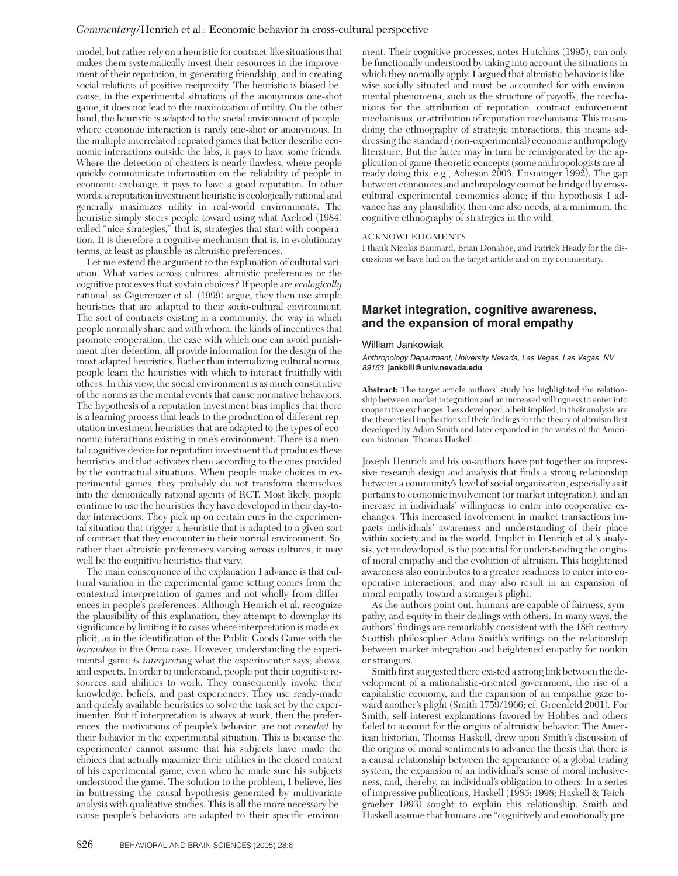## *Commentary*/Henrich et al.: Economic behavior in cross-cultural perspective

model, but rather rely on a heuristic for contract-like situations that makes them systematically invest their resources in the improvement of their reputation, in generating friendship, and in creating social relations of positive reciprocity. The heuristic is biased because, in the experimental situations of the anonymous one-shot game, it does not lead to the maximization of utility. On the other hand, the heuristic is adapted to the social environment of people, where economic interaction is rarely one-shot or anonymous. In the multiple interrelated repeated games that better describe economic interactions outside the labs, it pays to have some friends. Where the detection of cheaters is nearly flawless, where people quickly communicate information on the reliability of people in economic exchange, it pays to have a good reputation. In other words, a reputation investment heuristic is ecologically rational and generally maximizes utility in real-world environments. The heuristic simply steers people toward using what Axelrod (1984) called "nice strategies," that is, strategies that start with cooperation. It is therefore a cognitive mechanism that is, in evolutionary terms, at least as plausible as altruistic preferences.

Let me extend the argument to the explanation of cultural variation. What varies across cultures, altruistic preferences or the cognitive processes that sustain choices? If people are *ecologically* rational, as Gigerenzer et al. (1999) argue, they then use simple heuristics that are adapted to their socio-cultural environment. The sort of contracts existing in a community, the way in which people normally share and with whom, the kinds of incentives that promote cooperation, the ease with which one can avoid punishment after defection, all provide information for the design of the most adapted heuristics. Rather than internalizing cultural norms, people learn the heuristics with which to interact fruitfully with others. In this view, the social environment is as much constitutive of the norms as the mental events that cause normative behaviors. The hypothesis of a reputation investment bias implies that there is a learning process that leads to the production of different reputation investment heuristics that are adapted to the types of economic interactions existing in one's environment. There is a mental cognitive device for reputation investment that produces these heuristics and that activates them according to the cues provided by the contractual situations. When people make choices in experimental games, they probably do not transform themselves into the demonically rational agents of RCT. Most likely, people continue to use the heuristics they have developed in their day-today interactions. They pick up on certain cues in the experimental situation that trigger a heuristic that is adapted to a given sort of contract that they encounter in their normal environment. So, rather than altruistic preferences varying across cultures, it may well be the cognitive heuristics that vary.

The main consequence of the explanation I advance is that cultural variation in the experimental game setting comes from the contextual interpretation of games and not wholly from differences in people's preferences. Although Henrich et al. recognize the plausibility of this explanation, they attempt to downplay its significance by limiting it to cases where interpretation is made explicit, as in the identification of the Public Goods Game with the *harambee* in the Orma case. However, understanding the experimental game *is interpreting* what the experimenter says, shows, and expects. In order to understand, people put their cognitive resources and abilities to work. They consequently invoke their knowledge, beliefs, and past experiences. They use ready-made and quickly available heuristics to solve the task set by the experimenter. But if interpretation is always at work, then the preferences, the motivations of people's behavior, are not *revealed* by their behavior in the experimental situation. This is because the experimenter cannot assume that his subjects have made the choices that actually maximize their utilities in the closed context of his experimental game, even when he made sure his subjects understood the game. The solution to the problem, I believe, lies in buttressing the causal hypothesis generated by multivariate analysis with qualitative studies. This is all the more necessary because people's behaviors are adapted to their specific environ-

ment. Their cognitive processes, notes Hutchins (1995), can only be functionally understood by taking into account the situations in which they normally apply. I argued that altruistic behavior is likewise socially situated and must be accounted for with environmental phenomena, such as the structure of payoffs, the mechanisms for the attribution of reputation, contract enforcement mechanisms, or attribution of reputation mechanisms. This means doing the ethnography of strategic interactions; this means addressing the standard (non-experimental) economic anthropology literature. But the latter may in turn be reinvigorated by the application of game-theoretic concepts (some anthropologists are already doing this, e.g., Acheson 2003; Ensminger 1992). The gap between economics and anthropology cannot be bridged by crosscultural experimental economics alone; if the hypothesis I advance has any plausibility, then one also needs, at a minimum, the cognitive ethnography of strategies in the wild.

#### ACKNOWLEDGMENTS

I thank Nicolas Baumard, Brian Donahoe, and Patrick Heady for the discussions we have had on the target article and on my commentary.

## **Market integration, cognitive awareness, and the expansion of moral empathy**

#### William Jankowiak

*Anthropology Department, University Nevada, Las Vegas, Las Vegas, NV 89153.* **jankbill@unlv.nevada.edu**

**Abstract:** The target article authors' study has highlighted the relationship between market integration and an increased willingness to enter into cooperative exchanges. Less developed, albeit implied, in their analysis are the theoretical implications of their findings for the theory of altruism first developed by Adam Smith and later expanded in the works of the American historian, Thomas Haskell.

Joseph Henrich and his co-authors have put together an impressive research design and analysis that finds a strong relationship between a community's level of social organization, especially as it pertains to economic involvement (or market integration), and an increase in individuals' willingness to enter into cooperative exchanges. This increased involvement in market transactions impacts individuals' awareness and understanding of their place within society and in the world. Implict in Henrich et al.'s analysis, yet undeveloped, is the potential for understanding the origins of moral empathy and the evolution of altruism. This heightened awareness also contributes to a greater readiness to enter into cooperative interactions, and may also result in an expansion of moral empathy toward a stranger's plight.

As the authors point out, humans are capable of fairness, sympathy, and equity in their dealings with others. In many ways, the authors' findings are remarkably consistent with the 18th century Scottish philosopher Adam Smith's writings on the relationship between market integration and heightened empathy for nonkin or strangers.

Smith first suggested there existed a strong link between the development of a nationalistic-oriented government, the rise of a capitalistic economy, and the expansion of an empathic gaze toward another's plight (Smith 1759/1966; cf. Greenfeld 2001). For Smith, self-interest explanations favored by Hobbes and others failed to account for the origins of altruistic behavior. The American historian, Thomas Haskell, drew upon Smith's discussion of the origins of moral sentiments to advance the thesis that there is a causal relationship between the appearance of a global trading system, the expansion of an individual's sense of moral inclusiveness, and, thereby, an individual's obligation to others. In a series of impressive publications, Haskell (1985; 1998; Haskell & Teichgraeber 1993) sought to explain this relationship. Smith and Haskell assume that humans are "cognitively and emotionally pre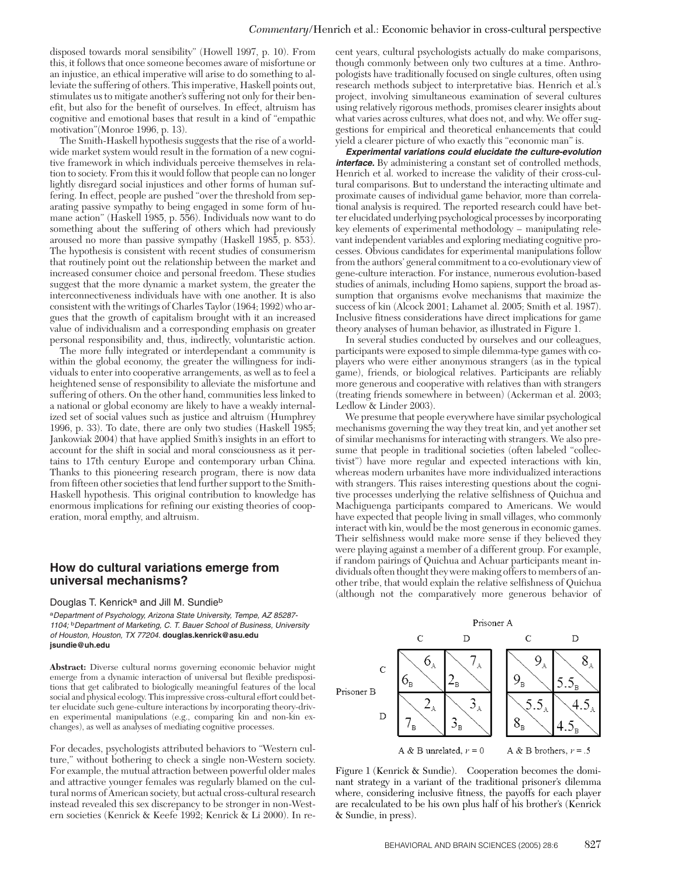disposed towards moral sensibility" (Howell 1997, p. 10). From this, it follows that once someone becomes aware of misfortune or an injustice, an ethical imperative will arise to do something to alleviate the suffering of others. This imperative, Haskell points out, stimulates us to mitigate another's suffering not only for their benefit, but also for the benefit of ourselves. In effect, altruism has cognitive and emotional bases that result in a kind of "empathic motivation"(Monroe 1996, p. 13).

The Smith-Haskell hypothesis suggests that the rise of a worldwide market system would result in the formation of a new cognitive framework in which individuals perceive themselves in relation to society. From this it would follow that people can no longer lightly disregard social injustices and other forms of human suffering. In effect, people are pushed "over the threshold from separating passive sympathy to being engaged in some form of humane action" (Haskell 1985, p. 556). Individuals now want to do something about the suffering of others which had previously aroused no more than passive sympathy (Haskell 1985, p. 853). The hypothesis is consistent with recent studies of consumerism that routinely point out the relationship between the market and increased consumer choice and personal freedom. These studies suggest that the more dynamic a market system, the greater the interconnectiveness individuals have with one another. It is also consistent with the writings of Charles Taylor (1964; 1992) who argues that the growth of capitalism brought with it an increased value of individualism and a corresponding emphasis on greater personal responsibility and, thus, indirectly, voluntaristic action.

The more fully integrated or interdependant a community is within the global economy, the greater the willingness for individuals to enter into cooperative arrangements, as well as to feel a heightened sense of responsibility to alleviate the misfortune and suffering of others. On the other hand, communities less linked to a national or global economy are likely to have a weakly internalized set of social values such as justice and altruism (Humphrey 1996, p. 33). To date, there are only two studies (Haskell 1985; Jankowiak 2004) that have applied Smith's insights in an effort to account for the shift in social and moral consciousness as it pertains to 17th century Europe and contemporary urban China. Thanks to this pioneering research program, there is now data from fifteen other societies that lend further support to the Smith-Haskell hypothesis. This original contribution to knowledge has enormous implications for refining our existing theories of cooperation, moral empthy, and altruism.

## **How do cultural variations emerge from universal mechanisms?**

Douglas T. Kenrick<sup>a</sup> and Jill M. Sundie<sup>b</sup>

<sup>a</sup>*Department of Psychology, Arizona State University, Tempe, AZ 85287- 1104;* b*Department of Marketing, C. T. Bauer School of Business, University of Houston, Houston, TX 77204.* **douglas.kenrick@asu.edu jsundie@uh.edu**

**Abstract:** Diverse cultural norms governing economic behavior might emerge from a dynamic interaction of universal but flexible predispositions that get calibrated to biologically meaningful features of the local social and physical ecology. This impressive cross-cultural effort could better elucidate such gene-culture interactions by incorporating theory-driven experimental manipulations (e.g., comparing kin and non-kin exchanges), as well as analyses of mediating cognitive processes.

For decades, psychologists attributed behaviors to "Western culture," without bothering to check a single non-Western society. For example, the mutual attraction between powerful older males and attractive younger females was regularly blamed on the cultural norms of American society, but actual cross-cultural research instead revealed this sex discrepancy to be stronger in non-Western societies (Kenrick & Keefe 1992; Kenrick & Li 2000). In re-

cent years, cultural psychologists actually do make comparisons, though commonly between only two cultures at a time. Anthropologists have traditionally focused on single cultures, often using research methods subject to interpretative bias. Henrich et al.'s project, involving simultaneous examination of several cultures using relatively rigorous methods, promises clearer insights about what varies across cultures, what does not, and why. We offer suggestions for empirical and theoretical enhancements that could yield a clearer picture of who exactly this "economic man" is.

*Experimental variations could elucidate the culture-evolution interface.* By administering a constant set of controlled methods, Henrich et al. worked to increase the validity of their cross-cultural comparisons. But to understand the interacting ultimate and proximate causes of individual game behavior, more than correlational analysis is required. The reported research could have better elucidated underlying psychological processes by incorporating key elements of experimental methodology – manipulating relevant independent variables and exploring mediating cognitive processes. Obvious candidates for experimental manipulations follow from the authors' general commitment to a co-evolutionary view of gene-culture interaction. For instance, numerous evolution-based studies of animals, including Homo sapiens, support the broad assumption that organisms evolve mechanisms that maximize the success of kin (Alcock 2001; Lahamet al. 2005; Smith et al. 1987). Inclusive fitness considerations have direct implications for game theory analyses of human behavior, as illustrated in Figure 1.

In several studies conducted by ourselves and our colleagues, participants were exposed to simple dilemma-type games with coplayers who were either anonymous strangers (as in the typical game), friends, or biological relatives. Participants are reliably more generous and cooperative with relatives than with strangers (treating friends somewhere in between) (Ackerman et al. 2003; Ledlow & Linder 2003).

We presume that people everywhere have similar psychological mechanisms governing the way they treat kin, and yet another set of similar mechanisms for interacting with strangers. We also presume that people in traditional societies (often labeled "collectivist") have more regular and expected interactions with kin, whereas modern urbanites have more individualized interactions with strangers. This raises interesting questions about the cognitive processes underlying the relative selfishness of Quichua and Machiguenga participants compared to Americans. We would have expected that people living in small villages, who commonly interact with kin, would be the most generous in economic games. Their selfishness would make more sense if they believed they were playing against a member of a different group. For example, if random pairings of Quichua and Achuar participants meant individuals often thought they were making offers to members of another tribe, that would explain the relative selfishness of Quichua (although not the comparatively more generous behavior of



Figure 1 (Kenrick & Sundie). Cooperation becomes the dominant strategy in a variant of the traditional prisoner's dilemma where, considering inclusive fitness, the payoffs for each player are recalculated to be his own plus half of his brother's (Kenrick & Sundie, in press).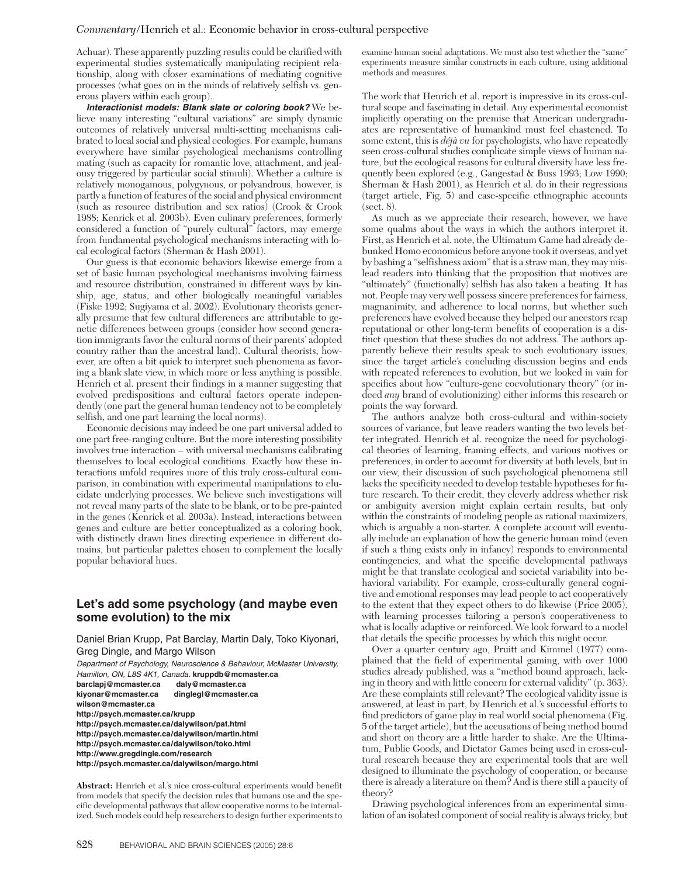#### *Commentary*/Henrich et al.: Economic behavior in cross-cultural perspective

Achuar). These apparently puzzling results could be clarified with experimental studies systematically manipulating recipient relationship, along with closer examinations of mediating cognitive processes (what goes on in the minds of relatively selfish vs. generous players within each group).

*Interactionist models: Blank slate or coloring book?* We believe many interesting "cultural variations" are simply dynamic outcomes of relatively universal multi-setting mechanisms calibrated to local social and physical ecologies. For example, humans everywhere have similar psychological mechanisms controlling mating (such as capacity for romantic love, attachment, and jealousy triggered by particular social stimuli). Whether a culture is relatively monogamous, polygynous, or polyandrous, however, is partly a function of features of the social and physical environment (such as resource distribution and sex ratios) (Crook & Crook 1988; Kenrick et al. 2003b). Even culinary preferences, formerly considered a function of "purely cultural" factors, may emerge from fundamental psychological mechanisms interacting with local ecological factors (Sherman & Hash 2001).

Our guess is that economic behaviors likewise emerge from a set of basic human psychological mechanisms involving fairness and resource distribution, constrained in different ways by kinship, age, status, and other biologically meaningful variables (Fiske 1992; Sugiyama et al. 2002). Evolutionary theorists generally presume that few cultural differences are attributable to genetic differences between groups (consider how second generation immigrants favor the cultural norms of their parents' adopted country rather than the ancestral land). Cultural theorists, however, are often a bit quick to interpret such phenomena as favoring a blank slate view, in which more or less anything is possible. Henrich et al. present their findings in a manner suggesting that evolved predispositions and cultural factors operate independently (one part the general human tendency not to be completely selfish, and one part learning the local norms).

Economic decisions may indeed be one part universal added to one part free-ranging culture. But the more interesting possibility involves true interaction – with universal mechanisms calibrating themselves to local ecological conditions. Exactly how these interactions unfold requires more of this truly cross-cultural comparison, in combination with experimental manipulations to elucidate underlying processes. We believe such investigations will not reveal many parts of the slate to be blank, or to be pre-painted in the genes (Kenrick et al. 2003a). Instead, interactions between genes and culture are better conceptualized as a coloring book, with distinctly drawn lines directing experience in different domains, but particular palettes chosen to complement the locally popular behavioral hues.

## **Let's add some psychology (and maybe even some evolution) to the mix**

Daniel Brian Krupp, Pat Barclay, Martin Daly, Toko Kiyonari, Greg Dingle, and Margo Wilson

*Department of Psychology, Neuroscience & Behaviour, McMaster University, Hamilton, ON, L8S 4K1, Canada.* **kruppdb@mcmaster.ca**

**barclapj@mcmaster.ca daly@mcmaster.ca kiyonar@mcmaster.ca dinglegl@mcmaster.ca wilson@mcmaster.ca http://psych.mcmaster.ca/krupp http://psych.mcmaster.ca/dalywilson/pat.html http://psych.mcmaster.ca/dalywilson/martin.html http://psych.mcmaster.ca/dalywilson/toko.html http://www.gregdingle.com/research http://psych.mcmaster.ca/dalywilson/margo.html**

**Abstract:** Henrich et al.'s nice cross-cultural experiments would benefit from models that specify the decision rules that humans use and the specific developmental pathways that allow cooperative norms to be internalized. Such models could help researchers to design further experiments to examine human social adaptations. We must also test whether the "same" experiments measure similar constructs in each culture, using additional methods and measures.

The work that Henrich et al. report is impressive in its cross-cultural scope and fascinating in detail. Any experimental economist implicitly operating on the premise that American undergraduates are representative of humankind must feel chastened. To some extent, this is *déjà vu* for psychologists, who have repeatedly seen cross-cultural studies complicate simple views of human nature, but the ecological reasons for cultural diversity have less frequently been explored (e.g., Gangestad & Buss 1993; Low 1990; Sherman & Hash 2001), as Henrich et al. do in their regressions (target article, Fig. 5) and case-specific ethnographic accounts (sect. 8).

As much as we appreciate their research, however, we have some qualms about the ways in which the authors interpret it. First, as Henrich et al. note, the Ultimatum Game had already debunked Homo economicus before anyone took it overseas, and yet by bashing a "selfishness axiom" that is a straw man, they may mislead readers into thinking that the proposition that motives are "ultimately" (functionally) selfish has also taken a beating. It has not. People may very well possess sincere preferences for fairness, magnanimity, and adherence to local norms, but whether such preferences have evolved because they helped our ancestors reap reputational or other long-term benefits of cooperation is a distinct question that these studies do not address. The authors apparently believe their results speak to such evolutionary issues, since the target article's concluding discussion begins and ends with repeated references to evolution, but we looked in vain for specifics about how "culture-gene coevolutionary theory" (or indeed *any* brand of evolutionizing) either informs this research or points the way forward.

The authors analyze both cross-cultural and within-society sources of variance, but leave readers wanting the two levels better integrated. Henrich et al. recognize the need for psychological theories of learning, framing effects, and various motives or preferences, in order to account for diversity at both levels, but in our view, their discussion of such psychological phenomena still lacks the specificity needed to develop testable hypotheses for future research. To their credit, they cleverly address whether risk or ambiguity aversion might explain certain results, but only within the constraints of modeling people as rational maximizers, which is arguably a non-starter. A complete account will eventually include an explanation of how the generic human mind (even if such a thing exists only in infancy) responds to environmental contingencies, and what the specific developmental pathways might be that translate ecological and societal variability into behavioral variability. For example, cross-culturally general cognitive and emotional responses may lead people to act cooperatively to the extent that they expect others to do likewise (Price 2005), with learning processes tailoring a person's cooperativeness to what is locally adaptive or reinforced. We look forward to a model that details the specific processes by which this might occur.

Over a quarter century ago, Pruitt and Kimmel (1977) complained that the field of experimental gaming, with over 1000 studies already published, was a "method bound approach, lacking in theory and with little concern for external validity" (p. 363). Are these complaints still relevant? The ecological validity issue is answered, at least in part, by Henrich et al.'s successful efforts to find predictors of game play in real world social phenomena (Fig. 5 of the target article), but the accusations of being method bound and short on theory are a little harder to shake. Are the Ultimatum, Public Goods, and Dictator Games being used in cross-cultural research because they are experimental tools that are well designed to illuminate the psychology of cooperation, or because there is already a literature on them? And is there still a paucity of theory?

Drawing psychological inferences from an experimental simulation of an isolated component of social reality is always tricky, but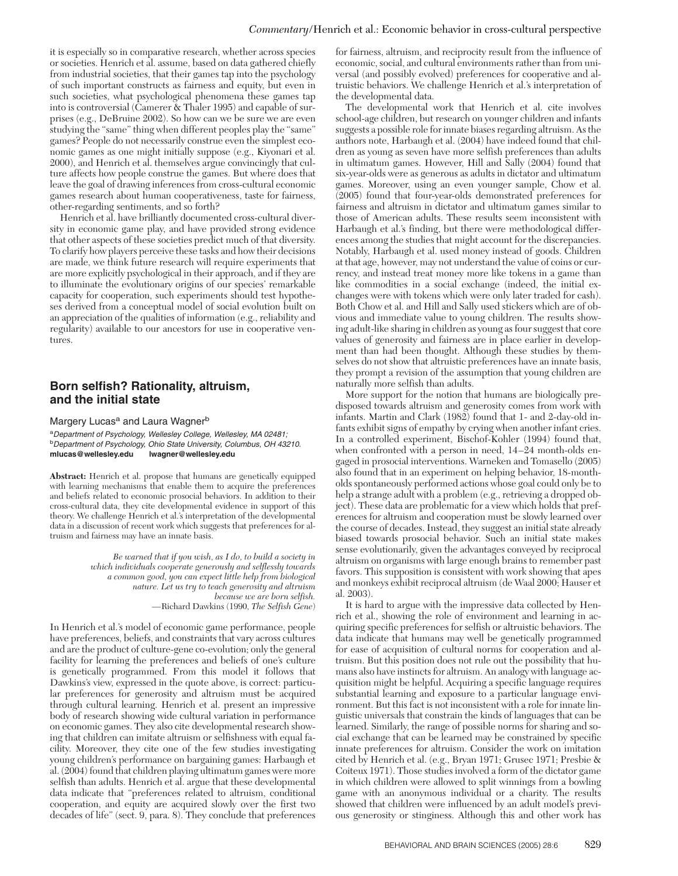it is especially so in comparative research, whether across species or societies. Henrich et al. assume, based on data gathered chiefly from industrial societies, that their games tap into the psychology of such important constructs as fairness and equity, but even in such societies, what psychological phenomena these games tap into is controversial (Camerer & Thaler 1995) and capable of surprises (e.g., DeBruine 2002). So how can we be sure we are even studying the "same" thing when different peoples play the "same" games? People do not necessarily construe even the simplest economic games as one might initially suppose (e.g., Kiyonari et al. 2000), and Henrich et al. themselves argue convincingly that culture affects how people construe the games. But where does that leave the goal of drawing inferences from cross-cultural economic games research about human cooperativeness, taste for fairness, other-regarding sentiments, and so forth?

Henrich et al. have brilliantly documented cross-cultural diversity in economic game play, and have provided strong evidence that other aspects of these societies predict much of that diversity. To clarify how players perceive these tasks and how their decisions are made, we think future research will require experiments that are more explicitly psychological in their approach, and if they are to illuminate the evolutionary origins of our species' remarkable capacity for cooperation, such experiments should test hypotheses derived from a conceptual model of social evolution built on an appreciation of the qualities of information (e.g., reliability and regularity) available to our ancestors for use in cooperative ventures.

## **Born selfish? Rationality, altruism, and the initial state**

Margery Lucas<sup>a</sup> and Laura Wagner<sup>b</sup>

<sup>a</sup>*Department of Psychology, Wellesley College, Wellesley, MA 02481;* <sup>b</sup>*Department of Psychology, Ohio State University, Columbus, OH 43210.* **mlucas@wellesley.edu lwagner@wellesley.edu**

**Abstract:** Henrich et al. propose that humans are genetically equipped with learning mechanisms that enable them to acquire the preferences and beliefs related to economic prosocial behaviors. In addition to their cross-cultural data, they cite developmental evidence in support of this theory. We challenge Henrich et al.'s interpretation of the developmental data in a discussion of recent work which suggests that preferences for altruism and fairness may have an innate basis.

> *Be warned that if you wish, as I do, to build a society in which individuals cooperate generously and selflessly towards a common good, you can expect little help from biological nature. Let us try to teach generosity and altruism because we are born selfish.* —Richard Dawkins (1990, *The Selfish Gene*)

In Henrich et al.'s model of economic game performance, people have preferences, beliefs, and constraints that vary across cultures and are the product of culture-gene co-evolution; only the general facility for learning the preferences and beliefs of one's culture is genetically programmed. From this model it follows that Dawkins's view, expressed in the quote above, is correct: particular preferences for generosity and altruism must be acquired through cultural learning. Henrich et al. present an impressive body of research showing wide cultural variation in performance on economic games. They also cite developmental research showing that children can imitate altruism or selfishness with equal facility. Moreover, they cite one of the few studies investigating young children's performance on bargaining games: Harbaugh et al. (2004) found that children playing ultimatum games were more selfish than adults. Henrich et al. argue that these developmental data indicate that "preferences related to altruism, conditional cooperation, and equity are acquired slowly over the first two decades of life" (sect. 9, para. 8). They conclude that preferences

for fairness, altruism, and reciprocity result from the influence of economic, social, and cultural environments rather than from universal (and possibly evolved) preferences for cooperative and altruistic behaviors. We challenge Henrich et al.'s interpretation of the developmental data.

The developmental work that Henrich et al. cite involves school-age children, but research on younger children and infants suggests a possible role for innate biases regarding altruism. As the authors note, Harbaugh et al. (2004) have indeed found that children as young as seven have more selfish preferences than adults in ultimatum games. However, Hill and Sally (2004) found that six-year-olds were as generous as adults in dictator and ultimatum games. Moreover, using an even younger sample, Chow et al. (2005) found that four-year-olds demonstrated preferences for fairness and altruism in dictator and ultimatum games similar to those of American adults. These results seem inconsistent with Harbaugh et al.'s finding, but there were methodological differences among the studies that might account for the discrepancies. Notably, Harbaugh et al. used money instead of goods. Children at that age, however, may not understand the value of coins or currency, and instead treat money more like tokens in a game than like commodities in a social exchange (indeed, the initial exchanges were with tokens which were only later traded for cash). Both Chow et al. and Hill and Sally used stickers which are of obvious and immediate value to young children. The results showing adult-like sharing in children as young as four suggest that core values of generosity and fairness are in place earlier in development than had been thought. Although these studies by themselves do not show that altruistic preferences have an innate basis, they prompt a revision of the assumption that young children are naturally more selfish than adults.

More support for the notion that humans are biologically predisposed towards altruism and generosity comes from work with infants. Martin and Clark (1982) found that 1- and 2-day-old infants exhibit signs of empathy by crying when another infant cries. In a controlled experiment, Bischof-Kohler (1994) found that, when confronted with a person in need, 14–24 month-olds engaged in prosocial interventions. Warneken and Tomasello (2005) also found that in an experiment on helping behavior, 18-montholds spontaneously performed actions whose goal could only be to help a strange adult with a problem (e.g., retrieving a dropped object). These data are problematic for a view which holds that preferences for altruism and cooperation must be slowly learned over the course of decades. Instead, they suggest an initial state already biased towards prosocial behavior. Such an initial state makes sense evolutionarily, given the advantages conveyed by reciprocal altruism on organisms with large enough brains to remember past favors. This supposition is consistent with work showing that apes and monkeys exhibit reciprocal altruism (de Waal 2000; Hauser et al. 2003).

It is hard to argue with the impressive data collected by Henrich et al., showing the role of environment and learning in acquiring specific preferences for selfish or altruistic behaviors. The data indicate that humans may well be genetically programmed for ease of acquisition of cultural norms for cooperation and altruism. But this position does not rule out the possibility that humans also have instincts for altruism. An analogy with language acquisition might be helpful. Acquiring a specific language requires substantial learning and exposure to a particular language environment. But this fact is not inconsistent with a role for innate linguistic universals that constrain the kinds of languages that can be learned. Similarly, the range of possible norms for sharing and social exchange that can be learned may be constrained by specific innate preferences for altruism. Consider the work on imitation cited by Henrich et al. (e.g., Bryan 1971; Grusec 1971; Presbie & Coiteux 1971). Those studies involved a form of the dictator game in which children were allowed to split winnings from a bowling game with an anonymous individual or a charity. The results showed that children were influenced by an adult model's previous generosity or stinginess. Although this and other work has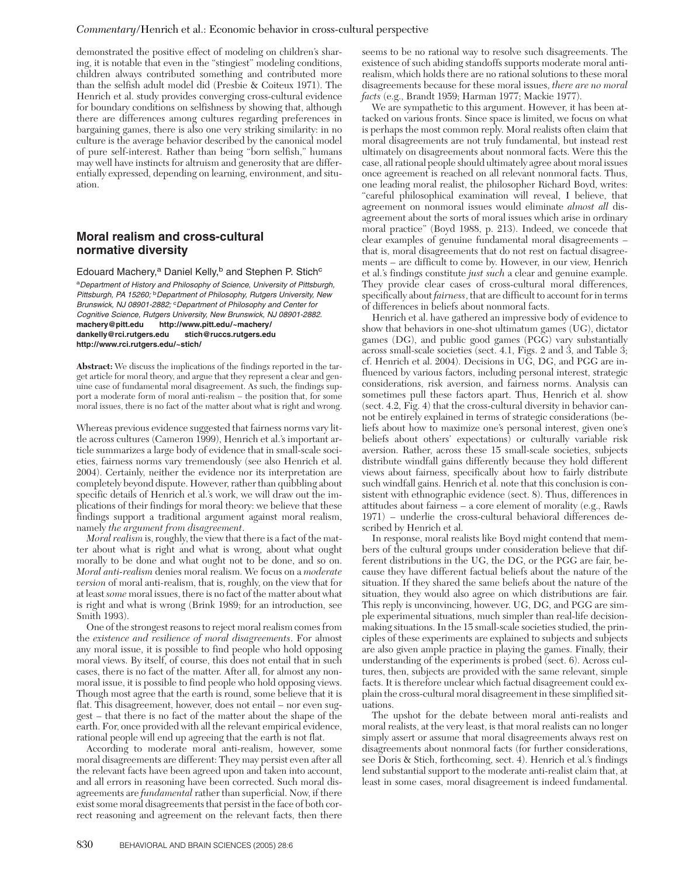#### *Commentary*/Henrich et al.: Economic behavior in cross-cultural perspective

demonstrated the positive effect of modeling on children's sharing, it is notable that even in the "stingiest" modeling conditions, children always contributed something and contributed more than the selfish adult model did (Presbie & Coiteux 1971). The Henrich et al. study provides converging cross-cultural evidence for boundary conditions on selfishness by showing that, although there are differences among cultures regarding preferences in bargaining games, there is also one very striking similarity: in no culture is the average behavior described by the canonical model of pure self-interest. Rather than being "born selfish," humans may well have instincts for altruism and generosity that are differentially expressed, depending on learning, environment, and situation.

## **Moral realism and cross-cultural normative diversity**

Edouard Machery,<sup>a</sup> Daniel Kelly,<sup>b</sup> and Stephen P. Stich<sup>c</sup>

<sup>a</sup>*Department of History and Philosophy of Science, University of Pittsburgh, Pittsburgh, PA 15260;* b*Department of Philosophy, Rutgers University, New Brunswick, NJ 08901-2882;* c*Department of Philosophy and Center for Cognitive Science, Rutgers University, New Brunswick, NJ 08901-2882.* **machery@pitt.edu http://www.pitt.edu/~machery/ dankelly@rci.rutgers.edu stich@ruccs.rutgers.edu http://www.rci.rutgers.edu/~stich/**

**Abstract:** We discuss the implications of the findings reported in the target article for moral theory, and argue that they represent a clear and genuine case of fundamental moral disagreement. As such, the findings support a moderate form of moral anti-realism – the position that, for some moral issues, there is no fact of the matter about what is right and wrong.

Whereas previous evidence suggested that fairness norms vary little across cultures (Cameron 1999), Henrich et al.'s important article summarizes a large body of evidence that in small-scale societies, fairness norms vary tremendously (see also Henrich et al. 2004). Certainly, neither the evidence nor its interpretation are completely beyond dispute. However, rather than quibbling about specific details of Henrich et al.'s work, we will draw out the implications of their findings for moral theory: we believe that these findings support a traditional argument against moral realism, namely *the argument from disagreement*.

*Moral realism* is, roughly, the view that there is a fact of the matter about what is right and what is wrong, about what ought morally to be done and what ought not to be done, and so on. *Moral anti-realism* denies moral realism. We focus on a *moderate version* of moral anti-realism, that is, roughly, on the view that for at least *some* moral issues, there is no fact of the matter about what is right and what is wrong (Brink 1989; for an introduction, see Smith 1993).

One of the strongest reasons to reject moral realism comes from the *existence and resilience of moral disagreements*. For almost any moral issue, it is possible to find people who hold opposing moral views. By itself, of course, this does not entail that in such cases, there is no fact of the matter. After all, for almost any nonmoral issue, it is possible to find people who hold opposing views. Though most agree that the earth is round, some believe that it is flat. This disagreement, however, does not entail – nor even suggest – that there is no fact of the matter about the shape of the earth. For, once provided with all the relevant empirical evidence, rational people will end up agreeing that the earth is not flat.

According to moderate moral anti-realism, however, some moral disagreements are different: They may persist even after all the relevant facts have been agreed upon and taken into account, and all errors in reasoning have been corrected. Such moral disagreements are *fundamental* rather than superficial. Now, if there exist some moral disagreements that persist in the face of both correct reasoning and agreement on the relevant facts, then there

seems to be no rational way to resolve such disagreements. The existence of such abiding standoffs supports moderate moral antirealism, which holds there are no rational solutions to these moral disagreements because for these moral issues, *there are no moral facts* (e.g., Brandt 1959; Harman 1977; Mackie 1977).

We are sympathetic to this argument. However, it has been attacked on various fronts. Since space is limited, we focus on what is perhaps the most common reply. Moral realists often claim that moral disagreements are not truly fundamental, but instead rest ultimately on disagreements about nonmoral facts. Were this the case, all rational people should ultimately agree about moral issues once agreement is reached on all relevant nonmoral facts. Thus, one leading moral realist, the philosopher Richard Boyd, writes: "careful philosophical examination will reveal, I believe, that agreement on nonmoral issues would eliminate *almost all* disagreement about the sorts of moral issues which arise in ordinary moral practice" (Boyd 1988, p. 213). Indeed, we concede that clear examples of genuine fundamental moral disagreements – that is, moral disagreements that do not rest on factual disagreements – are difficult to come by. However, in our view, Henrich et al.'s findings constitute *just such* a clear and genuine example. They provide clear cases of cross-cultural moral differences, specifically about *fairness*, that are difficult to account for in terms of differences in beliefs about nonmoral facts.

Henrich et al. have gathered an impressive body of evidence to show that behaviors in one-shot ultimatum games (UG), dictator games (DG), and public good games (PGG) vary substantially across small-scale societies (sect. 4.1, Figs. 2 and 3, and Table 3; cf. Henrich et al. 2004). Decisions in UG, DG, and PGG are influenced by various factors, including personal interest, strategic considerations, risk aversion, and fairness norms. Analysis can sometimes pull these factors apart. Thus, Henrich et al. show (sect. 4.2, Fig. 4) that the cross-cultural diversity in behavior cannot be entirely explained in terms of strategic considerations (beliefs about how to maximize one's personal interest, given one's beliefs about others' expectations) or culturally variable risk aversion. Rather, across these 15 small-scale societies, subjects distribute windfall gains differently because they hold different views about fairness, specifically about how to fairly distribute such windfall gains. Henrich et al. note that this conclusion is consistent with ethnographic evidence (sect. 8). Thus, differences in attitudes about fairness – a core element of morality (e.g., Rawls 1971) – underlie the cross-cultural behavioral differences described by Henrich et al.

In response, moral realists like Boyd might contend that members of the cultural groups under consideration believe that different distributions in the UG, the DG, or the PGG are fair, because they have different factual beliefs about the nature of the situation. If they shared the same beliefs about the nature of the situation, they would also agree on which distributions are fair. This reply is unconvincing, however. UG, DG, and PGG are simple experimental situations, much simpler than real-life decisionmaking situations. In the 15 small-scale societies studied, the principles of these experiments are explained to subjects and subjects are also given ample practice in playing the games. Finally, their understanding of the experiments is probed (sect. 6). Across cultures, then, subjects are provided with the same relevant, simple facts. It is therefore unclear which factual disagreement could explain the cross-cultural moral disagreement in these simplified situations.

The upshot for the debate between moral anti-realists and moral realists, at the very least, is that moral realists can no longer simply assert or assume that moral disagreements always rest on disagreements about nonmoral facts (for further considerations, see Doris & Stich, forthcoming, sect. 4). Henrich et al.'s findings lend substantial support to the moderate anti-realist claim that, at least in some cases, moral disagreement is indeed fundamental.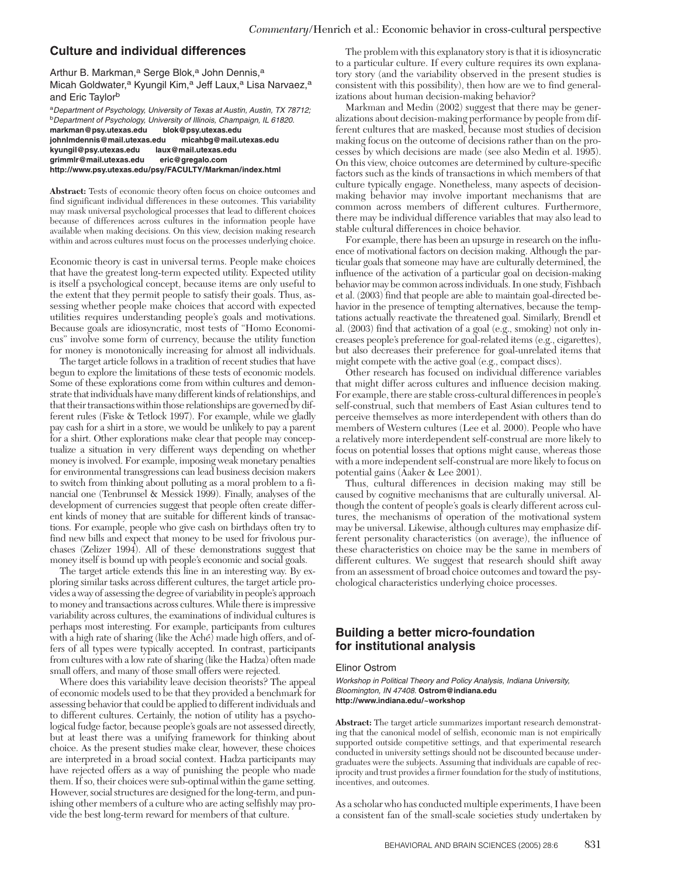## **Culture and individual differences**

Arthur B. Markman,<sup>a</sup> Serge Blok,<sup>a</sup> John Dennis,<sup>a</sup> Micah Goldwater,<sup>a</sup> Kyungil Kim,<sup>a</sup> Jeff Laux,<sup>a</sup> Lisa Narvaez,<sup>a</sup> and Eric Taylor<sup>b</sup>

<sup>a</sup>*Department of Psychology, University of Texas at Austin, Austin, TX 78712;* <sup>b</sup>*Department of Psychology, University of Illinois, Champaign, IL 61820.* **markman@psy.utexas.edu blok@psy.utexas.edu johnlmdennis@mail.utexas.edu micahbg@mail.utexas.edu kyungil@psy.utexas.edu laux@mail.utexas.edu grimmlr@mail.utexas.edu eric@gregalo.com http://www.psy.utexas.edu/psy/FACULTY/Markman/index.html**

**Abstract:** Tests of economic theory often focus on choice outcomes and find significant individual differences in these outcomes. This variability may mask universal psychological processes that lead to different choices because of differences across cultures in the information people have available when making decisions. On this view, decision making research within and across cultures must focus on the processes underlying choice.

Economic theory is cast in universal terms. People make choices that have the greatest long-term expected utility. Expected utility is itself a psychological concept, because items are only useful to the extent that they permit people to satisfy their goals. Thus, assessing whether people make choices that accord with expected utilities requires understanding people's goals and motivations. Because goals are idiosyncratic, most tests of "Homo Economicus" involve some form of currency, because the utility function for money is monotonically increasing for almost all individuals.

The target article follows in a tradition of recent studies that have begun to explore the limitations of these tests of economic models. Some of these explorations come from within cultures and demonstrate that individuals have many different kinds of relationships, and that their transactions within those relationships are governed by different rules (Fiske & Tetlock 1997). For example, while we gladly pay cash for a shirt in a store, we would be unlikely to pay a parent for a shirt. Other explorations make clear that people may conceptualize a situation in very different ways depending on whether money is involved. For example, imposing weak monetary penalties for environmental transgressions can lead business decision makers to switch from thinking about polluting as a moral problem to a financial one (Tenbrunsel & Messick 1999). Finally, analyses of the development of currencies suggest that people often create different kinds of money that are suitable for different kinds of transactions. For example, people who give cash on birthdays often try to find new bills and expect that money to be used for frivolous purchases (Zelizer 1994). All of these demonstrations suggest that money itself is bound up with people's economic and social goals.

The target article extends this line in an interesting way. By exploring similar tasks across different cultures, the target article provides a way of assessing the degree of variability in people's approach to money and transactions across cultures. While there is impressive variability across cultures, the examinations of individual cultures is perhaps most interesting. For example, participants from cultures with a high rate of sharing (like the Aché) made high offers, and offers of all types were typically accepted. In contrast, participants from cultures with a low rate of sharing (like the Hadza) often made small offers, and many of those small offers were rejected.

Where does this variability leave decision theorists? The appeal of economic models used to be that they provided a benchmark for assessing behavior that could be applied to different individuals and to different cultures. Certainly, the notion of utility has a psychological fudge factor, because people's goals are not assessed directly, but at least there was a unifying framework for thinking about choice. As the present studies make clear, however, these choices are interpreted in a broad social context. Hadza participants may have rejected offers as a way of punishing the people who made them. If so, their choices were sub-optimal within the game setting. However, social structures are designed for the long-term, and punishing other members of a culture who are acting selfishly may provide the best long-term reward for members of that culture.

The problem with this explanatory story is that it is idiosyncratic to a particular culture. If every culture requires its own explanatory story (and the variability observed in the present studies is consistent with this possibility), then how are we to find generalizations about human decision-making behavior?

Markman and Medin (2002) suggest that there may be generalizations about decision-making performance by people from different cultures that are masked, because most studies of decision making focus on the outcome of decisions rather than on the processes by which decisions are made (see also Medin et al. 1995). On this view, choice outcomes are determined by culture-specific factors such as the kinds of transactions in which members of that culture typically engage. Nonetheless, many aspects of decisionmaking behavior may involve important mechanisms that are common across members of different cultures. Furthermore, there may be individual difference variables that may also lead to stable cultural differences in choice behavior.

For example, there has been an upsurge in research on the influence of motivational factors on decision making. Although the particular goals that someone may have are culturally determined, the influence of the activation of a particular goal on decision-making behavior may be common across individuals. In one study, Fishbach et al. (2003) find that people are able to maintain goal-directed behavior in the presence of tempting alternatives, because the temptations actually reactivate the threatened goal. Similarly, Brendl et al. (2003) find that activation of a goal (e.g., smoking) not only increases people's preference for goal-related items (e.g., cigarettes), but also decreases their preference for goal-unrelated items that might compete with the active goal (e.g., compact discs).

Other research has focused on individual difference variables that might differ across cultures and influence decision making. For example, there are stable cross-cultural differences in people's self-construal, such that members of East Asian cultures tend to perceive themselves as more interdependent with others than do members of Western cultures (Lee et al. 2000). People who have a relatively more interdependent self-construal are more likely to focus on potential losses that options might cause, whereas those with a more independent self-construal are more likely to focus on potential gains (Aaker & Lee 2001).

Thus, cultural differences in decision making may still be caused by cognitive mechanisms that are culturally universal. Although the content of people's goals is clearly different across cultures, the mechanisms of operation of the motivational system may be universal. Likewise, although cultures may emphasize different personality characteristics (on average), the influence of these characteristics on choice may be the same in members of different cultures. We suggest that research should shift away from an assessment of broad choice outcomes and toward the psychological characteristics underlying choice processes.

## **Building a better micro-foundation for institutional analysis**

#### Elinor Ostrom

*Workshop in Political Theory and Policy Analysis, Indiana University, Bloomington, IN 47408.* **Ostrom@indiana.edu http://www.indiana.edu/~workshop**

**Abstract:** The target article summarizes important research demonstrating that the canonical model of selfish, economic man is not empirically supported outside competitive settings, and that experimental research conducted in university settings should not be discounted because undergraduates were the subjects. Assuming that individuals are capable of reciprocity and trust provides a firmer foundation for the study of institutions, incentives, and outcomes.

As a scholar who has conducted multiple experiments, I have been a consistent fan of the small-scale societies study undertaken by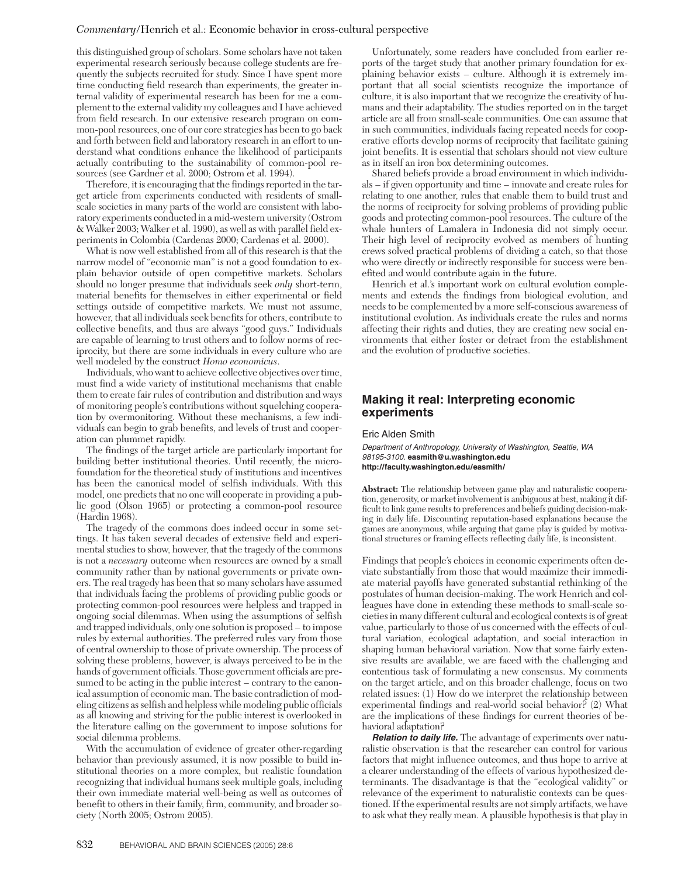#### *Commentary*/Henrich et al.: Economic behavior in cross-cultural perspective

this distinguished group of scholars. Some scholars have not taken experimental research seriously because college students are frequently the subjects recruited for study. Since I have spent more time conducting field research than experiments, the greater internal validity of experimental research has been for me a complement to the external validity my colleagues and I have achieved from field research. In our extensive research program on common-pool resources, one of our core strategies has been to go back and forth between field and laboratory research in an effort to understand what conditions enhance the likelihood of participants actually contributing to the sustainability of common-pool resources (see Gardner et al. 2000; Ostrom et al. 1994).

Therefore, it is encouraging that the findings reported in the target article from experiments conducted with residents of smallscale societies in many parts of the world are consistent with laboratory experiments conducted in a mid-western university (Ostrom & Walker 2003; Walker et al. 1990), as well as with parallel field experiments in Colombia (Cardenas 2000; Cardenas et al. 2000).

What is now well established from all of this research is that the narrow model of "economic man" is not a good foundation to explain behavior outside of open competitive markets. Scholars should no longer presume that individuals seek *only* short-term, material benefits for themselves in either experimental or field settings outside of competitive markets. We must not assume, however, that all individuals seek benefits for others, contribute to collective benefits, and thus are always "good guys." Individuals are capable of learning to trust others and to follow norms of reciprocity, but there are some individuals in every culture who are well modeled by the construct *Homo economicus*.

Individuals, who want to achieve collective objectives over time, must find a wide variety of institutional mechanisms that enable them to create fair rules of contribution and distribution and ways of monitoring people's contributions without squelching cooperation by overmonitoring. Without these mechanisms, a few individuals can begin to grab benefits, and levels of trust and cooperation can plummet rapidly.

The findings of the target article are particularly important for building better institutional theories. Until recently, the microfoundation for the theoretical study of institutions and incentives has been the canonical model of selfish individuals. With this model, one predicts that no one will cooperate in providing a public good (Olson 1965) or protecting a common-pool resource (Hardin 1968).

The tragedy of the commons does indeed occur in some settings. It has taken several decades of extensive field and experimental studies to show, however, that the tragedy of the commons is not a *necessary* outcome when resources are owned by a small community rather than by national governments or private owners. The real tragedy has been that so many scholars have assumed that individuals facing the problems of providing public goods or protecting common-pool resources were helpless and trapped in ongoing social dilemmas. When using the assumptions of selfish and trapped individuals, only one solution is proposed – to impose rules by external authorities. The preferred rules vary from those of central ownership to those of private ownership. The process of solving these problems, however, is always perceived to be in the hands of government officials. Those government officials are presumed to be acting in the public interest – contrary to the canonical assumption of economic man. The basic contradiction of modeling citizens as selfish and helpless while modeling public officials as all knowing and striving for the public interest is overlooked in the literature calling on the government to impose solutions for social dilemma problems.

With the accumulation of evidence of greater other-regarding behavior than previously assumed, it is now possible to build institutional theories on a more complex, but realistic foundation recognizing that individual humans seek multiple goals, including their own immediate material well-being as well as outcomes of benefit to others in their family, firm, community, and broader society (North 2005; Ostrom 2005).

Unfortunately, some readers have concluded from earlier reports of the target study that another primary foundation for explaining behavior exists – culture. Although it is extremely important that all social scientists recognize the importance of culture, it is also important that we recognize the creativity of humans and their adaptability. The studies reported on in the target article are all from small-scale communities. One can assume that in such communities, individuals facing repeated needs for cooperative efforts develop norms of reciprocity that facilitate gaining joint benefits. It is essential that scholars should not view culture as in itself an iron box determining outcomes.

Shared beliefs provide a broad environment in which individuals – if given opportunity and time – innovate and create rules for relating to one another, rules that enable them to build trust and the norms of reciprocity for solving problems of providing public goods and protecting common-pool resources. The culture of the whale hunters of Lamalera in Indonesia did not simply occur. Their high level of reciprocity evolved as members of hunting crews solved practical problems of dividing a catch, so that those who were directly or indirectly responsible for success were benefited and would contribute again in the future.

Henrich et al.'s important work on cultural evolution complements and extends the findings from biological evolution, and needs to be complemented by a more self-conscious awareness of institutional evolution. As individuals create the rules and norms affecting their rights and duties, they are creating new social environments that either foster or detract from the establishment and the evolution of productive societies.

## **Making it real: Interpreting economic experiments**

Eric Alden Smith

*Department of Anthropology, University of Washington, Seattle, WA 98195-3100.* **easmith@u.washington.edu http://faculty.washington.edu/easmith/**

**Abstract:** The relationship between game play and naturalistic cooperation, generosity, or market involvement is ambiguous at best, making it difficult to link game results to preferences and beliefs guiding decision-making in daily life. Discounting reputation-based explanations because the games are anonymous, while arguing that game play is guided by motivational structures or framing effects reflecting daily life, is inconsistent.

Findings that people's choices in economic experiments often deviate substantially from those that would maximize their immediate material payoffs have generated substantial rethinking of the postulates of human decision-making. The work Henrich and colleagues have done in extending these methods to small-scale societies in many different cultural and ecological contexts is of great value, particularly to those of us concerned with the effects of cultural variation, ecological adaptation, and social interaction in shaping human behavioral variation. Now that some fairly extensive results are available, we are faced with the challenging and contentious task of formulating a new consensus. My comments on the target article, and on this broader challenge, focus on two related issues: (1) How do we interpret the relationship between experimental findings and real-world social behavior? (2) What are the implications of these findings for current theories of behavioral adaptation?

*Relation to daily life.* The advantage of experiments over naturalistic observation is that the researcher can control for various factors that might influence outcomes, and thus hope to arrive at a clearer understanding of the effects of various hypothesized determinants. The disadvantage is that the "ecological validity" or relevance of the experiment to naturalistic contexts can be questioned. If the experimental results are not simply artifacts, we have to ask what they really mean. A plausible hypothesis is that play in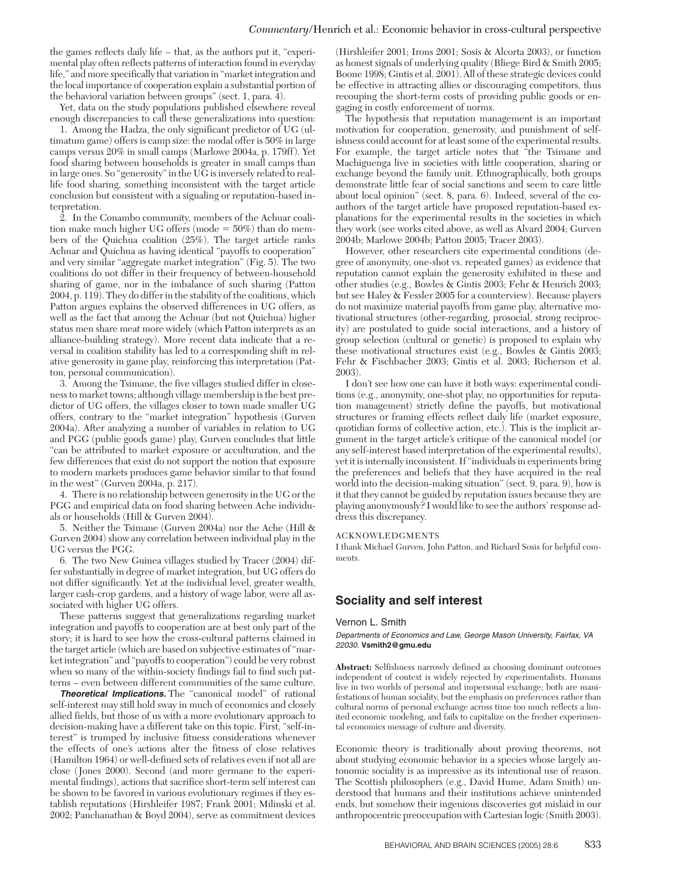the games reflects daily life – that, as the authors put it, "experimental play often reflects patterns of interaction found in everyday life," and more specifically that variation in "market integration and the local importance of cooperation explain a substantial portion of the behavioral variation between groups" (sect. 1, para. 4).

Yet, data on the study populations published elsewhere reveal enough discrepancies to call these generalizations into question:

1. Among the Hadza, the only significant predictor of UG (ultimatum game) offers is camp size: the modal offer is 50% in large camps versus 20% in small camps (Marlowe 2004a, p. 179ff). Yet food sharing between households is greater in small camps than in large ones. So "generosity" in the UG is inversely related to reallife food sharing, something inconsistent with the target article conclusion but consistent with a signaling or reputation-based interpretation.

2. In the Conambo community, members of the Achuar coalition make much higher UG offers (mode  $= 50\%)$  than do members of the Quichua coalition (25%). The target article ranks Achuar and Quichua as having identical "payoffs to cooperation" and very similar "aggregate market integration" (Fig. 5). The two coalitions do not differ in their frequency of between-household sharing of game, nor in the imbalance of such sharing (Patton 2004, p. 119). They do differ in the stability of the coalitions, which Patton argues explains the observed differences in UG offers, as well as the fact that among the Achuar (but not Quichua) higher status men share meat more widely (which Patton interprets as an alliance-building strategy). More recent data indicate that a reversal in coalition stability has led to a corresponding shift in relative generosity in game play, reinforcing this interpretation (Patton, personal communication).

3. Among the Tsimane, the five villages studied differ in closeness to market towns; although village membership is the best predictor of UG offers, the villages closer to town made smaller UG offers, contrary to the "market integration" hypothesis (Gurven 2004a). After analyzing a number of variables in relation to UG and PGG (public goods game) play, Gurven concludes that little "can be attributed to market exposure or acculturation, and the few differences that exist do not support the notion that exposure to modern markets produces game behavior similar to that found in the west" (Gurven 2004a, p. 217).

4. There is no relationship between generosity in the UG or the PGG and empirical data on food sharing between Ache individuals or households (Hill & Gurven 2004).

5. Neither the Tsimane (Gurven 2004a) nor the Ache (Hill & Gurven 2004) show any correlation between individual play in the UG versus the PGG.

6. The two New Guinea villages studied by Tracer (2004) differ substantially in degree of market integration, but UG offers do not differ significantly. Yet at the individual level, greater wealth, larger cash-crop gardens, and a history of wage labor, were all associated with higher UG offers.

These patterns suggest that generalizations regarding market integration and payoffs to cooperation are at best only part of the story; it is hard to see how the cross-cultural patterns claimed in the target article (which are based on subjective estimates of "market integration" and "payoffs to cooperation") could be very robust when so many of the within-society findings fail to find such patterns – even between different communities of the same culture.

*Theoretical Implications.* The "canonical model" of rational self-interest may still hold sway in much of economics and closely allied fields, but those of us with a more evolutionary approach to decision-making have a different take on this topic. First, "self-interest" is trumped by inclusive fitness considerations whenever the effects of one's actions alter the fitness of close relatives (Hamilton 1964) or well-defined sets of relatives even if not all are close (Jones 2000). Second (and more germane to the experimental findings), actions that sacrifice short-term self interest can be shown to be favored in various evolutionary regimes if they establish reputations (Hirshleifer 1987; Frank 2001; Milinski et al. 2002; Panchanathan & Boyd 2004), serve as commitment devices (Hirshleifer 2001; Irons 2001; Sosis & Alcorta 2003), or function as honest signals of underlying quality (Bliege Bird & Smith 2005; Boone 1998; Gintis et al. 2001). All of these strategic devices could be effective in attracting allies or discouraging competitors, thus recouping the short-term costs of providing public goods or engaging in costly enforcement of norms.

The hypothesis that reputation management is an important motivation for cooperation, generosity, and punishment of selfishness could account for at least some of the experimental results. For example, the target article notes that "the Tsimane and Machiguenga live in societies with little cooperation, sharing or exchange beyond the family unit. Ethnographically, both groups demonstrate little fear of social sanctions and seem to care little about local opinion" (sect. 8, para. 6). Indeed, several of the coauthors of the target article have proposed reputation-based explanations for the experimental results in the societies in which they work (see works cited above, as well as Alvard 2004; Gurven 2004b; Marlowe 2004b; Patton 2005; Tracer 2003).

However, other researchers cite experimental conditions (degree of anonymity, one-shot vs. repeated games) as evidence that reputation cannot explain the generosity exhibited in these and other studies (e.g., Bowles & Gintis 2003; Fehr & Henrich 2003; but see Haley & Fessler 2005 for a counterview). Because players do not maximize material payoffs from game play, alternative motivational structures (other-regarding, prosocial, strong reciprocity) are postulated to guide social interactions, and a history of group selection (cultural or genetic) is proposed to explain why these motivational structures exist (e.g., Bowles & Gintis 2003; Fehr & Fischbacher 2003; Gintis et al. 2003; Richerson et al. 2003).

I don't see how one can have it both ways: experimental conditions (e.g., anonymity, one-shot play, no opportunities for reputation management) strictly define the payoffs, but motivational structures or framing effects reflect daily life (market exposure, quotidian forms of collective action, etc.). This is the implicit argument in the target article's critique of the canonical model (or any self-interest based interpretation of the experimental results), yet it is internally inconsistent. If "individuals in experiments bring the preferences and beliefs that they have acquired in the real world into the decision-making situation" (sect. 9, para. 9), how is it that they cannot be guided by reputation issues because they are playing anonymously? I would like to see the authors' response address this discrepancy.

### ACKNOWLEDGMENTS

I thank Michael Gurven, John Patton, and Richard Sosis for helpful comments.

## **Sociality and self interest**

#### Vernon L. Smith

*Departments of Economics and Law, George Mason University, Fairfax, VA 22030.* **Vsmith2@gmu.edu**

**Abstract:** Selfishness narrowly defined as choosing dominant outcomes independent of context is widely rejected by experimentalists. Humans live in two worlds of personal and impersonal exchange; both are manifestations of human sociality, but the emphasis on preferences rather than cultural norms of personal exchange across time too much reflects a limited economic modeling, and fails to capitalize on the fresher experimental economics message of culture and diversity.

Economic theory is traditionally about proving theorems, not about studying economic behavior in a species whose largely autonomic sociality is as impressive as its intentional use of reason. The Scottish philosophers (e.g., David Hume, Adam Smith) understood that humans and their institutions achieve unintended ends, but somehow their ingenious discoveries got mislaid in our anthropocentric preoccupation with Cartesian logic (Smith 2003).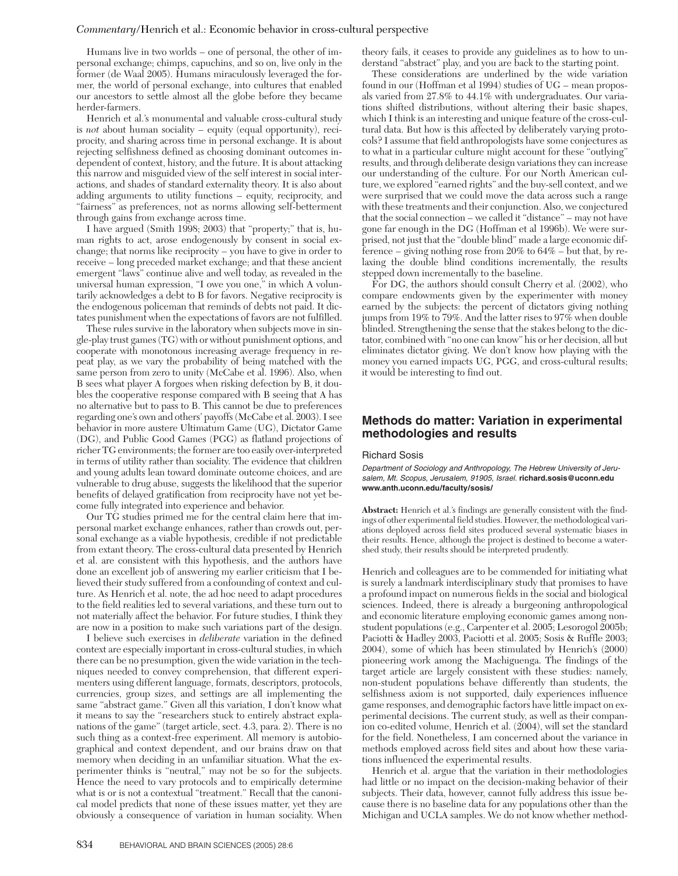## *Commentary*/Henrich et al.: Economic behavior in cross-cultural perspective

Humans live in two worlds – one of personal, the other of impersonal exchange; chimps, capuchins, and so on, live only in the former (de Waal 2005). Humans miraculously leveraged the former, the world of personal exchange, into cultures that enabled our ancestors to settle almost all the globe before they became herder-farmers.

Henrich et al.'s monumental and valuable cross-cultural study is *not* about human sociality – equity (equal opportunity), reciprocity, and sharing across time in personal exchange. It is about rejecting selfishness defined as choosing dominant outcomes independent of context, history, and the future. It is about attacking this narrow and misguided view of the self interest in social interactions, and shades of standard externality theory. It is also about adding arguments to utility functions – equity, reciprocity, and "fairness" as preferences, not as norms allowing self-betterment through gains from exchange across time.

I have argued (Smith 1998; 2003) that "property;" that is, human rights to act, arose endogenously by consent in social exchange; that norms like reciprocity – you have to give in order to receive – long preceded market exchange; and that these ancient emergent "laws" continue alive and well today, as revealed in the universal human expression, "I owe you one," in which A voluntarily acknowledges a debt to B for favors. Negative reciprocity is the endogenous policeman that reminds of debts not paid. It dictates punishment when the expectations of favors are not fulfilled.

These rules survive in the laboratory when subjects move in single-play trust games (TG) with or without punishment options, and cooperate with monotonous increasing average frequency in repeat play, as we vary the probability of being matched with the same person from zero to unity (McCabe et al. 1996). Also, when B sees what player A forgoes when risking defection by B, it doubles the cooperative response compared with B seeing that A has no alternative but to pass to B. This cannot be due to preferences regarding one's own and others' payoffs (McCabe et al. 2003). I see behavior in more austere Ultimatum Game (UG), Dictator Game (DG), and Public Good Games (PGG) as flatland projections of richer TG environments; the former are too easily over-interpreted in terms of utility rather than sociality. The evidence that children and young adults lean toward dominate outcome choices, and are vulnerable to drug abuse, suggests the likelihood that the superior benefits of delayed gratification from reciprocity have not yet become fully integrated into experience and behavior.

Our TG studies primed me for the central claim here that impersonal market exchange enhances, rather than crowds out, personal exchange as a viable hypothesis, credible if not predictable from extant theory. The cross-cultural data presented by Henrich et al. are consistent with this hypothesis, and the authors have done an excellent job of answering my earlier criticism that I believed their study suffered from a confounding of context and culture. As Henrich et al. note, the ad hoc need to adapt procedures to the field realities led to several variations, and these turn out to not materially affect the behavior. For future studies, I think they are now in a position to make such variations part of the design.

I believe such exercises in *deliberate* variation in the defined context are especially important in cross-cultural studies, in which there can be no presumption, given the wide variation in the techniques needed to convey comprehension, that different experimenters using different language, formats, descriptors, protocols, currencies, group sizes, and settings are all implementing the same "abstract game." Given all this variation, I don't know what it means to say the "researchers stuck to entirely abstract explanations of the game" (target article, sect. 4.3, para. 2). There is no such thing as a context-free experiment. All memory is autobiographical and context dependent, and our brains draw on that memory when deciding in an unfamiliar situation. What the experimenter thinks is "neutral," may not be so for the subjects. Hence the need to vary protocols and to empirically determine what is or is not a contextual "treatment." Recall that the canonical model predicts that none of these issues matter, yet they are obviously a consequence of variation in human sociality. When

theory fails, it ceases to provide any guidelines as to how to understand "abstract" play, and you are back to the starting point.

These considerations are underlined by the wide variation found in our (Hoffman et al 1994) studies of UG – mean proposals varied from 27.8% to 44.1% with undergraduates. Our variations shifted distributions, without altering their basic shapes, which I think is an interesting and unique feature of the cross-cultural data. But how is this affected by deliberately varying protocols? I assume that field anthropologists have some conjectures as to what in a particular culture might account for these "outlying" results, and through deliberate design variations they can increase our understanding of the culture. For our North American culture, we explored "earned rights" and the buy-sell context, and we were surprised that we could move the data across such a range with these treatments and their conjunction. Also, we conjectured that the social connection – we called it "distance" – may not have gone far enough in the DG (Hoffman et al 1996b). We were surprised, not just that the "double blind" made a large economic difference – giving nothing rose from 20% to 64% – but that, by relaxing the double blind conditions incrementally, the results stepped down incrementally to the baseline.

For DG, the authors should consult Cherry et al. (2002), who compare endowments given by the experimenter with money earned by the subjects: the percent of dictators giving nothing jumps from 19% to 79%. And the latter rises to 97% when double blinded. Strengthening the sense that the stakes belong to the dictator, combined with "no one can know" his or her decision, all but eliminates dictator giving. We don't know how playing with the money you earned impacts UG, PGG, and cross-cultural results; it would be interesting to find out.

## **Methods do matter: Variation in experimental methodologies and results**

#### Richard Sosis

*Department of Sociology and Anthropology, The Hebrew University of Jerusalem, Mt. Scopus, Jerusalem, 91905, Israel.* **richard.sosis@uconn.edu www.anth.uconn.edu/faculty/sosis/**

**Abstract:** Henrich et al.'s findings are generally consistent with the findings of other experimental field studies. However, the methodological variations deployed across field sites produced several systematic biases in their results. Hence, although the project is destined to become a watershed study, their results should be interpreted prudently.

Henrich and colleagues are to be commended for initiating what is surely a landmark interdisciplinary study that promises to have a profound impact on numerous fields in the social and biological sciences. Indeed, there is already a burgeoning anthropological and economic literature employing economic games among nonstudent populations (e.g., Carpenter et al. 2005; Lesorogol 2005b; Paciotti & Hadley 2003, Paciotti et al. 2005; Sosis & Ruffle 2003; 2004), some of which has been stimulated by Henrich's (2000) pioneering work among the Machiguenga. The findings of the target article are largely consistent with these studies: namely, non-student populations behave differently than students, the selfishness axiom is not supported, daily experiences influence game responses, and demographic factors have little impact on experimental decisions. The current study, as well as their companion co-edited volume, Henrich et al. (2004), will set the standard for the field. Nonetheless, I am concerned about the variance in methods employed across field sites and about how these variations influenced the experimental results.

Henrich et al. argue that the variation in their methodologies had little or no impact on the decision-making behavior of their subjects. Their data, however, cannot fully address this issue because there is no baseline data for any populations other than the Michigan and UCLA samples. We do not know whether method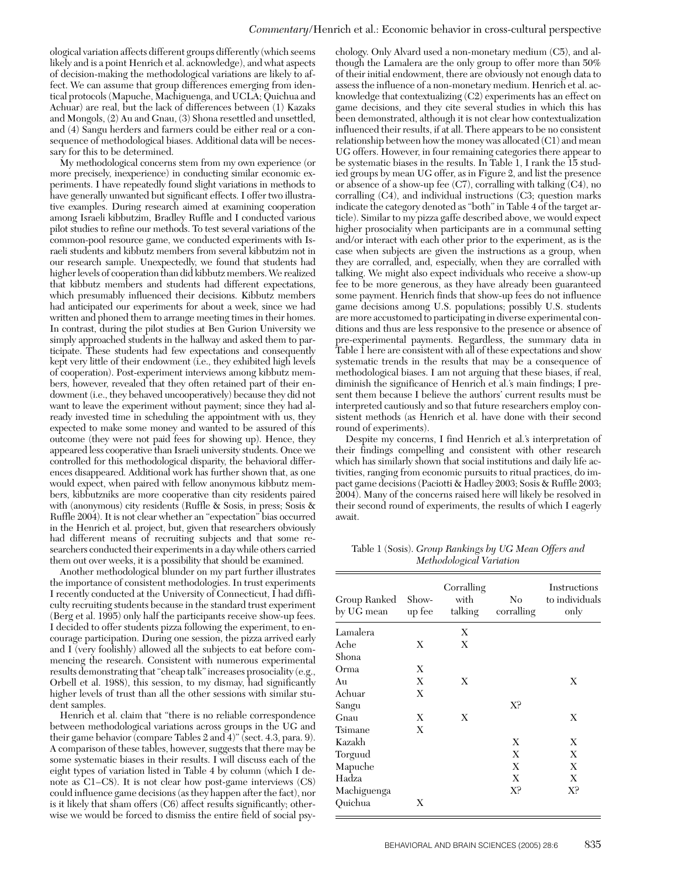ological variation affects different groups differently (which seems likely and is a point Henrich et al. acknowledge), and what aspects of decision-making the methodological variations are likely to affect. We can assume that group differences emerging from identical protocols (Mapuche, Machiguenga, and UCLA; Quichua and Achuar) are real, but the lack of differences between (1) Kazaks and Mongols, (2) Au and Gnau, (3) Shona resettled and unsettled, and (4) Sangu herders and farmers could be either real or a consequence of methodological biases. Additional data will be necessary for this to be determined.

My methodological concerns stem from my own experience (or more precisely, inexperience) in conducting similar economic experiments. I have repeatedly found slight variations in methods to have generally unwanted but significant effects. I offer two illustrative examples. During research aimed at examining cooperation among Israeli kibbutzim, Bradley Ruffle and I conducted various pilot studies to refine our methods. To test several variations of the common-pool resource game, we conducted experiments with Israeli students and kibbutz members from several kibbutzim not in our research sample. Unexpectedly, we found that students had higher levels of cooperation than did kibbutz members. We realized that kibbutz members and students had different expectations, which presumably influenced their decisions. Kibbutz members had anticipated our experiments for about a week, since we had written and phoned them to arrange meeting times in their homes. In contrast, during the pilot studies at Ben Gurion University we simply approached students in the hallway and asked them to participate. These students had few expectations and consequently kept very little of their endowment (i.e., they exhibited high levels of cooperation). Post-experiment interviews among kibbutz members, however, revealed that they often retained part of their endowment (i.e., they behaved uncooperatively) because they did not want to leave the experiment without payment; since they had already invested time in scheduling the appointment with us, they expected to make some money and wanted to be assured of this outcome (they were not paid fees for showing up). Hence, they appeared less cooperative than Israeli university students. Once we controlled for this methodological disparity, the behavioral differences disappeared. Additional work has further shown that, as one would expect, when paired with fellow anonymous kibbutz members, kibbutzniks are more cooperative than city residents paired with (anonymous) city residents (Ruffle & Sosis, in press; Sosis & Ruffle 2004). It is not clear whether an "expectation" bias occurred in the Henrich et al. project, but, given that researchers obviously had different means of recruiting subjects and that some researchers conducted their experiments in a day while others carried them out over weeks, it is a possibility that should be examined.

Another methodological blunder on my part further illustrates the importance of consistent methodologies. In trust experiments I recently conducted at the University of Connecticut, I had difficulty recruiting students because in the standard trust experiment (Berg et al. 1995) only half the participants receive show-up fees. I decided to offer students pizza following the experiment, to encourage participation. During one session, the pizza arrived early and I (very foolishly) allowed all the subjects to eat before commencing the research. Consistent with numerous experimental results demonstrating that "cheap talk" increases prosociality (e.g., Orbell et al. 1988), this session, to my dismay, had significantly higher levels of trust than all the other sessions with similar student samples.

Henrich et al. claim that "there is no reliable correspondence between methodological variations across groups in the UG and their game behavior (compare Tables 2 and 4)" (sect. 4.3, para. 9). A comparison of these tables, however, suggests that there may be some systematic biases in their results. I will discuss each of the eight types of variation listed in Table 4 by column (which I denote as C1–C8). It is not clear how post-game interviews (C8) could influence game decisions (as they happen after the fact), nor is it likely that sham offers (C6) affect results significantly; otherwise we would be forced to dismiss the entire field of social psy-

chology. Only Alvard used a non-monetary medium (C5), and although the Lamalera are the only group to offer more than 50% of their initial endowment, there are obviously not enough data to assess the influence of a non-monetary medium. Henrich et al. acknowledge that contextualizing (C2) experiments has an effect on game decisions, and they cite several studies in which this has been demonstrated, although it is not clear how contextualization influenced their results, if at all. There appears to be no consistent relationship between how the money was allocated (C1) and mean UG offers. However, in four remaining categories there appear to be systematic biases in the results. In Table 1, I rank the 15 studied groups by mean UG offer, as in Figure 2, and list the presence or absence of a show-up fee (C7), corralling with talking (C4), no corralling (C4), and individual instructions (C3; question marks indicate the category denoted as "both" in Table 4 of the target article). Similar to my pizza gaffe described above, we would expect higher prosociality when participants are in a communal setting and/or interact with each other prior to the experiment, as is the case when subjects are given the instructions as a group, when they are corralled, and, especially, when they are corralled with talking. We might also expect individuals who receive a show-up fee to be more generous, as they have already been guaranteed some payment. Henrich finds that show-up fees do not influence game decisions among U.S. populations; possibly U.S. students are more accustomed to participating in diverse experimental conditions and thus are less responsive to the presence or absence of pre-experimental payments. Regardless, the summary data in Table 1 here are consistent with all of these expectations and show systematic trends in the results that may be a consequence of methodological biases. I am not arguing that these biases, if real, diminish the significance of Henrich et al.'s main findings; I present them because I believe the authors' current results must be interpreted cautiously and so that future researchers employ consistent methods (as Henrich et al. have done with their second round of experiments).

Despite my concerns, I find Henrich et al.'s interpretation of their findings compelling and consistent with other research which has similarly shown that social institutions and daily life activities, ranging from economic pursuits to ritual practices, do impact game decisions (Paciotti & Hadley 2003; Sosis & Ruffle 2003; 2004). Many of the concerns raised here will likely be resolved in their second round of experiments, the results of which I eagerly await.

Table 1 (Sosis). *Group Rankings by UG Mean Offers and Methodological Variation*

| Group Ranked<br>by UG mean | Show-<br>up fee | Corralling<br>with<br>talking | No.<br>corralling | Instructions<br>to individuals<br>only |
|----------------------------|-----------------|-------------------------------|-------------------|----------------------------------------|
| Lamalera                   |                 | X                             |                   |                                        |
| Ache                       | Χ               | X                             |                   |                                        |
| Shona                      |                 |                               |                   |                                        |
| Orma                       | Χ               |                               |                   |                                        |
| Au                         | Χ               | Χ                             |                   | Χ                                      |
| Achuar                     | X               |                               |                   |                                        |
| Sangu                      |                 |                               | $X$ <sup>2</sup>  |                                        |
| Gnau                       | X               | X                             |                   | X                                      |
| Tsimane                    | X               |                               |                   |                                        |
| Kazakh                     |                 |                               | X                 | X                                      |
| Torguud                    |                 |                               | X                 | X                                      |
| Mapuche                    |                 |                               | X                 | X                                      |
| Hadza                      |                 |                               | X                 | X                                      |
| Machiguenga                |                 |                               | $X$ <sup>2</sup>  | ΧP                                     |
| Quichua                    | Χ               |                               |                   |                                        |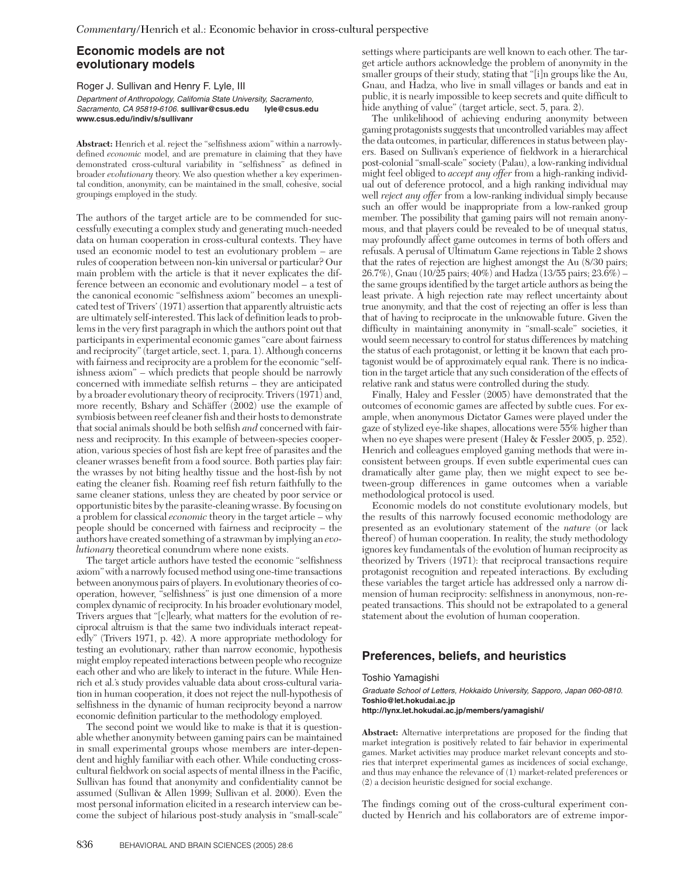## **Economic models are not evolutionary models**

Roger J. Sullivan and Henry F. Lyle, III *Department of Anthropology, California State University, Sacramento, Sacramento, CA 95819-6106.* **sullivar@csus.edu lyle@csus.edu www.csus.edu/indiv/s/sullivanr**

**Abstract:** Henrich et al. reject the "selfishness axiom" within a narrowlydefined *economic* model, and are premature in claiming that they have demonstrated cross-cultural variability in "selfishness" as defined in broader *evolutionary* theory. We also question whether a key experimental condition, anonymity, can be maintained in the small, cohesive, social groupings employed in the study.

The authors of the target article are to be commended for successfully executing a complex study and generating much-needed data on human cooperation in cross-cultural contexts. They have used an economic model to test an evolutionary problem – are rules of cooperation between non-kin universal or particular? Our main problem with the article is that it never explicates the difference between an economic and evolutionary model – a test of the canonical economic "selfishness axiom" becomes an unexplicated test of Trivers' (1971) assertion that apparently altruistic acts are ultimately self-interested. This lack of definition leads to problems in the very first paragraph in which the authors point out that participants in experimental economic games "care about fairness and reciprocity" (target article, sect. 1, para. 1). Although concerns with fairness and reciprocity are a problem for the economic "selfishness axiom" – which predicts that people should be narrowly concerned with immediate selfish returns – they are anticipated by a broader evolutionary theory of reciprocity. Trivers (1971) and, more recently, Bshary and Schäffer (2002) use the example of symbiosis between reef cleaner fish and their hosts to demonstrate that social animals should be both selfish *and* concerned with fairness and reciprocity. In this example of between-species cooperation, various species of host fish are kept free of parasites and the cleaner wrasses benefit from a food source. Both parties play fair: the wrasses by not biting healthy tissue and the host-fish by not eating the cleaner fish. Roaming reef fish return faithfully to the same cleaner stations, unless they are cheated by poor service or opportunistic bites by the parasite-cleaning wrasse. By focusing on a problem for classical *economic* theory in the target article – why people should be concerned with fairness and reciprocity – the authors have created something of a strawman by implying an *evolutionary* theoretical conundrum where none exists.

The target article authors have tested the economic "selfishness axiom" with a narrowly focused method using one-time transactions between anonymous pairs of players. In evolutionary theories of cooperation, however, "selfishness" is just one dimension of a more complex dynamic of reciprocity. In his broader evolutionary model, Trivers argues that "[c]learly, what matters for the evolution of reciprocal altruism is that the same two individuals interact repeatedly" (Trivers 1971, p. 42). A more appropriate methodology for testing an evolutionary, rather than narrow economic, hypothesis might employ repeated interactions between people who recognize each other and who are likely to interact in the future. While Henrich et al.'s study provides valuable data about cross-cultural variation in human cooperation, it does not reject the null-hypothesis of selfishness in the dynamic of human reciprocity beyond a narrow economic definition particular to the methodology employed.

The second point we would like to make is that it is questionable whether anonymity between gaming pairs can be maintained in small experimental groups whose members are inter-dependent and highly familiar with each other. While conducting crosscultural fieldwork on social aspects of mental illness in the Pacific, Sullivan has found that anonymity and confidentiality cannot be assumed (Sullivan & Allen 1999; Sullivan et al. 2000). Even the most personal information elicited in a research interview can become the subject of hilarious post-study analysis in "small-scale"

settings where participants are well known to each other. The target article authors acknowledge the problem of anonymity in the smaller groups of their study, stating that "[i]n groups like the Au, Gnau, and Hadza, who live in small villages or bands and eat in public, it is nearly impossible to keep secrets and quite difficult to hide anything of value" (target article, sect. 5, para. 2).

The unlikelihood of achieving enduring anonymity between gaming protagonists suggests that uncontrolled variables may affect the data outcomes, in particular, differences in status between players. Based on Sullivan's experience of fieldwork in a hierarchical post-colonial "small-scale" society (Palau), a low-ranking individual might feel obliged to *accept any offer* from a high-ranking individual out of deference protocol, and a high ranking individual may well *reject any offer* from a low-ranking individual simply because such an offer would be inappropriate from a low-ranked group member. The possibility that gaming pairs will not remain anonymous, and that players could be revealed to be of unequal status, may profoundly affect game outcomes in terms of both offers and refusals. A perusal of Ultimatum Game rejections in Table 2 shows that the rates of rejection are highest amongst the Au (8/30 pairs; 26.7%), Gnau (10/25 pairs; 40%) and Hadza (13/55 pairs; 23.6%) – the same groups identified by the target article authors as being the least private. A high rejection rate may reflect uncertainty about true anonymity, and that the cost of rejecting an offer is less than that of having to reciprocate in the unknowable future. Given the difficulty in maintaining anonymity in "small-scale" societies, it would seem necessary to control for status differences by matching the status of each protagonist, or letting it be known that each protagonist would be of approximately equal rank. There is no indication in the target article that any such consideration of the effects of relative rank and status were controlled during the study.

Finally, Haley and Fessler (2005) have demonstrated that the outcomes of economic games are affected by subtle cues. For example, when anonymous Dictator Games were played under the gaze of stylized eye-like shapes, allocations were 55% higher than when no eye shapes were present (Haley & Fessler 2005, p. 252). Henrich and colleagues employed gaming methods that were inconsistent between groups. If even subtle experimental cues can dramatically alter game play, then we might expect to see between-group differences in game outcomes when a variable methodological protocol is used.

Economic models do not constitute evolutionary models, but the results of this narrowly focused economic methodology are presented as an evolutionary statement of the *nature* (or lack thereof) of human cooperation. In reality, the study methodology ignores key fundamentals of the evolution of human reciprocity as theorized by Trivers (1971): that reciprocal transactions require protagonist recognition and repeated interactions. By excluding these variables the target article has addressed only a narrow dimension of human reciprocity: selfishness in anonymous, non-repeated transactions. This should not be extrapolated to a general statement about the evolution of human cooperation.

## **Preferences, beliefs, and heuristics**

#### Toshio Yamagishi

*Graduate School of Letters, Hokkaido University, Sapporo, Japan 060-0810.* **Toshio@let.hokudai.ac.jp http://lynx.let.hokudai.ac.jp/members/yamagishi/**

**Abstract:** Alternative interpretations are proposed for the finding that market integration is positively related to fair behavior in experimental games. Market activities may produce market relevant concepts and stories that interpret experimental games as incidences of social exchange, and thus may enhance the relevance of (1) market-related preferences or (2) a decision heuristic designed for social exchange.

The findings coming out of the cross-cultural experiment conducted by Henrich and his collaborators are of extreme impor-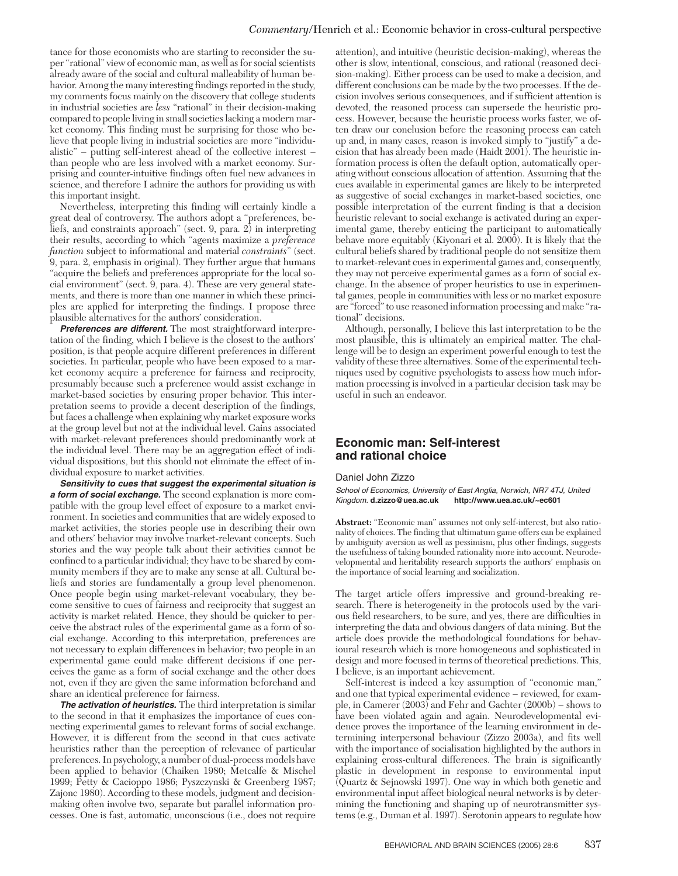## *Commentary*/Henrich et al.: Economic behavior in cross-cultural perspective

tance for those economists who are starting to reconsider the super "rational" view of economic man, as well as for social scientists already aware of the social and cultural malleability of human behavior. Among the many interesting findings reported in the study, my comments focus mainly on the discovery that college students in industrial societies are *less* "rational" in their decision-making compared to people living in small societies lacking a modern market economy. This finding must be surprising for those who believe that people living in industrial societies are more "individualistic" – putting self-interest ahead of the collective interest – than people who are less involved with a market economy. Surprising and counter-intuitive findings often fuel new advances in science, and therefore I admire the authors for providing us with this important insight.

Nevertheless, interpreting this finding will certainly kindle a great deal of controversy. The authors adopt a "preferences, beliefs, and constraints approach" (sect. 9, para. 2) in interpreting their results, according to which "agents maximize a *preference function* subject to informational and material *constraints*" (sect. 9, para. 2, emphasis in original). They further argue that humans "acquire the beliefs and preferences appropriate for the local social environment" (sect. 9, para. 4). These are very general statements, and there is more than one manner in which these principles are applied for interpreting the findings. I propose three plausible alternatives for the authors' consideration.

*Preferences are different.* The most straightforward interpretation of the finding, which I believe is the closest to the authors' position, is that people acquire different preferences in different societies. In particular, people who have been exposed to a market economy acquire a preference for fairness and reciprocity, presumably because such a preference would assist exchange in market-based societies by ensuring proper behavior. This interpretation seems to provide a decent description of the findings, but faces a challenge when explaining why market exposure works at the group level but not at the individual level. Gains associated with market-relevant preferences should predominantly work at the individual level. There may be an aggregation effect of individual dispositions, but this should not eliminate the effect of individual exposure to market activities.

*Sensitivity to cues that suggest the experimental situation is a form of social exchange.* The second explanation is more compatible with the group level effect of exposure to a market environment. In societies and communities that are widely exposed to market activities, the stories people use in describing their own and others' behavior may involve market-relevant concepts. Such stories and the way people talk about their activities cannot be confined to a particular individual; they have to be shared by community members if they are to make any sense at all. Cultural beliefs and stories are fundamentally a group level phenomenon. Once people begin using market-relevant vocabulary, they become sensitive to cues of fairness and reciprocity that suggest an activity is market related. Hence, they should be quicker to perceive the abstract rules of the experimental game as a form of social exchange. According to this interpretation, preferences are not necessary to explain differences in behavior; two people in an experimental game could make different decisions if one perceives the game as a form of social exchange and the other does not, even if they are given the same information beforehand and share an identical preference for fairness.

*The activation of heuristics.* The third interpretation is similar to the second in that it emphasizes the importance of cues connecting experimental games to relevant forms of social exchange. However, it is different from the second in that cues activate heuristics rather than the perception of relevance of particular preferences. In psychology, a number of dual-process models have been applied to behavior (Chaiken 1980; Metcalfe & Mischel 1999; Petty & Cacioppo 1986; Pyszczynski & Greenberg 1987; Zajonc 1980). According to these models, judgment and decisionmaking often involve two, separate but parallel information processes. One is fast, automatic, unconscious (i.e., does not require

attention), and intuitive (heuristic decision-making), whereas the other is slow, intentional, conscious, and rational (reasoned decision-making). Either process can be used to make a decision, and different conclusions can be made by the two processes. If the decision involves serious consequences, and if sufficient attention is devoted, the reasoned process can supersede the heuristic process. However, because the heuristic process works faster, we often draw our conclusion before the reasoning process can catch up and, in many cases, reason is invoked simply to "justify" a decision that has already been made (Haidt 2001). The heuristic information process is often the default option, automatically operating without conscious allocation of attention. Assuming that the cues available in experimental games are likely to be interpreted as suggestive of social exchanges in market-based societies, one possible interpretation of the current finding is that a decision heuristic relevant to social exchange is activated during an experimental game, thereby enticing the participant to automatically behave more equitably (Kiyonari et al. 2000). It is likely that the cultural beliefs shared by traditional people do not sensitize them to market-relevant cues in experimental games and, consequently, they may not perceive experimental games as a form of social exchange. In the absence of proper heuristics to use in experimental games, people in communities with less or no market exposure are "forced" to use reasoned information processing and make "rational" decisions.

Although, personally, I believe this last interpretation to be the most plausible, this is ultimately an empirical matter. The challenge will be to design an experiment powerful enough to test the validity of these three alternatives. Some of the experimental techniques used by cognitive psychologists to assess how much information processing is involved in a particular decision task may be useful in such an endeavor.

## **Economic man: Self-interest and rational choice**

#### Daniel John Zizzo

*School of Economics, University of East Anglia, Norwich, NR7 4TJ, United Kingdom.* **d.zizzo@uea.ac.uk http://www.uea.ac.uk/~ec601**

**Abstract:** "Economic man" assumes not only self-interest, but also rationality of choices. The finding that ultimatum game offers can be explained by ambiguity aversion as well as pessimism, plus other findings, suggests the usefulness of taking bounded rationality more into account. Neurodevelopmental and heritability research supports the authors' emphasis on the importance of social learning and socialization.

The target article offers impressive and ground-breaking research. There is heterogeneity in the protocols used by the various field researchers, to be sure, and yes, there are difficulties in interpreting the data and obvious dangers of data mining. But the article does provide the methodological foundations for behavioural research which is more homogeneous and sophisticated in design and more focused in terms of theoretical predictions. This, I believe, is an important achievement.

Self-interest is indeed a key assumption of "economic man," and one that typical experimental evidence – reviewed, for example, in Camerer (2003) and Fehr and Gachter (2000b) – shows to have been violated again and again. Neurodevelopmental evidence proves the importance of the learning environment in determining interpersonal behaviour (Zizzo 2003a), and fits well with the importance of socialisation highlighted by the authors in explaining cross-cultural differences. The brain is significantly plastic in development in response to environmental input (Quartz & Sejnowski 1997). One way in which both genetic and environmental input affect biological neural networks is by determining the functioning and shaping up of neurotransmitter systems (e.g., Duman et al. 1997). Serotonin appears to regulate how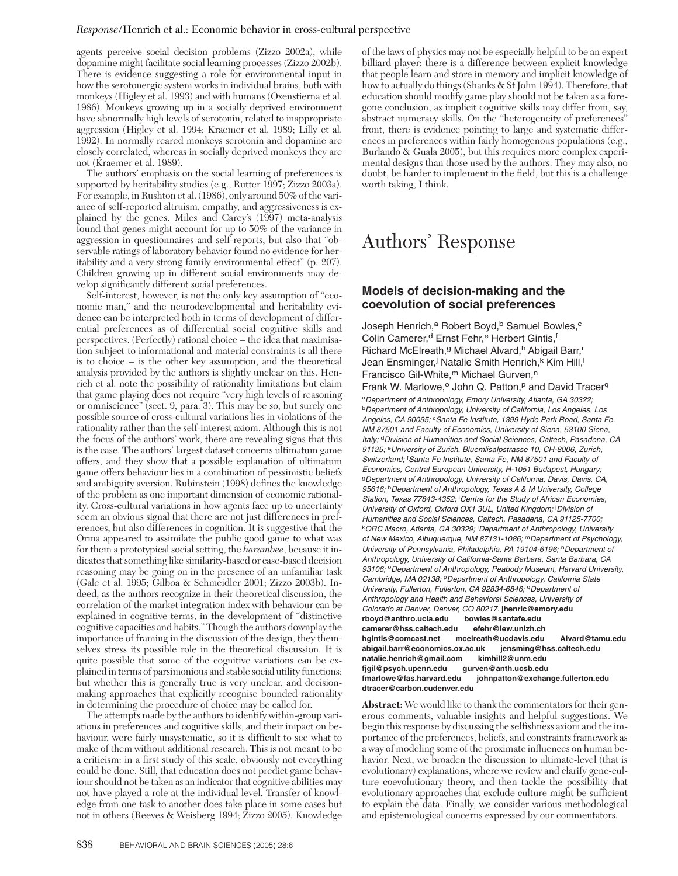agents perceive social decision problems (Zizzo 2002a), while dopamine might facilitate social learning processes (Zizzo 2002b). There is evidence suggesting a role for environmental input in how the serotonergic system works in individual brains, both with monkeys (Higley et al. 1993) and with humans (Oxenstierna et al. 1986). Monkeys growing up in a socially deprived environment have abnormally high levels of serotonin, related to inappropriate aggression (Higley et al. 1994; Kraemer et al. 1989; Lilly et al. 1992). In normally reared monkeys serotonin and dopamine are closely correlated, whereas in socially deprived monkeys they are not (Kraemer et al. 1989).

The authors' emphasis on the social learning of preferences is supported by heritability studies (e.g., Rutter 1997; Zizzo 2003a). For example, in Rushton et al. (1986), only around 50% of the variance of self-reported altruism, empathy, and aggressiveness is explained by the genes. Miles and Carey's (1997) meta-analysis found that genes might account for up to 50% of the variance in aggression in questionnaires and self-reports, but also that "observable ratings of laboratory behavior found no evidence for heritability and a very strong family environmental effect" (p. 207). Children growing up in different social environments may develop significantly different social preferences.

Self-interest, however, is not the only key assumption of "economic man," and the neurodevelopmental and heritability evidence can be interpreted both in terms of development of differential preferences as of differential social cognitive skills and perspectives. (Perfectly) rational choice – the idea that maximisation subject to informational and material constraints is all there is to choice – is the other key assumption, and the theoretical analysis provided by the authors is slightly unclear on this. Henrich et al. note the possibility of rationality limitations but claim that game playing does not require "very high levels of reasoning or omniscience" (sect. 9, para. 3). This may be so, but surely one possible source of cross-cultural variations lies in violations of the rationality rather than the self-interest axiom. Although this is not the focus of the authors' work, there are revealing signs that this is the case. The authors' largest dataset concerns ultimatum game offers, and they show that a possible explanation of ultimatum game offers behaviour lies in a combination of pessimistic beliefs and ambiguity aversion. Rubinstein (1998) defines the knowledge of the problem as one important dimension of economic rationality. Cross-cultural variations in how agents face up to uncertainty seem an obvious signal that there are not just differences in preferences, but also differences in cognition. It is suggestive that the Orma appeared to assimilate the public good game to what was for them a prototypical social setting, the *harambee*, because it indicates that something like similarity-based or case-based decision reasoning may be going on in the presence of an unfamiliar task (Gale et al. 1995; Gilboa & Schmeidler 2001; Zizzo 2003b). Indeed, as the authors recognize in their theoretical discussion, the correlation of the market integration index with behaviour can be explained in cognitive terms, in the development of "distinctive cognitive capacities and habits." Though the authors downplay the importance of framing in the discussion of the design, they themselves stress its possible role in the theoretical discussion. It is quite possible that some of the cognitive variations can be explained in terms of parsimonious and stable social utility functions; but whether this is generally true is very unclear, and decisionmaking approaches that explicitly recognise bounded rationality in determining the procedure of choice may be called for.

The attempts made by the authors to identify within-group variations in preferences and cognitive skills, and their impact on behaviour, were fairly unsystematic, so it is difficult to see what to make of them without additional research. This is not meant to be a criticism: in a first study of this scale, obviously not everything could be done. Still, that education does not predict game behaviour should not be taken as an indicator that cognitive abilities may not have played a role at the individual level. Transfer of knowledge from one task to another does take place in some cases but not in others (Reeves & Weisberg 1994; Zizzo 2005). Knowledge

of the laws of physics may not be especially helpful to be an expert billiard player: there is a difference between explicit knowledge that people learn and store in memory and implicit knowledge of how to actually do things (Shanks & St John 1994). Therefore, that education should modify game play should not be taken as a foregone conclusion, as implicit cognitive skills may differ from, say, abstract numeracy skills. On the "heterogeneity of preferences" front, there is evidence pointing to large and systematic differences in preferences within fairly homogenous populations (e.g., Burlando & Guala 2005), but this requires more complex experimental designs than those used by the authors. They may also, no doubt, be harder to implement in the field, but this is a challenge worth taking, I think.

## Authors' Response

## **Models of decision-making and the coevolution of social preferences**

Joseph Henrich,<sup>a</sup> Robert Boyd,<sup>b</sup> Samuel Bowles,<sup>c</sup> Colin Camerer,<sup>d</sup> Ernst Fehr,<sup>e</sup> Herbert Gintis,<sup>f</sup> Richard McElreath,<sup>g</sup> Michael Alvard,<sup>h</sup> Abigail Barr,i Jean Ensminger,<sup>j</sup> Natalie Smith Henrich,<sup>k</sup> Kim Hill,<sup>1</sup> Francisco Gil-White,<sup>m</sup> Michael Gurven,<sup>n</sup>

Frank W. Marlowe,<sup>o</sup> John Q. Patton,<sup>p</sup> and David Tracer<sup>q</sup> <sup>a</sup>*Department of Anthropology, Emory University, Atlanta, GA 30322;* <sup>b</sup>*Department of Anthropology, University of California, Los Angeles, Los Angeles, CA 90095;* c*Santa Fe Institute, 1399 Hyde Park Road, Santa Fe, NM 87501 and Faculty of Economics, University of Siena, 53100 Siena, Italy;* d*Division of Humanities and Social Sciences, Caltech, Pasadena, CA 91125;* e*University of Zurich, Bluemlisalpstrasse 10, CH-8006, Zurich, Switzerland;* <sup>f</sup> *Santa Fe Institute, Santa Fe, NM 87501 and Faculty of Economics, Central European University, H-1051 Budapest, Hungary;* <sup>g</sup>*Department of Anthropology, University of California, Davis, Davis, CA, 95616;* h*Department of Anthropology, Texas A & M University, College Station, Texas 77843-4352;* <sup>i</sup> *Centre for the Study of African Economies, University of Oxford, Oxford OX1 3UL, United Kingdom;* <sup>j</sup> *Division of Humanities and Social Sciences, Caltech, Pasadena, CA 91125-7700;*  <sup>k</sup>*ORC Macro, Atlanta, GA 30329;* <sup>l</sup> *Department of Anthropology, University of New Mexico, Albuquerque, NM 87131-1086;* m*Department of Psychology, University of Pennsylvania, Philadelphia, PA 19104-6196;* n*Department of Anthropology, University of California-Santa Barbara, Santa Barbara, CA 93106;* o*Department of Anthropology, Peabody Museum, Harvard University, Cambridge, MA 02138;* p*Department of Anthropology, California State University, Fullerton, Fullerton, CA 92834-6846;* q*Department of Anthropology and Health and Behavioral Sciences, University of Colorado at Denver, Denver, CO 80217.* **jhenric@emory.edu rboyd@anthro.ucla.edu bowles@santafe.edu camerer@hss.caltech.edu efehr@iew.unizh.ch hgintis@comcast.net mcelreath@ucdavis.edu Alvard@tamu.edu abigail.barr@economics.ox.ac.uk jensming@hss.caltech.edu natalie.henrich@gmail.com kimhill2@unm.edu fjgil@psych.upenn.edu gurven@anth.ucsb.edu**  $j$ ohnpatton@exchange.fullerton.edu **dtracer@carbon.cudenver.edu**

**Abstract:** We would like to thank the commentators for their generous comments, valuable insights and helpful suggestions. We begin this response by discussing the selfishness axiom and the importance of the preferences, beliefs, and constraints framework as a way of modeling some of the proximate influences on human behavior. Next, we broaden the discussion to ultimate-level (that is evolutionary) explanations, where we review and clarify gene-culture coevolutionary theory, and then tackle the possibility that evolutionary approaches that exclude culture might be sufficient to explain the data. Finally, we consider various methodological and epistemological concerns expressed by our commentators.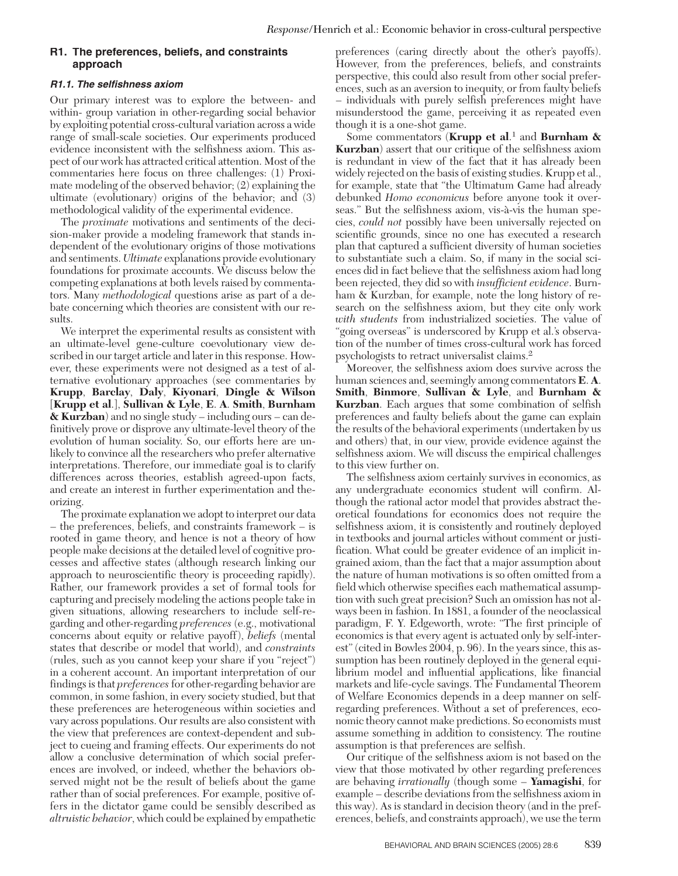## **R1. The preferences, beliefs, and constraints approach**

## *R1.1. The selfishness axiom*

Our primary interest was to explore the between- and within- group variation in other-regarding social behavior by exploiting potential cross-cultural variation across a wide range of small-scale societies. Our experiments produced evidence inconsistent with the selfishness axiom. This aspect of our work has attracted critical attention. Most of the commentaries here focus on three challenges: (1) Proximate modeling of the observed behavior; (2) explaining the ultimate (evolutionary) origins of the behavior; and (3) methodological validity of the experimental evidence.

The *proximate* motivations and sentiments of the decision-maker provide a modeling framework that stands independent of the evolutionary origins of those motivations and sentiments. *Ultimate* explanations provide evolutionary foundations for proximate accounts. We discuss below the competing explanations at both levels raised by commentators. Many *methodological* questions arise as part of a debate concerning which theories are consistent with our results.

We interpret the experimental results as consistent with an ultimate-level gene-culture coevolutionary view described in our target article and later in this response. However, these experiments were not designed as a test of alternative evolutionary approaches (see commentaries by **Krupp**, **Barclay**, **Daly**, **Kiyonari**, **Dingle & Wilson** [**Krupp et al**.], **Sullivan & Lyle**, **E**. **A**. **Smith**, **Burnham & Kurzban**) and no single study – including ours – can definitively prove or disprove any ultimate-level theory of the evolution of human sociality. So, our efforts here are unlikely to convince all the researchers who prefer alternative interpretations. Therefore, our immediate goal is to clarify differences across theories, establish agreed-upon facts, and create an interest in further experimentation and theorizing.

The proximate explanation we adopt to interpret our data – the preferences, beliefs, and constraints framework – is rooted in game theory, and hence is not a theory of how people make decisions at the detailed level of cognitive processes and affective states (although research linking our approach to neuroscientific theory is proceeding rapidly). Rather, our framework provides a set of formal tools for capturing and precisely modeling the actions people take in given situations, allowing researchers to include self-regarding and other-regarding *preferences* (e.g., motivational concerns about equity or relative payoff), *beliefs* (mental states that describe or model that world), and *constraints* (rules, such as you cannot keep your share if you "reject") in a coherent account. An important interpretation of our findings is that *preferences* for other-regarding behavior are common, in some fashion, in every society studied, but that these preferences are heterogeneous within societies and vary across populations. Our results are also consistent with the view that preferences are context-dependent and subject to cueing and framing effects. Our experiments do not allow a conclusive determination of which social preferences are involved, or indeed, whether the behaviors observed might not be the result of beliefs about the game rather than of social preferences. For example, positive offers in the dictator game could be sensibly described as *altruistic behavior*, which could be explained by empathetic

preferences (caring directly about the other's payoffs). However, from the preferences, beliefs, and constraints perspective, this could also result from other social preferences, such as an aversion to inequity, or from faulty beliefs – individuals with purely selfish preferences might have misunderstood the game, perceiving it as repeated even though it is a one-shot game.

Some commentators (**Krupp et al**. <sup>1</sup> and **Burnham & Kurzban**) assert that our critique of the selfishness axiom is redundant in view of the fact that it has already been widely rejected on the basis of existing studies. Krupp et al., for example, state that "the Ultimatum Game had already debunked *Homo economicus* before anyone took it overseas." But the selfishness axiom, vis-à-vis the human species, *could not* possibly have been universally rejected on scientific grounds, since no one has executed a research plan that captured a sufficient diversity of human societies to substantiate such a claim. So, if many in the social sciences did in fact believe that the selfishness axiom had long been rejected, they did so with *insufficient evidence*. Burnham & Kurzban, for example, note the long history of research on the selfishness axiom, but they cite only work *with students* from industrialized societies. The value of "going overseas" is underscored by Krupp et al.'s observation of the number of times cross-cultural work has forced psychologists to retract universalist claims.2

Moreover, the selfishness axiom does survive across the human sciences and, seemingly among commentators **E**. **A**. **Smith**, **Binmore**, **Sullivan & Lyle**, and **Burnham & Kurzban**. Each argues that some combination of selfish preferences and faulty beliefs about the game can explain the results of the behavioral experiments (undertaken by us and others) that, in our view, provide evidence against the selfishness axiom. We will discuss the empirical challenges to this view further on.

The selfishness axiom certainly survives in economics, as any undergraduate economics student will confirm. Although the rational actor model that provides abstract theoretical foundations for economics does not require the selfishness axiom, it is consistently and routinely deployed in textbooks and journal articles without comment or justification. What could be greater evidence of an implicit ingrained axiom, than the fact that a major assumption about the nature of human motivations is so often omitted from a field which otherwise specifies each mathematical assumption with such great precision? Such an omission has not always been in fashion. In 1881, a founder of the neoclassical paradigm, F. Y. Edgeworth, wrote: "The first principle of economics is that every agent is actuated only by self-interest" (cited in Bowles 2004, p. 96). In the years since, this assumption has been routinely deployed in the general equilibrium model and influential applications, like financial markets and life-cycle savings. The Fundamental Theorem of Welfare Economics depends in a deep manner on selfregarding preferences. Without a set of preferences, economic theory cannot make predictions. So economists must assume something in addition to consistency. The routine assumption is that preferences are selfish.

Our critique of the selfishness axiom is not based on the view that those motivated by other regarding preferences are behaving *irrationally* (though some – **Yamagishi**, for example – describe deviations from the selfishness axiom in this way). As is standard in decision theory (and in the preferences, beliefs, and constraints approach), we use the term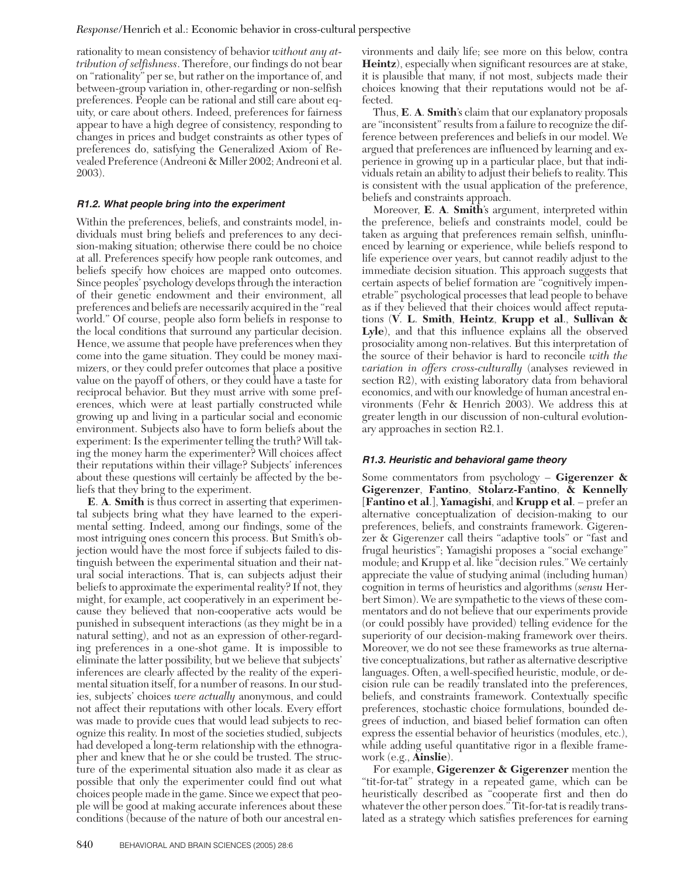rationality to mean consistency of behavior *without any attribution of selfishness*. Therefore, our findings do not bear on "rationality" per se, but rather on the importance of, and between-group variation in, other-regarding or non-selfish preferences. People can be rational and still care about equity, or care about others. Indeed, preferences for fairness appear to have a high degree of consistency, responding to changes in prices and budget constraints as other types of preferences do, satisfying the Generalized Axiom of Revealed Preference (Andreoni & Miller 2002; Andreoni et al. 2003).

## *R1.2. What people bring into the experiment*

Within the preferences, beliefs, and constraints model, individuals must bring beliefs and preferences to any decision-making situation; otherwise there could be no choice at all. Preferences specify how people rank outcomes, and beliefs specify how choices are mapped onto outcomes. Since peoples' psychology develops through the interaction of their genetic endowment and their environment, all preferences and beliefs are necessarily acquired in the "real world." Of course, people also form beliefs in response to the local conditions that surround any particular decision. Hence, we assume that people have preferences when they come into the game situation. They could be money maximizers, or they could prefer outcomes that place a positive value on the payoff of others, or they could have a taste for reciprocal behavior. But they must arrive with some preferences, which were at least partially constructed while growing up and living in a particular social and economic environment. Subjects also have to form beliefs about the experiment: Is the experimenter telling the truth? Will taking the money harm the experimenter? Will choices affect their reputations within their village? Subjects' inferences about these questions will certainly be affected by the beliefs that they bring to the experiment.

**E**. **A**. **Smith** is thus correct in asserting that experimental subjects bring what they have learned to the experimental setting. Indeed, among our findings, some of the most intriguing ones concern this process. But Smith's objection would have the most force if subjects failed to distinguish between the experimental situation and their natural social interactions. That is, can subjects adjust their beliefs to approximate the experimental reality? If not, they might, for example, act cooperatively in an experiment because they believed that non-cooperative acts would be punished in subsequent interactions (as they might be in a natural setting), and not as an expression of other-regarding preferences in a one-shot game. It is impossible to eliminate the latter possibility, but we believe that subjects' inferences are clearly affected by the reality of the experimental situation itself, for a number of reasons. In our studies, subjects' choices *were actually* anonymous, and could not affect their reputations with other locals. Every effort was made to provide cues that would lead subjects to recognize this reality. In most of the societies studied, subjects had developed a long-term relationship with the ethnographer and knew that he or she could be trusted. The structure of the experimental situation also made it as clear as possible that only the experimenter could find out what choices people made in the game. Since we expect that people will be good at making accurate inferences about these conditions (because of the nature of both our ancestral environments and daily life; see more on this below, contra **Heintz**), especially when significant resources are at stake, it is plausible that many, if not most, subjects made their choices knowing that their reputations would not be affected.

Thus, **E**. **A**. **Smith**'s claim that our explanatory proposals are "inconsistent" results from a failure to recognize the difference between preferences and beliefs in our model. We argued that preferences are influenced by learning and experience in growing up in a particular place, but that individuals retain an ability to adjust their beliefs to reality. This is consistent with the usual application of the preference, beliefs and constraints approach.

Moreover, **E**. **A**. **Smith**'s argument, interpreted within the preference, beliefs and constraints model, could be taken as arguing that preferences remain selfish, uninfluenced by learning or experience, while beliefs respond to life experience over years, but cannot readily adjust to the immediate decision situation. This approach suggests that certain aspects of belief formation are "cognitively impenetrable" psychological processes that lead people to behave as if they believed that their choices would affect reputations (**V**. **L**. **Smith**, **Heintz**, **Krupp et al**., **Sullivan & Lyle**), and that this influence explains all the observed prosociality among non-relatives. But this interpretation of the source of their behavior is hard to reconcile *with the variation in offers cross-culturally* (analyses reviewed in section R2), with existing laboratory data from behavioral economics, and with our knowledge of human ancestral environments (Fehr & Henrich 2003). We address this at greater length in our discussion of non-cultural evolutionary approaches in section R2.1.

## *R1.3. Heuristic and behavioral game theory*

Some commentators from psychology – **Gigerenzer & Gigerenzer**, **Fantino**, **Stolarz-Fantino**, **& Kennelly** [**Fantino et al**.], **Yamagishi**, and **Krupp et al**. – prefer an alternative conceptualization of decision-making to our preferences, beliefs, and constraints framework. Gigerenzer & Gigerenzer call theirs "adaptive tools" or "fast and frugal heuristics"; Yamagishi proposes a "social exchange" module; and Krupp et al. like "decision rules." We certainly appreciate the value of studying animal (including human) cognition in terms of heuristics and algorithms (*sensu* Herbert Simon). We are sympathetic to the views of these commentators and do not believe that our experiments provide (or could possibly have provided) telling evidence for the superiority of our decision-making framework over theirs. Moreover, we do not see these frameworks as true alternative conceptualizations, but rather as alternative descriptive languages. Often, a well-specified heuristic, module, or decision rule can be readily translated into the preferences, beliefs, and constraints framework. Contextually specific preferences, stochastic choice formulations, bounded degrees of induction, and biased belief formation can often express the essential behavior of heuristics (modules, etc.), while adding useful quantitative rigor in a flexible framework (e.g., **Ainslie**).

For example, **Gigerenzer & Gigerenzer** mention the "tit-for-tat" strategy in a repeated game, which can be heuristically described as "cooperate first and then do whatever the other person does." Tit-for-tat is readily translated as a strategy which satisfies preferences for earning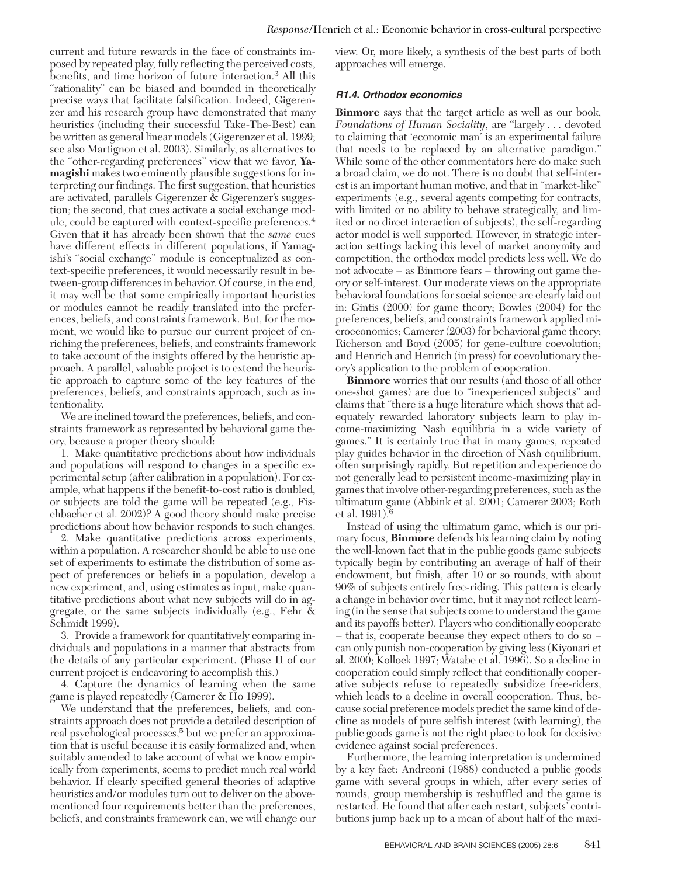current and future rewards in the face of constraints imposed by repeated play, fully reflecting the perceived costs, benefits, and time horizon of future interaction.<sup>3</sup> All this "rationality" can be biased and bounded in theoretically precise ways that facilitate falsification. Indeed, Gigerenzer and his research group have demonstrated that many heuristics (including their successful Take-The-Best) can be written as general linear models (Gigerenzer et al. 1999; see also Martignon et al. 2003). Similarly, as alternatives to the "other-regarding preferences" view that we favor, **Yamagishi** makes two eminently plausible suggestions for interpreting our findings. The first suggestion, that heuristics are activated, parallels Gigerenzer & Gigerenzer's suggestion; the second, that cues activate a social exchange module, could be captured with context-specific preferences.<sup>4</sup> Given that it has already been shown that the *same* cues have different effects in different populations, if Yamagishi's "social exchange" module is conceptualized as context-specific preferences, it would necessarily result in between-group differences in behavior. Of course, in the end, it may well be that some empirically important heuristics or modules cannot be readily translated into the preferences, beliefs, and constraints framework. But, for the moment, we would like to pursue our current project of enriching the preferences, beliefs, and constraints framework to take account of the insights offered by the heuristic approach. A parallel, valuable project is to extend the heuristic approach to capture some of the key features of the preferences, beliefs, and constraints approach, such as intentionality.

We are inclined toward the preferences, beliefs, and constraints framework as represented by behavioral game theory, because a proper theory should:

1. Make quantitative predictions about how individuals and populations will respond to changes in a specific experimental setup (after calibration in a population). For example, what happens if the benefit-to-cost ratio is doubled, or subjects are told the game will be repeated (e.g., Fischbacher et al. 2002)? A good theory should make precise predictions about how behavior responds to such changes.

2. Make quantitative predictions across experiments, within a population. A researcher should be able to use one set of experiments to estimate the distribution of some aspect of preferences or beliefs in a population, develop a new experiment, and, using estimates as input, make quantitative predictions about what new subjects will do in aggregate, or the same subjects individually (e.g., Fehr & Schmidt 1999).

3. Provide a framework for quantitatively comparing individuals and populations in a manner that abstracts from the details of any particular experiment. (Phase II of our current project is endeavoring to accomplish this.)

4. Capture the dynamics of learning when the same game is played repeatedly (Camerer & Ho 1999).

We understand that the preferences, beliefs, and constraints approach does not provide a detailed description of real psychological processes,<sup>5</sup> but we prefer an approximation that is useful because it is easily formalized and, when suitably amended to take account of what we know empirically from experiments, seems to predict much real world behavior. If clearly specified general theories of adaptive heuristics and/or modules turn out to deliver on the abovementioned four requirements better than the preferences, beliefs, and constraints framework can, we will change our

view. Or, more likely, a synthesis of the best parts of both approaches will emerge.

#### *R1.4. Orthodox economics*

**Binmore** says that the target article as well as our book, *Foundations of Human Sociality*, are "largely . . . devoted to claiming that 'economic man' is an experimental failure that needs to be replaced by an alternative paradigm." While some of the other commentators here do make such a broad claim, we do not. There is no doubt that self-interest is an important human motive, and that in "market-like" experiments (e.g., several agents competing for contracts, with limited or no ability to behave strategically, and limited or no direct interaction of subjects), the self-regarding actor model is well supported. However, in strategic interaction settings lacking this level of market anonymity and competition, the orthodox model predicts less well. We do not advocate – as Binmore fears – throwing out game theory or self-interest. Our moderate views on the appropriate behavioral foundations for social science are clearly laid out in: Gintis (2000) for game theory; Bowles (2004) for the preferences, beliefs, and constraints framework applied microeconomics; Camerer (2003) for behavioral game theory; Richerson and Boyd (2005) for gene-culture coevolution; and Henrich and Henrich (in press) for coevolutionary theory's application to the problem of cooperation.

**Binmore** worries that our results (and those of all other one-shot games) are due to "inexperienced subjects" and claims that "there is a huge literature which shows that adequately rewarded laboratory subjects learn to play income-maximizing Nash equilibria in a wide variety of games." It is certainly true that in many games, repeated play guides behavior in the direction of Nash equilibrium, often surprisingly rapidly. But repetition and experience do not generally lead to persistent income-maximizing play in games that involve other-regarding preferences, such as the ultimatum game (Abbink et al. 2001; Camerer 2003; Roth et al. 1991).<sup>6</sup>

Instead of using the ultimatum game, which is our primary focus, **Binmore** defends his learning claim by noting the well-known fact that in the public goods game subjects typically begin by contributing an average of half of their endowment, but finish, after 10 or so rounds, with about 90% of subjects entirely free-riding. This pattern is clearly a change in behavior over time, but it may not reflect learning (in the sense that subjects come to understand the game and its payoffs better). Players who conditionally cooperate – that is, cooperate because they expect others to do so – can only punish non-cooperation by giving less (Kiyonari et al. 2000; Kollock 1997; Watabe et al. 1996). So a decline in cooperation could simply reflect that conditionally cooperative subjects refuse to repeatedly subsidize free-riders, which leads to a decline in overall cooperation. Thus, because social preference models predict the same kind of decline as models of pure selfish interest (with learning), the public goods game is not the right place to look for decisive evidence against social preferences.

Furthermore, the learning interpretation is undermined by a key fact: Andreoni (1988) conducted a public goods game with several groups in which, after every series of rounds, group membership is reshuffled and the game is restarted. He found that after each restart, subjects' contributions jump back up to a mean of about half of the maxi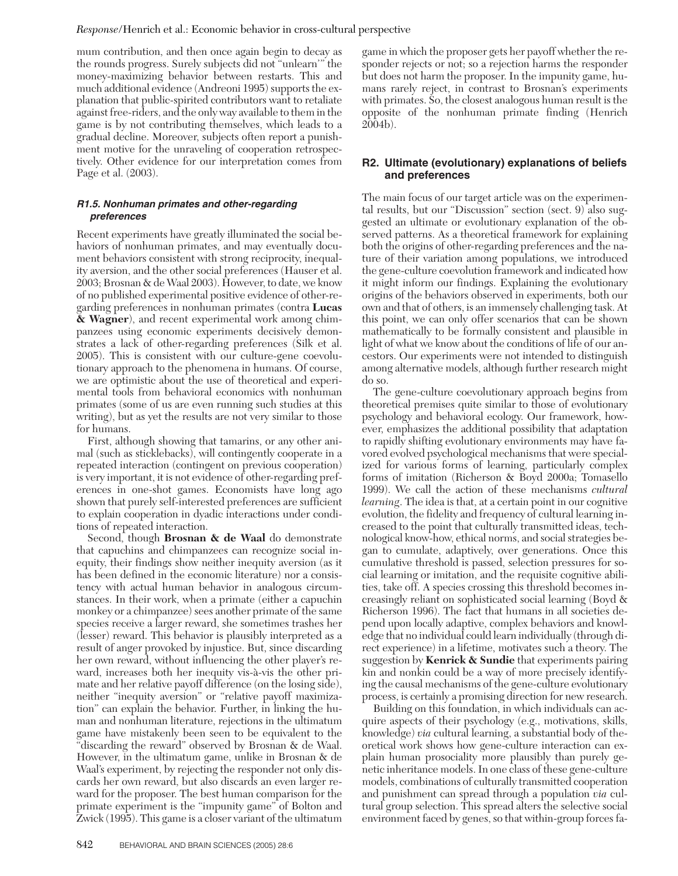mum contribution, and then once again begin to decay as the rounds progress. Surely subjects did not "unlearn'" the money-maximizing behavior between restarts. This and much additional evidence (Andreoni 1995) supports the explanation that public-spirited contributors want to retaliate against free-riders, and the only way available to them in the game is by not contributing themselves, which leads to a gradual decline. Moreover, subjects often report a punishment motive for the unraveling of cooperation retrospectively. Other evidence for our interpretation comes from Page et al. (2003).

## *R1.5. Nonhuman primates and other-regarding preferences*

Recent experiments have greatly illuminated the social behaviors of nonhuman primates, and may eventually document behaviors consistent with strong reciprocity, inequality aversion, and the other social preferences (Hauser et al. 2003; Brosnan & de Waal 2003). However, to date, we know of no published experimental positive evidence of other-regarding preferences in nonhuman primates (contra **Lucas & Wagner**), and recent experimental work among chimpanzees using economic experiments decisively demonstrates a lack of other-regarding preferences (Silk et al. 2005). This is consistent with our culture-gene coevolutionary approach to the phenomena in humans. Of course, we are optimistic about the use of theoretical and experimental tools from behavioral economics with nonhuman primates (some of us are even running such studies at this writing), but as yet the results are not very similar to those for humans.

First, although showing that tamarins, or any other animal (such as sticklebacks), will contingently cooperate in a repeated interaction (contingent on previous cooperation) is very important, it is not evidence of other-regarding preferences in one-shot games. Economists have long ago shown that purely self-interested preferences are sufficient to explain cooperation in dyadic interactions under conditions of repeated interaction.

Second, though **Brosnan & de Waal** do demonstrate that capuchins and chimpanzees can recognize social inequity, their findings show neither inequity aversion (as it has been defined in the economic literature) nor a consistency with actual human behavior in analogous circumstances. In their work, when a primate (either a capuchin monkey or a chimpanzee) sees another primate of the same species receive a larger reward, she sometimes trashes her (lesser) reward. This behavior is plausibly interpreted as a result of anger provoked by injustice. But, since discarding her own reward, without influencing the other player's reward, increases both her inequity vis-à-vis the other primate and her relative payoff difference (on the losing side), neither "inequity aversion" or "relative payoff maximization" can explain the behavior. Further, in linking the human and nonhuman literature, rejections in the ultimatum game have mistakenly been seen to be equivalent to the "discarding the reward" observed by Brosnan & de Waal. However, in the ultimatum game, unlike in Brosnan & de Waal's experiment, by rejecting the responder not only discards her own reward, but also discards an even larger reward for the proposer. The best human comparison for the primate experiment is the "impunity game" of Bolton and Zwick (1995). This game is a closer variant of the ultimatum

game in which the proposer gets her payoff whether the responder rejects or not; so a rejection harms the responder but does not harm the proposer. In the impunity game, humans rarely reject, in contrast to Brosnan's experiments with primates. So, the closest analogous human result is the opposite of the nonhuman primate finding (Henrich 2004b).

## **R2. Ultimate (evolutionary) explanations of beliefs and preferences**

The main focus of our target article was on the experimental results, but our "Discussion" section (sect. 9) also suggested an ultimate or evolutionary explanation of the observed patterns. As a theoretical framework for explaining both the origins of other-regarding preferences and the nature of their variation among populations, we introduced the gene-culture coevolution framework and indicated how it might inform our findings. Explaining the evolutionary origins of the behaviors observed in experiments, both our own and that of others, is an immensely challenging task. At this point, we can only offer scenarios that can be shown mathematically to be formally consistent and plausible in light of what we know about the conditions of life of our ancestors. Our experiments were not intended to distinguish among alternative models, although further research might do so.

The gene-culture coevolutionary approach begins from theoretical premises quite similar to those of evolutionary psychology and behavioral ecology. Our framework, however, emphasizes the additional possibility that adaptation to rapidly shifting evolutionary environments may have favored evolved psychological mechanisms that were specialized for various forms of learning, particularly complex forms of imitation (Richerson & Boyd 2000a; Tomasello 1999). We call the action of these mechanisms *cultural learning*. The idea is that, at a certain point in our cognitive evolution, the fidelity and frequency of cultural learning increased to the point that culturally transmitted ideas, technological know-how, ethical norms, and social strategies began to cumulate, adaptively, over generations. Once this cumulative threshold is passed, selection pressures for social learning or imitation, and the requisite cognitive abilities, take off. A species crossing this threshold becomes increasingly reliant on sophisticated social learning (Boyd & Richerson 1996). The fact that humans in all societies depend upon locally adaptive, complex behaviors and knowledge that no individual could learn individually (through direct experience) in a lifetime, motivates such a theory. The suggestion by **Kenrick & Sundie** that experiments pairing kin and nonkin could be a way of more precisely identifying the causal mechanisms of the gene-culture evolutionary process, is certainly a promising direction for new research.

Building on this foundation, in which individuals can acquire aspects of their psychology (e.g., motivations, skills, knowledge) *via* cultural learning, a substantial body of theoretical work shows how gene-culture interaction can explain human prosociality more plausibly than purely genetic inheritance models. In one class of these gene-culture models, combinations of culturally transmitted cooperation and punishment can spread through a population *via* cultural group selection. This spread alters the selective social environment faced by genes, so that within-group forces fa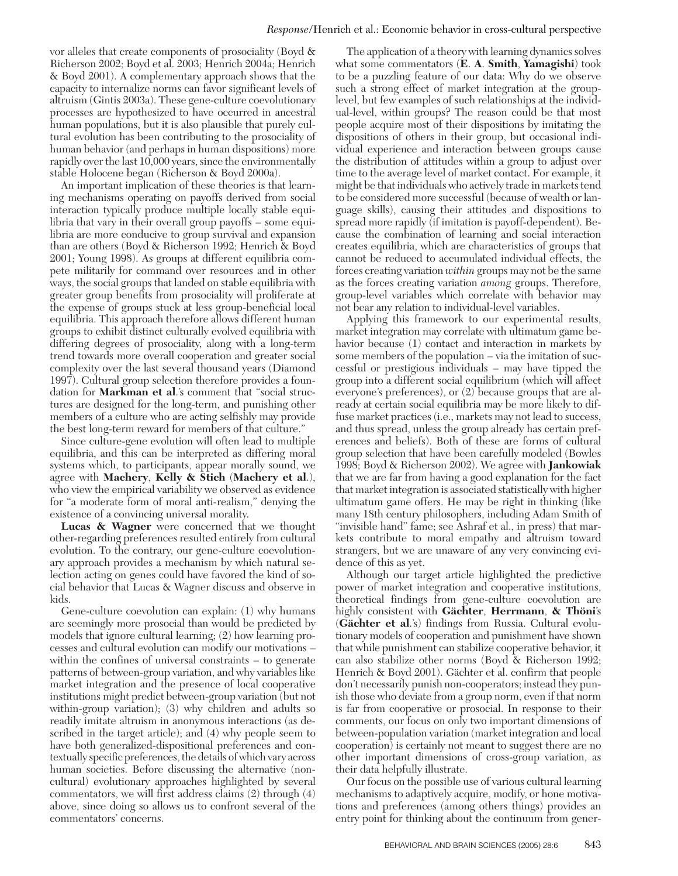vor alleles that create components of prosociality (Boyd & Richerson 2002; Boyd et al. 2003; Henrich 2004a; Henrich & Boyd 2001). A complementary approach shows that the capacity to internalize norms can favor significant levels of altruism (Gintis 2003a). These gene-culture coevolutionary processes are hypothesized to have occurred in ancestral human populations, but it is also plausible that purely cultural evolution has been contributing to the prosociality of human behavior (and perhaps in human dispositions) more rapidly over the last 10,000 years, since the environmentally stable Holocene began (Richerson & Boyd 2000a).

An important implication of these theories is that learning mechanisms operating on payoffs derived from social interaction typically produce multiple locally stable equilibria that vary in their overall group payoffs – some equilibria are more conducive to group survival and expansion than are others (Boyd & Richerson 1992; Henrich & Boyd 2001; Young 1998). As groups at different equilibria compete militarily for command over resources and in other ways, the social groups that landed on stable equilibria with greater group benefits from prosociality will proliferate at the expense of groups stuck at less group-beneficial local equilibria. This approach therefore allows different human groups to exhibit distinct culturally evolved equilibria with differing degrees of prosociality, along with a long-term trend towards more overall cooperation and greater social complexity over the last several thousand years (Diamond 1997). Cultural group selection therefore provides a foundation for **Markman et al**.'s comment that "social structures are designed for the long-term, and punishing other members of a culture who are acting selfishly may provide the best long-term reward for members of that culture."

Since culture-gene evolution will often lead to multiple equilibria, and this can be interpreted as differing moral systems which, to participants, appear morally sound, we agree with **Machery**, **Kelly & Stich** (**Machery et al**.), who view the empirical variability we observed as evidence for "a moderate form of moral anti-realism," denying the existence of a convincing universal morality.

**Lucas & Wagner** were concerned that we thought other-regarding preferences resulted entirely from cultural evolution. To the contrary, our gene-culture coevolutionary approach provides a mechanism by which natural selection acting on genes could have favored the kind of social behavior that Lucas & Wagner discuss and observe in kids.

Gene-culture coevolution can explain: (1) why humans are seemingly more prosocial than would be predicted by models that ignore cultural learning; (2) how learning processes and cultural evolution can modify our motivations – within the confines of universal constraints – to generate patterns of between-group variation, and why variables like market integration and the presence of local cooperative institutions might predict between-group variation (but not within-group variation); (3) why children and adults so readily imitate altruism in anonymous interactions (as described in the target article); and (4) why people seem to have both generalized-dispositional preferences and contextually specific preferences, the details of which vary across human societies. Before discussing the alternative (noncultural) evolutionary approaches highlighted by several commentators, we will first address claims (2) through (4) above, since doing so allows us to confront several of the commentators' concerns.

The application of a theory with learning dynamics solves what some commentators (**E**. **A**. **Smith**, **Yamagishi**) took to be a puzzling feature of our data: Why do we observe such a strong effect of market integration at the grouplevel, but few examples of such relationships at the individual-level, within groups? The reason could be that most people acquire most of their dispositions by imitating the dispositions of others in their group, but occasional individual experience and interaction between groups cause the distribution of attitudes within a group to adjust over time to the average level of market contact. For example, it might be that individuals who actively trade in markets tend to be considered more successful (because of wealth or language skills), causing their attitudes and dispositions to spread more rapidly (if imitation is payoff-dependent). Because the combination of learning and social interaction creates equilibria, which are characteristics of groups that cannot be reduced to accumulated individual effects, the forces creating variation *within* groups may not be the same as the forces creating variation *among* groups. Therefore, group-level variables which correlate with behavior may not bear any relation to individual-level variables.

Applying this framework to our experimental results, market integration may correlate with ultimatum game behavior because (1) contact and interaction in markets by some members of the population – via the imitation of successful or prestigious individuals – may have tipped the group into a different social equilibrium (which will affect everyone's preferences), or (2) because groups that are already at certain social equilibria may be more likely to diffuse market practices (i.e., markets may not lead to success, and thus spread, unless the group already has certain preferences and beliefs). Both of these are forms of cultural group selection that have been carefully modeled (Bowles 1998; Boyd & Richerson 2002). We agree with **Jankowiak** that we are far from having a good explanation for the fact that market integration is associated statistically with higher ultimatum game offers. He may be right in thinking (like many 18th century philosophers, including Adam Smith of "invisible hand" fame; see Ashraf et al., in press) that markets contribute to moral empathy and altruism toward strangers, but we are unaware of any very convincing evidence of this as yet.

Although our target article highlighted the predictive power of market integration and cooperative institutions, theoretical findings from gene-culture coevolution are highly consistent with **Gächter**, **Herrmann**, **& Thöni**'s (**Gächter et al**.'s) findings from Russia. Cultural evolutionary models of cooperation and punishment have shown that while punishment can stabilize cooperative behavior, it can also stabilize other norms (Boyd & Richerson 1992; Henrich & Boyd 2001). Gächter et al. confirm that people don't necessarily punish non-cooperators; instead they punish those who deviate from a group norm, even if that norm is far from cooperative or prosocial. In response to their comments, our focus on only two important dimensions of between-population variation (market integration and local cooperation) is certainly not meant to suggest there are no other important dimensions of cross-group variation, as their data helpfully illustrate.

Our focus on the possible use of various cultural learning mechanisms to adaptively acquire, modify, or hone motivations and preferences (among others things) provides an entry point for thinking about the continuum from gener-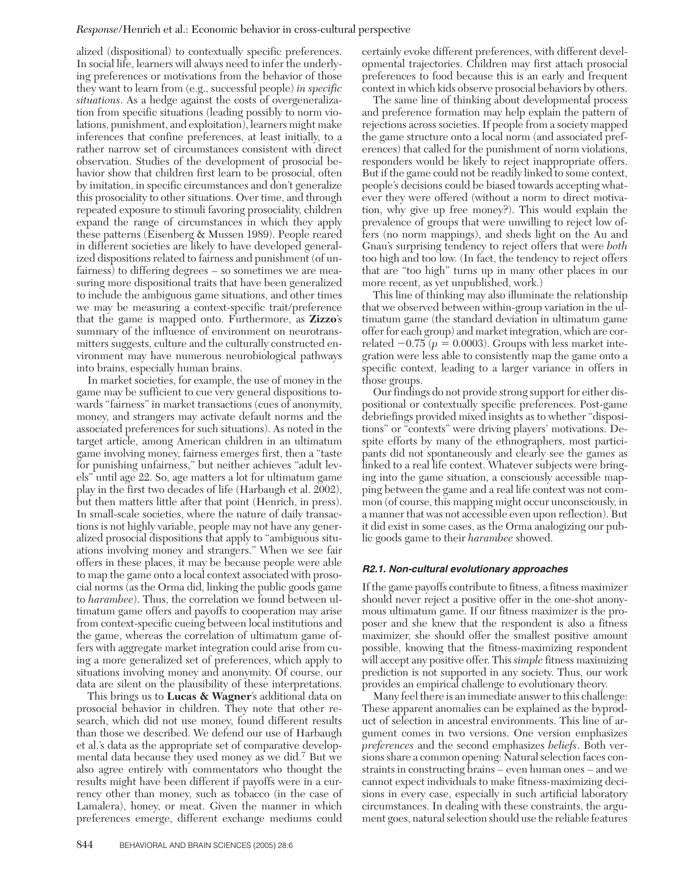alized (dispositional) to contextually specific preferences. In social life, learners will always need to infer the underlying preferences or motivations from the behavior of those they want to learn from (e.g., successful people) *in specific situations*. As a hedge against the costs of overgeneralization from specific situations (leading possibly to norm violations, punishment, and exploitation), learners might make inferences that confine preferences, at least initially, to a rather narrow set of circumstances consistent with direct observation. Studies of the development of prosocial behavior show that children first learn to be prosocial, often by imitation, in specific circumstances and don't generalize this prosociality to other situations. Over time, and through repeated exposure to stimuli favoring prosociality, children expand the range of circumstances in which they apply these patterns (Eisenberg & Mussen 1989). People reared in different societies are likely to have developed generalized dispositions related to fairness and punishment (of unfairness) to differing degrees – so sometimes we are measuring more dispositional traits that have been generalized to include the ambiguous game situations, and other times we may be measuring a context-specific trait/preference that the game is mapped onto. Furthermore, as **Zizzo**'s summary of the influence of environment on neurotransmitters suggests, culture and the culturally constructed environment may have numerous neurobiological pathways into brains, especially human brains.

In market societies, for example, the use of money in the game may be sufficient to cue very general dispositions towards "fairness" in market transactions (cues of anonymity, money, and strangers may activate default norms and the associated preferences for such situations). As noted in the target article, among American children in an ultimatum game involving money, fairness emerges first, then a "taste for punishing unfairness," but neither achieves "adult levels" until age 22. So, age matters a lot for ultimatum game play in the first two decades of life (Harbaugh et al. 2002), but then matters little after that point (Henrich, in press). In small-scale societies, where the nature of daily transactions is not highly variable, people may not have any generalized prosocial dispositions that apply to "ambiguous situations involving money and strangers." When we see fair offers in these places, it may be because people were able to map the game onto a local context associated with prosocial norms (as the Orma did, linking the public goods game to *harambee*). Thus, the correlation we found between ultimatum game offers and payoffs to cooperation may arise from context-specific cueing between local institutions and the game, whereas the correlation of ultimatum game offers with aggregate market integration could arise from cuing a more generalized set of preferences, which apply to situations involving money and anonymity. Of course, our data are silent on the plausibility of these interpretations.

This brings us to **Lucas & Wagner**'s additional data on prosocial behavior in children. They note that other research, which did not use money, found different results than those we described. We defend our use of Harbaugh et al.'s data as the appropriate set of comparative developmental data because they used money as we did.<sup>7</sup> But we also agree entirely with commentators who thought the results might have been different if payoffs were in a currency other than money, such as tobacco (in the case of Lamalera), honey, or meat. Given the manner in which preferences emerge, different exchange mediums could

certainly evoke different preferences, with different developmental trajectories. Children may first attach prosocial preferences to food because this is an early and frequent context in which kids observe prosocial behaviors by others.

The same line of thinking about developmental process and preference formation may help explain the pattern of rejections across societies. If people from a society mapped the game structure onto a local norm (and associated preferences) that called for the punishment of norm violations, responders would be likely to reject inappropriate offers. But if the game could not be readily linked to some context, people's decisions could be biased towards accepting whatever they were offered (without a norm to direct motivation, why give up free money?). This would explain the prevalence of groups that were unwilling to reject low offers (no norm mappings), and sheds light on the Au and Gnau's surprising tendency to reject offers that were *both* too high and too low. (In fact, the tendency to reject offers that are "too high" turns up in many other places in our more recent, as yet unpublished, work.)

This line of thinking may also illuminate the relationship that we observed between within-group variation in the ultimatum game (the standard deviation in ultimatum game offer for each group) and market integration, which are correlated  $-0.75$  ( $p = 0.0003$ ). Groups with less market integration were less able to consistently map the game onto a specific context, leading to a larger variance in offers in those groups.

Our findings do not provide strong support for either dispositional or contextually specific preferences. Post-game debriefings provided mixed insights as to whether "dispositions" or "contexts" were driving players' motivations. Despite efforts by many of the ethnographers, most participants did not spontaneously and clearly see the games as linked to a real life context. Whatever subjects were bringing into the game situation, a consciously accessible mapping between the game and a real life context was not common (of course, this mapping might occur unconsciously, in a manner that was not accessible even upon reflection). But it did exist in some cases, as the Orma analogizing our public goods game to their *harambee* showed.

#### *R2.1. Non-cultural evolutionary approaches*

If the game payoffs contribute to fitness, a fitness maximizer should never reject a positive offer in the one-shot anonymous ultimatum game. If our fitness maximizer is the proposer and she knew that the respondent is also a fitness maximizer, she should offer the smallest positive amount possible, knowing that the fitness-maximizing respondent will accept any positive offer. This *simple* fitness maximizing prediction is not supported in any society. Thus, our work provides an empirical challenge to evolutionary theory.

Many feel there is an immediate answer to this challenge: These apparent anomalies can be explained as the byproduct of selection in ancestral environments. This line of argument comes in two versions. One version emphasizes *preferences* and the second emphasizes *beliefs*. Both versions share a common opening: Natural selection faces constraints in constructing brains – even human ones – and we cannot expect individuals to make fitness-maximizing decisions in every case, especially in such artificial laboratory circumstances. In dealing with these constraints, the argument goes, natural selection should use the reliable features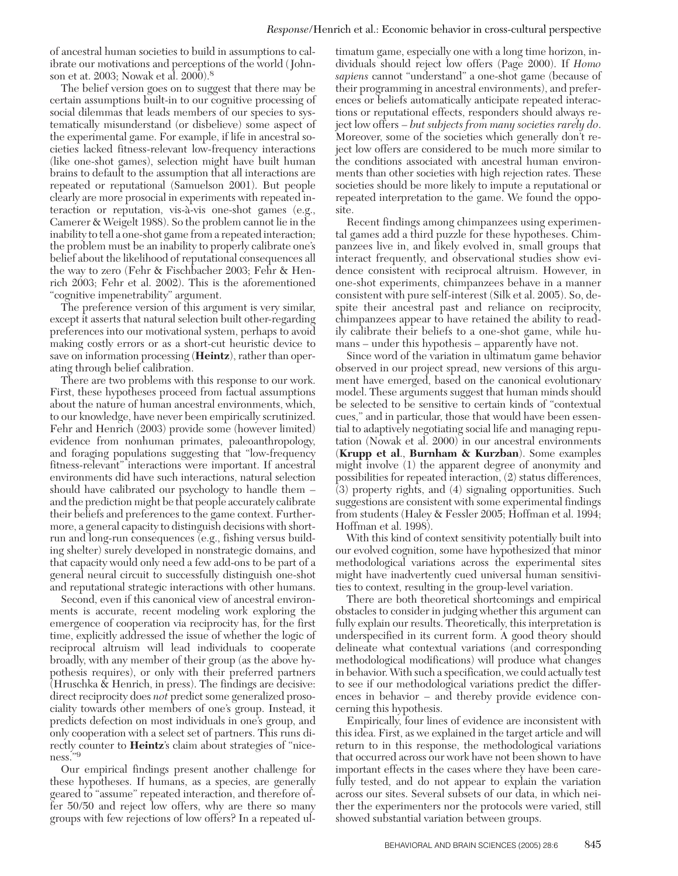of ancestral human societies to build in assumptions to calibrate our motivations and perceptions of the world (Johnson et at. 2003; Nowak et al. 2000).<sup>8</sup>

The belief version goes on to suggest that there may be certain assumptions built-in to our cognitive processing of social dilemmas that leads members of our species to systematically misunderstand (or disbelieve) some aspect of the experimental game. For example, if life in ancestral societies lacked fitness-relevant low-frequency interactions (like one-shot games), selection might have built human brains to default to the assumption that all interactions are repeated or reputational (Samuelson 2001). But people clearly are more prosocial in experiments with repeated interaction or reputation, vis-à-vis one-shot games (e.g., Camerer & Weigelt 1988). So the problem cannot lie in the inability to tell a one-shot game from a repeated interaction; the problem must be an inability to properly calibrate one's belief about the likelihood of reputational consequences all the way to zero (Fehr & Fischbacher 2003; Fehr & Henrich 2003; Fehr et al. 2002). This is the aforementioned "cognitive impenetrability" argument.

The preference version of this argument is very similar, except it asserts that natural selection built other-regarding preferences into our motivational system, perhaps to avoid making costly errors or as a short-cut heuristic device to save on information processing (**Heintz**), rather than operating through belief calibration.

There are two problems with this response to our work. First, these hypotheses proceed from factual assumptions about the nature of human ancestral environments, which, to our knowledge, have never been empirically scrutinized. Fehr and Henrich (2003) provide some (however limited) evidence from nonhuman primates, paleoanthropology, and foraging populations suggesting that "low-frequency fitness-relevant" interactions were important. If ancestral environments did have such interactions, natural selection should have calibrated our psychology to handle them – and the prediction might be that people accurately calibrate their beliefs and preferences to the game context. Furthermore, a general capacity to distinguish decisions with shortrun and long-run consequences (e.g., fishing versus building shelter) surely developed in nonstrategic domains, and that capacity would only need a few add-ons to be part of a general neural circuit to successfully distinguish one-shot and reputational strategic interactions with other humans.

Second, even if this canonical view of ancestral environments is accurate, recent modeling work exploring the emergence of cooperation via reciprocity has, for the first time, explicitly addressed the issue of whether the logic of reciprocal altruism will lead individuals to cooperate broadly, with any member of their group (as the above hypothesis requires), or only with their preferred partners (Hruschka & Henrich, in press). The findings are decisive: direct reciprocity does *not* predict some generalized prosociality towards other members of one's group. Instead, it predicts defection on most individuals in one's group, and only cooperation with a select set of partners. This runs directly counter to **Heintz**'s claim about strategies of "niceness."9

Our empirical findings present another challenge for these hypotheses. If humans, as a species, are generally geared to "assume" repeated interaction, and therefore offer 50/50 and reject low offers, why are there so many groups with few rejections of low offers? In a repeated ul-

timatum game, especially one with a long time horizon, individuals should reject low offers (Page 2000). If *Homo sapiens* cannot "understand" a one-shot game (because of their programming in ancestral environments), and preferences or beliefs automatically anticipate repeated interactions or reputational effects, responders should always reject low offers – *but subjects from many societies rarely do*. Moreover, some of the societies which generally don't reject low offers are considered to be much more similar to the conditions associated with ancestral human environments than other societies with high rejection rates. These societies should be more likely to impute a reputational or repeated interpretation to the game. We found the opposite.

Recent findings among chimpanzees using experimental games add a third puzzle for these hypotheses. Chimpanzees live in, and likely evolved in, small groups that interact frequently, and observational studies show evidence consistent with reciprocal altruism. However, in one-shot experiments, chimpanzees behave in a manner consistent with pure self-interest (Silk et al. 2005). So, despite their ancestral past and reliance on reciprocity, chimpanzees appear to have retained the ability to readily calibrate their beliefs to a one-shot game, while humans – under this hypothesis – apparently have not.

Since word of the variation in ultimatum game behavior observed in our project spread, new versions of this argument have emerged, based on the canonical evolutionary model. These arguments suggest that human minds should be selected to be sensitive to certain kinds of "contextual cues," and in particular, those that would have been essential to adaptively negotiating social life and managing reputation (Nowak et al. 2000) in our ancestral environments (**Krupp et al**., **Burnham & Kurzban**). Some examples might involve (1) the apparent degree of anonymity and possibilities for repeated interaction, (2) status differences, (3) property rights, and (4) signaling opportunities. Such suggestions are consistent with some experimental findings from students (Haley & Fessler 2005; Hoffman et al. 1994; Hoffman et al. 1998).

With this kind of context sensitivity potentially built into our evolved cognition, some have hypothesized that minor methodological variations across the experimental sites might have inadvertently cued universal human sensitivities to context, resulting in the group-level variation.

There are both theoretical shortcomings and empirical obstacles to consider in judging whether this argument can fully explain our results. Theoretically, this interpretation is underspecified in its current form. A good theory should delineate what contextual variations (and corresponding methodological modifications) will produce what changes in behavior. With such a specification, we could actually test to see if our methodological variations predict the differences in behavior – and thereby provide evidence concerning this hypothesis.

Empirically, four lines of evidence are inconsistent with this idea. First, as we explained in the target article and will return to in this response, the methodological variations that occurred across our work have not been shown to have important effects in the cases where they have been carefully tested, and do not appear to explain the variation across our sites. Several subsets of our data, in which neither the experimenters nor the protocols were varied, still showed substantial variation between groups.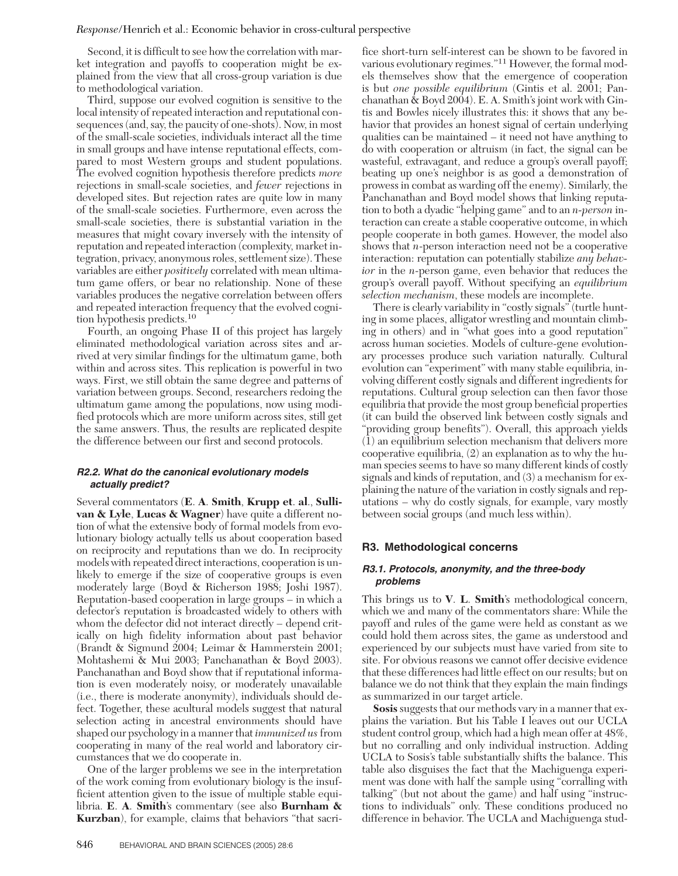Second, it is difficult to see how the correlation with market integration and payoffs to cooperation might be explained from the view that all cross-group variation is due to methodological variation.

Third, suppose our evolved cognition is sensitive to the local intensity of repeated interaction and reputational consequences (and, say, the paucity of one-shots). Now, in most of the small-scale societies, individuals interact all the time in small groups and have intense reputational effects, compared to most Western groups and student populations. The evolved cognition hypothesis therefore predicts *more* rejections in small-scale societies, and *fewer* rejections in developed sites. But rejection rates are quite low in many of the small-scale societies. Furthermore, even across the small-scale societies, there is substantial variation in the measures that might covary inversely with the intensity of reputation and repeated interaction (complexity, market integration, privacy, anonymous roles, settlement size). These variables are either *positively* correlated with mean ultimatum game offers, or bear no relationship. None of these variables produces the negative correlation between offers and repeated interaction frequency that the evolved cognition hypothesis predicts.10

Fourth, an ongoing Phase II of this project has largely eliminated methodological variation across sites and arrived at very similar findings for the ultimatum game, both within and across sites. This replication is powerful in two ways. First, we still obtain the same degree and patterns of variation between groups. Second, researchers redoing the ultimatum game among the populations, now using modified protocols which are more uniform across sites, still get the same answers. Thus, the results are replicated despite the difference between our first and second protocols.

## *R2.2. What do the canonical evolutionary models actually predict?*

Several commentators (**E**. **A**. **Smith**, **Krupp et**. **al**., **Sullivan & Lyle**, **Lucas & Wagner**) have quite a different notion of what the extensive body of formal models from evolutionary biology actually tells us about cooperation based on reciprocity and reputations than we do. In reciprocity models with repeated direct interactions, cooperation is unlikely to emerge if the size of cooperative groups is even moderately large (Boyd & Richerson 1988; Joshi 1987). Reputation-based cooperation in large groups – in which a defector's reputation is broadcasted widely to others with whom the defector did not interact directly – depend critically on high fidelity information about past behavior (Brandt & Sigmund 2004; Leimar & Hammerstein 2001; Mohtashemi & Mui 2003; Panchanathan & Boyd 2003). Panchanathan and Boyd show that if reputational information is even moderately noisy, or moderately unavailable (i.e., there is moderate anonymity), individuals should defect. Together, these acultural models suggest that natural selection acting in ancestral environments should have shaped our psychology in a manner that *immunized us*from cooperating in many of the real world and laboratory circumstances that we do cooperate in.

One of the larger problems we see in the interpretation of the work coming from evolutionary biology is the insufficient attention given to the issue of multiple stable equilibria. **E**. **A**. **Smith**'s commentary (see also **Burnham & Kurzban**), for example, claims that behaviors "that sacri-

qualities can be maintained – it need not have anything to do with cooperation or altruism (in fact, the signal can be wasteful, extravagant, and reduce a group's overall payoff; beating up one's neighbor is as good a demonstration of prowess in combat as warding off the enemy). Similarly, the Panchanathan and Boyd model shows that linking reputation to both a dyadic "helping game" and to an *n-person* interaction can create a stable cooperative outcome, in which people cooperate in both games. However, the model also shows that *n*-person interaction need not be a cooperative interaction: reputation can potentially stabilize *any behavior* in the *n*-person game, even behavior that reduces the group's overall payoff. Without specifying an *equilibrium selection mechanism*, these models are incomplete. There is clearly variability in "costly signals" (turtle hunting in some places, alligator wrestling and mountain climbing in others) and in "what goes into a good reputation" across human societies. Models of culture-gene evolutionary processes produce such variation naturally. Cultural

evolution can "experiment" with many stable equilibria, involving different costly signals and different ingredients for reputations. Cultural group selection can then favor those equilibria that provide the most group beneficial properties (it can build the observed link between costly signals and "providing group benefits"). Overall, this approach yields  $(1)$  an equilibrium selection mechanism that delivers more cooperative equilibria, (2) an explanation as to why the human species seems to have so many different kinds of costly signals and kinds of reputation, and (3) a mechanism for explaining the nature of the variation in costly signals and reputations – why do costly signals, for example, vary mostly between social groups (and much less within).

fice short-turn self-interest can be shown to be favored in various evolutionary regimes."11 However, the formal models themselves show that the emergence of cooperation is but *one possible equilibrium* (Gintis et al. 2001; Panchanathan & Boyd 2004). E. A. Smith's joint work with Gintis and Bowles nicely illustrates this: it shows that any behavior that provides an honest signal of certain underlying

### **R3. Methodological concerns**

## *R3.1. Protocols, anonymity, and the three-body problems*

This brings us to **V**. **L**. **Smith**'s methodological concern, which we and many of the commentators share: While the payoff and rules of the game were held as constant as we could hold them across sites, the game as understood and experienced by our subjects must have varied from site to site. For obvious reasons we cannot offer decisive evidence that these differences had little effect on our results; but on balance we do not think that they explain the main findings as summarized in our target article.

**Sosis** suggests that our methods vary in a manner that explains the variation. But his Table I leaves out our UCLA student control group, which had a high mean offer at 48%, but no corralling and only individual instruction. Adding UCLA to Sosis's table substantially shifts the balance. This table also disguises the fact that the Machiguenga experiment was done with half the sample using "corralling with talking" (but not about the game) and half using "instructions to individuals" only. These conditions produced no difference in behavior. The UCLA and Machiguenga stud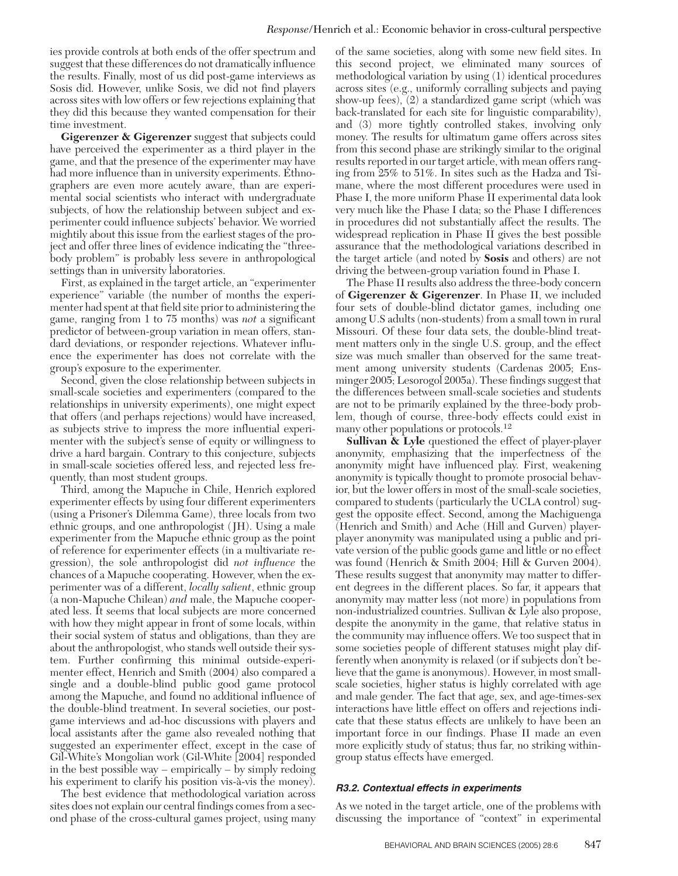ies provide controls at both ends of the offer spectrum and suggest that these differences do not dramatically influence the results. Finally, most of us did post-game interviews as Sosis did. However, unlike Sosis, we did not find players across sites with low offers or few rejections explaining that they did this because they wanted compensation for their time investment.

**Gigerenzer & Gigerenzer** suggest that subjects could have perceived the experimenter as a third player in the game, and that the presence of the experimenter may have had more influence than in university experiments. Ethnographers are even more acutely aware, than are experimental social scientists who interact with undergraduate subjects, of how the relationship between subject and experimenter could influence subjects' behavior. We worried mightily about this issue from the earliest stages of the project and offer three lines of evidence indicating the "threebody problem" is probably less severe in anthropological settings than in university laboratories.

First, as explained in the target article, an "experimenter experience" variable (the number of months the experimenter had spent at that field site prior to administering the game, ranging from 1 to 75 months) was *not* a significant predictor of between-group variation in mean offers, standard deviations, or responder rejections. Whatever influence the experimenter has does not correlate with the group's exposure to the experimenter.

Second, given the close relationship between subjects in small-scale societies and experimenters (compared to the relationships in university experiments), one might expect that offers (and perhaps rejections) would have increased, as subjects strive to impress the more influential experimenter with the subject's sense of equity or willingness to drive a hard bargain. Contrary to this conjecture, subjects in small-scale societies offered less, and rejected less frequently, than most student groups.

Third, among the Mapuche in Chile, Henrich explored experimenter effects by using four different experimenters (using a Prisoner's Dilemma Game), three locals from two ethnic groups, and one anthropologist (JH). Using a male experimenter from the Mapuche ethnic group as the point of reference for experimenter effects (in a multivariate regression), the sole anthropologist did *not influence* the chances of a Mapuche cooperating. However, when the experimenter was of a different, *locally salient*, ethnic group (a non-Mapuche Chilean) *and* male, the Mapuche cooperated less. It seems that local subjects are more concerned with how they might appear in front of some locals, within their social system of status and obligations, than they are about the anthropologist, who stands well outside their system. Further confirming this minimal outside-experimenter effect, Henrich and Smith (2004) also compared a single and a double-blind public good game protocol among the Mapuche, and found no additional influence of the double-blind treatment. In several societies, our postgame interviews and ad-hoc discussions with players and local assistants after the game also revealed nothing that suggested an experimenter effect, except in the case of Gil-White's Mongolian work (Gil-White [2004] responded in the best possible way – empirically – by simply redoing his experiment to clarify his position vis-à-vis the money).

The best evidence that methodological variation across sites does not explain our central findings comes from a second phase of the cross-cultural games project, using many

of the same societies, along with some new field sites. In this second project, we eliminated many sources of methodological variation by using (1) identical procedures across sites (e.g., uniformly corralling subjects and paying show-up fees), (2) a standardized game script (which was back-translated for each site for linguistic comparability), and (3) more tightly controlled stakes, involving only money. The results for ultimatum game offers across sites from this second phase are strikingly similar to the original results reported in our target article, with mean offers ranging from 25% to 51%. In sites such as the Hadza and Tsimane, where the most different procedures were used in Phase I, the more uniform Phase II experimental data look very much like the Phase I data; so the Phase I differences in procedures did not substantially affect the results. The widespread replication in Phase II gives the best possible assurance that the methodological variations described in the target article (and noted by **Sosis** and others) are not driving the between-group variation found in Phase I.

The Phase II results also address the three-body concern of **Gigerenzer & Gigerenzer**. In Phase II, we included four sets of double-blind dictator games, including one among U.S adults (non-students) from a small town in rural Missouri. Of these four data sets, the double-blind treatment matters only in the single U.S. group, and the effect size was much smaller than observed for the same treatment among university students (Cardenas 2005; Ensminger 2005; Lesorogol 2005a). These findings suggest that the differences between small-scale societies and students are not to be primarily explained by the three-body problem, though of course, three-body effects could exist in many other populations or protocols.<sup>12</sup>

**Sullivan & Lyle** questioned the effect of player-player anonymity, emphasizing that the imperfectness of the anonymity might have influenced play. First, weakening anonymity is typically thought to promote prosocial behavior, but the lower offers in most of the small-scale societies, compared to students (particularly the UCLA control) suggest the opposite effect. Second, among the Machiguenga (Henrich and Smith) and Ache (Hill and Gurven) playerplayer anonymity was manipulated using a public and private version of the public goods game and little or no effect was found (Henrich & Smith 2004; Hill & Gurven 2004). These results suggest that anonymity may matter to different degrees in the different places. So far, it appears that anonymity may matter less (not more) in populations from non-industrialized countries. Sullivan & Lyle also propose, despite the anonymity in the game, that relative status in the community may influence offers. We too suspect that in some societies people of different statuses might play differently when anonymity is relaxed (or if subjects don't believe that the game is anonymous). However, in most smallscale societies, higher status is highly correlated with age and male gender. The fact that age, sex, and age-times-sex interactions have little effect on offers and rejections indicate that these status effects are unlikely to have been an important force in our findings. Phase II made an even more explicitly study of status; thus far, no striking withingroup status effects have emerged.

## *R3.2. Contextual effects in experiments*

As we noted in the target article, one of the problems with discussing the importance of "context" in experimental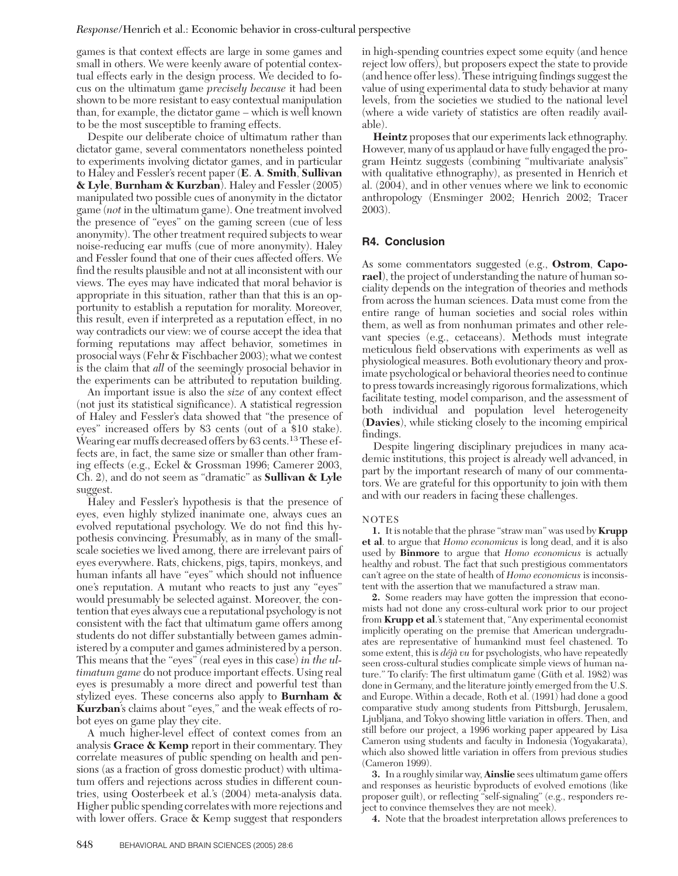games is that context effects are large in some games and small in others. We were keenly aware of potential contextual effects early in the design process. We decided to focus on the ultimatum game *precisely because* it had been shown to be more resistant to easy contextual manipulation than, for example, the dictator game – which is well known to be the most susceptible to framing effects.

Despite our deliberate choice of ultimatum rather than dictator game, several commentators nonetheless pointed to experiments involving dictator games, and in particular to Haley and Fessler's recent paper (**E**. **A**. **Smith**, **Sullivan & Lyle**, **Burnham & Kurzban**). Haley and Fessler (2005) manipulated two possible cues of anonymity in the dictator game (*not* in the ultimatum game). One treatment involved the presence of "eyes" on the gaming screen (cue of less anonymity). The other treatment required subjects to wear noise-reducing ear muffs (cue of more anonymity). Haley and Fessler found that one of their cues affected offers. We find the results plausible and not at all inconsistent with our views. The eyes may have indicated that moral behavior is appropriate in this situation, rather than that this is an opportunity to establish a reputation for morality. Moreover, this result, even if interpreted as a reputation effect, in no way contradicts our view: we of course accept the idea that forming reputations may affect behavior, sometimes in prosocial ways (Fehr & Fischbacher 2003); what we contest is the claim that *all* of the seemingly prosocial behavior in the experiments can be attributed to reputation building.

An important issue is also the *size* of any context effect (not just its statistical significance). A statistical regression of Haley and Fessler's data showed that "the presence of eyes" increased offers by 83 cents (out of a \$10 stake). Wearing ear muffs decreased offers by 63 cents.<sup>13</sup> These effects are, in fact, the same size or smaller than other framing effects (e.g., Eckel & Grossman 1996; Camerer 2003, Ch. 2), and do not seem as "dramatic" as **Sullivan & Lyle** suggest.

Haley and Fessler's hypothesis is that the presence of eyes, even highly stylized inanimate one, always cues an evolved reputational psychology. We do not find this hypothesis convincing. Presumably, as in many of the smallscale societies we lived among, there are irrelevant pairs of eyes everywhere. Rats, chickens, pigs, tapirs, monkeys, and human infants all have "eyes" which should not influence one's reputation. A mutant who reacts to just any "eyes" would presumably be selected against. Moreover, the contention that eyes always cue a reputational psychology is not consistent with the fact that ultimatum game offers among students do not differ substantially between games administered by a computer and games administered by a person. This means that the "eyes" (real eyes in this case) *in the ultimatum game* do not produce important effects. Using real eyes is presumably a more direct and powerful test than stylized eyes. These concerns also apply to **Burnham & Kurzban**'s claims about "eyes," and the weak effects of robot eyes on game play they cite.

A much higher-level effect of context comes from an analysis **Grace & Kemp** report in their commentary. They correlate measures of public spending on health and pensions (as a fraction of gross domestic product) with ultimatum offers and rejections across studies in different countries, using Oosterbeek et al.'s (2004) meta-analysis data. Higher public spending correlates with more rejections and with lower offers. Grace & Kemp suggest that responders in high-spending countries expect some equity (and hence reject low offers), but proposers expect the state to provide (and hence offer less). These intriguing findings suggest the value of using experimental data to study behavior at many levels, from the societies we studied to the national level (where a wide variety of statistics are often readily available).

**Heintz** proposes that our experiments lack ethnography. However, many of us applaud or have fully engaged the program Heintz suggests (combining "multivariate analysis" with qualitative ethnography), as presented in Henrich et al. (2004), and in other venues where we link to economic anthropology (Ensminger 2002; Henrich 2002; Tracer 2003).

## **R4. Conclusion**

As some commentators suggested (e.g., **Ostrom**, **Caporael**), the project of understanding the nature of human sociality depends on the integration of theories and methods from across the human sciences. Data must come from the entire range of human societies and social roles within them, as well as from nonhuman primates and other relevant species (e.g., cetaceans). Methods must integrate meticulous field observations with experiments as well as physiological measures. Both evolutionary theory and proximate psychological or behavioral theories need to continue to press towards increasingly rigorous formalizations, which facilitate testing, model comparison, and the assessment of both individual and population level heterogeneity (**Davies**), while sticking closely to the incoming empirical findings.

Despite lingering disciplinary prejudices in many academic institutions, this project is already well advanced, in part by the important research of many of our commentators. We are grateful for this opportunity to join with them and with our readers in facing these challenges.

#### NOTES

**1.** It is notable that the phrase "straw man" was used by **Krupp et al**. to argue that *Homo economicus* is long dead, and it is also used by **Binmore** to argue that *Homo economicus* is actually healthy and robust. The fact that such prestigious commentators can't agree on the state of health of *Homo economicus* is inconsistent with the assertion that we manufactured a straw man.

**2.** Some readers may have gotten the impression that economists had not done any cross-cultural work prior to our project from **Krupp et al**.'s statement that, "Any experimental economist implicitly operating on the premise that American undergraduates are representative of humankind must feel chastened. To some extent, this is *déjà vu* for psychologists, who have repeatedly seen cross-cultural studies complicate simple views of human nature." To clarify: The first ultimatum game (Güth et al. 1982) was done in Germany, and the literature jointly emerged from the U.S. and Europe. Within a decade, Roth et al. (1991) had done a good comparative study among students from Pittsburgh, Jerusalem, Ljubljana, and Tokyo showing little variation in offers. Then, and still before our project, a 1996 working paper appeared by Lisa Cameron using students and faculty in Indonesia (Yogyakarata), which also showed little variation in offers from previous studies (Cameron 1999).

**3.** In a roughly similar way, **Ainslie** sees ultimatum game offers and responses as heuristic byproducts of evolved emotions (like proposer guilt), or reflecting "self-signaling" (e.g., responders reject to convince themselves they are not meek).

**4.** Note that the broadest interpretation allows preferences to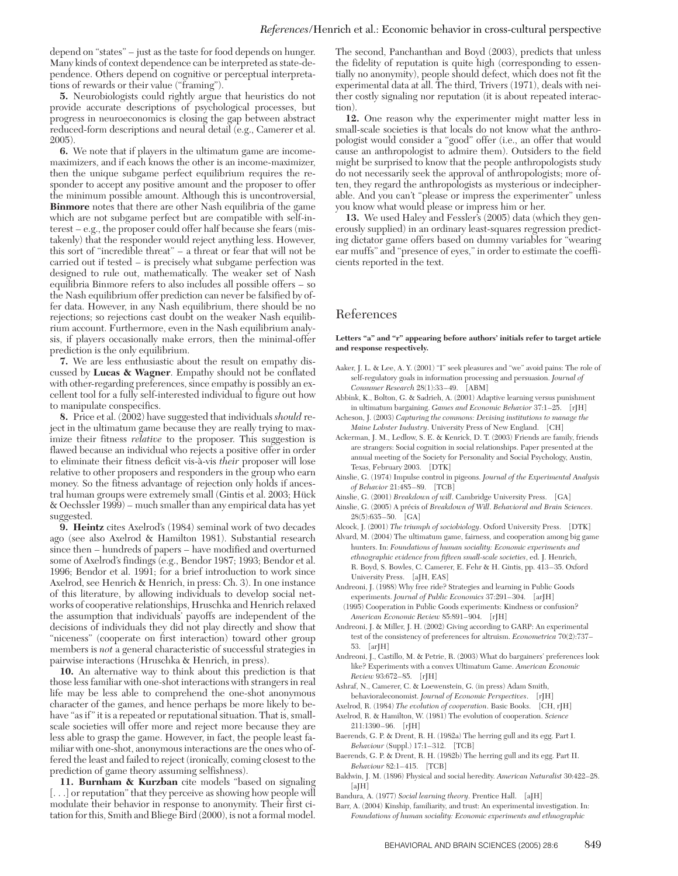depend on "states" – just as the taste for food depends on hunger. Many kinds of context dependence can be interpreted as state-dependence. Others depend on cognitive or perceptual interpretations of rewards or their value ("framing").

**5.** Neurobiologists could rightly argue that heuristics do not provide accurate descriptions of psychological processes, but progress in neuroeconomics is closing the gap between abstract reduced-form descriptions and neural detail (e.g., Camerer et al. 2005).

**6.** We note that if players in the ultimatum game are incomemaximizers, and if each knows the other is an income-maximizer, then the unique subgame perfect equilibrium requires the responder to accept any positive amount and the proposer to offer the minimum possible amount. Although this is uncontroversial, **Binmore** notes that there are other Nash equilibria of the game which are not subgame perfect but are compatible with self-interest – e.g., the proposer could offer half because she fears (mistakenly) that the responder would reject anything less. However, this sort of "incredible threat" – a threat or fear that will not be carried out if tested – is precisely what subgame perfection was designed to rule out, mathematically. The weaker set of Nash equilibria Binmore refers to also includes all possible offers – so the Nash equilibrium offer prediction can never be falsified by offer data. However, in any Nash equilibrium, there should be no rejections; so rejections cast doubt on the weaker Nash equilibrium account. Furthermore, even in the Nash equilibrium analysis, if players occasionally make errors, then the minimal-offer prediction is the only equilibrium.

**7.** We are less enthusiastic about the result on empathy discussed by **Lucas & Wagner**. Empathy should not be conflated with other-regarding preferences, since empathy is possibly an excellent tool for a fully self-interested individual to figure out how to manipulate conspecifics.

**8.** Price et al. (2002) have suggested that individuals *should* reject in the ultimatum game because they are really trying to maximize their fitness *relative* to the proposer. This suggestion is flawed because an individual who rejects a positive offer in order to eliminate their fitness deficit vis-à-vis *their* proposer will lose relative to other proposers and responders in the group who earn money. So the fitness advantage of rejection only holds if ancestral human groups were extremely small (Gintis et al. 2003; Hück & Oechssler 1999) – much smaller than any empirical data has yet suggested.

**9. Heintz** cites Axelrod's (1984) seminal work of two decades ago (see also Axelrod & Hamilton 1981). Substantial research since then – hundreds of papers – have modified and overturned some of Axelrod's findings (e.g., Bendor 1987; 1993; Bendor et al. 1996; Bendor et al. 1991; for a brief introduction to work since Axelrod, see Henrich & Henrich, in press: Ch. 3). In one instance of this literature, by allowing individuals to develop social networks of cooperative relationships, Hruschka and Henrich relaxed the assumption that individuals' payoffs are independent of the decisions of individuals they did not play directly and show that "niceness" (cooperate on first interaction) toward other group members is *not* a general characteristic of successful strategies in pairwise interactions (Hruschka & Henrich, in press).

**10.** An alternative way to think about this prediction is that those less familiar with one-shot interactions with strangers in real life may be less able to comprehend the one-shot anonymous character of the games, and hence perhaps be more likely to behave "as if" it is a repeated or reputational situation. That is, smallscale societies will offer more and reject more because they are less able to grasp the game. However, in fact, the people least familiar with one-shot, anonymous interactions are the ones who offered the least and failed to reject (ironically, coming closest to the prediction of game theory assuming selfishness).

**11. Burnham & Kurzban** cite models "based on signaling [. . .] or reputation" that they perceive as showing how people will modulate their behavior in response to anonymity. Their first citation for this, Smith and Bliege Bird (2000), is not a formal model. The second, Panchanthan and Boyd (2003), predicts that unless the fidelity of reputation is quite high (corresponding to essentially no anonymity), people should defect, which does not fit the experimental data at all. The third, Trivers (1971), deals with neither costly signaling nor reputation (it is about repeated interaction).

**12.** One reason why the experimenter might matter less in small-scale societies is that locals do not know what the anthropologist would consider a "good" offer (i.e., an offer that would cause an anthropologist to admire them). Outsiders to the field might be surprised to know that the people anthropologists study do not necessarily seek the approval of anthropologists; more often, they regard the anthropologists as mysterious or indecipherable. And you can't "please or impress the experimenter" unless you know what would please or impress him or her.

**13.** We used Haley and Fessler's (2005) data (which they generously supplied) in an ordinary least-squares regression predicting dictator game offers based on dummy variables for "wearing ear muffs" and "presence of eyes," in order to estimate the coefficients reported in the text.

## References

#### **Letters "a" and "r" appearing before authors' initials refer to target article and response respectively.**

- Aaker, J. L. & Lee, A. Y. (2001) "I" seek pleasures and "we" avoid pains: The role of self-regulatory goals in information processing and persuasion. *Journal of Consumer Research* 28(1):33–49. [ABM]
- Abbink, K., Bolton, G. & Sadrieh, A. (2001) Adaptive learning versus punishment in ultimatum bargaining. *Games and Economic Behavior* 37:1–25. [rJH]
- Acheson, J. (2003) *Capturing the commons: Devising institutions to manage the Maine Lobster Industry*. University Press of New England. [CH]
- Ackerman, J. M., Ledlow, S. E. & Kenrick, D. T. (2003) Friends are family, friends are strangers: Social cognition in social relationships. Paper presented at the annual meeting of the Society for Personality and Social Psychology, Austin, Texas, February 2003. [DTK]
- Ainslie, G. (1974) Impulse control in pigeons. *Journal of the Experimental Analysis of Behavior* 21:485–89. [TCB]
- Ainslie, G. (2001) *Breakdown of will*. Cambridge University Press. [GA]
- Ainslie, G. (2005) A précis of *Breakdown of Will*. *Behavioral and Brain Sciences*. 28(5):635–50. [GA]

Alcock, J. (2001) *The triumph of sociobiology*. Oxford University Press. [DTK]

- Alvard, M. (2004) The ultimatum game, fairness, and cooperation among big game hunters. In: *Foundations of human sociality: Economic experiments and ethnographic evidence from fifteen small-scale societies*, ed. J. Henrich, R. Boyd, S. Bowles, C. Camerer, E. Fehr & H. Gintis, pp. 413–35. Oxford University Press. [aJH, EAS]
- Andreoni, J. (1988) Why free ride? Strategies and learning in Public Goods experiments. *Journal of Public Economics* 37:291–304. [arJH]
- (1995) Cooperation in Public Goods experiments: Kindness or confusion? *American Economic Review* 85:891–904. [rJH]
- Andreoni, J. & Miller, J. H. (2002) Giving according to GARP: An experimental test of the consistency of preferences for altruism. *Econometrica* 70(2):737– 53. [arJH]
- Andreoni, J., Castillo, M. & Petrie, R. (2003) What do bargainers' preferences look like? Experiments with a convex Ultimatum Game. *American Economic Review* 93:672–85. [rJH]
- Ashraf, N., Camerer, C. & Loewenstein, G. (in press) Adam Smith, behavioraleconomist. *Journal of Economic Perspectives*. [rJH]
- Axelrod, R. (1984) *The evolution of cooperation*. Basic Books. [CH, rJH] Axelrod, R. & Hamilton, W. (1981) The evolution of cooperation. *Science*
- 211:1390–96. [rJH]
- Baerends, G. P. & Drent, R. H. (1982a) The herring gull and its egg. Part I. *Behaviour* (Suppl.) 17:1–312. [TCB]
- Baerends, G. P. & Drent, R. H. (1982b) The herring gull and its egg. Part II. *Behaviour* 82:1–415. [TCB]
- Baldwin, J. M. (1896) Physical and social heredity. *American Naturalist* 30:422–28.  $[a]$  $H]$

Bandura, A. (1977) *Social learning theory*. Prentice Hall. [aJH]

Barr, A. (2004) Kinship, familiarity, and trust: An experimental investigation. In: *Foundations of human sociality: Economic experiments and ethnographic*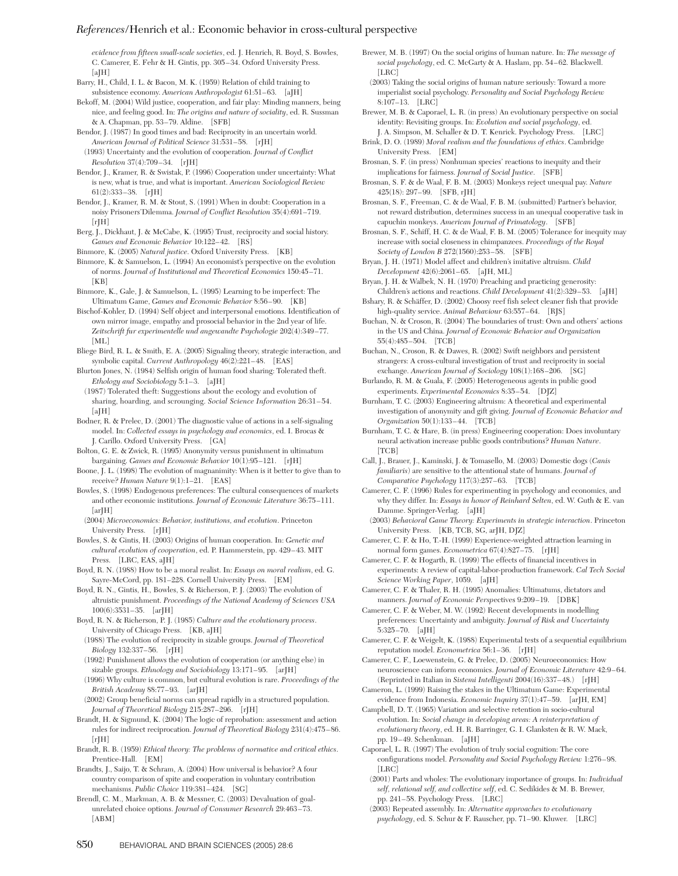*evidence from fifteen small-scale societies*, ed. J. Henrich, R. Boyd, S. Bowles, C. Camerer, E. Fehr & H. Gintis, pp. 305–34. Oxford University Press.  $[a]$ H $]$ 

Barry, H., Child, I. L. & Bacon, M. K. (1959) Relation of child training to subsistence economy. *American Anthropologist* 61:51–63. [aJH]

Bekoff, M. (2004) Wild justice, cooperation, and fair play: Minding manners, being nice, and feeling good. In: *The origins and nature of sociality*, ed. R. Sussman & A. Chapman, pp. 53–79. Aldine. [SFB]

Bendor, J. (1987) In good times and bad: Reciprocity in an uncertain world. *American Journal of Political Science* 31:531–58. [rJH]

(1993) Uncertainty and the evolution of cooperation. *Journal of Conflict Resolution* 37(4):709–34. [rJH]

Bendor, J., Kramer, R. & Swistak, P. (1996) Cooperation under uncertainty: What is new, what is true, and what is important. *American Sociological Review*  $61(2):333-38.$  [rJH]

Bendor, J., Kramer, R. M. & Stout, S. (1991) When in doubt: Cooperation in a noisy Prisoners'Dilemma. *Journal of Conflict Resolution* 35(4):691–719.  $[r[H]$ 

Berg, J., Dickhaut, J. & McCabe, K. (1995) Trust, reciprocity and social history. *Games and Economic Behavior* 10:122–42. [RS]

Binmore, K. (2005) *Natural justice*. Oxford University Press. [KB]

Binmore, K. & Samuelson, L. (1994) An economist's perspective on the evolution of norms. *Journal of Institutional and Theoretical Economics* 150:45–71. [KB]

Binmore, K., Gale, J. & Samuelson, L. (1995) Learning to be imperfect: The Ultimatum Game, *Games and Economic Behavior* 8:56–90. [KB]

Bischof-Kohler, D. (1994) Self object and interpersonal emotions. Identification of own mirror image, empathy and prosocial behavior in the 2nd year of life. *Zeitschrift fur experimentelle und angewandte Psychologie* 202(4):349–77.  $[ML]$ 

Bliege Bird, R. L. & Smith, E. A. (2005) Signaling theory, strategic interaction, and symbolic capital. *Current Anthropology* 46(2):221–48. [EAS]

Blurton Jones, N. (1984) Selfish origin of human food sharing: Tolerated theft. *Ethology and Sociobiology* 5:1–3. [aJH]

(1987) Tolerated theft: Suggestions about the ecology and evolution of sharing, hoarding, and scrounging. *Social Science Information* 26:31– 54.  $[a]$  $H$ ]

Bodner, R. & Prelec, D. (2001) The diagnostic value of actions in a self-signaling model. In: *Collected essays in psychology and economics*, ed. I. Brocas & J. Carillo. Oxford University Press. [GA]

Bolton, G. E. & Zwick, R. (1995) Anonymity versus punishment in ultimatum bargaining. *Games and Economic Behavior* 10(1):95–121. [rJH]

Boone, J. L. (1998) The evolution of magnanimity: When is it better to give than to receive? *Human Nature* 9(1):1–21. [EAS]

Bowles, S. (1998) Endogenous preferences: The cultural consequences of markets and other economic institutions. *Journal of Economic Literature* 36:75–111.  $\lceil \operatorname{ar} \Pi \rceil$ 

(2004) *Microeconomics: Behavior, institutions, and evolution*. Princeton University Press. [rJH]

Bowles, S. & Gintis, H. (2003) Origins of human cooperation. In: *Genetic and cultural evolution of cooperation*, ed. P. Hammerstein, pp. 429–43. MIT Press. [LRC, EAS, aJH]

Boyd, R. N. (1988) How to be a moral realist. In: *Essays on moral realism*, ed. G. Sayre-McCord, pp. 181–228. Cornell University Press. [EM]

Boyd, R. N., Gintis, H., Bowles, S. & Richerson, P. J. (2003) The evolution of altruistic punishment. *Proceedings of the National Academy of Sciences USA* 100(6):3531–35. [arJH]

Boyd, R. N. & Richerson, P. J. (1985) *Culture and the evolutionary process*. University of Chicago Press. [KB, aJH]

(1988) The evolution of reciprocity in sizable groups. *Journal of Theoretical Biology* 132:337–56. [rJH]

(1992) Punishment allows the evolution of cooperation (or anything else) in sizable groups. *Ethnology and Sociobiology* 13:171–95. [arJH]

(1996) Why culture is common, but cultural evolution is rare. *Proceedings of the British Academy* 88:77–93. [arJH]

(2002) Group beneficial norms can spread rapidly in a structured population. *Journal of Theoretical Biology* 215:287–296. [rJH]

Brandt, H. & Sigmund, K. (2004) The logic of reprobation: assessment and action rules for indirect reciprocation. *Journal of Theoretical Biology* 231(4):475–86.  $[r[H]$ 

Brandt, R. B. (1959) *Ethical theory: The problems of normative and critical ethics*. Prentice-Hall. [EM]

Brandts, J., Saijo, T. & Schram, A. (2004) How universal is behavior? A four country comparison of spite and cooperation in voluntary contribution mechanisms. *Public Choice* 119:381–424. [SG]

Brendl, C. M., Markman, A. B. & Messner, C. (2003) Devaluation of goalunrelated choice options. *Journal of Consumer Research* 29:463–73. [ABM]

Brewer, M. B. (1997) On the social origins of human nature. In: *The message of social psychology*, ed. C. McGarty & A. Haslam, pp. 54–62. Blackwell. [LRC]

(2003) Taking the social origins of human nature seriously: Toward a more imperialist social psychology. *Personality and Social Psychology Review* 8:107–13. [LRC]

Brewer, M. B. & Caporael, L. R. (in press) An evolutionary perspective on social identity: Revisiting groups. In: *Evolution and social psychology*, ed. J. A. Simpson, M. Schaller & D. T. Kenrick. Psychology Press. [LRC]

Brink, D. O. (1989) *Moral realism and the foundations of ethics*. Cambridge University Press. [EM]

Brosnan, S. F. (in press) Nonhuman species' reactions to inequity and their implications for fairness. *Journal of Social Justice*. [SFB]

Brosnan, S. F. & de Waal, F. B. M. (2003) Monkeys reject unequal pay. *Nature* 425(18): 297–99. [SFB, rJH]

Brosnan, S. F., Freeman, C. & de Waal, F. B. M. (submitted) Partner's behavior, not reward distribution, determines success in an unequal cooperative task in capuchin monkeys. *American Journal of Primatology*. [SFB]

Brosnan, S. F., Schiff, H. C. & de Waal, F. B. M. (2005) Tolerance for inequity may increase with social closeness in chimpanzees. *Proceedings of the Royal Society of London B* 272(1560):253–58. [SFB]

Bryan, J. H. (1971) Model affect and children's imitative altruism. *Child Development* 42(6):2061–65. [aJH, ML]

Bryan, J. H. & Walbek, N. H. (1970) Preaching and practicing generosity: Children's actions and reactions. *Child Development* 41(2):329–53. [aJH]

Bshary, R. & Schäffer, D. (2002) Choosy reef fish select cleaner fish that provide high-quality service. *Animal Behaviour* 63:557–64. [RJS]

Buchan, N. & Croson, R. (2004) The boundaries of trust: Own and others' actions in the US and China. *Journal of Economic Behavior and Organization* 55(4):485–504. [TCB]

Buchan, N., Croson, R. & Dawes, R. (2002) Swift neighbors and persistent strangers: A cross-cultural investigation of trust and reciprocity in social exchange. *American Journal of Sociology* 108(1):168–206. [SG]

Burlando, R. M. & Guala, F. (2005) Heterogeneous agents in public good experiments. *Experimental Economics* 8:35–54. [DJZ]

Burnham, T. C. (2003) Engineering altruism: A theoretical and experimental investigation of anonymity and gift giving. *Journal of Economic Behavior and Organization* 50(1):133–44. [TCB]

Burnham, T. C. & Hare, B. (in press) Engineering cooperation: Does involuntary neural activation increase public goods contributions? *Human Nature*. [TCB]

Call, J., Brauer, J., Kaminski, J. & Tomasello, M. (2003) Domestic dogs (*Canis familiaris*) are sensitive to the attentional state of humans. *Journal of Comparative Psychology* 117(3):257–63. [TCB]

Camerer, C. F. (1996) Rules for experimenting in psychology and economics, and why they differ. In: *Essays in honor of Reinhard Selten*, ed. W. Guth & E. van Damme. Springer-Verlag. [aJH]

(2003) *Behavioral Game Theory: Experiments in strategic interaction*. Princeton University Press. [KB, TCB, SG, arJH, DJZ]

Camerer, C. F. & Ho, T.-H. (1999) Experience-weighted attraction learning in normal form games. *Econometrica* 67(4):827–75. [rJH]

Camerer, C. F. & Hogarth, R. (1999) The effects of financial incentives in experiments: A review of capital-labor-production framework. *Cal Tech Social Science Working Paper*, 1059. [aJH]

Camerer, C. F. & Thaler, R. H. (1995) Anomalies: Ultimatums, dictators and manners. *Journal of Economic Persp*ectives 9:209–19. [DBK]

Camerer, C. F. & Weber, M. W. (1992) Recent developments in modelling preferences: Uncertainty and ambiguity. *Journal of Risk and Uncertainty* 5:325–70. [aJH]

Camerer, C. F. & Weigelt, K. (1988) Experimental tests of a sequential equilibrium reputation model. *Econometrica* 56:1–36. [rJH]

Camerer, C. F., Loewenstein, G. & Prelec, D. (2005) Neuroeconomics: How neuroscience can inform economics. *Journal of Economic Literature* 42:9–64. (Reprinted in Italian in *Sistemi Intelligenti* 2004(16):337–48.) [rJH]

Cameron, L. (1999) Raising the stakes in the Ultimatum Game: Experimental evidence from Indonesia. *Economic Inquiry* 37(1):47–59. [arJH, EM]

Campbell, D. T. (1965) Variation and selective retention in socio-cultural evolution. In: *Social change in developing areas: A reinterpretation of evolutionary theory*, ed. H. R. Barringer, G. I. Glanksten & R. W. Mack, pp. 19–49. Schenkman. [aJH]

Caporael, L. R. (1997) The evolution of truly social cognition: The core configurations model. *Personality and Social Psychology Review* 1:276–98. [LRC]

(2001) Parts and wholes: The evolutionary importance of groups. In: *Individual self, relational self, and collective self*, ed. C. Sedikides & M. B. Brewer, pp. 241–58. Psychology Press. [LRC]

(2003) Repeated assembly. In: *Alternative approaches to evolutionary psychology*, ed. S. Schur & F. Rauscher, pp. 71–90. Kluwer. [LRC]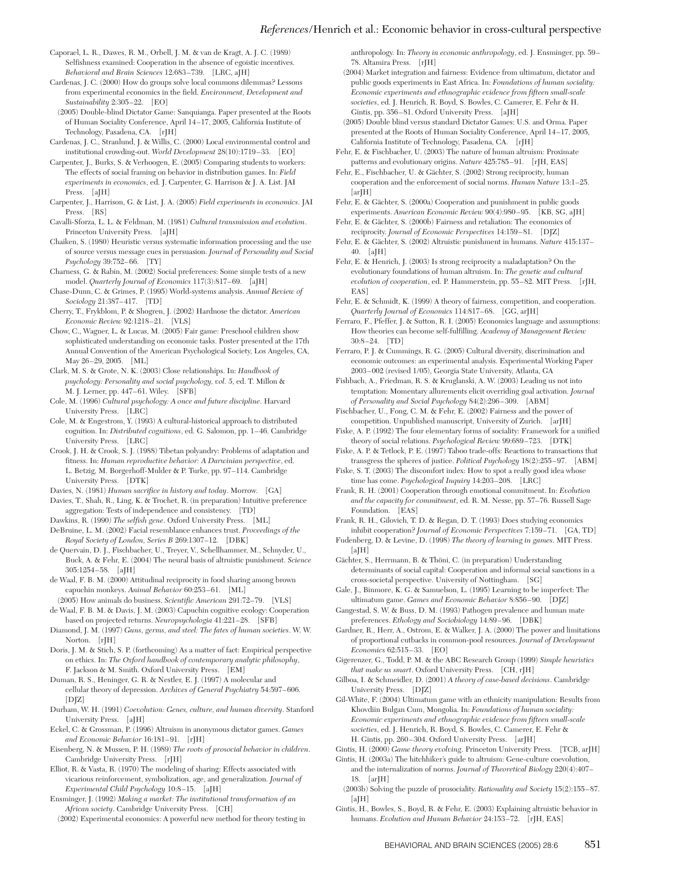- Caporael, L. R., Dawes, R. M., Orbell, J. M. & van de Kragt, A. J. C. (1989) Selfishness examined: Cooperation in the absence of egoistic incentives. *Behavioral and Brain Sciences* 12:683–739. [LRC, aJH]
- Cardenas, J. C. (2000) How do groups solve local commons dilemmas? Lessons from experimental economics in the field. *Environment, Development and Sustainability* 2:305–22. [EO]
- (2005) Double-blind Dictator Game: Sanquianga. Paper presented at the Roots of Human Sociality Conference, April 14–17, 2005, California Institute of Technology, Pasadena, CA. [rJH]
- Cardenas, J. C., Stranlund, J. & Willis, C. (2000) Local environmental control and institutional crowding-out. *World Development* 28(10):1719–33. [EO]
- Carpenter, J., Burks, S. & Verhoogen, E. (2005) Comparing students to workers: The effects of social framing on behavior in distribution games. In: *Field experiments in economics*, ed. J. Carpenter, G. Harrison & J. A. List. JAI Press. [aJH]
- Carpenter, J., Harrison, G. & List, J. A. (2005) *Field experiments in economics*. JAI Press. [RS]
- Cavalli-Sforza, L. L. & Feldman, M. (1981) *Cultural transmission and evolution*. Princeton University Press. [aJH]
- Chaiken, S. (1980) Heuristic versus systematic information processing and the use of source versus message cues in persuasion. *Journal of Personality and Social Psychology* 39:752–66. [TY]
- Charness, G. & Rabin, M. (2002) Social preferences: Some simple tests of a new model. *Quarterly Journal of Economics* 117(3):817–69. [aJH]
- Chase-Dunn, C. & Grimes, P. (1995) World-systems analysis. *Annual Review of Sociology* 21:387–417. [TD]
- Cherry, T., Frykblom, P. & Shogren, J. (2002) Hardnose the dictator. *American Economic Review* 92:1218–21. [VLS]
- Chow, C., Wagner, L. & Lucas, M. (2005) Fair game: Preschool children show sophisticated understanding on economic tasks. Poster presented at the 17th Annual Convention of the American Psychological Society, Los Angeles, CA, May 26–29, 2005. [ML]
- Clark, M. S. & Grote, N. K. (2003) Close relationships. In: *Handbook of psychology: Personality and social psychology, vol. 5*, ed. T. Millon & M. J. Lerner, pp. 447–61. Wiley. [SFB]
- Cole, M. (1996) *Cultural psychology: A once and future discipline*. Harvard University Press. [LRC]
- Cole, M. & Engestrom, Y. (1993) A cultural-historical approach to distributed cognition. In: *Distributed cognitions*, ed. G. Salomon, pp. 1–46. Cambridge University Press. [LRC]
- Crook, J. H. & Crook, S. J. (1988) Tibetan polyandry: Problems of adaptation and fitness. In: *Human reproductive behavior: A Darwinian perspective*, ed. L. Betzig, M. Borgerhoff-Mulder & P. Turke, pp. 97–114. Cambridge University Press. [DTK]
- Davies, N. (1981) *Human sacrifice in history and today*. Morrow. [GA]
- Davies, T., Shah, R., Ling, K. & Trochet, R. (in preparation) Intuitive preference aggregation: Tests of independence and consistency. [TD]
- Dawkins, R. (1990*) The selfish gene*. Oxford University Press. [ML] DeBruine, L. M. (2002) Facial resemblance enhances trust. *Proceedings of the*
- *Royal Society of London, Series B* 269:1307–12. [DBK] de Quervain, D. J., Fischbacher, U., Treyer, V., Schellhammer, M., Schnyder, U., Buck, A. & Fehr, E. (2004) The neural basis of altruistic punishment. *Science*
- 305:1254–58. [aJH] de Waal, F. B. M. (2000) Attitudinal reciprocity in food sharing among brown
- capuchin monkeys. *Animal Behavior* 60:253–61. [ML] (2005) How animals do business. *Scientific American* 291:72–79. [VLS]
- de Waal, F. B. M. & Davis, J. M. (2003) Capuchin cognitive ecology: Cooperation based on projected returns. *Neuropsychologia* 41:221–28. [SFB]
- Diamond, J. M. (1997) *Guns, germs, and steel: The fates of human societies*. W. W. Norton. [rJH]
- Doris, J. M. & Stich, S. P. (forthcoming) As a matter of fact: Empirical perspective on ethics. In: *The Oxford handbook of contemporary analytic philosophy*, F. Jackson & M. Smith. Oxford University Press. [EM]
- Duman, R. S., Heninger, G. R. & Nestler, E. J. (1997) A molecular and cellular theory of depression. *Archives of General Psychiatry* 54:597–606.  $[D|Z]$
- Durham, W. H. (1991) *Coevolution: Genes, culture, and human diversity*. Stanford University Press. [aJH]
- Eckel, C. & Grossman, P. (1996) Altruism in anonymous dictator games. *Games and Economic Behavior* 16:181–91. [rJH]
- Eisenberg, N. & Mussen, P. H. (1989) *The roots of prosocial behavior in children*. Cambridge University Press. [rJH]
- Elliot, R. & Vasta, R. (1970) The modeling of sharing: Effects associated with vicarious reinforcement, symbolization, age, and generalization. *Journal of Experimental Child Psychology* 10:8–15. [aJH]
- Ensminger, J. (1992) *Making a market: The institutional transformation of an African society*. Cambridge University Press. [CH]
	- (2002) Experimental economics: A powerful new method for theory testing in

anthropology. In: *Theory in economic anthropology*, ed. J. Ensminger, pp. 59– 78. Altamira Press. [rJH]

- (2004) Market integration and fairness: Evidence from ultimatum, dictator and public goods experiments in East Africa. In: *Foundations of human sociality: Economic experiments and ethnographic evidence from fifteen small-scale societies*, ed. J. Henrich, R. Boyd, S. Bowles, C. Camerer, E. Fehr & H. Gintis, pp. 356–81. Oxford University Press. [aJH]
- (2005) Double blind versus standard Dictator Games: U.S. and Orma. Paper presented at the Roots of Human Sociality Conference, April 14–17, 2005, California Institute of Technology, Pasadena, CA. [rJH]
- Fehr, E. & Fischbacher, U. (2003) The nature of human altruism: Proximate patterns and evolutionary origins. *Nature* 425:785–91. [rJH, EAS]
- Fehr, E., Fischbacher, U. & Gächter, S. (2002) Strong reciprocity, human cooperation and the enforcement of social norms. *Human Nature* 13:1–25.  $\lceil \operatorname{ar} \Pi \rceil$
- Fehr, E. & Gächter, S. (2000a) Cooperation and punishment in public goods experiments. *American Economic Review* 90(4):980–95. [KB, SG, aJH]
- Fehr, E. & Gächter, S. (2000b) Fairness and retaliation: The economics of reciprocity. *Journal of Economic Perspectives* 14:159–81. [DJZ]
- Fehr, E. & Gächter, S. (2002) Altruistic punishment in humans. *Nature* 415:137– 40. [aJH]
- Fehr, E. & Henrich, J. (2003) Is strong reciprocity a maladaptation? On the evolutionary foundations of human altruism. In: *The genetic and cultural evolution of cooperation*, ed. P. Hammerstein, pp. 55–82. MIT Press. [rJH, EAS]
- Fehr, E. & Schmidt, K. (1999) A theory of fairness, competition, and cooperation. *Quarterly Journal of Economics* 114:817–68. [GG, arJH]
- Ferraro, F., Pfeffer, J. & Sutton, R. I. (2005) Economics language and assumptions: How theories can become self-fulfilling. *Academy of Management Review* 30:8–24. [TD]
- Ferraro, P. J. & Cummings, R. G. (2005) Cultural diversity, discrimination and economic outcomes: an experimental analysis. Experimental Working Paper 2003–002 (revised 1/05), Georgia State University, Atlanta, GA
- Fishbach, A., Friedman, R. S. & Kruglanski, A. W. (2003) Leading us not into temptation: Momentary allurements elicit overriding goal activation. *Journal of Personality and Social Psychology* 84(2):296–309. [ABM]
- Fischbacher, U., Fong, C. M. & Fehr, E. (2002) Fairness and the power of competition. Unpublished manuscript, University of Zurich. [arJH]
- Fiske, A. P. (1992) The four elementary forms of sociality: Framework for a unified theory of social relations. *Psychological Review* 99:689–723. [DTK]
- Fiske, A. P. & Tetlock, P. E. (1997) Taboo trade-offs: Reactions to transactions that transgress the spheres of justice. *Political Psychology* 18(2):255–97. [ABM]
- Fiske, S. T. (2003) The discomfort index: How to spot a really good idea whose time has come. *Psychological Inquiry* 14:203–208. [LRC]
- Frank, R. H. (2001) Cooperation through emotional commitment. In: *Evolution and the capacity for commitment*, ed. R. M. Nesse, pp. 57–76. Russell Sage Foundation. [EAS]

Frank, R. H., Gilovich, T. D. & Regan, D. T. (1993) Does studying economics

inhibit cooperation? *Journal of Economic Perspectives* 7:159–71. [GA, TD] Fudenberg, D. & Levine, D. (1998) *The theory of learning in games*. MIT Press. [aJH]

Gächter, S., Herrmann, B. & Thöni, C. (in preparation) Understanding determinants of social capital: Cooperation and informal social sanctions in a cross-societal perspective. University of Nottingham. [SG]

Gale, J., Binmore, K. G. & Samuelson, L. (1995) Learning to be imperfect: The ultimatum game. *Games and Economic Behavior* 8:856–90. [DJZ]

- Gangestad, S. W. & Buss, D. M. (1993) Pathogen prevalence and human mate preferences. *Ethology and Sociobiology* 14:89–96. [DBK]
- Gardner, R., Herr, A., Ostrom, E. & Walker, J. A. (2000) The power and limitations of proportional cutbacks in common-pool resources. *Journal of Development Economics* 62:515–33. [EO]
- Gigerenzer, G., Todd, P. M. & the ABC Research Group (1999) *Simple heuristics that make us smart*. Oxford University Press. [CH, rJH]
- Gilboa, I. & Schmeidler, D. (2001) *A theory of case-based decisions*. Cambridge University Press. [DJZ]
- Gil-White, F. (2004) Ultimatum game with an ethnicity manipulation: Results from Khovdiin Bulgan Cum, Mongolia. In: *Foundations of human sociality: Economic experiments and ethnographic evidence from fifteen small-scale societies*, ed. J. Henrich, R. Boyd, S. Bowles, C. Camerer, E. Fehr & H. Gintis, pp. 260–304. Oxford University Press. [arJH]
- Gintis, H. (2000) *Game theory evolving*. Princeton University Press. [TCB, arJH]
- Gintis, H. (2003a) The hitchhiker's guide to altruism: Gene-culture coevolution, and the internalization of norms. *Journal of Theoretical Biology* 220(4):407– 18. [arJH]
- (2003b) Solving the puzzle of prosociality. *Rationality and Society* 15(2):155–87.  $[a]$  $H]$
- Gintis, H., Bowles, S., Boyd, R. & Fehr, E. (2003) Explaining altruistic behavior in humans. *Evolution and Human Behavior* 24:153–72. [rJH, EAS]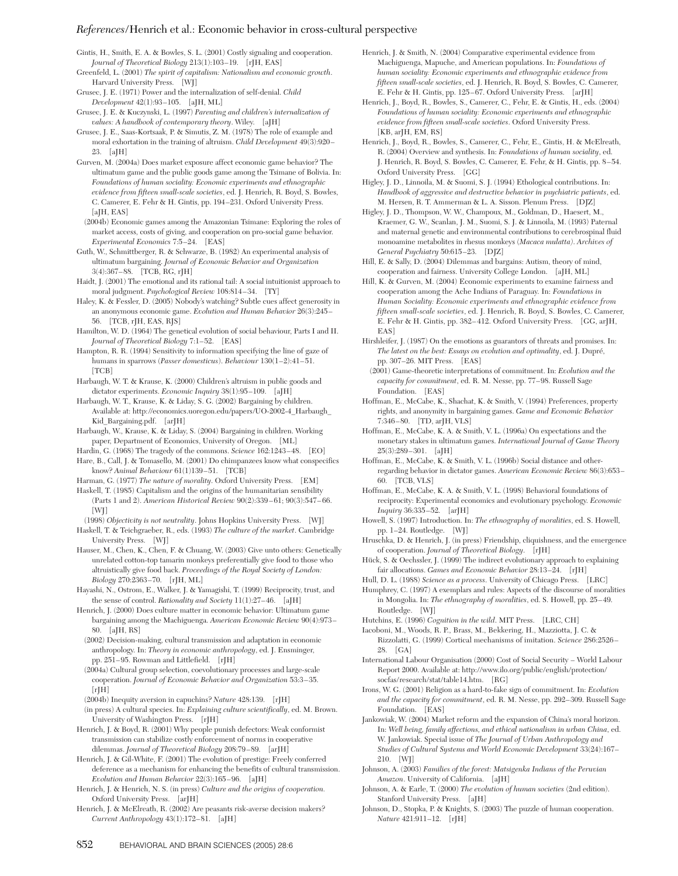- Gintis, H., Smith, E. A. & Bowles, S. L. (2001) Costly signaling and cooperation. *Journal of Theoretical Biology* 213(1):103–19. [rJH, EAS]
- Greenfeld, L. (2001) *The spirit of capitalism: Nationalism and economic growth*. Harvard University Press. [WJ]

Grusec, J. E. (1971) Power and the internalization of self-denial. *Child Development* 42(1):93–105. [aJH, ML]

Grusec, J. E. & Kuczynski, L. (1997) *Parenting and children's internalization of values: A handbook of contemporary theory*. Wiley. [aJH]

Grusec, J. E., Saas-Kortsaak, P. & Simutis, Z. M. (1978) The role of example and moral exhortation in the training of altruism. *Child Development* 49(3):920– 23.  $[a]H]$ 

Gurven, M. (2004a) Does market exposure affect economic game behavior? The ultimatum game and the public goods game among the Tsimane of Bolivia. In: *Foundations of human sociality: Economic experiments and ethnographic evidence from fifteen small-scale societies*, ed. J. Henrich, R. Boyd, S. Bowles, C. Camerer, E. Fehr & H. Gintis, pp. 194–231. Oxford University Press.  $[a]$ H, EAS $]$ 

(2004b) Economic games among the Amazonian Tsimane: Exploring the roles of market access, costs of giving, and cooperation on pro-social game behavior. *Experimental Economics* 7:5–24. [EAS]

Guth, W., Schmittberger, R. & Schwarze, B. (1982) An experimental analysis of ultimatum bargaining. *Journal of Economic Behavior and Organization* 3(4):367–88. [TCB, RG, rJH]

Haidt, J. (2001) The emotional and its rational tail: A social intuitionist approach to moral judgment. *Psychological Review* 108:814–34. [TY]

Haley, K. & Fessler, D. (2005) Nobody's watching? Subtle cues affect generosity in an anonymous economic game. *Evolution and Human Behavior* 26(3):245– 56. [TCB, rJH, EAS, RJS]

- Hamilton, W. D. (1964) The genetical evolution of social behaviour, Parts I and II. *Journal of Theoretical Biology* 7:1–52. [EAS]
- Hampton, R. R. (1994) Sensitivity to information specifying the line of gaze of humans in sparrows (*Passer domesticus*). *Behaviour* 130(1–2):41–51. [TCB]
- Harbaugh, W. T. & Krause, K. (2000) Children's altruism in public goods and dictator experiments. *Economic Inquiry* 38(1):95–109. [aJH]

Harbaugh, W. T., Krause, K. & Liday, S. G. (2002) Bargaining by children. Available at: http://economics.uoregon.edu/papers/UO-2002-4\_Harbaugh\_ Kid\_Bargaining.pdf. [arJH]

Harbaugh, W., Krause, K. & Liday, S. (2004) Bargaining in children. Working paper, Department of Economics, University of Oregon. [ML]

Hardin, G. (1968) The tragedy of the commons. *Science* 162:1243–48. [EO]

Hare, B., Call, J. & Tomasello, M. (2001) Do chimpanzees know what conspecifics know? *Animal Behaviour* 61(1)139–51. [TCB]

Harman, G. (1977) *The nature of morality*. Oxford University Press. [EM]

Haskell, T. (1985) Capitalism and the origins of the humanitarian sensibility (Parts 1 and 2). *American Historical Review* 90(2):339–61; 90(3):547–66. [WJ]

(1998) *Objectivity is not neutrality*. Johns Hopkins University Press. [WJ]

Haskell, T. & Teichgraeber, R., eds. (1993) *The culture of the market*. Cambridge University Press. [WJ]

Hauser, M., Chen, K., Chen, F. & Chuang, W. (2003) Give unto others: Genetically unrelated cotton-top tamarin monkeys preferentially give food to those who altruistically give food back. *Proceedings of the Royal Society of London: Biology* 270:2363–70. [rJH, ML]

Hayashi, N., Ostrom, E., Walker, J. & Yamagishi, T. (1999) Reciprocity, trust, and the sense of control. *Rationality and Society* 11(1):27–46. [aJH]

Henrich, J. (2000) Does culture matter in economic behavior: Ultimatum game bargaining among the Machiguenga. *American Economic Review* 90(4):973– 80. [aJH, RS]

(2002) Decision-making, cultural transmission and adaptation in economic anthropology. In: *Theory in economic anthropology*, ed. J. Ensminger, pp. 251–95. Rowman and Littlefield. [rJH]

(2004a) Cultural group selection, coevolutionary processes and large-scale cooperation. *Journal of Economic Behavior and Organization* 53:3–35.  $[r[H]$ 

(2004b) Inequity aversion in capuchins? *Nature* 428:139. [rJH]

(in press) A cultural species. In: *Explaining culture scientifically*, ed. M. Brown. University of Washington Press. [rJH]

Henrich, J. & Boyd, R. (2001) Why people punish defectors: Weak conformist transmission can stabilize costly enforcement of norms in cooperative dilemmas. *Journal of Theoretical Biology* 208:79–89. [arJH]

Henrich, J. & Gil-White, F. (2001) The evolution of prestige: Freely conferred deference as a mechanism for enhancing the benefits of cultural transmission. *Evolution and Human Behavior* 22(3):165–96. [aJH]

Henrich, J. & Henrich, N. S. (in press) *Culture and the origins of cooperation.* Oxford University Press. [arJH]

Henrich, J. & McElreath, R. (2002) Are peasants risk-averse decision makers? *Current Anthropology* 43(1):172–81. [aJH]

Henrich, J. & Smith, N. (2004) Comparative experimental evidence from Machiguenga, Mapuche, and American populations. In: *Foundations of human sociality: Economic experiments and ethnographic evidence from fifteen small-scale societies*, ed. J. Henrich, R. Boyd, S. Bowles, C. Camerer, E. Fehr & H. Gintis, pp. 125–67. Oxford University Press. [arJH]

Henrich, J., Boyd, R., Bowles, S., Camerer, C., Fehr, E. & Gintis, H., eds. (2004) *Foundations of human sociality: Economic experiments and ethnographic evidence from fifteen small-scale societies*. Oxford University Press. [KB, arJH, EM, RS]

Henrich, J., Boyd, R., Bowles, S., Camerer, C., Fehr, E., Gintis, H. & McElreath, R. (2004) Overview and synthesis. In: *Foundations of human sociality*, ed. J. Henrich, R. Boyd, S. Bowles, C. Camerer, E. Fehr, & H. Gintis, pp. 8–54. Oxford University Press. [GG]

Higley, J. D., Linnoila, M. & Suomi, S. J. (1994) Ethological contributions. In: *Handbook of aggressive and destructive behavior in psychiatric patients*, ed. M. Hersen, R. T. Ammerman & L. A. Sisson. Plenum Press. [DJZ]

Higley, J. D., Thompson, W. W., Champoux, M., Goldman, D., Haesert, M., Kraemer, G. W., Scanlan, J. M., Suomi, S. J. & Linnoila, M. (1993) Paternal and maternal genetic and environmental contributions to cerebrospinal fluid monoamine metabolites in rhesus monkeys (*Macaca mulatta)*. *Archives of General Psychiatry* 50:615–23. [DJZ]

Hill, E. & Sally, D. (2004) Dilemmas and bargains: Autism, theory of mind, cooperation and fairness. University College London. [aJH, ML]

Hill, K. & Gurven, M. (2004) Economic experiments to examine fairness and cooperation among the Ache Indians of Paraguay. In: *Foundations in Human Sociality: Economic experiments and ethnographic evidence from fifteen small-scale societies*, ed. J. Henrich, R. Boyd, S. Bowles, C. Camerer, E. Fehr & H. Gintis, pp. 382–412. Oxford University Press. [GG, arJH, EAS]

Hirshleifer, J. (1987) On the emotions as guarantors of threats and promises. In: *The latest on the best: Essays on evolution and optimality*, ed. J. Dupré, pp. 307–26. MIT Press. [EAS]

(2001) Game-theoretic interpretations of commitment. In: *Evolution and the capacity for commitment*, ed. R. M. Nesse, pp. 77–98. Russell Sage Foundation. [EAS]

- Hoffman, E., McCabe, K., Shachat, K. & Smith, V. (1994) Preferences, property rights, and anonymity in bargaining games. *Game and Economic Behavior* 7:346–80. [TD, arJH, VLS]
- Hoffman, E., McCabe, K. A. & Smith, V. L. (1996a) On expectations and the monetary stakes in ultimatum games. *International Journal of Game Theory* 25(3):289–301. [aJH]

Hoffman, E., McCabe, K. & Smith, V. L. (1996b) Social distance and otherregarding behavior in dictator games. *American Economic Review* 86(3):653– 60. [TCB, VLS]

Hoffman, E., McCabe, K. A. & Smith, V. L. (1998) Behavioral foundations of reciprocity: Experimental economics and evolutionary psychology. *Economic Inquiry* 36:335–52. [arJH]

Howell, S. (1997) Introduction. In: *The ethnography of moralities*, ed. S. Howell, pp. 1–24. Routledge. [WJ]

Hruschka, D. & Henrich, J. (in press) Friendship, cliquishness, and the emergence of cooperation. *Journal of Theoretical Biology*. [rJH]

Hück, S. & Oechssler, J. (1999) The indirect evolutionary approach to explaining fair allocations. *Games and Economic Behavior* 28:13–24. [rJH]

Hull, D. L. (1988) *Science as a process*. University of Chicago Press. [LRC]

- Humphrey, C. (1997) A exemplars and rules: Aspects of the discourse of moralities in Mongolia. In: *The ethnography of moralities*, ed. S. Howell, pp. 25–49. Routledge. [WJ]
- Hutchins, E. (1996) *Cognition in the wild*. MIT Press. [LRC, CH]
- Iacoboni, M., Woods, R. P., Brass, M., Bekkering, H., Mazziotta, J. C. & Rizzolatti, G. (1999) Cortical mechanisms of imitation. *Science* 286:2526– 28. [GA]
- International Labour Organisation (2000) Cost of Social Security World Labour Report 2000. Available at: http://www.ilo.org/public/english/protection/ socfas/research/stat/table14.htm. [RG]

Irons, W. G. (2001) Religion as a hard-to-fake sign of commitment. In: *Evolution and the capacity for commitment*, ed. R. M. Nesse, pp. 292–309. Russell Sage Foundation. [EAS]

Jankowiak, W. (2004) Market reform and the expansion of China's moral horizon. In: *Well being, family affections, and ethical nationalism in urban China*, ed. W. Jankowiak. Special issue of *The Journal of Urban Anthropology and Studies of Cultural Systems and World Economic Development* 33(24):167– 210. [WJ]

- Johnson, A. (2003) *Families of the forest: Matsigenka Indians of the Peruvian Amazon*. University of California. [aJH]
- Johnson, A. & Earle, T. (2000) *The evolution of human societies* (2nd edition). Stanford University Press. [aJH]
- Johnson, D., Stopka, P. & Knights, S. (2003) The puzzle of human cooperation. *Nature* 421:911–12. [rJH]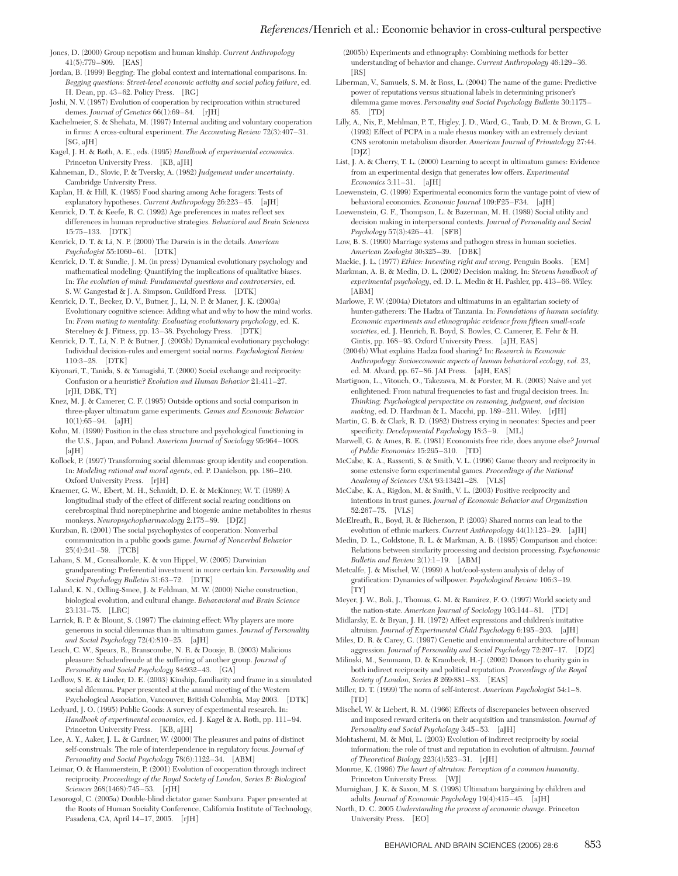- Jones, D. (2000) Group nepotism and human kinship. *Current Anthropology* 41(5):779–809. [EAS]
- Jordan, B. (1999) Begging: The global context and international comparisons. In: *Begging questions: Street-level economic activity and social policy failure*, ed. H. Dean, pp. 43–62. Policy Press. [RG]
- Joshi, N. V. (1987) Evolution of cooperation by reciprocation within structured demes. *Journal of Genetics* 66(1):69–84. [rJH]
- Kachelmeier, S. & Shehata, M. (1997) Internal auditing and voluntary cooperation in firms: A cross-cultural experiment. *The Accounting Review* 72(3):407–31.  $[SG, a]H]$
- Kagel, J. H. & Roth, A. E., eds. (1995) *Handbook of experimental economics*. Princeton University Press. [KB, aJH]

Kahneman, D., Slovic, P. & Tversky, A. (1982) *Judgement under uncertainty*. Cambridge University Press.

- Kaplan, H. & Hill, K. (1985) Food sharing among Ache foragers: Tests of explanatory hypotheses. *Current Anthropology* 26:223–45. [aJH]
- Kenrick, D. T. & Keefe, R. C. (1992) Age preferences in mates reflect sex differences in human reproductive strategies. *Behavioral and Brain Sciences* 15:75–133. [DTK]
- Kenrick, D. T. & Li, N. P. (2000) The Darwin is in the details. *American Psychologist* 55:1060–61. [DTK]

Kenrick, D. T. & Sundie, J. M. (in press) Dynamical evolutionary psychology and mathematical modeling: Quantifying the implications of qualitative biases. In: *The evolution of mind: Fundamental questions and controversies*, ed. S. W. Gangestad & J. A. Simpson. Guildford Press. [DTK]

Kenrick, D. T., Becker, D. V., Butner, J., Li, N. P. & Maner, J. K. (2003a) Evolutionary cognitive science: Adding what and why to how the mind works. In: *From mating to mentality: Evaluating evolutionary psychology*, ed. K. Sterelney & J. Fitness, pp. 13–38. Psychology Press. [DTK]

- Kenrick, D. T., Li, N. P. & Butner, J. (2003b) Dynamical evolutionary psychology: Individual decision-rules and emergent social norms. *Psychological Review* 110:3–28. [DTK]
- Kiyonari, T., Tanida, S. & Yamagishi, T. (2000) Social exchange and reciprocity: Confusion or a heuristic? *Evolution and Human Behavior* 21:411–27. [rJH, DBK, TY]
- Knez, M. J. & Camerer, C. F. (1995) Outside options and social comparison in three-player ultimatum game experiments. *Games and Economic Behavior*  $10(1):65-94.$  [aJH]
- Kohn, M. (1990) Position in the class structure and psychological functioning in the U.S., Japan, and Poland. *American Journal of Sociology* 95:964–1008.  $[a]$  $H]$
- Kollock, P. (1997) Transforming social dilemmas: group identity and cooperation. In: *Modeling rational and moral agents*, ed. P. Danielson, pp. 186–210. Oxford University Press. [rJH]
- Kraemer, G. W., Ebert, M. H., Schmidt, D. E. & McKinney, W. T. (1989) A longitudinal study of the effect of different social rearing conditions on cerebrospinal fluid norepinephrine and biogenic amine metabolites in rhesus monkeys. *Neuropsychopharmacology* 2:175–89. [DJZ]
- Kurzban, R. (2001) The social psychophysics of cooperation: Nonverbal communication in a public goods game. *Journal of Nonverbal Behavior* 25(4):241–59. [TCB]

Laham, S. M., Gonsalkorale, K. & von Hippel, W. (2005) Darwinian grandparenting: Preferential investment in more certain kin. *Personality and Social Psychology Bulletin* 31:63–72. [DTK]

Laland, K. N., Odling-Smee, J. & Feldman, M. W. (2000) Niche construction, biological evolution, and cultural change. *Behavavioral and Brain Science* 23:131–75. [LRC]

Larrick, R. P. & Blount, S. (1997) The claiming effect: Why players are more generous in social dilemmas than in ultimatum games. *Journal of Personality and Social Psychology* 72(4):810–25. [aJH]

Leach, C. W., Spears, R., Branscombe, N. R. & Doosje, B. (2003) Malicious pleasure: Schadenfreude at the suffering of another group. *Journal of Personality and Social Psychology* 84:932–43. [GA]

Ledlow, S. E. & Linder, D. E. (2003) Kinship, familiarity and frame in a simulated social dilemma. Paper presented at the annual meeting of the Western Psychological Association, Vancouver, British Columbia, May 2003. [DTK]

- Ledyard, J. O. (1995) Public Goods: A survey of experimental research. In: *Handbook of experimental economics*, ed. J. Kagel & A. Roth, pp. 111–94. Princeton University Press. [KB, aJH]
- Lee, A. Y., Aaker, J. L. & Gardner, W. (2000) The pleasures and pains of distinct self-construals: The role of interdependence in regulatory focus. *Journal of Personality and Social Psychology* 78(6):1122–34. [ABM]
- Leimar, O. & Hammerstein, P. (2001) Evolution of cooperation through indirect reciprocity. *Proceedings of the Royal Society of London, Series B: Biological Sciences* 268(1468):745–53. [rJH]
- Lesorogol, C. (2005a) Double-blind dictator game: Samburu. Paper presented at the Roots of Human Sociality Conference, California Institute of Technology, Pasadena, CA, April 14–17, 2005. [rJH]
- (2005b) Experiments and ethnography: Combining methods for better understanding of behavior and change. *Current Anthropology* 46:129–36. [RS]
- Liberman, V., Samuels, S. M. & Ross, L. (2004) The name of the game: Predictive power of reputations versus situational labels in determining prisoner's dilemma game moves. *Personality and Social Psychology Bulletin* 30:1175– 85. [TD]
- Lilly, A., Nix, P., Mehlman, P. T., Higley, J. D., Ward, G., Taub, D. M. & Brown, G. L (1992) Effect of PCPA in a male rhesus monkey with an extremely deviant CNS serotonin metabolism disorder. *American Journal of Primatology* 27:44.  $[D]Z$
- List, J. A. & Cherry, T. L. (2000) Learning to accept in ultimatum games: Evidence from an experimental design that generates low offers. *Experimental Economics* 3:11–31. [aJH]
- Loewenstein, G. (1999) Experimental economics form the vantage point of view of behavioral economics. *Economic Journal* 109:F25–F34. [aJH]
- Loewenstein, G. F., Thompson, L. & Bazerman, M. H. (1989) Social utility and decision making in interpersonal contexts. *Journal of Personality and Social Psychology* 57(3):426–41. [SFB]
- Low, B. S. (1990) Marriage systems and pathogen stress in human societies. *American Zoologist* 30:325–39. [DBK]
- Mackie, J. L. (1977) *Ethics: Inventing right and wrong*. Penguin Books. [EM]
- Markman, A. B. & Medin, D. L. (2002) Decision making. In: *Stevens handbook of experimental psychology*, ed. D. L. Medin & H. Pashler, pp. 413–66. Wiley. [ABM]
- Marlowe, F. W. (2004a) Dictators and ultimatums in an egalitarian society of hunter-gatherers: The Hadza of Tanzania. In: *Foundations of human sociality: Economic experiments and ethnographic evidence from fifteen small-scale societies*, ed. J. Henrich, R. Boyd, S. Bowles, C. Camerer, E. Fehr & H. Gintis, pp. 168–93. Oxford University Press. [aJH, EAS]
- (2004b) What explains Hadza food sharing? In: *Research in Economic Anthropology: Socioeconomic aspects of human behavioral ecology*, *vol. 23*, ed. M. Alvard, pp. 67–86. JAI Press. [aJH, EAS]
- Martignon, L., Vitouch, O., Takezawa, M. & Forster, M. R. (2003) Naive and yet enlightened: From natural frequencies to fast and frugal decision trees. In: *Thinking: Psychological perspective on reasoning, judgment, and decision making*, ed. D. Hardman & L. Macchi, pp. 189–211. Wiley. [rJH]
- Martin, G. B. & Clark, R. D. (1982) Distress crying in neonates: Species and peer specificity. *Developmental Psychology* 18:3–9. [ML]
- Marwell, G. & Ames, R. E. (1981) Economists free ride, does anyone else? *Journal of Public Economics* 15:295–310. [TD]
- McCabe, K. A., Rassenti, S. & Smith, V. L. (1996) Game theory and reciprocity in some extensive form experimental games. *Proceedings of the National Academy of Sciences USA* 93:13421–28. [VLS]
- McCabe, K. A., Rigdon, M. & Smith, V. L. (2003) Positive reciprocity and intentions in trust games. *Journal of Economic Behavior and Organization* 52:267–75. [VLS]
- McElreath, R., Boyd, R. & Richerson, P. (2003) Shared norms can lead to the evolution of ethnic markers. *Current Anthropology* 44(1):123–29. [aJH]
- Medin, D. L., Goldstone, R. L. & Markman, A. B. (1995) Comparison and choice: Relations between similarity processing and decision processing. *Psychonomic Bulletin and Review* 2(1):1–19. [ABM]

Metcalfe, J. & Mischel, W. (1999) A hot/cool-system analysis of delay of gratification: Dynamics of willpower. *Psychological Review* 106:3–19.  $[TY]$ 

- Meyer, J. W., Boli, J., Thomas, G. M. & Ramirez, F. O. (1997) World society and the nation-state. *American Journal of Sociology* 103:144–81. [TD]
- Midlarsky, E. & Bryan, J. H. (1972) Affect expressions and children's imitative altruism. *Journal of Experimental Child Psychology* 6:195–203. [aJH]
- Miles, D. R. & Carey, G. (1997) Genetic and environmental architecture of human aggression. *Journal of Personality and Social Psychology* 72:207–17. [DJZ]
- Milinski, M., Semmann, D. & Krambeck, H.-J. (2002) Donors to charity gain in both indirect reciprocity and political reputation. *Proceedings of the Royal Society of London, Series B* 269:881–83. [EAS]
- Miller, D. T. (1999) The norm of self-interest. *American Psychologist* 54:1–8. [TD]
- Mischel, W. & Liebert, R. M. (1966) Effects of discrepancies between observed and imposed reward criteria on their acquisition and transmission. *Journal of Personality and Social Psychology* 3:45–53. [aJH]
- Mohtashemi, M. & Mui, L. (2003) Evolution of indirect reciprocity by social information: the role of trust and reputation in evolution of altruism. *Journal of Theoretical Biology* 223(4):523–31. [rJH]
- Monroe, K. (1996) *The heart of altruism: Perception of a common humanity*. Princeton University Press. [WJ]
- Murnighan, J. K. & Saxon, M. S. (1998) Ultimatum bargaining by children and adults. *Journal of Economic Psychology* 19(4):415–45. [aJH]
- North, D. C. 2005 *Understanding the process of economic change*. Princeton University Press. [EO]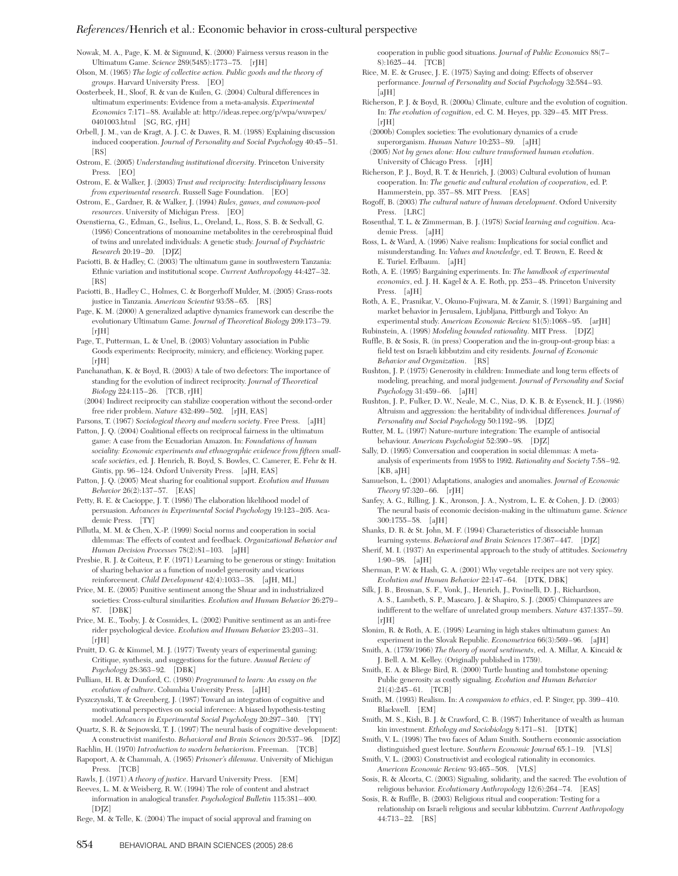- Nowak, M. A., Page, K. M. & Sigmund, K. (2000) Fairness versus reason in the Ultimatum Game. *Science* 289(5485):1773–75. [rJH]
- Olson, M. (1965) *The logic of collective action. Public goods and the theory of groups*. Harvard University Press. [EO]
- Oosterbeek, H., Sloof, R. & van de Kuilen, G. (2004) Cultural differences in ultimatum experiments: Evidence from a meta-analysis. *Experimental Economics* 7:171–88. Available at: http://ideas.repec.org/p/wpa/wuwpex/ 0401003.html [SG, RG, rJH]
- Orbell, J. M., van de Kragt, A. J. C. & Dawes, R. M. (1988) Explaining discussion induced cooperation. *Journal of Personality and Social Psychology* 40:45–51.  $|RS|$
- Ostrom, E. (2005) *Understanding institutional diversity*. Princeton University Press. [EO]
- Ostrom, E. & Walker, J. (2003) *Trust and reciprocity: Interdisciplinary lessons from experimental research*. Russell Sage Foundation. [EO]
- Ostrom, E., Gardner, R. & Walker, J. (1994) *Rules, games, and common-pool resources*. University of Michigan Press. [EO]
- Oxenstierna, G., Edman, G., Iselius, L., Oreland, L., Ross, S. B. & Sedvall, G. (1986) Concentrations of monoamine metabolites in the cerebrospinal fluid of twins and unrelated individuals: A genetic study. *Journal of Psychiatric Research* 20:19–20. [DJZ]
- Paciotti, B. & Hadley, C. (2003) The ultimatum game in southwestern Tanzania: Ethnic variation and institutional scope. *Current Anthropology* 44:427–32. [RS]
- Paciotti, B., Hadley C., Holmes, C. & Borgerhoff Mulder, M. (2005) Grass-roots justice in Tanzania. *American Scientist* 93:58–65. [RS]
- Page, K. M. (2000) A generalized adaptive dynamics framework can describe the evolutionary Ultimatum Game. *Journal of Theoretical Biology* 209:173–79.  $[r[H]$
- Page, T., Putterman, L. & Unel, B. (2003) Voluntary association in Public Goods experiments: Reciprocity, mimicry, and efficiency. Working paper.  $[r]H]$
- Panchanathan, K. & Boyd, R. (2003) A tale of two defectors: The importance of standing for the evolution of indirect reciprocity. *Journal of Theoretical Biology* 224:115–26. [TCB, rJH]
- (2004) Indirect reciprocity can stabilize cooperation without the second-order free rider problem. *Nature* 432:499–502. [rJH, EAS]
- Parsons, T. (1967) *Sociological theory and modern society*. Free Press. [aJH]
- Patton, J. Q. (2004) Coalitional effects on reciprocal fairness in the ultimatum game: A case from the Ecuadorian Amazon. In: *Foundations of human sociality: Economic experiments and ethnographic evidence from fifteen smallscale societies*, ed. J. Henrich, R. Boyd, S. Bowles, C. Camerer, E. Fehr & H. Gintis, pp. 96–124. Oxford University Press. [aJH, EAS]
- Patton, J. Q. (2005) Meat sharing for coalitional support. *Evolution and Human Behavior* 26(2):137–57. [EAS]
- Petty, R. E. & Cacioppe, J. T. (1986) The elaboration likelihood model of persuasion. *Advances in Experimental Social Psychology* 19:123–205. Academic Press. [TY]
- Pillutla, M. M. & Chen, X.-P. (1999) Social norms and cooperation in social dilemmas: The effects of context and feedback. *Organizational Behavior and Human Decision Processes* 78(2):81–103. [aJH]
- Presbie, R. J. & Coiteux, P. F. (1971) Learning to be generous or stingy: Imitation of sharing behavior as a function of model generosity and vicarious reinforcement. *Child Development* 42(4):1033–38. [aJH, ML]
- Price, M. E. (2005) Punitive sentiment among the Shuar and in industrialized societies: Cross-cultural similarities. *Evolution and Human Behavior* 26:279– 87. [DBK]
- Price, M. E., Tooby, J. & Cosmides, L. (2002) Punitive sentiment as an anti-free rider psychological device. *Evolution and Human Behavior* 23:203–31.  $|r|H|$
- Pruitt, D. G. & Kimmel, M. J. (1977) Twenty years of experimental gaming: Critique, synthesis, and suggestions for the future. *Annual Review of Psychology* 28:363–92. [DBK]
- Pulliam, H. R. & Dunford, C. (1980) *Programmed to learn: An essay on the evolution of culture*. Columbia University Press. [aJH]
- Pyszczynski, T. & Greenberg, J. (1987) Toward an integration of cognitive and motivational perspectives on social inference: A biased hypothesis-testing model. *Advances in Experimental Social Psychology* 20:297–340. [TY]
- Quartz, S. R. & Sejnowski, T. J. (1997) The neural basis of cognitive development: A constructivist manifesto. *Behavioral and Brain Sciences* 20:537–96. [DJZ]
- Rachlin, H. (1970) *Introduction to modern behaviorism*. Freeman. [TCB]
- Rapoport, A. & Chammah, A. (1965) *Prisoner's dilemma*. University of Michigan Press. [TCB]
- Rawls, J. (1971) *A theory of justice*. Harvard University Press. [EM]
- Reeves, L. M. & Weisberg, R. W. (1994) The role of content and abstract information in analogical transfer. *Psychological Bulletin* 115:381–400.  $|DIZ|$
- Rege, M. & Telle, K. (2004) The impact of social approval and framing on

cooperation in public good situations. *Journal of Public Economics* 88(7– 8):1625–44. [TCB]

- Rice, M. E. & Grusec, J. E. (1975) Saying and doing: Effects of observer performance. *Journal of Personality and Social Psychology* 32:584–93.  $[a]$ H]
- Richerson, P. J. & Boyd, R. (2000a) Climate, culture and the evolution of cognition. In: *The evolution of cognition*, ed. C. M. Heyes, pp. 329–45. MIT Press.  $[r[H]$
- (2000b) Complex societies: The evolutionary dynamics of a crude superorganism. *Human Nature* 10:253–89. [aJH]

(2005) *Not by genes alone: How culture transformed human evolution*. University of Chicago Press. [rJH]

- Richerson, P. J., Boyd, R. T. & Henrich, J. (2003) Cultural evolution of human cooperation. In: *The genetic and cultural evolution of cooperation*, ed. P. Hammerstein, pp. 357–88. MIT Press. [EAS]
- Rogoff, B. (2003) *The cultural nature of human development*. Oxford University Press. [LRC]
- Rosenthal, T. L. & Zimmerman, B. J. (1978) *Social learning and cognition*. Academic Press. [aJH]
- Ross, L. & Ward, A. (1996) Naive realism: Implications for social conflict and misunderstanding. In: *Values and knowledge*, ed. T. Brown, E. Reed & E. Turiel. Erlbaum. [aJH]
- Roth, A. E. (1995) Bargaining experiments. In: *The handbook of experimental economics*, ed. J. H. Kagel & A. E. Roth, pp. 253–48. Princeton University Press. [aJH]
- Roth, A. E., Prasnikar, V., Okuno-Fujiwara, M. & Zamir, S. (1991) Bargaining and market behavior in Jerusalem, Ljubljana, Pittburgh and Tokyo: An experimental study. *American Economic Review* 81(5):1068–95. [arJH]
- Rubinstein, A. (1998) *Modeling bounded rationality*. MIT Press. [DJZ]
- Ruffle, B. & Sosis, R. (in press) Cooperation and the in-group-out-group bias: a field test on Israeli kibbutzim and city residents. *Journal of Economic Behavior and Organization*. [RS]
- Rushton, J. P. (1975) Generosity in children: Immediate and long term effects of modeling, preaching, and moral judgement. *Journal of Personality and Social Psychology* 31:459–66. [aJH]
- Rushton, J. P., Fulker, D. W., Neale, M. C., Nias, D. K. B. & Eysenck, H. J. (1986) Altruism and aggression: the heritability of individual differences. *Journal of Personality and Social Psychology* 50:1192–98. [DJZ]
- Rutter, M. L. (1997) Nature-nurture integration: The example of antisocial behaviour. *American Psychologist* 52:390–98. [DJZ]
- Sally, D. (1995) Conversation and cooperation in social dilemmas: A metaanalysis of experiments from 1958 to 1992. *Rationality and Society* 7:58–92.  $[KB, a]H]$
- Samuelson, L. (2001) Adaptations, analogies and anomalies. *Journal of Economic Theory* 97:320–66. [rJH]
- Sanfey, A. G., Rilling, J. K., Aronson, J. A., Nystrom, L. E. & Cohen, J. D. (2003) The neural basis of economic decision-making in the ultimatum game. *Science* 300:1755–58. [aJH]
- Shanks, D. R. & St. John, M. F. (1994) Characteristics of dissociable human learning systems. *Behavioral and Brain Sciences* 17:367–447. [DJZ]
- Sherif, M. I. (1937) An experimental approach to the study of attitudes. *Sociometry* 1:90–98. [aJH]
- Sherman, P. W. & Hash, G. A. (2001) Why vegetable recipes are not very spicy. *Evolution and Human Behavior* 22:147–64. [DTK, DBK]
- Silk, J. B., Brosnan, S. F., Vonk, J., Henrich, J., Povinelli, D. J., Richardson, A. S., Lambeth, S. P., Mascaro, J. & Shapiro, S. J. (2005) Chimpanzees are indifferent to the welfare of unrelated group members. *Nature* 437:1357–59.  $[r]H]$
- Slonim, R. & Roth, A. E. (1998) Learning in high stakes ultimatum games: An experiment in the Slovak Republic. *Econometrica* 66(3):569–96. [aJH]
- Smith, A. (1759/1966) *The theory of moral sentiments*, ed. A. Millar, A. Kincaid & J. Bell. A. M. Kelley. (Originally published in 1759).
- Smith, E. A. & Bliege Bird, R. (2000) Turtle hunting and tombstone opening: Public generosity as costly signaling. *Evolution and Human Behavior* 21(4):245–61. [TCB]
- Smith, M. (1993) Realism. In: *A companion to ethics*, ed. P. Singer, pp. 399–410. Blackwell. [EM]
- Smith, M. S., Kish, B. J. & Crawford, C. B. (1987) Inheritance of wealth as human kin investment. *Ethology and Sociobiology* 8:171–81. [DTK]
- Smith, V. L. (1998) The two faces of Adam Smith. Southern economic association distinguished guest lecture. *Southern Economic Journal* 65:1–19. [VLS]
- Smith, V. L. (2003) Constructivist and ecological rationality in economics. *American Economic Review* 93:465–508. [VLS]
- Sosis, R. & Alcorta, C. (2003) Signaling, solidarity, and the sacred: The evolution of religious behavior. *Evolutionary Anthropology* 12(6):264–74. [EAS]
- Sosis, R. & Ruffle, B. (2003) Religious ritual and cooperation: Testing for a relationship on Israeli religious and secular kibbutzim. *Current Anthropology* 44:713–22. [RS]